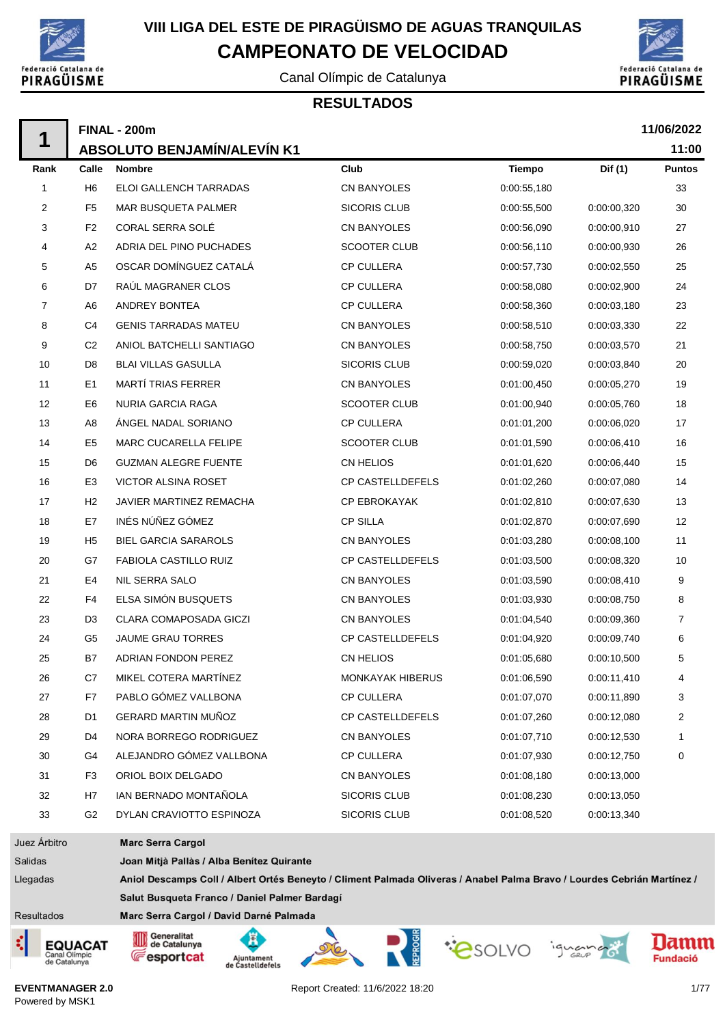

 $\blacksquare$ 

## **VIII LIGA DEL ESTE DE PIRAGÜISMO DE AGUAS TRANQUILAS CAMPEONATO DE VELOCIDAD**

Canal Olímpic de Catalunya



### **RESULTADOS**

|              |                | <b>FINAL - 200m</b>                                                                                                     |                         |               |             | 11/06/2022     |
|--------------|----------------|-------------------------------------------------------------------------------------------------------------------------|-------------------------|---------------|-------------|----------------|
| 1            |                | ABSOLUTO BENJAMÍN/ALEVÍN K1                                                                                             |                         |               |             | 11:00          |
| Rank         | Calle          | <b>Nombre</b>                                                                                                           | Club                    | <b>Tiempo</b> | Dif (1)     | <b>Puntos</b>  |
| 1            | H <sub>6</sub> | ELOI GALLENCH TARRADAS                                                                                                  | <b>CN BANYOLES</b>      | 0:00:55,180   |             | 33             |
| 2            | F <sub>5</sub> | MAR BUSQUETA PALMER                                                                                                     | <b>SICORIS CLUB</b>     | 0:00:55,500   | 0:00:00.320 | 30             |
| 3            | F <sub>2</sub> | CORAL SERRA SOLÉ                                                                                                        | CN BANYOLES             | 0:00:56,090   | 0:00:00,910 | 27             |
| 4            | A <sub>2</sub> | ADRIA DEL PINO PUCHADES                                                                                                 | <b>SCOOTER CLUB</b>     | 0:00:56,110   | 0:00:00,930 | 26             |
| 5            | A <sub>5</sub> | OSCAR DOMÍNGUEZ CATALÁ                                                                                                  | <b>CP CULLERA</b>       | 0:00:57,730   | 0:00:02,550 | 25             |
| 6            | D7             | RAÚL MAGRANER CLOS                                                                                                      | <b>CP CULLERA</b>       | 0:00:58,080   | 0:00:02,900 | 24             |
| 7            | A <sub>6</sub> | <b>ANDREY BONTEA</b>                                                                                                    | <b>CP CULLERA</b>       | 0:00:58,360   | 0:00:03,180 | 23             |
| 8            | C4             | <b>GENIS TARRADAS MATEU</b>                                                                                             | CN BANYOLES             | 0:00:58,510   | 0:00:03,330 | 22             |
| 9            | C <sub>2</sub> | ANIOL BATCHELLI SANTIAGO                                                                                                | CN BANYOLES             | 0:00:58,750   | 0:00:03,570 | 21             |
| 10           | D <sub>8</sub> | <b>BLAI VILLAS GASULLA</b>                                                                                              | SICORIS CLUB            | 0:00:59,020   | 0:00:03,840 | 20             |
| 11           | E <sub>1</sub> | <b>MARTÍ TRIAS FERRER</b>                                                                                               | CN BANYOLES             | 0:01:00,450   | 0:00:05,270 | 19             |
| 12           | E <sub>6</sub> | NURIA GARCIA RAGA                                                                                                       | <b>SCOOTER CLUB</b>     | 0:01:00,940   | 0:00:05,760 | 18             |
| 13           | A8             | ÁNGEL NADAL SORIANO                                                                                                     | <b>CP CULLERA</b>       | 0:01:01,200   | 0:00:06,020 | 17             |
| 14           | E <sub>5</sub> | <b>MARC CUCARELLA FELIPE</b>                                                                                            | SCOOTER CLUB            | 0:01:01,590   | 0:00:06,410 | 16             |
| 15           | D <sub>6</sub> | <b>GUZMAN ALEGRE FUENTE</b>                                                                                             | CN HELIOS               | 0:01:01,620   | 0:00:06,440 | 15             |
| 16           | E <sub>3</sub> | VICTOR ALSINA ROSET                                                                                                     | CP CASTELLDEFELS        | 0:01:02,260   | 0:00:07,080 | 14             |
| 17           | H <sub>2</sub> | JAVIER MARTINEZ REMACHA                                                                                                 | <b>CP EBROKAYAK</b>     | 0:01:02,810   | 0:00:07,630 | 13             |
| 18           | E7             | INÉS NÚÑEZ GÓMEZ                                                                                                        | <b>CP SILLA</b>         | 0:01:02,870   | 0:00:07,690 | 12             |
| 19           | H <sub>5</sub> | <b>BIEL GARCIA SARAROLS</b>                                                                                             | CN BANYOLES             | 0:01:03,280   | 0:00:08,100 | 11             |
| 20           | G7             | FABIOLA CASTILLO RUIZ                                                                                                   | CP CASTELLDEFELS        | 0:01:03,500   | 0:00:08,320 | 10             |
| 21           | E4             | NIL SERRA SALO                                                                                                          | CN BANYOLES             | 0:01:03,590   | 0:00:08,410 | 9              |
| 22           | F4             | ELSA SIMÓN BUSQUETS                                                                                                     | <b>CN BANYOLES</b>      | 0:01:03,930   | 0:00:08,750 | 8              |
| 23           | D <sub>3</sub> | <b>CLARA COMAPOSADA GICZI</b>                                                                                           | CN BANYOLES             | 0:01:04,540   | 0:00:09,360 | $\overline{7}$ |
| 24           | G <sub>5</sub> | JAUME GRAU TORRES                                                                                                       | <b>CP CASTELLDEFELS</b> | 0:01:04,920   | 0:00:09,740 | 6              |
| 25           | B7             | <b>ADRIAN FONDON PEREZ</b>                                                                                              | <b>CN HELIOS</b>        | 0:01:05,680   | 0:00:10.500 | 5              |
| 26           | C7             | MIKEL COTERA MARTÍNEZ                                                                                                   | <b>MONKAYAK HIBERUS</b> | 0:01:06,590   | 0:00:11,410 | 4              |
| 27           | F7             | PABLO GÓMEZ VALLBONA                                                                                                    | <b>CP CULLERA</b>       | 0:01:07,070   | 0:00:11,890 | 3              |
| 28           | D <sub>1</sub> | GERARD MARTIN MUÑOZ                                                                                                     | CP CASTELLDEFELS        | 0:01:07,260   | 0:00:12,080 | 2              |
| 29           | D <sub>4</sub> | NORA BORREGO RODRIGUEZ                                                                                                  | CN BANYOLES             | 0:01:07,710   | 0:00:12,530 | 1              |
| 30           | G4             | ALEJANDRO GÓMEZ VALLBONA                                                                                                | <b>CP CULLERA</b>       | 0:01:07,930   | 0:00:12,750 | 0              |
| 31           | F <sub>3</sub> | ORIOL BOIX DELGADO                                                                                                      | CN BANYOLES             | 0:01:08.180   | 0:00:13,000 |                |
| 32           | H7             | IAN BERNADO MONTAÑOLA                                                                                                   | <b>SICORIS CLUB</b>     | 0:01:08.230   | 0:00:13,050 |                |
| 33           | G <sub>2</sub> | DYLAN CRAVIOTTO ESPINOZA                                                                                                | <b>SICORIS CLUB</b>     | 0:01:08.520   | 0:00:13,340 |                |
| Juez Árbitro |                | <b>Marc Serra Cargol</b>                                                                                                |                         |               |             |                |
| Salidas      |                | Joan Mitjà Pallàs / Alba Benítez Quirante                                                                               |                         |               |             |                |
| Llegadas     |                | Aniol Descamps Coll / Albert Ortés Beneyto / Climent Palmada Oliveras / Anabel Palma Bravo / Lourdes Cebrián Martínez / |                         |               |             |                |
|              |                | Salut Busqueta Franco / Daniel Palmer Bardagí                                                                           |                         |               |             |                |

Resultados





Marc Serra Cargol / David Darné Palmada

Ā

Ajuntament<br>de Castelldefels

Generalitat<br>de Catalunya

**Fesportcat** 

Report Created: 11/6/2022 18:20 1/77

"CSOLVO iguand



Damm

**Fundació**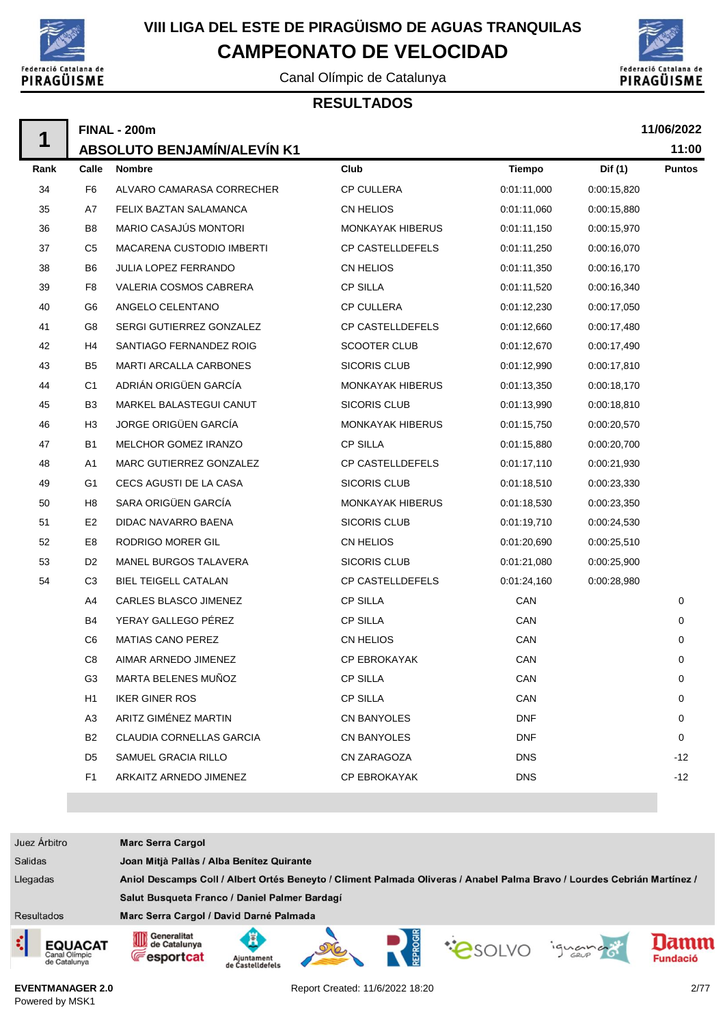

## **VIII LIGA DEL ESTE DE PIRAGÜISMO DE AGUAS TRANQUILAS CAMPEONATO DE VELOCIDAD**

Canal Olímpic de Catalunya



#### **RESULTADOS**

|      |                | <b>FINAL - 200m</b>                |                         |             |             | 11/06/2022    |
|------|----------------|------------------------------------|-------------------------|-------------|-------------|---------------|
| 1    |                | <b>ABSOLUTO BENJAMÍN/ALEVÍN K1</b> |                         |             |             | 11:00         |
| Rank | Calle          | <b>Nombre</b>                      | Club                    | Tiempo      | Dif (1)     | <b>Puntos</b> |
| 34   | F <sub>6</sub> | ALVARO CAMARASA CORRECHER          | CP CULLERA              | 0:01:11,000 | 0:00:15,820 |               |
| 35   | A7             | FELIX BAZTAN SALAMANCA             | CN HELIOS               | 0:01:11,060 | 0:00:15,880 |               |
| 36   | B <sub>8</sub> | MARIO CASAJÚS MONTORI              | MONKAYAK HIBERUS        | 0:01:11,150 | 0:00:15,970 |               |
| 37   | C <sub>5</sub> | <b>MACARENA CUSTODIO IMBERTI</b>   | CP CASTELLDEFELS        | 0:01:11,250 | 0:00:16,070 |               |
| 38   | B <sub>6</sub> | JULIA LOPEZ FERRANDO               | CN HELIOS               | 0:01:11,350 | 0:00:16,170 |               |
| 39   | F <sub>8</sub> | VALERIA COSMOS CABRERA             | <b>CP SILLA</b>         | 0:01:11,520 | 0:00:16,340 |               |
| 40   | G <sub>6</sub> | ANGELO CELENTANO                   | <b>CP CULLERA</b>       | 0:01:12,230 | 0:00:17,050 |               |
| 41   | G8             | SERGI GUTIERREZ GONZALEZ           | <b>CP CASTELLDEFELS</b> | 0:01:12,660 | 0:00:17,480 |               |
| 42   | H4             | SANTIAGO FERNANDEZ ROIG            | <b>SCOOTER CLUB</b>     | 0:01:12,670 | 0:00:17,490 |               |
| 43   | B <sub>5</sub> | MARTI ARCALLA CARBONES             | <b>SICORIS CLUB</b>     | 0:01:12,990 | 0:00:17,810 |               |
| 44   | C <sub>1</sub> | ADRIÁN ORIGÜEN GARCÍA              | <b>MONKAYAK HIBERUS</b> | 0:01:13,350 | 0:00:18,170 |               |
| 45   | B <sub>3</sub> | MARKEL BALASTEGUI CANUT            | <b>SICORIS CLUB</b>     | 0:01:13,990 | 0:00:18,810 |               |
| 46   | H <sub>3</sub> | JORGE ORIGÜEN GARCÍA               | MONKAYAK HIBERUS        | 0:01:15,750 | 0:00:20,570 |               |
| 47   | B <sub>1</sub> | MELCHOR GOMEZ IRANZO               | <b>CP SILLA</b>         | 0:01:15,880 | 0:00:20,700 |               |
| 48   | A <sub>1</sub> | MARC GUTIERREZ GONZALEZ            | <b>CP CASTELLDEFELS</b> | 0:01:17,110 | 0:00:21,930 |               |
| 49   | G <sub>1</sub> | CECS AGUSTI DE LA CASA             | <b>SICORIS CLUB</b>     | 0:01:18,510 | 0:00:23,330 |               |
| 50   | H <sub>8</sub> | SARA ORIGÜEN GARCÍA                | MONKAYAK HIBERUS        | 0:01:18,530 | 0:00:23,350 |               |
| 51   | E <sub>2</sub> | DIDAC NAVARRO BAENA                | <b>SICORIS CLUB</b>     | 0:01:19,710 | 0:00:24,530 |               |
| 52   | E8             | RODRIGO MORER GIL                  | CN HELIOS               | 0:01:20,690 | 0:00:25,510 |               |
| 53   | D <sub>2</sub> | MANEL BURGOS TALAVERA              | <b>SICORIS CLUB</b>     | 0:01:21,080 | 0:00:25,900 |               |
| 54   | C <sub>3</sub> | <b>BIEL TEIGELL CATALAN</b>        | CP CASTELLDEFELS        | 0:01:24,160 | 0:00:28,980 |               |
|      | A4             | CARLES BLASCO JIMENEZ              | <b>CP SILLA</b>         | CAN         |             | 0             |
|      | B4             | YERAY GALLEGO PÉREZ                | <b>CP SILLA</b>         | CAN         |             | 0             |
|      | C <sub>6</sub> | <b>MATIAS CANO PEREZ</b>           | CN HELIOS               | CAN         |             | 0             |
|      | C <sub>8</sub> | AIMAR ARNEDO JIMENEZ               | <b>CP EBROKAYAK</b>     | CAN         |             | 0             |
|      | G3             | MARTA BELENES MUÑOZ                | <b>CP SILLA</b>         | CAN         |             | 0             |
|      | H <sub>1</sub> | <b>IKER GINER ROS</b>              | <b>CP SILLA</b>         | CAN         |             | 0             |
|      | A <sub>3</sub> | ARITZ GIMÉNEZ MARTIN               | CN BANYOLES             | <b>DNF</b>  |             | 0             |
|      | B2             | CLAUDIA CORNELLAS GARCIA           | CN BANYOLES             | <b>DNF</b>  |             | 0             |
|      | D5             | SAMUEL GRACIA RILLO                | CN ZARAGOZA             | <b>DNS</b>  |             | -12           |
|      | F <sub>1</sub> | ARKAITZ ARNEDO JIMENEZ             | CP EBROKAYAK            | <b>DNS</b>  |             | $-12$         |
|      |                |                                    |                         |             |             |               |

















**EVENTMANAGER 2.0** Powered by MSK1

Report Created: 11/6/2022 18:20 2/77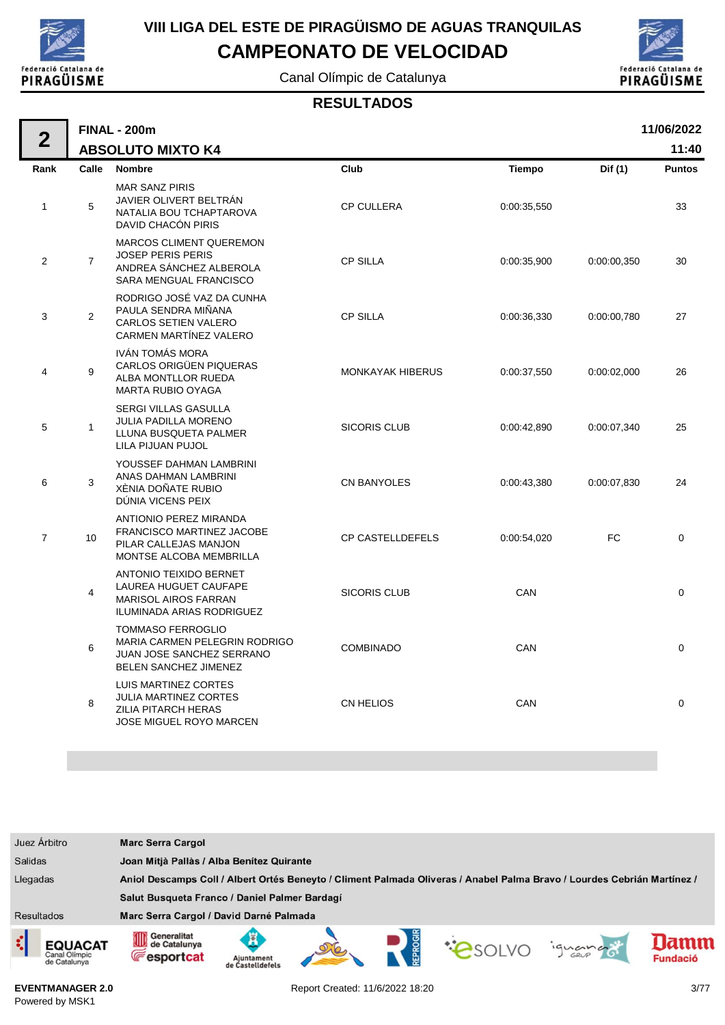

Canal Olímpic de Catalunya



#### **RESULTADOS**

| $\overline{2}$ |                | <b>FINAL - 200m</b>                                                                                                  |                         |               |             | 11/06/2022    |
|----------------|----------------|----------------------------------------------------------------------------------------------------------------------|-------------------------|---------------|-------------|---------------|
|                |                | <b>ABSOLUTO MIXTO K4</b>                                                                                             |                         |               |             | 11:40         |
| Rank           | Calle          | <b>Nombre</b>                                                                                                        | Club                    | <b>Tiempo</b> | Dif $(1)$   | <b>Puntos</b> |
| $\mathbf{1}$   | 5              | <b>MAR SANZ PIRIS</b><br>JAVIER OLIVERT BELTRAN<br>NATALIA BOU TCHAPTAROVA<br>DAVID CHACÓN PIRIS                     | <b>CP CULLERA</b>       | 0:00:35,550   |             | 33            |
| $\overline{c}$ | $\overline{7}$ | <b>MARCOS CLIMENT QUEREMON</b><br><b>JOSEP PERIS PERIS</b><br>ANDREA SÁNCHEZ ALBEROLA<br>SARA MENGUAL FRANCISCO      | <b>CP SILLA</b>         | 0:00:35,900   | 0:00:00,350 | 30            |
| 3              | $\overline{2}$ | RODRIGO JOSÉ VAZ DA CUNHA<br>PAULA SENDRA MIÑANA<br><b>CARLOS SETIEN VALERO</b><br>CARMEN MARTÍNEZ VALERO            | <b>CP SILLA</b>         | 0:00:36,330   | 0:00:00,780 | 27            |
| 4              | 9              | IVÁN TOMÁS MORA<br>CARLOS ORIGÜEN PIQUERAS<br>ALBA MONTLLOR RUEDA<br><b>MARTA RUBIO OYAGA</b>                        | <b>MONKAYAK HIBERUS</b> | 0:00:37,550   | 0:00:02,000 | 26            |
| 5              | $\mathbf{1}$   | SERGI VILLAS GASULLA<br><b>JULIA PADILLA MORENO</b><br>LLUNA BUSQUETA PALMER<br>LILA PIJUAN PUJOL                    | <b>SICORIS CLUB</b>     | 0:00:42,890   | 0:00:07,340 | 25            |
| 6              | 3              | YOUSSEF DAHMAN LAMBRINI<br>ANAS DAHMAN LAMBRINI<br>XÈNIA DOÑATE RUBIO<br>DÚNIA VICENS PEIX                           | <b>CN BANYOLES</b>      | 0:00:43,380   | 0:00:07,830 | 24            |
| $\overline{7}$ | 10             | ANTIONIO PEREZ MIRANDA<br>FRANCISCO MARTINEZ JACOBE<br>PILAR CALLEJAS MANJON<br>MONTSE ALCOBA MEMBRILLA              | <b>CP CASTELLDEFELS</b> | 0:00:54,020   | FC          | $\mathbf 0$   |
|                | 4              | <b>ANTONIO TEIXIDO BERNET</b><br>LAUREA HUGUET CAUFAPE<br><b>MARISOL AIROS FARRAN</b><br>ILUMINADA ARIAS RODRIGUEZ   | <b>SICORIS CLUB</b>     | CAN           |             | 0             |
|                | 6              | <b>TOMMASO FERROGLIO</b><br>MARIA CARMEN PELEGRIN RODRIGO<br>JUAN JOSE SANCHEZ SERRANO<br>BELEN SANCHEZ JIMENEZ      | <b>COMBINADO</b>        | CAN           |             | $\Omega$      |
|                | 8              | <b>LUIS MARTINEZ CORTES</b><br>JULIA MARTINEZ CORTES<br><b>ZILIA PITARCH HERAS</b><br><b>JOSE MIGUEL ROYO MARCEN</b> | <b>CN HELIOS</b>        | CAN           |             | 0             |

| Juez Árbitro                                         | <b>Marc Serra Cargol</b>                                                                                                |                                           |  |  |               |        |                         |
|------------------------------------------------------|-------------------------------------------------------------------------------------------------------------------------|-------------------------------------------|--|--|---------------|--------|-------------------------|
| <b>Salidas</b>                                       |                                                                                                                         | Joan Mitjà Pallàs / Alba Benitez Quirante |  |  |               |        |                         |
| Llegadas                                             | Aniol Descamps Coll / Albert Ortés Beneyto / Climent Palmada Oliveras / Anabel Palma Bravo / Lourdes Cebrián Martínez / |                                           |  |  |               |        |                         |
|                                                      | Salut Busqueta Franco / Daniel Palmer Bardagí                                                                           |                                           |  |  |               |        |                         |
| <b>Resultados</b>                                    | Marc Serra Cargol / David Darné Palmada                                                                                 |                                           |  |  |               |        |                         |
| ़<br><b>EQUACAT</b><br>Canal Olimpic<br>de Catalunya | Generalitat<br>OID<br>de Catalunya<br><b>E</b> esportcat                                                                | Aiuntament<br>de Castelldefel             |  |  | <b>PSOLVO</b> | iguana | lamm<br><b>Fundació</b> |

**EVENTMANAGER 2.0** Powered by MSK1

Report Created: 11/6/2022 18:20 3/77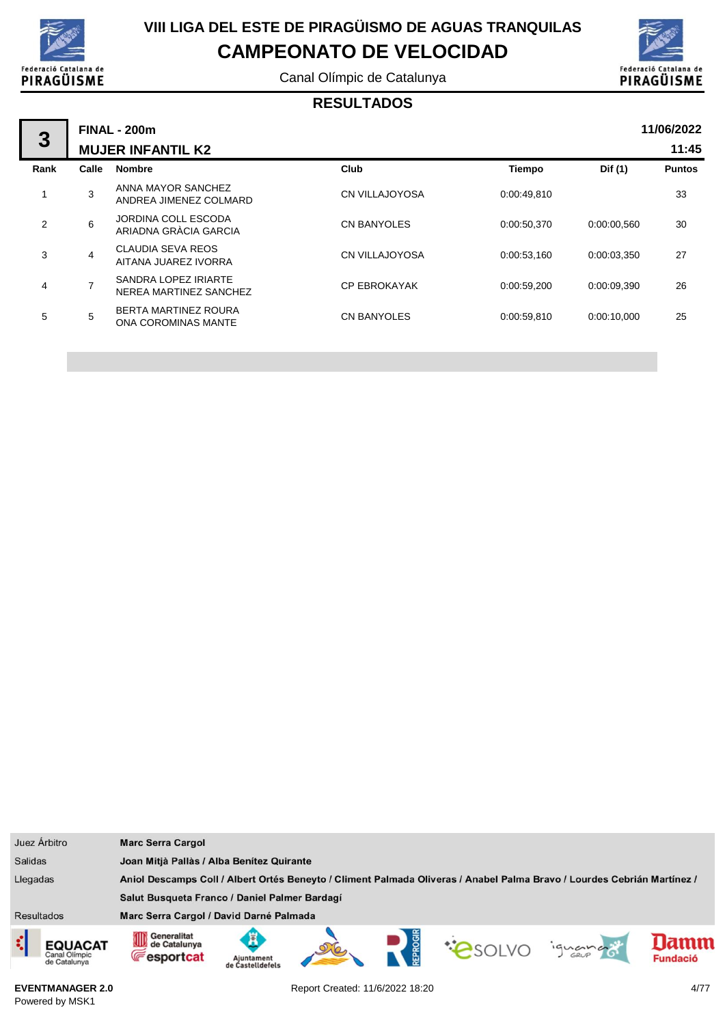

Canal Olímpic de Catalunya



### **RESULTADOS**

| 3    |                | <b>FINAL - 200m</b>                                |                       |               |             | 11/06/2022    |
|------|----------------|----------------------------------------------------|-----------------------|---------------|-------------|---------------|
|      |                | <b>MUJER INFANTIL K2</b>                           |                       |               |             | 11:45         |
| Rank | Calle          | <b>Nombre</b>                                      | Club                  | <b>Tiempo</b> | Dif (1)     | <b>Puntos</b> |
|      | 3              | ANNA MAYOR SANCHEZ<br>ANDREA JIMENEZ COLMARD       | <b>CN VILLAJOYOSA</b> | 0:00:49,810   |             | 33            |
| 2    | 6              | JORDINA COLL ESCODA<br>ARIADNA GRÀCIA GARCIA       | <b>CN BANYOLES</b>    | 0:00:50,370   | 0:00:00.560 | 30            |
| 3    | 4              | <b>CLAUDIA SEVA REOS</b><br>AITANA JUAREZ IVORRA   | <b>CN VILLAJOYOSA</b> | 0:00:53,160   | 0:00:03.350 | 27            |
| 4    | $\overline{7}$ | SANDRA LOPEZ IRIARTE<br>NEREA MARTINEZ SANCHEZ     | <b>CP EBROKAYAK</b>   | 0:00:59,200   | 0:00:09.390 | 26            |
| 5    | 5              | <b>BERTA MARTINEZ ROURA</b><br>ONA COROMINAS MANTE | <b>CN BANYOLES</b>    | 0:00:59,810   | 0:00:10,000 | 25            |
|      |                |                                                    |                       |               |             |               |

|                   | Juez Árbitro                                                                                                                        | <b>Marc Serra Cargol</b>                                |                                           |  |  |  |         |                        |
|-------------------|-------------------------------------------------------------------------------------------------------------------------------------|---------------------------------------------------------|-------------------------------------------|--|--|--|---------|------------------------|
| <b>Salidas</b>    |                                                                                                                                     |                                                         | Joan Mitjà Pallàs / Alba Benítez Quirante |  |  |  |         |                        |
|                   | Aniol Descamps Coll / Albert Ortés Beneyto / Climent Palmada Oliveras / Anabel Palma Bravo / Lourdes Cebrián Martínez /<br>Llegadas |                                                         |                                           |  |  |  |         |                        |
|                   |                                                                                                                                     | Salut Busqueta Franco / Daniel Palmer Bardagí           |                                           |  |  |  |         |                        |
| <b>Resultados</b> |                                                                                                                                     | Marc Serra Cargol / David Darné Palmada                 |                                           |  |  |  |         |                        |
| ¢                 | <b>EQUACAT</b><br>Canal Olimpic<br>de Catalunya                                                                                     | Generalitat<br>OID<br>de Catalunya<br><b>Fesportcat</b> | Ajuntament<br>de Castelldefels            |  |  |  | iguando | amm<br><b>Fundació</b> |

**EVENTMANAGER 2.0** Powered by MSK1

Report Created: 11/6/2022 18:20 4/77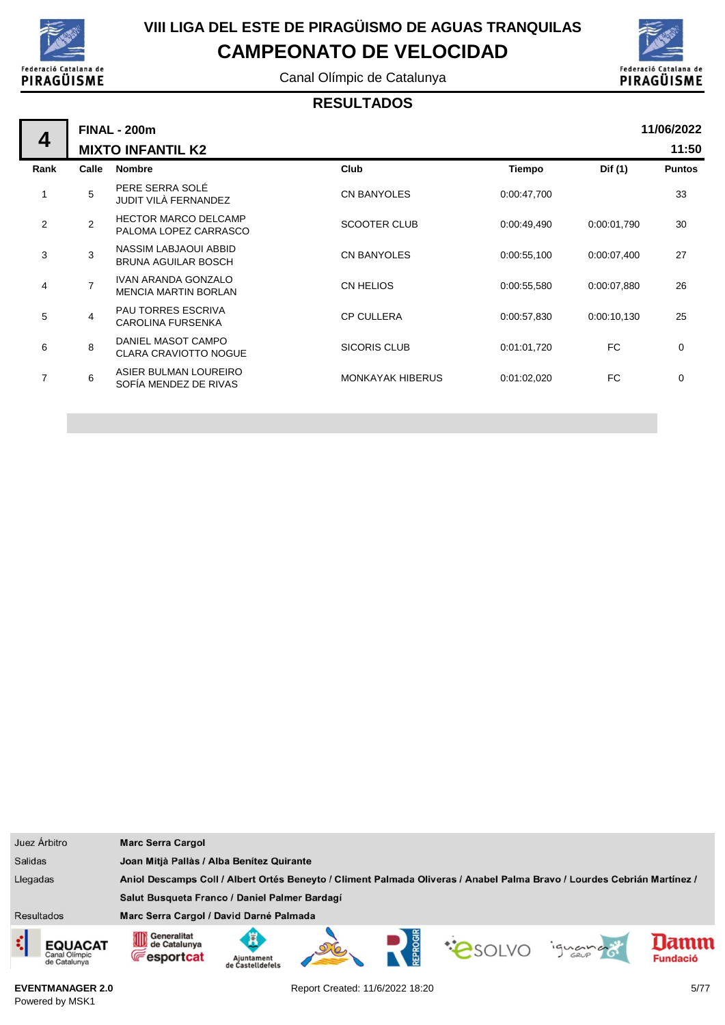

## **VIII LIGA DEL ESTE DE PIRAGÜISMO DE AGUAS TRANQUILAS CAMPEONATO DE VELOCIDAD**

Canal Olímpic de Catalunya



#### **RESULTADOS**

| 4              |                | <b>FINAL - 200m</b><br><b>MIXTO INFANTIL K2</b>           |                         |             |             | 11/06/2022<br>11:50 |
|----------------|----------------|-----------------------------------------------------------|-------------------------|-------------|-------------|---------------------|
| Rank           | Calle          | <b>Nombre</b>                                             | Club                    | Tiempo      | Dif (1)     | <b>Puntos</b>       |
| 1              | 5              | PERE SERRA SOLÉ<br>JUDIT VILÀ FERNANDEZ                   | <b>CN BANYOLES</b>      | 0:00:47,700 |             | 33                  |
| 2              | $\overline{2}$ | <b>HECTOR MARCO DELCAMP</b><br>PALOMA LOPEZ CARRASCO      | <b>SCOOTER CLUB</b>     | 0:00:49,490 | 0:00:01,790 | 30                  |
| 3              | 3              | NASSIM LABJAOUI ABBID<br><b>BRUNA AGUILAR BOSCH</b>       | <b>CN BANYOLES</b>      | 0:00:55,100 | 0:00:07,400 | 27                  |
| 4              | $\overline{7}$ | <b>IVAN ARANDA GONZALO</b><br><b>MENCIA MARTIN BORLAN</b> | CN HELIOS               | 0:00:55,580 | 0:00:07,880 | 26                  |
| 5              | 4              | <b>PAU TORRES ESCRIVA</b><br><b>CAROLINA FURSENKA</b>     | <b>CP CULLERA</b>       | 0:00:57,830 | 0:00:10,130 | 25                  |
| 6              | 8              | DANIEL MASOT CAMPO<br><b>CLARA CRAVIOTTO NOGUE</b>        | <b>SICORIS CLUB</b>     | 0:01:01.720 | FC          | $\Omega$            |
| $\overline{7}$ | 6              | ASIER BULMAN LOUREIRO<br>SOFÍA MENDEZ DE RIVAS            | <b>MONKAYAK HIBERUS</b> | 0:01:02,020 | FC          | $\Omega$            |
|                |                |                                                           |                         |             |             |                     |

| Juez Árbitro      |                                                                                                                                     | <b>Marc Serra Cargol</b>                               |                                           |  |  |  |        |                         |
|-------------------|-------------------------------------------------------------------------------------------------------------------------------------|--------------------------------------------------------|-------------------------------------------|--|--|--|--------|-------------------------|
| <b>Salidas</b>    |                                                                                                                                     |                                                        | Joan Mitjà Pallàs / Alba Benítez Quirante |  |  |  |        |                         |
|                   | Aniol Descamps Coll / Albert Ortés Beneyto / Climent Palmada Oliveras / Anabel Palma Bravo / Lourdes Cebrián Martínez /<br>Llegadas |                                                        |                                           |  |  |  |        |                         |
|                   |                                                                                                                                     | Salut Busqueta Franco / Daniel Palmer Bardagí          |                                           |  |  |  |        |                         |
| <b>Resultados</b> |                                                                                                                                     | Marc Serra Cargol / David Darné Palmada                |                                           |  |  |  |        |                         |
|                   | EQUACAT<br>Canal Olimpic<br>de Catalunya                                                                                            | Generalitat<br>OD<br>de Catalunya<br><b>Fesportcat</b> | Ajuntament<br>de Castelldefels            |  |  |  | iguana | lamn<br><b>Fundació</b> |

**EVENTMANAGER 2.0** Powered by MSK1

Report Created: 11/6/2022 18:20 5/77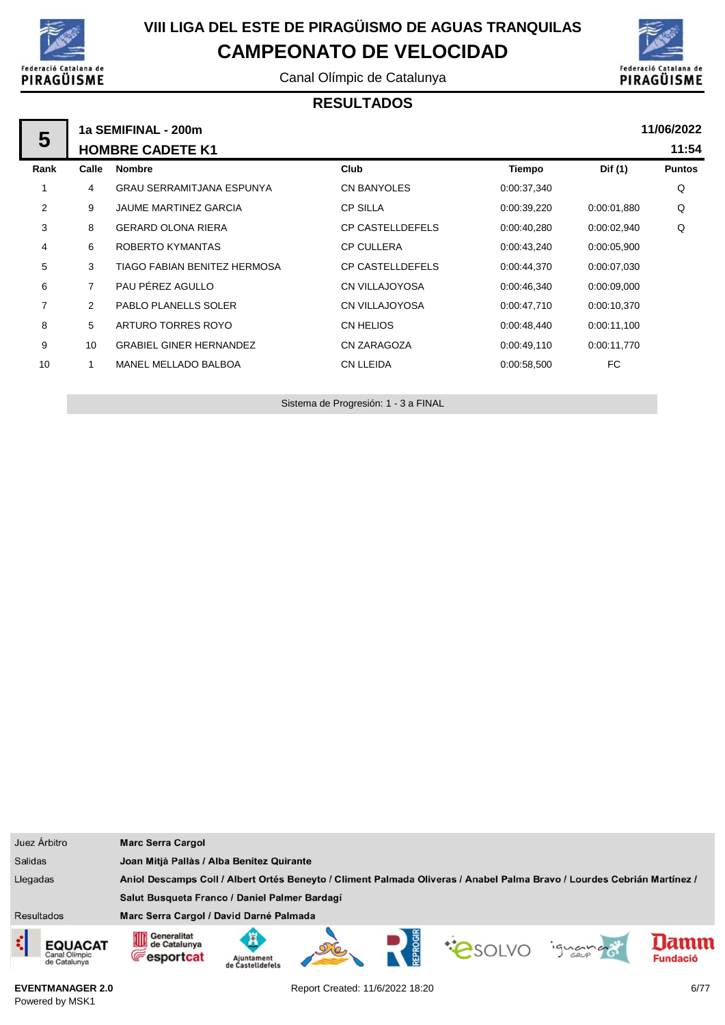

## **VIII LIGA DEL ESTE DE PIRAGÜISMO DE AGUAS TRANQUILAS CAMPEONATO DE VELOCIDAD**

Canal Olímpic de Catalunya



#### **RESULTADOS**

| 5              |                | 11/06/2022<br>1a SEMIFINAL - 200m |                         |             |             |               |  |
|----------------|----------------|-----------------------------------|-------------------------|-------------|-------------|---------------|--|
|                |                | <b>HOMBRE CADETE K1</b>           |                         |             |             | 11:54         |  |
| Rank           | Calle          | <b>Nombre</b>                     | Club                    | Tiempo      | Dif (1)     | <b>Puntos</b> |  |
| 1              | 4              | <b>GRAU SERRAMITJANA ESPUNYA</b>  | CN BANYOLES             | 0:00:37,340 |             | Q             |  |
| $\overline{2}$ | 9              | <b>JAUME MARTINEZ GARCIA</b>      | <b>CP SILLA</b>         | 0:00:39,220 | 0.00.01,880 | Q             |  |
| 3              | 8              | <b>GERARD OLONA RIERA</b>         | <b>CP CASTELLDEFELS</b> | 0.00:40,280 | 0.00:02,940 | Q             |  |
| 4              | 6              | ROBERTO KYMANTAS                  | <b>CP CULLERA</b>       | 0:00:43,240 | 0:00:05,900 |               |  |
| 5              | 3              | TIAGO FABIAN BENITEZ HERMOSA      | <b>CP CASTELLDEFELS</b> | 0:00:44,370 | 0:00:07.030 |               |  |
| 6              | $\overline{7}$ | PAU PÉREZ AGULLO                  | CN VILLAJOYOSA          | 0:00:46,340 | 0.00.09,000 |               |  |
| 7              | $\overline{2}$ | PABLO PLANELLS SOLER              | CN VILLAJOYOSA          | 0:00:47,710 | 0:00:10.370 |               |  |
| 8              | 5              | ARTURO TORRES ROYO                | <b>CN HELIOS</b>        | 0.00:48,440 | 0:00:11,100 |               |  |
| 9              | 10             | <b>GRABIEL GINER HERNANDEZ</b>    | CN ZARAGOZA             | 0.00:49,110 | 0:00:11,770 |               |  |
| 10             |                | MANEL MELLADO BALBOA              | <b>CN LLEIDA</b>        | 0:00:58,500 | FC.         |               |  |
|                |                |                                   |                         |             |             |               |  |

Sistema de Progresión: 1 - 3 a FINAL

| Juez Árbitro                                         | <b>Marc Serra Cargol</b>                                   |                                |  |                                                                                                                         |         |                         |
|------------------------------------------------------|------------------------------------------------------------|--------------------------------|--|-------------------------------------------------------------------------------------------------------------------------|---------|-------------------------|
| <b>Salidas</b>                                       | Joan Mitjà Pallàs / Alba Benítez Quirante                  |                                |  |                                                                                                                         |         |                         |
| Llegadas                                             |                                                            |                                |  | Aniol Descamps Coll / Albert Ortés Beneyto / Climent Palmada Oliveras / Anabel Palma Bravo / Lourdes Cebrián Martínez / |         |                         |
|                                                      | Salut Busqueta Franco / Daniel Palmer Bardagí              |                                |  |                                                                                                                         |         |                         |
| <b>Resultados</b>                                    | Marc Serra Cargol / David Darné Palmada                    |                                |  |                                                                                                                         |         |                         |
| ¢<br><b>EQUACAT</b><br>Canal Olimpic<br>de Catalunya | <b>11 Generalitat</b><br>de Catalunya<br><b>Fesportcat</b> | Ajuntament<br>de Castelldefels |  | PSOLVO                                                                                                                  | iguando | lamm<br><b>Fundació</b> |

**EVENTMANAGER 2.0** Powered by MSK1

Report Created: 11/6/2022 18:20 6/77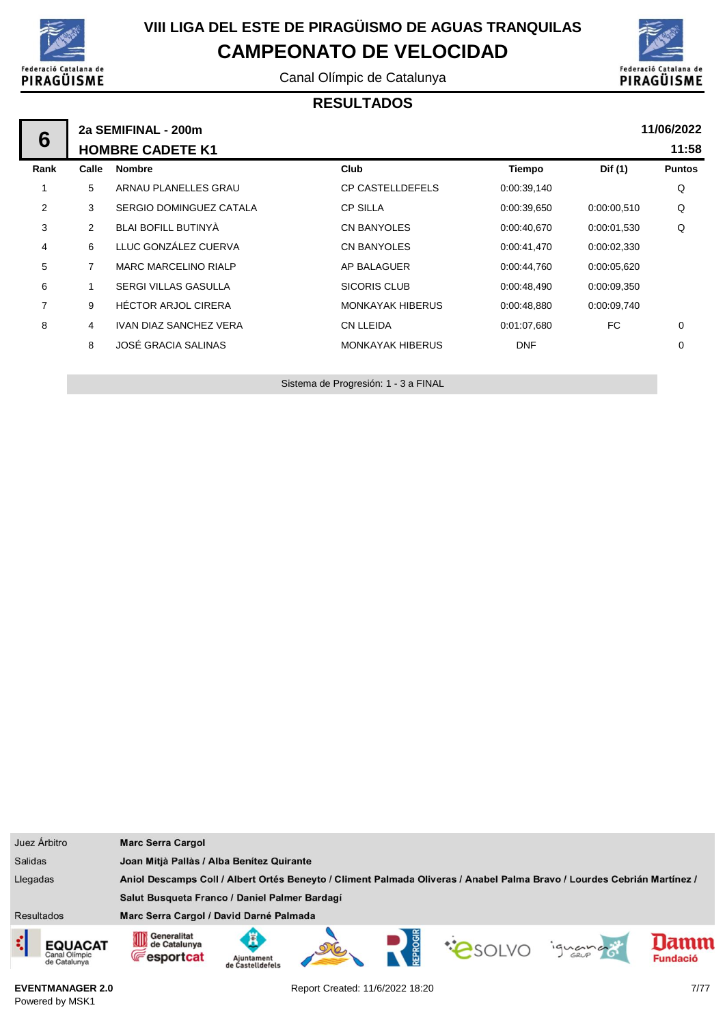

Canal Olímpic de Catalunya



#### **RESULTADOS**

|                | 2a SEMIFINAL - 200m |                               |                         |             |             | 11/06/2022    |
|----------------|---------------------|-------------------------------|-------------------------|-------------|-------------|---------------|
| 6              |                     | <b>HOMBRE CADETE K1</b>       |                         |             |             | 11:58         |
| Rank           | Calle               | <b>Nombre</b>                 | Club                    | Tiempo      | Dif (1)     | <b>Puntos</b> |
|                | 5                   | ARNAU PLANELLES GRAU          | <b>CP CASTELLDEFELS</b> | 0:00:39,140 |             | Q             |
| $\overline{2}$ | 3                   | SERGIO DOMINGUEZ CATALA       | <b>CP SILLA</b>         | 0:00:39,650 | 0:00:00.510 | Q             |
| 3              | 2                   | BLAI BOFILL BUTINYA           | CN BANYOLES             | 0.00:40,670 | 0:00:01.530 | Q             |
| 4              | 6                   | LLUC GONZÁLEZ CUERVA          | <b>CN BANYOLES</b>      | 0:00:41,470 | 0:00:02,330 |               |
| 5              | $\overline{7}$      | <b>MARC MARCELINO RIALP</b>   | AP BALAGUER             | 0:00:44,760 | 0:00:05.620 |               |
| 6              |                     | <b>SERGI VILLAS GASULLA</b>   | SICORIS CLUB            | 0:00:48,490 | 0:00:09.350 |               |
| 7              | 9                   | <b>HECTOR ARJOL CIRERA</b>    | <b>MONKAYAK HIBERUS</b> | 0:00:48,880 | 0:00:09,740 |               |
| 8              | 4                   | <b>IVAN DIAZ SANCHEZ VERA</b> | <b>CN LLEIDA</b>        | 0:01:07.680 | FC          | 0             |
|                | 8                   | JOSÉ GRACIA SALINAS           | <b>MONKAYAK HIBERUS</b> | <b>DNF</b>  |             | 0             |

Sistema de Progresión: 1 - 3 a FINAL

| Juez Árbitro                                         | <b>Marc Serra Cargol</b>                                                                                                                            |  |  |  |  |
|------------------------------------------------------|-----------------------------------------------------------------------------------------------------------------------------------------------------|--|--|--|--|
| <b>Salidas</b>                                       | Joan Mitjà Pallàs / Alba Benítez Quirante                                                                                                           |  |  |  |  |
| Llegadas                                             | Aniol Descamps Coll / Albert Ortés Beneyto / Climent Palmada Oliveras / Anabel Palma Bravo / Lourdes Cebrián Martínez /                             |  |  |  |  |
|                                                      | Salut Busqueta Franco / Daniel Palmer Bardagí                                                                                                       |  |  |  |  |
| <b>Resultados</b>                                    | Marc Serra Cargol / David Darné Palmada                                                                                                             |  |  |  |  |
| ¢<br><b>EQUACAT</b><br>Canal Olimpic<br>de Catalunya | Generalitat<br>∭<br>ж<br>amn<br>de Catalunya<br><b>COSOLVO</b><br>iquance<br><b>Fesportcat</b><br><b>Fundació</b><br>Aiuntament<br>de Castelldefels |  |  |  |  |

**EVENTMANAGER 2.0** Powered by MSK1

Report Created: 11/6/2022 18:20 7/77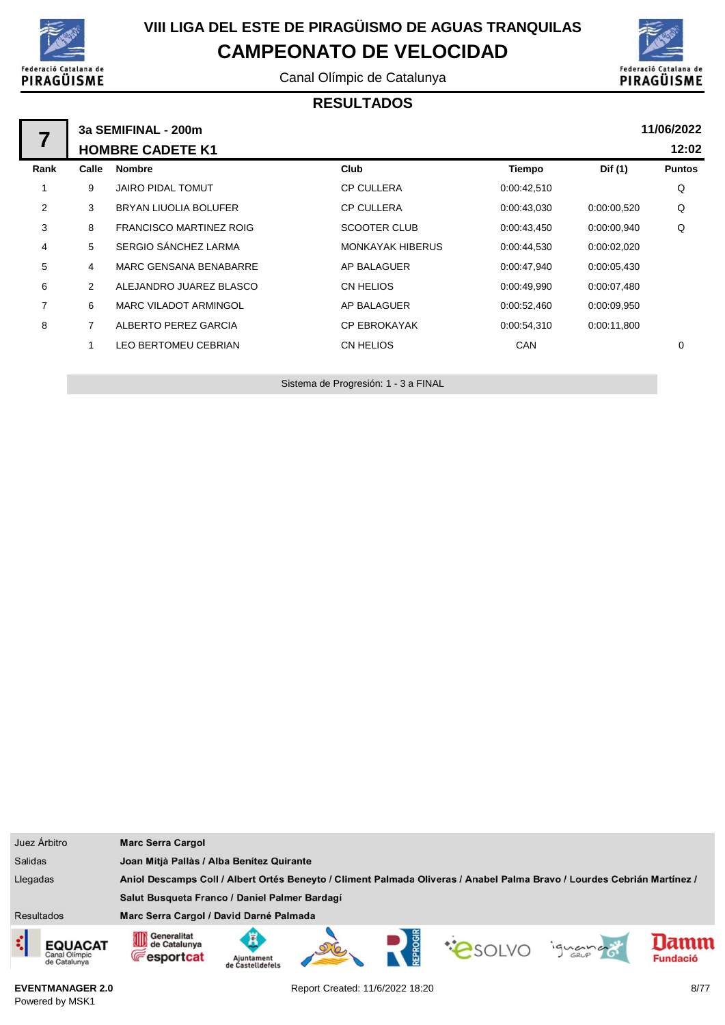

Canal Olímpic de Catalunya



#### **RESULTADOS**

|      |                | 3a SEMIFINAL - 200m            |                         |             |             | 11/06/2022    |
|------|----------------|--------------------------------|-------------------------|-------------|-------------|---------------|
|      |                | <b>HOMBRE CADETE K1</b>        |                         |             |             | 12:02         |
| Rank | Calle          | <b>Nombre</b>                  | Club                    | Tiempo      | Dif (1)     | <b>Puntos</b> |
|      | 9              | <b>JAIRO PIDAL TOMUT</b>       | <b>CP CULLERA</b>       | 0:00:42,510 |             | Q             |
| 2    | 3              | BRYAN LIUOLIA BOLUFER          | <b>CP CULLERA</b>       | 0:00:43,030 | 0:00:00.520 | Q             |
| 3    | 8              | <b>FRANCISCO MARTINEZ ROIG</b> | <b>SCOOTER CLUB</b>     | 0:00:43,450 | 0:00:00.940 | Q             |
| 4    | 5              | SERGIO SÁNCHEZ LARMA           | <b>MONKAYAK HIBERUS</b> | 0.00:44,530 | 0:00:02,020 |               |
| 5    | 4              | <b>MARC GENSANA BENABARRE</b>  | AP BALAGUER             | 0:00:47.940 | 0:00:05,430 |               |
| 6    | $\overline{2}$ | ALEJANDRO JUAREZ BLASCO        | CN HELIOS               | 0.00.49,990 | 0.00.07,480 |               |
| 7    | 6              | <b>MARC VILADOT ARMINGOL</b>   | AP BALAGUER             | 0:00:52,460 | 0:00:09.950 |               |
| 8    | 7              | ALBERTO PEREZ GARCIA           | <b>CP EBROKAYAK</b>     | 0:00:54,310 | 0:00:11,800 |               |
|      |                | <b>LEO BERTOMEU CEBRIAN</b>    | CN HELIOS               | <b>CAN</b>  |             | 0             |
|      |                |                                |                         |             |             |               |

Sistema de Progresión: 1 - 3 a FINAL

| Juez Árbitro                                         | <b>Marc Serra Cargol</b>                                                                                                |                                           |  |  |  |         |                        |
|------------------------------------------------------|-------------------------------------------------------------------------------------------------------------------------|-------------------------------------------|--|--|--|---------|------------------------|
| <b>Salidas</b>                                       |                                                                                                                         | Joan Mitjà Pallàs / Alba Benítez Quirante |  |  |  |         |                        |
| Llegadas                                             | Aniol Descamps Coll / Albert Ortés Beneyto / Climent Palmada Oliveras / Anabel Palma Bravo / Lourdes Cebrián Martínez / |                                           |  |  |  |         |                        |
|                                                      | Salut Busqueta Franco / Daniel Palmer Bardagí                                                                           |                                           |  |  |  |         |                        |
| Resultados                                           | Marc Serra Cargol / David Darné Palmada                                                                                 |                                           |  |  |  |         |                        |
| ¢<br><b>EQUACAT</b><br>Canal Olimpic<br>de Catalunya | <b>11 Generalitat</b><br>de Catalunya<br><b>Fesportcat</b>                                                              | Aiuntament<br>de Castelldefels            |  |  |  | iquango | amm<br><b>Fundació</b> |

**EVENTMANAGER 2.0** Powered by MSK1

Report Created: 11/6/2022 18:20 8/77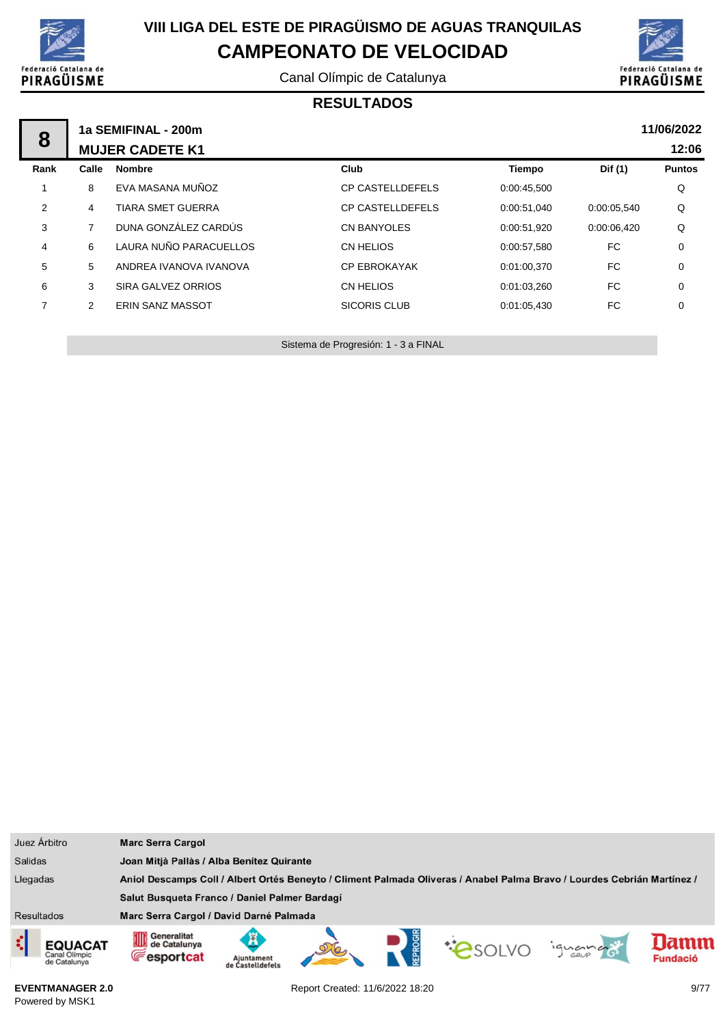

Canal Olímpic de Catalunya



#### **RESULTADOS**

| 8              |       | 1a SEMIFINAL - 200m      |                         |             |             | 11/06/2022    |
|----------------|-------|--------------------------|-------------------------|-------------|-------------|---------------|
|                |       | <b>MUJER CADETE K1</b>   |                         |             |             | 12:06         |
| Rank           | Calle | <b>Nombre</b>            | Club                    | Tiempo      | Dif (1)     | <b>Puntos</b> |
|                | 8     | EVA MASANA MUÑOZ         | <b>CP CASTELLDEFELS</b> | 0:00:45,500 |             | Q             |
| 2              | 4     | <b>TIARA SMET GUERRA</b> | <b>CP CASTELLDEFELS</b> | 0:00:51.040 | 0:00:05,540 | Q             |
| 3              |       | DUNA GONZÁLEZ CARDÚS     | <b>CN BANYOLES</b>      | 0:00:51,920 | 0:00:06,420 | Q             |
| 4              | 6     | LAURA NUÑO PARACUELLOS   | CN HELIOS               | 0:00:57,580 | FC          | 0             |
| 5              | 5     | ANDREA IVANOVA IVANOVA   | <b>CP EBROKAYAK</b>     | 0:01:00,370 | FC          | $\mathbf 0$   |
| 6              | 3     | SIRA GALVEZ ORRIOS       | CN HELIOS               | 0:01:03,260 | FC          | $\mathbf 0$   |
| $\overline{7}$ | 2     | <b>ERIN SANZ MASSOT</b>  | <b>SICORIS CLUB</b>     | 0:01:05,430 | FC          | $\mathbf 0$   |
|                |       |                          |                         |             |             |               |

Sistema de Progresión: 1 - 3 a FINAL

| Juez Árbitro                                         | <b>Marc Serra Cargol</b>                                                                                                                         |  |  |  |  |
|------------------------------------------------------|--------------------------------------------------------------------------------------------------------------------------------------------------|--|--|--|--|
| <b>Salidas</b>                                       | Joan Mitjà Pallàs / Alba Benítez Quirante                                                                                                        |  |  |  |  |
| Llegadas                                             | Aniol Descamps Coll / Albert Ortés Beneyto / Climent Palmada Oliveras / Anabel Palma Bravo / Lourdes Cebrián Martínez /                          |  |  |  |  |
|                                                      | Salut Busqueta Franco / Daniel Palmer Bardagí                                                                                                    |  |  |  |  |
| <b>Resultados</b>                                    | Marc Serra Cargol / David Darné Palmada                                                                                                          |  |  |  |  |
| ¢<br><b>EQUACAT</b><br>Canal Olimpic<br>de Catalunya | Generalitat<br>OID<br>lamm<br>de Catalunya<br><b>PSOLVO</b><br>iguando<br><b>Fesportcat</b><br><b>Fundació</b><br>Ajuntament<br>de Castelldefels |  |  |  |  |

**EVENTMANAGER 2.0** Powered by MSK1

Report Created: 11/6/2022 18:20 9/77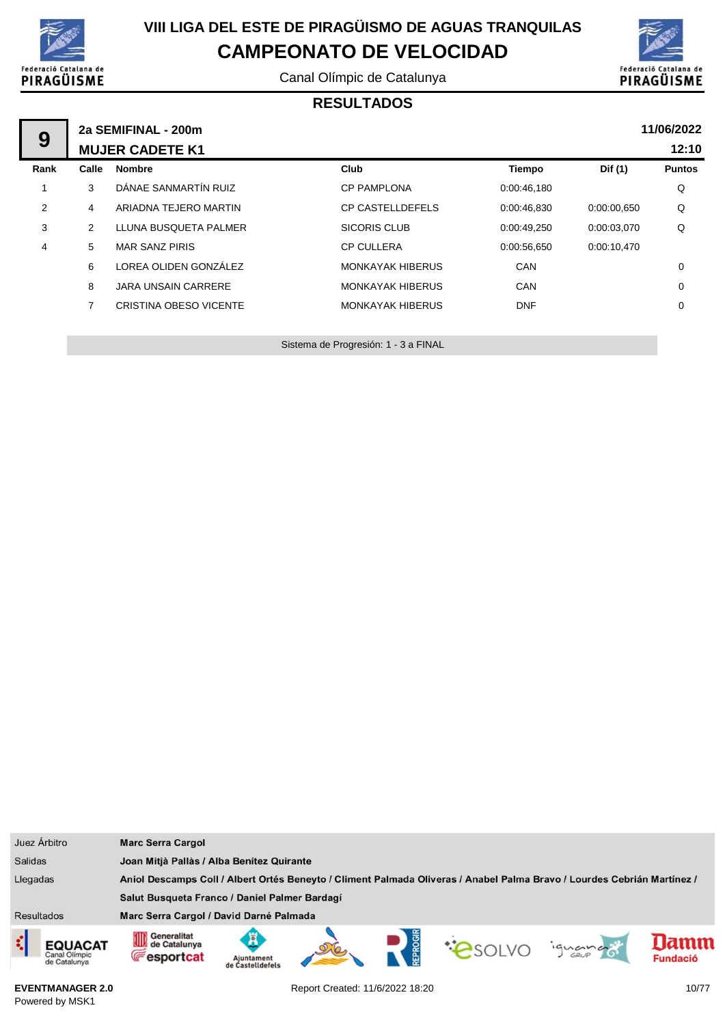

Canal Olímpic de Catalunya



#### **RESULTADOS**

| 9    |                | 2a SEMIFINAL - 200m<br><b>MUJER CADETE K1</b> |                         |             |             | 11/06/2022<br>12:10 |
|------|----------------|-----------------------------------------------|-------------------------|-------------|-------------|---------------------|
| Rank | Calle          | <b>Nombre</b>                                 | Club                    | Tiempo      | Dif (1)     | <b>Puntos</b>       |
|      | 3              | DÁNAE SANMARTÍN RUIZ                          | <b>CP PAMPLONA</b>      | 0:00:46,180 |             | Q                   |
| 2    | 4              | ARIADNA TEJERO MARTIN                         | <b>CP CASTELLDEFELS</b> | 0:00:46,830 | 0:00:00.650 | Q                   |
| 3    | 2              | LLUNA BUSQUETA PALMER                         | <b>SICORIS CLUB</b>     | 0:00:49,250 | 0:00:03,070 | Q                   |
| 4    | 5              | <b>MAR SANZ PIRIS</b>                         | <b>CP CULLERA</b>       | 0:00:56,650 | 0:00:10,470 |                     |
|      | 6              | LOREA OLIDEN GONZÁLEZ                         | <b>MONKAYAK HIBERUS</b> | CAN         |             | 0                   |
|      | 8              | <b>JARA UNSAIN CARRERE</b>                    | <b>MONKAYAK HIBERUS</b> | <b>CAN</b>  |             | 0                   |
|      | $\overline{7}$ | CRISTINA OBESO VICENTE                        | <b>MONKAYAK HIBERUS</b> | <b>DNF</b>  |             | $\mathbf 0$         |
|      |                |                                               |                         |             |             |                     |

Sistema de Progresión: 1 - 3 a FINAL

| Juez Árbitro                             | <b>Marc Serra Cargol</b>                                                                                                |                                           |  |  |        |         |                        |
|------------------------------------------|-------------------------------------------------------------------------------------------------------------------------|-------------------------------------------|--|--|--------|---------|------------------------|
| <b>Salidas</b>                           |                                                                                                                         | Joan Mitjà Pallàs / Alba Benítez Quirante |  |  |        |         |                        |
| Llegadas                                 | Aniol Descamps Coll / Albert Ortés Beneyto / Climent Palmada Oliveras / Anabel Palma Bravo / Lourdes Cebrián Martínez / |                                           |  |  |        |         |                        |
|                                          | Salut Busqueta Franco / Daniel Palmer Bardagí                                                                           |                                           |  |  |        |         |                        |
| <b>Resultados</b>                        | Marc Serra Cargol / David Darné Palmada                                                                                 |                                           |  |  |        |         |                        |
| EQUACAT<br>Canal Olímpic<br>de Catalunya | Generalitat<br>0D<br>de Catalunya<br><b>Fesportcat</b>                                                                  | Ajuntament<br>de Castelldefels            |  |  | PSOLVO | iguando | amm<br><b>Fundació</b> |

**EVENTMANAGER 2.0** Powered by MSK1

Report Created: 11/6/2022 18:20 10/77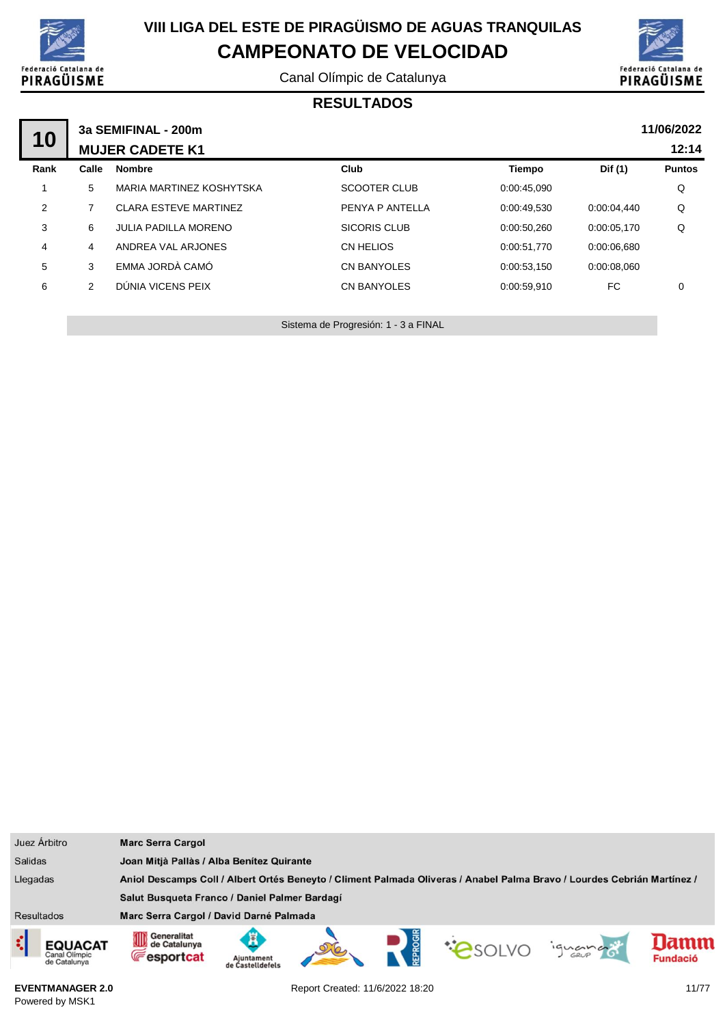

Canal Olímpic de Catalunya



#### **RESULTADOS**

| 10   |       | 3a SEMIFINAL - 200m<br><b>MUJER CADETE K1</b> |                     |             |             | 11/06/2022<br>12:14 |
|------|-------|-----------------------------------------------|---------------------|-------------|-------------|---------------------|
| Rank | Calle | <b>Nombre</b>                                 | Club                | Tiempo      | Dif (1)     | <b>Puntos</b>       |
| 1    | 5     | MARIA MARTINEZ KOSHYTSKA                      | <b>SCOOTER CLUB</b> | 0:00:45,090 |             | Q                   |
| 2    |       | <b>CLARA ESTEVE MARTINEZ</b>                  | PENYA P ANTELLA     | 0:00:49.530 | 0:00:04.440 | Q                   |
| 3    | 6     | JULIA PADILLA MORENO                          | <b>SICORIS CLUB</b> | 0:00:50,260 | 0:00:05,170 | Q                   |
| 4    | 4     | ANDREA VAL ARJONES                            | CN HELIOS           | 0:00:51,770 | 0:00:06,680 |                     |
| 5    | 3     | EMMA JORDÀ CAMÓ                               | <b>CN BANYOLES</b>  | 0:00:53,150 | 0:00:08,060 |                     |
| 6    | 2     | DÚNIA VICENS PEIX                             | CN BANYOLES         | 0:00:59,910 | FC.         | 0                   |
|      |       |                                               |                     |             |             |                     |

Sistema de Progresión: 1 - 3 a FINAL

| Juez Árbitro                                    | <b>Marc Serra Cargol</b>                                                                                                                            |  |  |  |  |
|-------------------------------------------------|-----------------------------------------------------------------------------------------------------------------------------------------------------|--|--|--|--|
| <b>Salidas</b>                                  | Joan Mitjà Pallàs / Alba Benítez Quirante                                                                                                           |  |  |  |  |
| Llegadas                                        | Aniol Descamps Coll / Albert Ortés Beneyto / Climent Palmada Oliveras / Anabel Palma Bravo / Lourdes Cebrián Martínez /                             |  |  |  |  |
|                                                 | Salut Busqueta Franco / Daniel Palmer Bardagí                                                                                                       |  |  |  |  |
| <b>Resultados</b>                               | Marc Serra Cargol / David Darné Palmada                                                                                                             |  |  |  |  |
| <b>EQUACAT</b><br>Canal Olimpic<br>de Catalunya | Generalitat<br>mm<br>Ã<br>amn<br>de Catalunya<br><b>COSOLVO</b><br>iguana<br><b>Fesportcat</b><br><b>Fundació</b><br>Aiuntament<br>de Castelldefels |  |  |  |  |

**EVENTMANAGER 2.0** Powered by MSK1

Report Created: 11/6/2022 18:20 11/77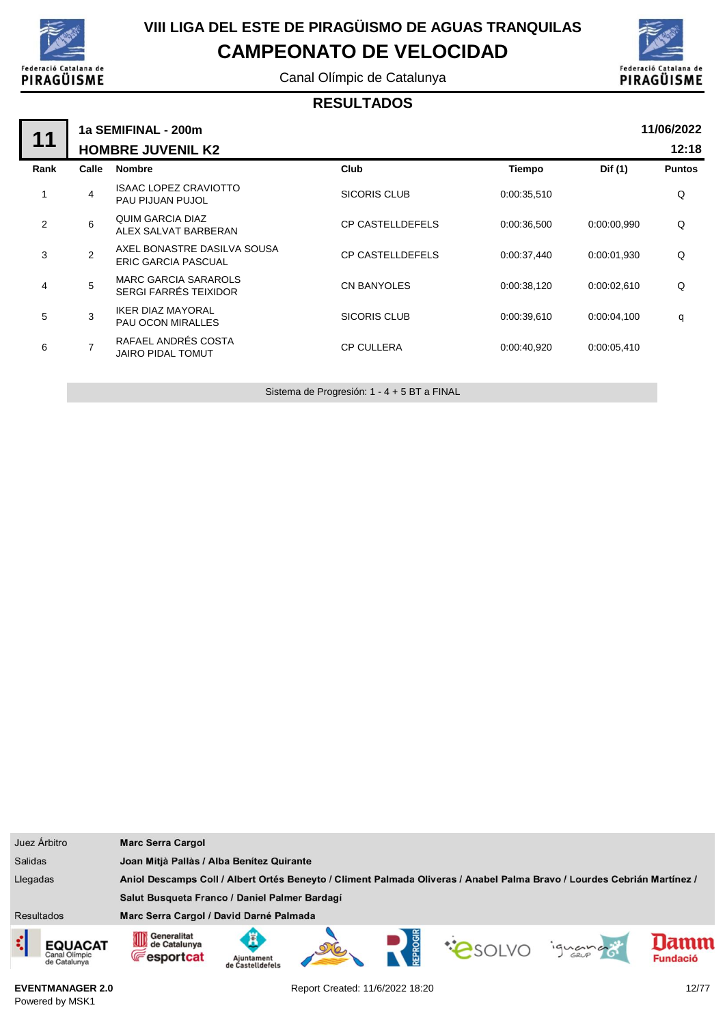

Canal Olímpic de Catalunya



#### **RESULTADOS**

| 11   |                          | 1a SEMIFINAL - 200m                                       |                         |               |             | 11/06/2022    |  |  |
|------|--------------------------|-----------------------------------------------------------|-------------------------|---------------|-------------|---------------|--|--|
|      | <b>HOMBRE JUVENIL K2</b> |                                                           |                         |               |             |               |  |  |
| Rank | Calle                    | <b>Nombre</b>                                             | <b>Club</b>             | <b>Tiempo</b> | Dif (1)     | <b>Puntos</b> |  |  |
| 1    | 4                        | <b>ISAAC LOPEZ CRAVIOTTO</b><br>PAU PIJUAN PUJOL          | <b>SICORIS CLUB</b>     | 0:00:35,510   |             | Q             |  |  |
| 2    | 6                        | QUIM GARCIA DIAZ<br>ALEX SALVAT BARBERAN                  | <b>CP CASTELLDEFELS</b> | 0:00:36,500   | 0:00:00.990 | Q             |  |  |
| 3    | 2                        | AXEL BONASTRE DASILVA SOUSA<br><b>ERIC GARCIA PASCUAL</b> | <b>CP CASTELLDEFELS</b> | 0:00:37,440   | 0:00:01.930 | Q             |  |  |
| 4    | 5                        | <b>MARC GARCIA SARAROLS</b><br>SERGI FARRÉS TEIXIDOR      | <b>CN BANYOLES</b>      | 0:00:38,120   | 0:00:02.610 | Q             |  |  |
| 5    | 3                        | <b>IKER DIAZ MAYORAL</b><br><b>PAU OCON MIRALLES</b>      | <b>SICORIS CLUB</b>     | 0:00:39,610   | 0:00:04,100 | q             |  |  |
| 6    | $\overline{7}$           | RAFAEL ANDRÉS COSTA<br><b>JAIRO PIDAL TOMUT</b>           | <b>CP CULLERA</b>       | 0:00:40,920   | 0:00:05,410 |               |  |  |
|      |                          |                                                           |                         |               |             |               |  |  |

Sistema de Progresión: 1 - 4 + 5 BT a FINAL

| Juez Árbitro                                  | <b>Marc Serra Cargol</b>                                                                                                |                                           |  |  |                |         |                         |
|-----------------------------------------------|-------------------------------------------------------------------------------------------------------------------------|-------------------------------------------|--|--|----------------|---------|-------------------------|
| <b>Salidas</b>                                |                                                                                                                         | Joan Mitjà Pallàs / Alba Benítez Quirante |  |  |                |         |                         |
| Llegadas                                      | Aniol Descamps Coll / Albert Ortés Beneyto / Climent Palmada Oliveras / Anabel Palma Bravo / Lourdes Cebrián Martínez / |                                           |  |  |                |         |                         |
|                                               | Salut Busqueta Franco / Daniel Palmer Bardagí                                                                           |                                           |  |  |                |         |                         |
| <b>Resultados</b>                             | Marc Serra Cargol / David Darné Palmada                                                                                 |                                           |  |  |                |         |                         |
| ़<br>EQUACAT<br>Canal Olimpic<br>de Catalunya | Generalitat<br>OD<br>de Catalunya<br><b>Fesportcat</b>                                                                  | Ajuntament<br>de Castelldefels            |  |  | <b>COSOLVO</b> | iguando | lamm<br><b>Fundació</b> |

**EVENTMANAGER 2.0** Powered by MSK1

Report Created: 11/6/2022 18:20 12/77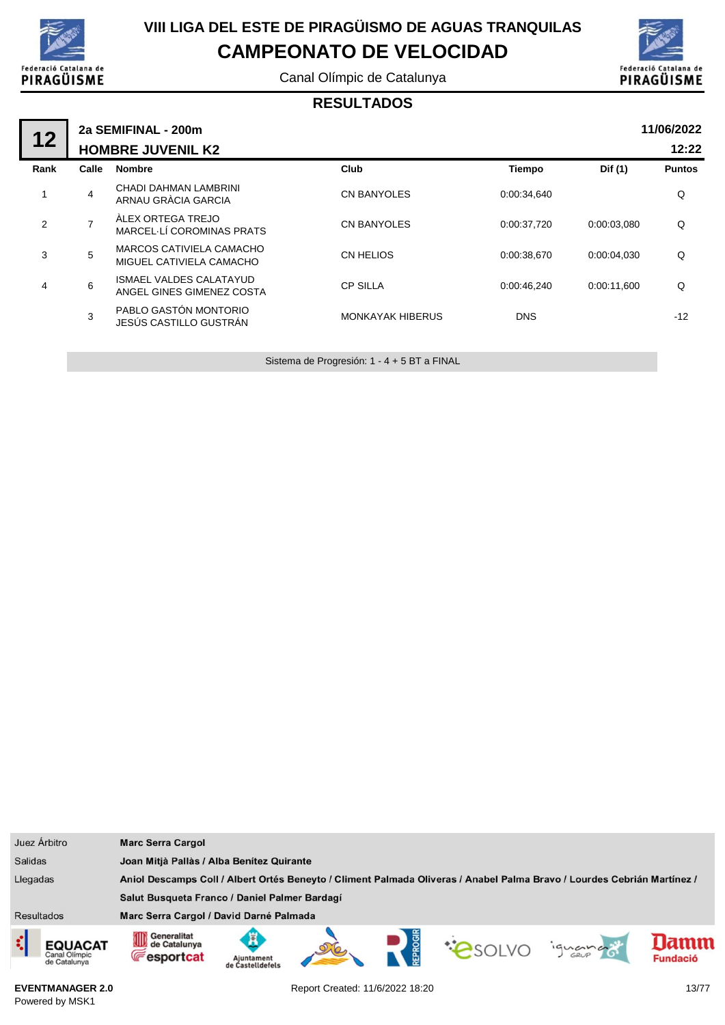

Canal Olímpic de Catalunya



#### **RESULTADOS**

| 12   |                | 2a SEMIFINAL - 200m                                         |                         |             |             | 11/06/2022    |
|------|----------------|-------------------------------------------------------------|-------------------------|-------------|-------------|---------------|
|      |                | <b>HOMBRE JUVENIL K2</b>                                    |                         |             |             | 12:22         |
| Rank | Calle          | <b>Nombre</b>                                               | Club                    | Tiempo      | Dif (1)     | <b>Puntos</b> |
|      | 4              | CHADI DAHMAN LAMBRINI<br>ARNAU GRÀCIA GARCIA                | <b>CN BANYOLES</b>      | 0:00:34,640 |             | Q             |
| 2    | $\overline{7}$ | ÀLEX ORTEGA TREJO<br>MARCEL LÍ COROMINAS PRATS              | <b>CN BANYOLES</b>      | 0:00:37,720 | 0:00:03,080 | Q             |
| 3    | 5              | MARCOS CATIVIELA CAMACHO<br>MIGUEL CATIVIELA CAMACHO        | CN HELIOS               | 0:00:38,670 | 0.00.04.030 | Q             |
| 4    | 6              | <b>ISMAEL VALDES CALATAYUD</b><br>ANGEL GINES GIMENEZ COSTA | <b>CP SILLA</b>         | 0:00:46,240 | 0:00:11,600 | Q             |
|      | 3              | PABLO GASTÓN MONTORIO<br>JESÚS CASTILLO GUSTRÁN             | <b>MONKAYAK HIBERUS</b> | <b>DNS</b>  |             | $-12$         |
|      |                |                                                             |                         |             |             |               |

Sistema de Progresión: 1 - 4 + 5 BT a FINAL

| Juez Árbitro                             | <b>Marc Serra Cargol</b>                                                                                                |                                           |  |  |                |         |                         |
|------------------------------------------|-------------------------------------------------------------------------------------------------------------------------|-------------------------------------------|--|--|----------------|---------|-------------------------|
| <b>Salidas</b>                           |                                                                                                                         | Joan Mitjà Pallàs / Alba Benítez Quirante |  |  |                |         |                         |
| Llegadas                                 | Aniol Descamps Coll / Albert Ortés Beneyto / Climent Palmada Oliveras / Anabel Palma Bravo / Lourdes Cebrián Martínez / |                                           |  |  |                |         |                         |
|                                          | Salut Busqueta Franco / Daniel Palmer Bardagí                                                                           |                                           |  |  |                |         |                         |
| <b>Resultados</b>                        | Marc Serra Cargol / David Darné Palmada                                                                                 |                                           |  |  |                |         |                         |
| EQUACAT<br>Canal Olimpic<br>de Catalunya | Generalitat<br>0D<br>de Catalunya<br><b>Fesportcat</b>                                                                  | Aiuntament<br>de Castelldefels            |  |  | <b>COSOLVO</b> | iguando | Iamm<br><b>Fundació</b> |

**EVENTMANAGER 2.0** Powered by MSK1

Report Created: 11/6/2022 18:20 13/77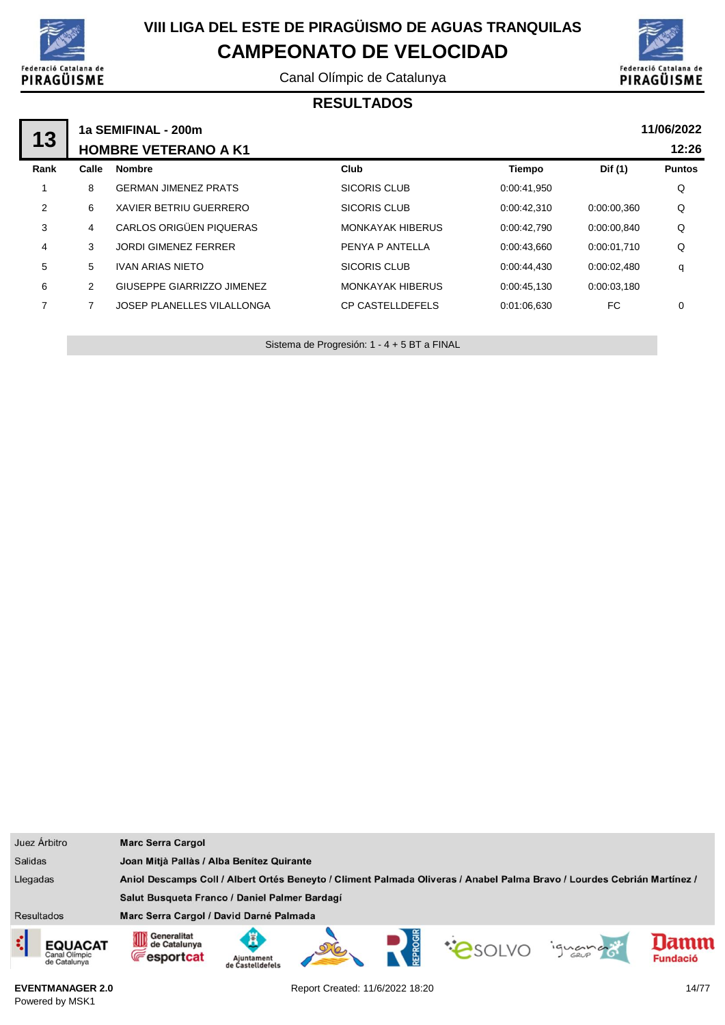

Canal Olímpic de Catalunya



#### **RESULTADOS**

| 13   |                             | 1a SEMIFINAL - 200m               |                         |             |             | 11/06/2022    |  |
|------|-----------------------------|-----------------------------------|-------------------------|-------------|-------------|---------------|--|
|      | <b>HOMBRE VETERANO A K1</b> |                                   |                         |             |             |               |  |
| Rank | Calle                       | <b>Nombre</b>                     | Club                    | Tiempo      | Dif (1)     | <b>Puntos</b> |  |
|      | 8                           | <b>GERMAN JIMENEZ PRATS</b>       | <b>SICORIS CLUB</b>     | 0:00:41.950 |             | Q             |  |
| 2    | 6                           | XAVIER BETRIU GUERRERO            | SICORIS CLUB            | 0:00:42,310 | 0:00:00,360 | Q             |  |
| 3    | 4                           | CARLOS ORIGÜEN PIQUERAS           | <b>MONKAYAK HIBERUS</b> | 0:00:42.790 | 0:00:00,840 | Q             |  |
| 4    | 3                           | <b>JORDI GIMENEZ FERRER</b>       | PENYA P ANTELLA         | 0:00:43.660 | 0:00:01.710 | Q             |  |
| 5    | 5                           | <b>IVAN ARIAS NIETO</b>           | <b>SICORIS CLUB</b>     | 0:00:44.430 | 0:00:02.480 | q             |  |
| 6    | 2                           | GIUSEPPE GIARRIZZO JIMENEZ        | <b>MONKAYAK HIBERUS</b> | 0:00:45.130 | 0:00:03.180 |               |  |
| 7    | 7                           | <b>JOSEP PLANELLES VILALLONGA</b> | <b>CP CASTELLDEFELS</b> | 0:01:06.630 | FC.         | 0             |  |
|      |                             |                                   |                         |             |             |               |  |

Sistema de Progresión: 1 - 4 + 5 BT a FINAL

| Juez Árbitro                                         | <b>Marc Serra Cargol</b>                                                                                                |                                               |  |  |  |         |                        |
|------------------------------------------------------|-------------------------------------------------------------------------------------------------------------------------|-----------------------------------------------|--|--|--|---------|------------------------|
| <b>Salidas</b>                                       | Joan Mitjà Pallàs / Alba Benítez Quirante                                                                               |                                               |  |  |  |         |                        |
| Llegadas                                             | Aniol Descamps Coll / Albert Ortés Beneyto / Climent Palmada Oliveras / Anabel Palma Bravo / Lourdes Cebrián Martínez / |                                               |  |  |  |         |                        |
|                                                      |                                                                                                                         | Salut Busqueta Franco / Daniel Palmer Bardagí |  |  |  |         |                        |
| <b>Resultados</b>                                    | Marc Serra Cargol / David Darné Palmada                                                                                 |                                               |  |  |  |         |                        |
| ¢<br><b>EQUACAT</b><br>Canal Olímpic<br>de Catalunya | Generalitat<br>OID<br>de Catalunya<br><b>Fesportcat</b>                                                                 | Ajuntament<br>de Castelldefels                |  |  |  | ignance | amm<br><b>Fundació</b> |

**EVENTMANAGER 2.0** Powered by MSK1

Report Created: 11/6/2022 18:20 14/77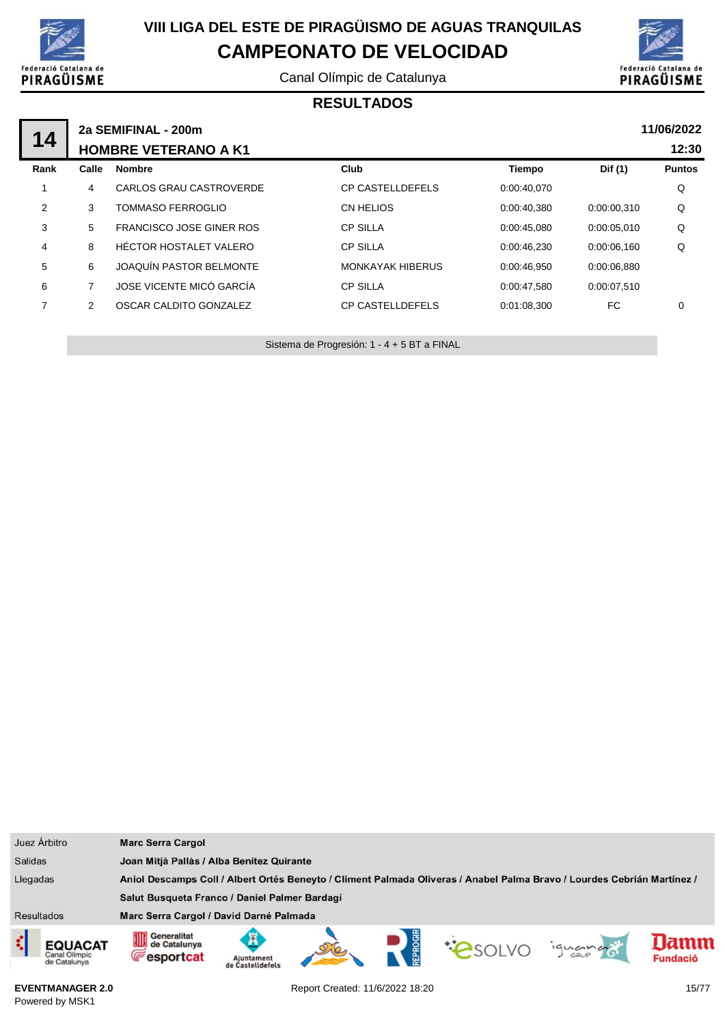

Canal Olímpic de Catalunya



#### **RESULTADOS**

|                |                             | 2a SEMIFINAL - 200m             |                         |             |             | 11/06/2022    |  |  |
|----------------|-----------------------------|---------------------------------|-------------------------|-------------|-------------|---------------|--|--|
| 14             | <b>HOMBRE VETERANO A K1</b> |                                 |                         |             |             |               |  |  |
| Rank           | Calle                       | <b>Nombre</b>                   | Club                    | Tiempo      | Dif (1)     | <b>Puntos</b> |  |  |
|                | 4                           | CARLOS GRAU CASTROVERDE         | <b>CP CASTELLDEFELS</b> | 0:00:40.070 |             | Q             |  |  |
| $\overline{2}$ | 3                           | <b>TOMMASO FERROGLIO</b>        | CN HELIOS               | 0:00:40,380 | 0:00:00,310 | Q             |  |  |
| 3              | 5                           | <b>FRANCISCO JOSE GINER ROS</b> | <b>CP SILLA</b>         | 0:00:45,080 | 0:00:05.010 | Q             |  |  |
| $\overline{4}$ | 8                           | HÉCTOR HOSTALET VALERO          | <b>CP SILLA</b>         | 0:00:46.230 | 0:00:06.160 | Q             |  |  |
| 5              | 6                           | JOAQUÍN PASTOR BELMONTE         | <b>MONKAYAK HIBERUS</b> | 0:00:46.950 | 0:00:06.880 |               |  |  |
| 6              | 7                           | JOSE VICENTE MICÓ GARCÍA        | <b>CP SILLA</b>         | 0:00:47.580 | 0:00:07.510 |               |  |  |
| 7              | 2                           | OSCAR CALDITO GONZALEZ          | <b>CP CASTELLDEFELS</b> | 0:01:08.300 | FC.         | 0             |  |  |
|                |                             |                                 |                         |             |             |               |  |  |

Sistema de Progresión: 1 - 4 + 5 BT a FINAL

| Juez Árbitro                                    | <b>Marc Serra Cargol</b>                                                                                                |  |  |               |         |                         |
|-------------------------------------------------|-------------------------------------------------------------------------------------------------------------------------|--|--|---------------|---------|-------------------------|
| <b>Salidas</b>                                  | Joan Mitjà Pallàs / Alba Benítez Quirante                                                                               |  |  |               |         |                         |
| Llegadas                                        | Aniol Descamps Coll / Albert Ortés Beneyto / Climent Palmada Oliveras / Anabel Palma Bravo / Lourdes Cebrián Martínez / |  |  |               |         |                         |
|                                                 | Salut Busqueta Franco / Daniel Palmer Bardagí                                                                           |  |  |               |         |                         |
| <b>Resultados</b>                               | Marc Serra Cargol / David Darné Palmada                                                                                 |  |  |               |         |                         |
| <b>EQUACAT</b><br>Canal Olimpic<br>de Catalunya | Generalitat<br>OID<br>de Catalunya<br><b>Fesportcat</b><br>Ajuntament<br>de Castelldefels                               |  |  | <b>PSOLVO</b> | iguando | lamm<br><b>Fundació</b> |

**EVENTMANAGER 2.0** Powered by MSK1

Report Created: 11/6/2022 18:20 15/77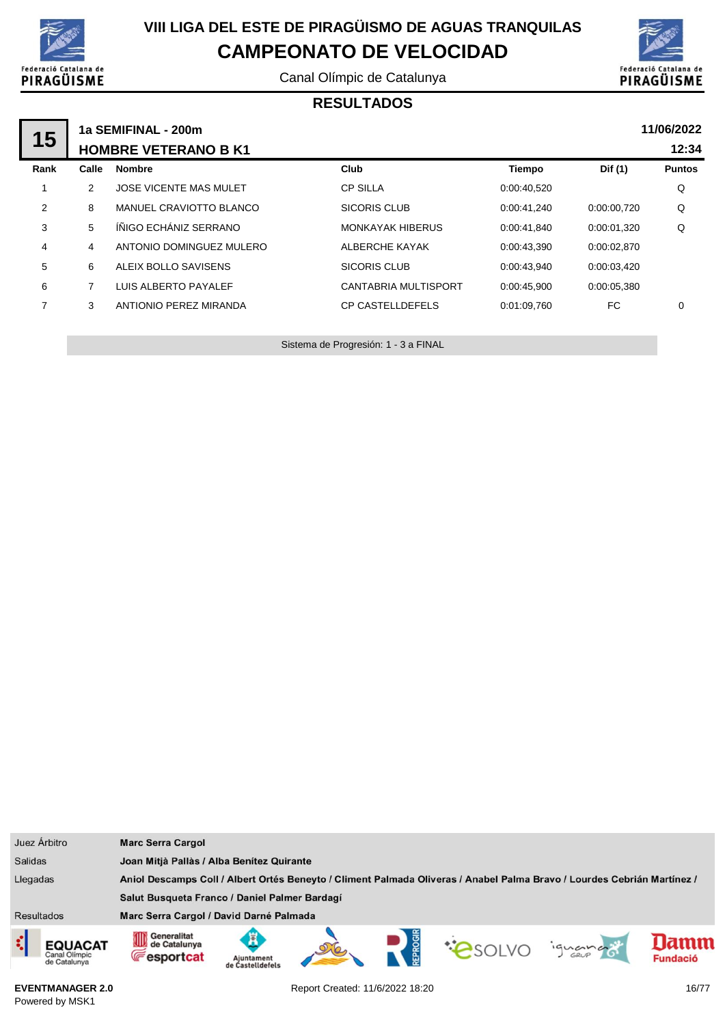

Canal Olímpic de Catalunya



#### **RESULTADOS**

|      |       | 1a SEMIFINAL - 200m           |                         |             |             | 11/06/2022    |  |
|------|-------|-------------------------------|-------------------------|-------------|-------------|---------------|--|
| 15   |       | <b>HOMBRE VETERANO B K1</b>   |                         |             |             |               |  |
| Rank | Calle | <b>Nombre</b>                 | Club                    | Tiempo      | Dif (1)     | <b>Puntos</b> |  |
|      | 2     | <b>JOSE VICENTE MAS MULET</b> | <b>CP SILLA</b>         | 0:00:40,520 |             | Q             |  |
| 2    | 8     | MANUEL CRAVIOTTO BLANCO       | <b>SICORIS CLUB</b>     | 0:00:41,240 | 0:00:00,720 | Q             |  |
| 3    | 5     | ÍÑIGO ECHÁNIZ SERRANO         | <b>MONKAYAK HIBERUS</b> | 0:00:41.840 | 0:00:01,320 | Q             |  |
| 4    | 4     | ANTONIO DOMINGUEZ MULERO      | ALBERCHE KAYAK          | 0:00:43.390 | 0:00:02,870 |               |  |
| 5    | 6     | ALEIX BOLLO SAVISENS          | <b>SICORIS CLUB</b>     | 0:00:43.940 | 0:00:03,420 |               |  |
| 6    | 7     | LUIS ALBERTO PAYALEF          | CANTABRIA MULTISPORT    | 0:00:45.900 | 0:00:05.380 |               |  |
| 7    | 3     | ANTIONIO PEREZ MIRANDA        | <b>CP CASTELLDEFELS</b> | 0:01:09.760 | FC.         | 0             |  |
|      |       |                               |                         |             |             |               |  |

Sistema de Progresión: 1 - 3 a FINAL

| Juez Árbitro                             | <b>Marc Serra Cargol</b>                                                                                                                        |  |  |  |  |
|------------------------------------------|-------------------------------------------------------------------------------------------------------------------------------------------------|--|--|--|--|
| <b>Salidas</b>                           | Joan Mitjà Pallàs / Alba Benítez Quirante                                                                                                       |  |  |  |  |
| Llegadas                                 | Aniol Descamps Coll / Albert Ortés Beneyto / Climent Palmada Oliveras / Anabel Palma Bravo / Lourdes Cebrián Martínez /                         |  |  |  |  |
|                                          | Salut Busqueta Franco / Daniel Palmer Bardagí                                                                                                   |  |  |  |  |
| <b>Resultados</b>                        | Marc Serra Cargol / David Darné Palmada                                                                                                         |  |  |  |  |
| EQUACAT<br>Canal Olimpic<br>de Catalunya | Generalitat<br>0D<br>lamm<br>de Catalunya<br><b>PSOLVO</b><br>iguando<br><b>Fesportcat</b><br><b>Fundació</b><br>Ajuntament<br>de Castelldefels |  |  |  |  |

**EVENTMANAGER 2.0** Powered by MSK1

Report Created: 11/6/2022 18:20 16/77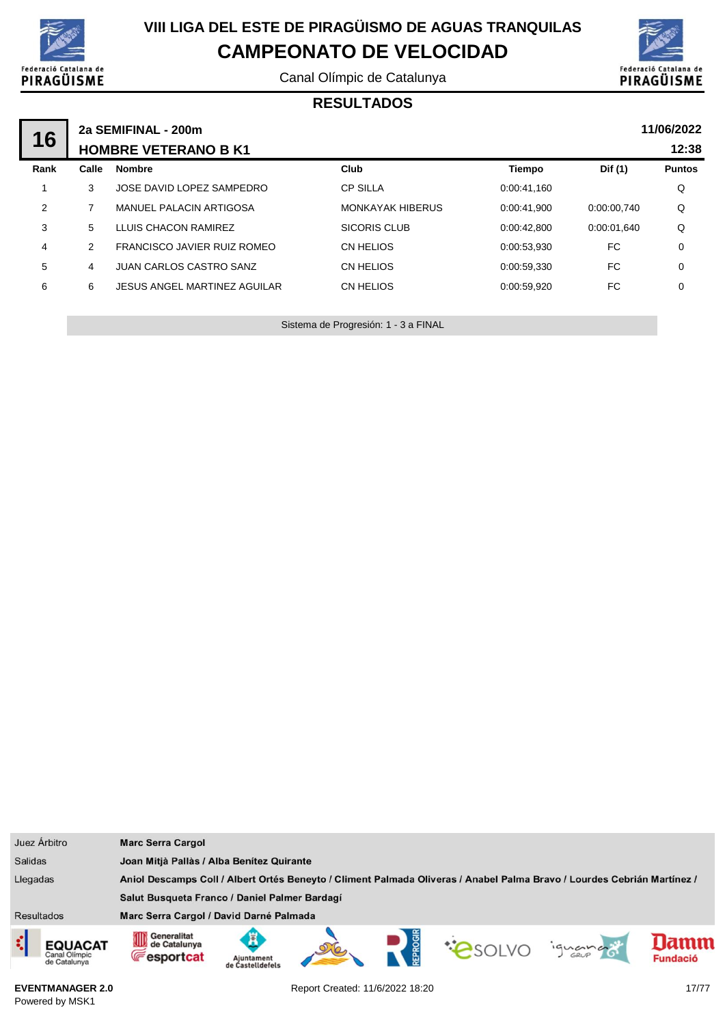

Canal Olímpic de Catalunya



#### **RESULTADOS**

| 16             | 2a SEMIFINAL - 200m<br><b>HOMBRE VETERANO B K1</b> |                                |                         |             |             |               |  |
|----------------|----------------------------------------------------|--------------------------------|-------------------------|-------------|-------------|---------------|--|
| Rank           | Calle                                              | <b>Nombre</b>                  | Club                    | Tiempo      | Dif (1)     | <b>Puntos</b> |  |
|                | 3                                                  | JOSE DAVID LOPEZ SAMPEDRO      | <b>CP SILLA</b>         | 0:00:41.160 |             | Q             |  |
| 2              |                                                    | MANUEL PALACIN ARTIGOSA        | <b>MONKAYAK HIBERUS</b> | 0:00:41.900 | 0:00:00.740 | Q             |  |
| 3              | 5                                                  | LLUIS CHACON RAMIREZ           | SICORIS CLUB            | 0:00:42.800 | 0:00:01.640 | Q             |  |
| $\overline{4}$ | 2                                                  | FRANCISCO JAVIER RUIZ ROMEO    | CN HELIOS               | 0:00:53.930 | FC          | $\mathbf 0$   |  |
| 5              | 4                                                  | <b>JUAN CARLOS CASTRO SANZ</b> | CN HELIOS               | 0:00:59,330 | FC          | $\mathbf 0$   |  |
| 6              | 6                                                  | JESUS ANGEL MARTINEZ AGUILAR   | CN HELIOS               | 0:00:59.920 | FC.         | $\mathbf 0$   |  |
|                |                                                    |                                |                         |             |             |               |  |

Sistema de Progresión: 1 - 3 a FINAL

| Juez Árbitro                                          | <b>Marc Serra Cargol</b>                                                                                                |                                     |  |  |              |         |                         |
|-------------------------------------------------------|-------------------------------------------------------------------------------------------------------------------------|-------------------------------------|--|--|--------------|---------|-------------------------|
| <b>Salidas</b>                                        | Joan Mitjà Pallàs / Alba Benítez Quirante                                                                               |                                     |  |  |              |         |                         |
| Llegadas                                              | Aniol Descamps Coll / Albert Ortés Beneyto / Climent Palmada Oliveras / Anabel Palma Bravo / Lourdes Cebrián Martínez / |                                     |  |  |              |         |                         |
|                                                       | Salut Busqueta Franco / Daniel Palmer Bardagí                                                                           |                                     |  |  |              |         |                         |
| <b>Resultados</b>                                     | Marc Serra Cargol / David Darné Palmada                                                                                 |                                     |  |  |              |         |                         |
| Ę,<br><b>EQUACAT</b><br>Canal Olimpic<br>de Catalunya | Generalitat<br>∭<br>de Catalunya<br><b>Fesportcat</b>                                                                   | Ã<br>Aiuntament<br>de Castelldefels |  |  | <b>CONDO</b> | iguando | lamn<br><b>Fundació</b> |

**EVENTMANAGER 2.0** Powered by MSK1

Report Created: 11/6/2022 18:20 17/77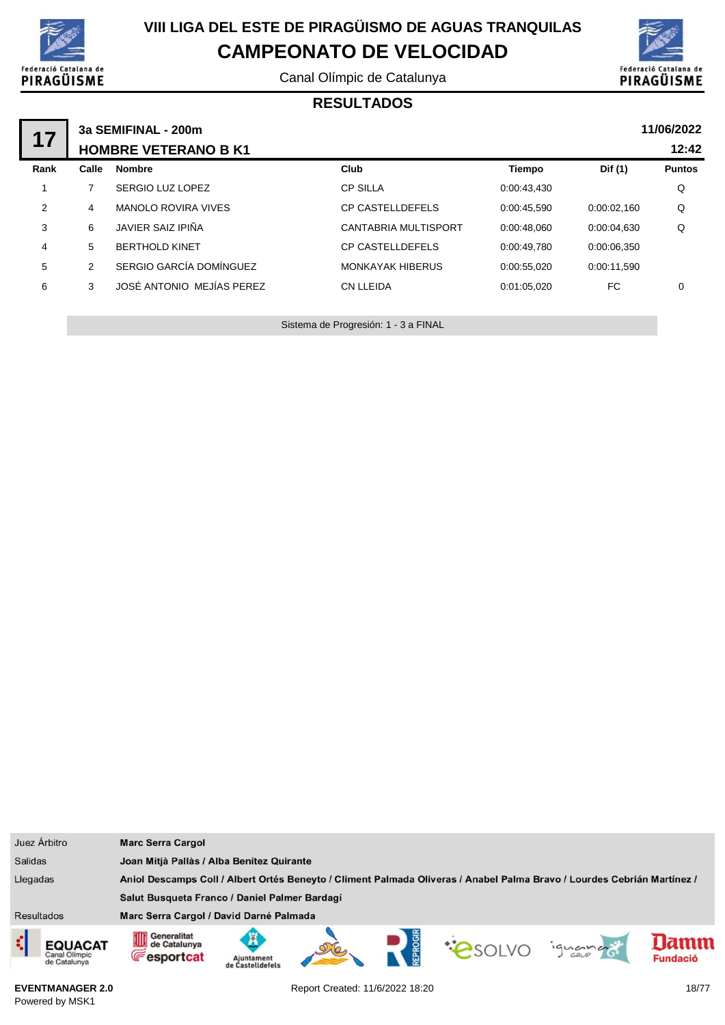

Canal Olímpic de Catalunya



#### **RESULTADOS**

| 17   | 3a SEMIFINAL - 200m<br><b>HOMBRE VETERANO B K1</b> | 11/06/2022<br>12:42        |                         |             |             |               |
|------|----------------------------------------------------|----------------------------|-------------------------|-------------|-------------|---------------|
| Rank | Calle                                              | <b>Nombre</b>              | Club                    | Tiempo      | Dif (1)     | <b>Puntos</b> |
|      |                                                    | SERGIO LUZ LOPEZ           | <b>CP SILLA</b>         | 0:00:43.430 |             | Q             |
| 2    | 4                                                  | <b>MANOLO ROVIRA VIVES</b> | <b>CP CASTELLDEFELS</b> | 0:00:45.590 | 0:00:02.160 | Q             |
| 3    | 6                                                  | JAVIER SAIZ IPIÑA          | CANTABRIA MULTISPORT    | 0:00:48.060 | 0:00:04.630 | Q             |
| 4    | 5                                                  | <b>BERTHOLD KINET</b>      | <b>CP CASTELLDEFELS</b> | 0:00:49.780 | 0:00:06.350 |               |
| 5    | 2                                                  | SERGIO GARCÍA DOMÍNGUEZ    | <b>MONKAYAK HIBERUS</b> | 0:00:55.020 | 0:00:11.590 |               |
| 6    | 3                                                  | JOSÉ ANTONIO MEJÍAS PEREZ  | <b>CN LLEIDA</b>        | 0:01:05.020 | FC          | 0             |
|      |                                                    |                            |                         |             |             |               |

Sistema de Progresión: 1 - 3 a FINAL

| Juez Árbitro                                          | <b>Marc Serra Cargol</b>                                                                                                                     |  |  |  |  |
|-------------------------------------------------------|----------------------------------------------------------------------------------------------------------------------------------------------|--|--|--|--|
| <b>Salidas</b>                                        | Joan Mitjà Pallàs / Alba Benítez Quirante                                                                                                    |  |  |  |  |
| Llegadas                                              | Aniol Descamps Coll / Albert Ortés Beneyto / Climent Palmada Oliveras / Anabel Palma Bravo / Lourdes Cebrián Martínez /                      |  |  |  |  |
|                                                       | Salut Busqueta Franco / Daniel Palmer Bardagí                                                                                                |  |  |  |  |
| <b>Resultados</b>                                     | Marc Serra Cargol / David Darné Palmada                                                                                                      |  |  |  |  |
| ़ं<br><b>EQUACAT</b><br>Canal Olimpic<br>de Catalunya | Generalitat<br>ИH<br>Æ<br>de Catalunya<br><b>COSOLVO</b><br>iguana<br><b>Fesportcat</b><br><b>Fundació</b><br>Aiuntament<br>de Castelldefels |  |  |  |  |

**EVENTMANAGER 2.0** Powered by MSK1

Report Created: 11/6/2022 18:20 18/77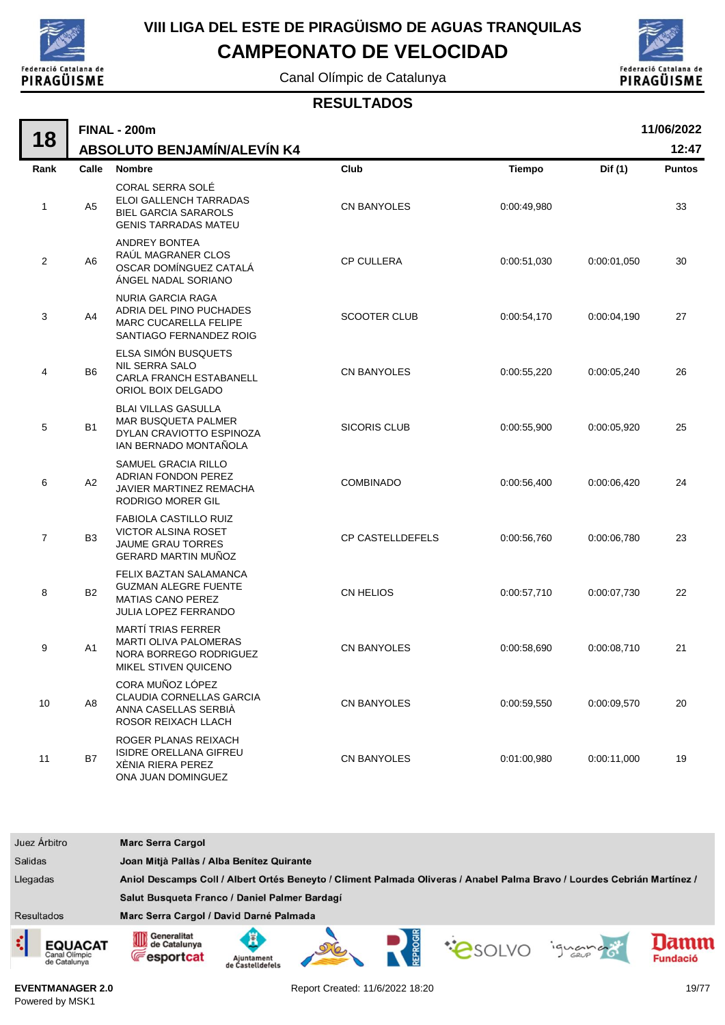

# **VIII LIGA DEL ESTE DE PIRAGÜISMO DE AGUAS TRANQUILAS**

## **CAMPEONATO DE VELOCIDAD**

Canal Olímpic de Catalunya



#### **RESULTADOS**

|                |                | <b>FINAL - 200m</b>                                                                                                  |                     |               |             | 11/06/2022    |  |  |
|----------------|----------------|----------------------------------------------------------------------------------------------------------------------|---------------------|---------------|-------------|---------------|--|--|
| 18             |                | <b>ABSOLUTO BENJAMÍN/ALEVÍN K4</b>                                                                                   |                     | 12:47         |             |               |  |  |
| Rank           | Calle          | <b>Nombre</b>                                                                                                        | Club                | <b>Tiempo</b> | Dif (1)     | <b>Puntos</b> |  |  |
| 1              | A <sub>5</sub> | CORAL SERRA SOLÉ<br>ELOI GALLENCH TARRADAS<br><b>BIEL GARCIA SARAROLS</b><br><b>GENIS TARRADAS MATEU</b>             | <b>CN BANYOLES</b>  | 0:00:49,980   |             | 33            |  |  |
| 2              | A <sub>6</sub> | ANDREY BONTEA<br>RAÚL MAGRANER CLOS<br>OSCAR DOMÍNGUEZ CATALÁ<br>ÁNGEL NADAL SORIANO                                 | <b>CP CULLERA</b>   | 0:00:51,030   | 0:00:01,050 | 30            |  |  |
| 3              | A4             | <b>NURIA GARCIA RAGA</b><br>ADRIA DEL PINO PUCHADES<br>MARC CUCARELLA FELIPE<br>SANTIAGO FERNANDEZ ROIG              | <b>SCOOTER CLUB</b> | 0:00:54,170   | 0:00:04,190 | 27            |  |  |
| 4              | B <sub>6</sub> | ELSA SIMÓN BUSQUETS<br><b>NIL SERRA SALO</b><br>CARLA FRANCH ESTABANELL<br>ORIOL BOIX DELGADO                        | <b>CN BANYOLES</b>  | 0:00:55,220   | 0:00:05,240 | 26            |  |  |
| 5              | <b>B1</b>      | <b>BLAI VILLAS GASULLA</b><br>MAR BUSQUETA PALMER<br>DYLAN CRAVIOTTO ESPINOZA<br>IAN BERNADO MONTAÑOLA               | <b>SICORIS CLUB</b> | 0:00:55,900   | 0:00:05,920 | 25            |  |  |
| 6              | A2             | SAMUEL GRACIA RILLO<br><b>ADRIAN FONDON PEREZ</b><br>JAVIER MARTINEZ REMACHA<br><b>RODRIGO MORER GIL</b>             | <b>COMBINADO</b>    | 0:00:56,400   | 0:00:06,420 | 24            |  |  |
| $\overline{7}$ | B <sub>3</sub> | <b>FABIOLA CASTILLO RUIZ</b><br><b>VICTOR ALSINA ROSET</b><br><b>JAUME GRAU TORRES</b><br><b>GERARD MARTIN MUÑOZ</b> | CP CASTELLDEFELS    | 0:00:56,760   | 0:00:06,780 | 23            |  |  |
| 8              | <b>B2</b>      | FELIX BAZTAN SALAMANCA<br><b>GUZMAN ALEGRE FUENTE</b><br><b>MATIAS CANO PEREZ</b><br><b>JULIA LOPEZ FERRANDO</b>     | <b>CN HELIOS</b>    | 0:00:57,710   | 0:00:07,730 | 22            |  |  |
| 9              | A1             | <b>MARTÍ TRIAS FERRER</b><br><b>MARTI OLIVA PALOMERAS</b><br>NORA BORREGO RODRIGUEZ<br>MIKEL STIVEN QUICENO          | <b>CN BANYOLES</b>  | 0:00:58,690   | 0:00:08,710 | 21            |  |  |
| 10             | A <sub>8</sub> | CORA MUÑOZ LÓPEZ<br>CLAUDIA CORNELLAS GARCIA<br>ANNA CASELLAS SERBIÀ<br>ROSOR REIXACH LLACH                          | CN BANYOLES         | 0:00:59,550   | 0:00:09,570 | 20            |  |  |
| 11             | <b>B7</b>      | ROGER PLANAS REIXACH<br><b>ISIDRE ORELLANA GIFREU</b><br>XÈNIA RIERA PEREZ<br>ONA JUAN DOMINGUEZ                     | CN BANYOLES         | 0:01:00,980   | 0:00:11,000 | 19            |  |  |

| Juez Árbitro      |                                                 | <b>Marc Serra Cargol</b>                                                                                                |                                |  |  |  |        |                        |
|-------------------|-------------------------------------------------|-------------------------------------------------------------------------------------------------------------------------|--------------------------------|--|--|--|--------|------------------------|
| <b>Salidas</b>    |                                                 | Joan Mitjà Pallàs / Alba Benítez Quirante                                                                               |                                |  |  |  |        |                        |
| Llegadas          |                                                 | Aniol Descamps Coll / Albert Ortés Beneyto / Climent Palmada Oliveras / Anabel Palma Bravo / Lourdes Cebrián Martínez / |                                |  |  |  |        |                        |
|                   |                                                 | Salut Busqueta Franco / Daniel Palmer Bardagí                                                                           |                                |  |  |  |        |                        |
| <b>Resultados</b> |                                                 | Marc Serra Cargol / David Darné Palmada                                                                                 |                                |  |  |  |        |                        |
| ¢                 | <b>EQUACAT</b><br>Canal Olimpic<br>de Catalunya | Generalitat<br>OID<br>de Catalunya<br><b>E</b> esportcat                                                                | Aiuntament<br>de Castelldefels |  |  |  | iguana | amm<br><b>Fundació</b> |

**EVENTMANAGER 2.0** Powered by MSK1

Report Created: 11/6/2022 18:20 19/77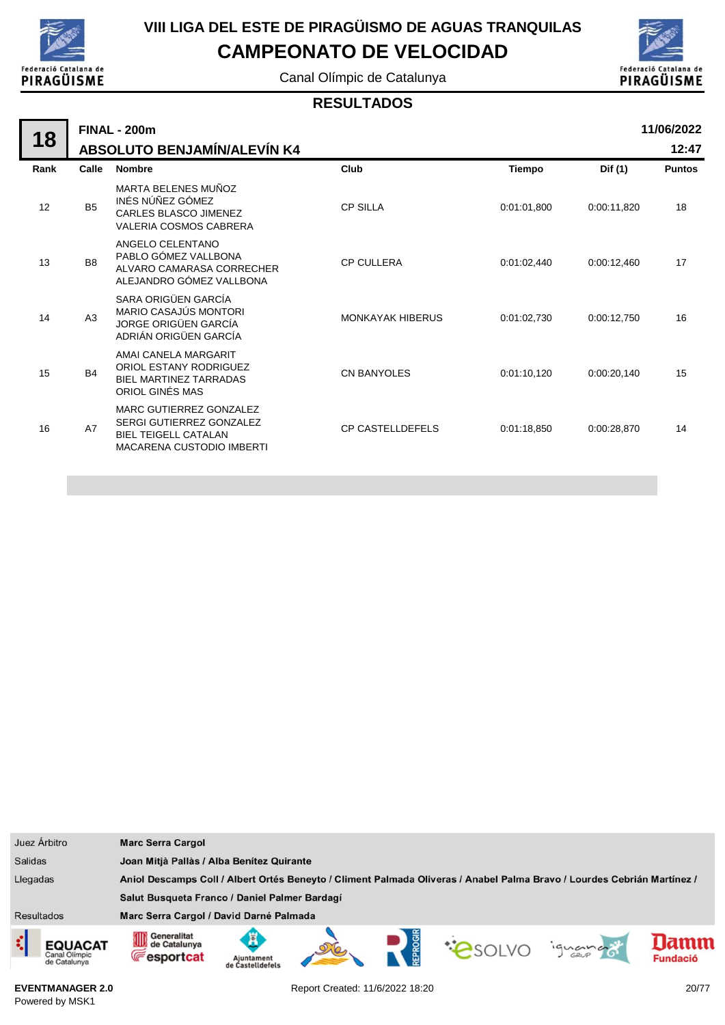

# **VIII LIGA DEL ESTE DE PIRAGÜISMO DE AGUAS TRANQUILAS**

## **CAMPEONATO DE VELOCIDAD**

Canal Olímpic de Catalunya



#### **RESULTADOS**

|      |                | <b>FINAL - 200m</b>                                                                                                    |                         | 11/06/2022    |             |               |  |  |  |  |  |
|------|----------------|------------------------------------------------------------------------------------------------------------------------|-------------------------|---------------|-------------|---------------|--|--|--|--|--|
| 18   |                | ABSOLUTO BENJAMÍN/ALEVÍN K4                                                                                            |                         |               |             | 12:47         |  |  |  |  |  |
| Rank | Calle          | <b>Nombre</b>                                                                                                          | Club                    | <b>Tiempo</b> | Dif (1)     | <b>Puntos</b> |  |  |  |  |  |
| 12   | <b>B5</b>      | MARTA BELENES MUÑOZ<br>INÉS NÚÑEZ GÓMEZ<br>CARLES BLASCO JIMENEZ<br><b>VALERIA COSMOS CABRERA</b>                      | <b>CP SILLA</b>         | 0:01:01,800   | 0:00:11,820 | 18            |  |  |  |  |  |
| 13   | B <sub>8</sub> | ANGELO CELENTANO<br>PABLO GÓMEZ VALLBONA<br>ALVARO CAMARASA CORRECHER<br>ALEJANDRO GÓMEZ VALLBONA                      | <b>CP CULLERA</b>       | 0:01:02,440   | 0:00:12,460 | 17            |  |  |  |  |  |
| 14   | A3             | SARA ORIGÜEN GARCÍA<br><b>MARIO CASAJÚS MONTORI</b><br>JORGE ORIGÜEN GARCÍA<br>ADRIÁN ORIGÜEN GARCÍA                   | <b>MONKAYAK HIBERUS</b> | 0:01:02,730   | 0:00:12,750 | 16            |  |  |  |  |  |
| 15   | <b>B4</b>      | AMAI CANELA MARGARIT<br>ORIOL ESTANY RODRIGUEZ<br>BIEL MARTINEZ TARRADAS<br>ORIOL GINÉS MAS                            | <b>CN BANYOLES</b>      | 0:01:10,120   | 0:00:20,140 | 15            |  |  |  |  |  |
| 16   | A7             | MARC GUTIERREZ GONZALEZ<br>SERGI GUTIERREZ GONZALEZ<br><b>BIEL TEIGELL CATALAN</b><br><b>MACARENA CUSTODIO IMBERTI</b> | <b>CP CASTELLDEFELS</b> | 0:01:18,850   | 0:00:28,870 | 14            |  |  |  |  |  |
|      |                |                                                                                                                        |                         |               |             |               |  |  |  |  |  |

| Juez Árbitro                                         | <b>Marc Serra Cargol</b>                                                                                                |                                |  |  |               |         |                         |
|------------------------------------------------------|-------------------------------------------------------------------------------------------------------------------------|--------------------------------|--|--|---------------|---------|-------------------------|
| <b>Salidas</b>                                       | Joan Mitjà Pallàs / Alba Benítez Quirante                                                                               |                                |  |  |               |         |                         |
| Llegadas                                             | Aniol Descamps Coll / Albert Ortés Beneyto / Climent Palmada Oliveras / Anabel Palma Bravo / Lourdes Cebrián Martínez / |                                |  |  |               |         |                         |
|                                                      | Salut Busqueta Franco / Daniel Palmer Bardagí                                                                           |                                |  |  |               |         |                         |
| <b>Resultados</b>                                    | Marc Serra Cargol / David Darné Palmada                                                                                 |                                |  |  |               |         |                         |
| ¢<br><b>EQUACAT</b><br>Canal Olimpic<br>de Catalunya | Generalitat<br>OD<br>de Catalunya<br><b>Fesportcat</b>                                                                  | Ajuntament<br>de Castelldefel: |  |  | <b>PSOLVO</b> | iguando | lamm<br><b>Fundació</b> |

**EVENTMANAGER 2.0** Powered by MSK1

Report Created: 11/6/2022 18:20 20/77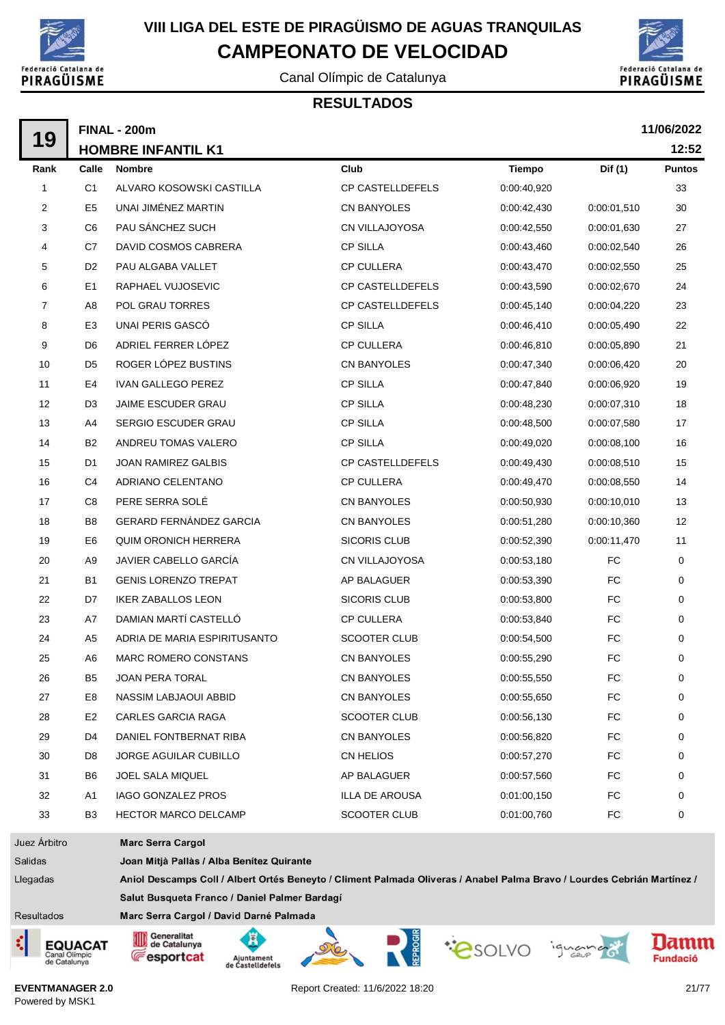

Canal Olímpic de Catalunya



#### **RESULTADOS**

|                | <b>FINAL - 200m</b> |                                           |                         |               |             |               |  |  |  |  |  |
|----------------|---------------------|-------------------------------------------|-------------------------|---------------|-------------|---------------|--|--|--|--|--|
| 19             |                     | <b>HOMBRE INFANTIL K1</b>                 |                         |               |             | 12:52         |  |  |  |  |  |
| Rank           | Calle               | <b>Nombre</b>                             | Club                    | <b>Tiempo</b> | Dif (1)     | <b>Puntos</b> |  |  |  |  |  |
| $\mathbf{1}$   | C <sub>1</sub>      | ALVARO KOSOWSKI CASTILLA                  | <b>CP CASTELLDEFELS</b> | 0:00:40,920   |             | 33            |  |  |  |  |  |
| 2              | E <sub>5</sub>      | UNAI JIMÉNEZ MARTIN                       | CN BANYOLES             | 0:00:42,430   | 0:00:01,510 | 30            |  |  |  |  |  |
| 3              | C <sub>6</sub>      | PAU SÁNCHEZ SUCH                          | CN VILLAJOYOSA          | 0:00:42,550   | 0:00:01,630 | 27            |  |  |  |  |  |
| 4              | C7                  | DAVID COSMOS CABRERA                      | <b>CP SILLA</b>         | 0:00:43,460   | 0:00:02,540 | 26            |  |  |  |  |  |
| 5              | D <sub>2</sub>      | PAU ALGABA VALLET                         | <b>CP CULLERA</b>       | 0:00:43,470   | 0:00:02,550 | 25            |  |  |  |  |  |
| 6              | E <sub>1</sub>      | RAPHAEL VUJOSEVIC                         | <b>CP CASTELLDEFELS</b> | 0:00:43,590   | 0:00:02,670 | 24            |  |  |  |  |  |
| 7              | A8                  | <b>POL GRAU TORRES</b>                    | <b>CP CASTELLDEFELS</b> | 0:00:45,140   | 0:00:04,220 | 23            |  |  |  |  |  |
| 8              | E <sub>3</sub>      | UNAI PERIS GASCÓ                          | <b>CP SILLA</b>         | 0:00:46,410   | 0:00:05,490 | 22            |  |  |  |  |  |
| 9              | D <sub>6</sub>      | ADRIEL FERRER LÓPEZ                       | <b>CP CULLERA</b>       | 0:00:46,810   | 0:00:05,890 | 21            |  |  |  |  |  |
| 10             | D <sub>5</sub>      | ROGER LÓPEZ BUSTINS                       | CN BANYOLES             | 0:00:47,340   | 0:00:06,420 | 20            |  |  |  |  |  |
| 11             | E4                  | <b>IVAN GALLEGO PEREZ</b>                 | <b>CP SILLA</b>         | 0:00:47,840   | 0:00:06,920 | 19            |  |  |  |  |  |
| 12             | D <sub>3</sub>      | <b>JAIME ESCUDER GRAU</b>                 | <b>CP SILLA</b>         | 0:00:48,230   | 0:00:07,310 | 18            |  |  |  |  |  |
| 13             | A4                  | <b>SERGIO ESCUDER GRAU</b>                | <b>CP SILLA</b>         | 0:00:48,500   | 0:00:07.580 | 17            |  |  |  |  |  |
| 14             | <b>B2</b>           | ANDREU TOMAS VALERO                       | <b>CP SILLA</b>         | 0:00:49,020   | 0:00:08,100 | 16            |  |  |  |  |  |
| 15             | D1                  | <b>JOAN RAMIREZ GALBIS</b>                | CP CASTELLDEFELS        | 0:00:49,430   | 0:00:08,510 | 15            |  |  |  |  |  |
| 16             | C4                  | ADRIANO CELENTANO                         | CP CULLERA              | 0:00:49,470   | 0:00:08,550 | 14            |  |  |  |  |  |
| 17             | C <sub>8</sub>      | PERE SERRA SOLÉ                           | CN BANYOLES             | 0:00:50,930   | 0:00:10,010 | 13            |  |  |  |  |  |
| 18             | B <sub>8</sub>      | <b>GERARD FERNÁNDEZ GARCIA</b>            | <b>CN BANYOLES</b>      | 0:00:51,280   | 0:00:10,360 | 12            |  |  |  |  |  |
| 19             | E <sub>6</sub>      | <b>QUIM ORONICH HERRERA</b>               | <b>SICORIS CLUB</b>     | 0:00:52,390   | 0:00:11,470 | 11            |  |  |  |  |  |
| 20             | A9                  | JAVIER CABELLO GARCÍA                     | CN VILLAJOYOSA          | 0:00:53,180   | FC          | 0             |  |  |  |  |  |
| 21             | <b>B1</b>           | <b>GENIS LORENZO TREPAT</b>               | AP BALAGUER             | 0:00:53,390   | FC          | 0             |  |  |  |  |  |
| 22             | D7                  | <b>IKER ZABALLOS LEON</b>                 | <b>SICORIS CLUB</b>     | 0:00:53,800   | FC          | 0             |  |  |  |  |  |
| 23             | A7                  | DAMIAN MARTÍ CASTELLÓ                     | <b>CP CULLERA</b>       | 0:00:53,840   | FC          | 0             |  |  |  |  |  |
| 24             | A <sub>5</sub>      | ADRIA DE MARIA ESPIRITUSANTO              | <b>SCOOTER CLUB</b>     | 0:00:54,500   | FC          | 0             |  |  |  |  |  |
| 25             | A6                  | <b>MARC ROMERO CONSTANS</b>               | <b>CN BANYOLES</b>      | 0:00:55,290   | <b>FC</b>   | 0             |  |  |  |  |  |
| 26             | B <sub>5</sub>      | <b>JOAN PERA TORAL</b>                    | <b>CN BANYOLES</b>      | 0:00:55,550   | FC          | 0             |  |  |  |  |  |
| 27             | E8                  | NASSIM LABJAOUI ABBID                     | CN BANYOLES             | 0:00:55,650   | FC          | 0             |  |  |  |  |  |
| 28             | E <sub>2</sub>      | <b>CARLES GARCIA RAGA</b>                 | <b>SCOOTER CLUB</b>     | 0:00:56,130   | FC          | 0             |  |  |  |  |  |
| 29             | D4                  | DANIEL FONTBERNAT RIBA                    | <b>CN BANYOLES</b>      | 0:00:56,820   | FC          | 0             |  |  |  |  |  |
| 30             | D8                  | <b>JORGE AGUILAR CUBILLO</b>              | CN HELIOS               | 0:00:57,270   | FC          | 0             |  |  |  |  |  |
| 31             | B6                  | JOEL SALA MIQUEL                          | AP BALAGUER             | 0:00:57,560   | FC          | 0             |  |  |  |  |  |
| 32             | A1                  | <b>IAGO GONZALEZ PROS</b>                 | ILLA DE AROUSA          | 0:01:00,150   | FC          | 0             |  |  |  |  |  |
| 33             | B <sub>3</sub>      | HECTOR MARCO DELCAMP                      | SCOOTER CLUB            | 0:01:00,760   | FC          | 0             |  |  |  |  |  |
| Juez Árbitro   |                     | <b>Marc Serra Cargol</b>                  |                         |               |             |               |  |  |  |  |  |
| <b>Salidas</b> |                     | Joan Mitjà Pallàs / Alba Benítez Quirante |                         |               |             |               |  |  |  |  |  |

Salidas

Llegadas Aniol Descamps Coll / Albert Ortés Beneyto / Climent Palmada Oliveras / Anabel Palma Bravo / Lourdes Cebrián Martínez / Salut Busqueta Franco / Daniel Palmer Bardagí

Resultados





Marc Serra Cargol / David Darné Palmada











**EVENTMANAGER 2.0** Powered by MSK1

Report Created: 11/6/2022 18:20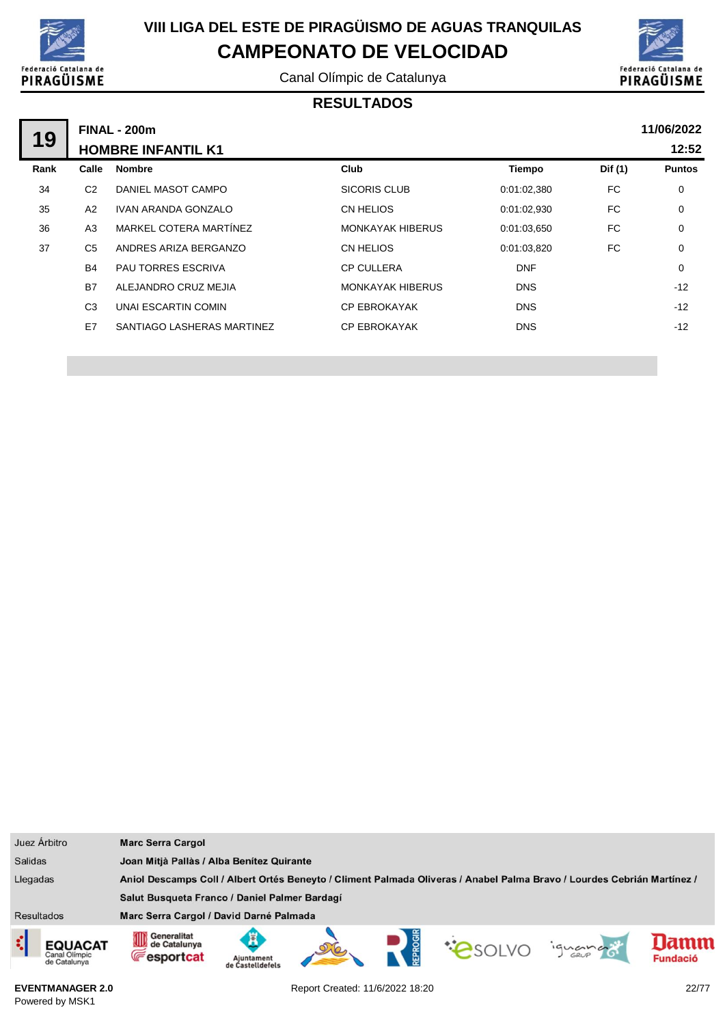

Canal Olímpic de Catalunya



### **RESULTADOS**

|      |                | <b>FINAL - 200m</b>        |                         |             |         | 11/06/2022    |  |  |
|------|----------------|----------------------------|-------------------------|-------------|---------|---------------|--|--|
| 19   |                | <b>HOMBRE INFANTIL K1</b>  |                         | 12:52       |         |               |  |  |
| Rank | Calle          | <b>Nombre</b>              | Club                    | Tiempo      | Dif (1) | <b>Puntos</b> |  |  |
| 34   | C <sub>2</sub> | DANIEL MASOT CAMPO         | SICORIS CLUB            | 0:01:02,380 | FC      | $\mathbf 0$   |  |  |
| 35   | A2             | IVAN ARANDA GONZALO        | CN HELIOS               | 0:01:02,930 | FC.     | $\mathbf 0$   |  |  |
| 36   | A3             | MARKEL COTERA MARTÍNEZ     | <b>MONKAYAK HIBERUS</b> | 0:01:03.650 | FC.     | $\mathbf 0$   |  |  |
| 37   | C <sub>5</sub> | ANDRES ARIZA BERGANZO      | CN HELIOS               | 0:01:03.820 | FC      | 0             |  |  |
|      | <b>B4</b>      | <b>PAU TORRES ESCRIVA</b>  | <b>CP CULLERA</b>       | <b>DNF</b>  |         | 0             |  |  |
|      | <b>B7</b>      | ALEJANDRO CRUZ MEJIA       | <b>MONKAYAK HIBERUS</b> | <b>DNS</b>  |         | $-12$         |  |  |
|      | C <sub>3</sub> | UNAI ESCARTIN COMIN        | <b>CP EBROKAYAK</b>     | <b>DNS</b>  |         | $-12$         |  |  |
|      | E7             | SANTIAGO LASHERAS MARTINEZ | <b>CP EBROKAYAK</b>     | <b>DNS</b>  |         | $-12$         |  |  |
|      |                |                            |                         |             |         |               |  |  |

| Juez Árbitro                                                                                                                        | <b>Marc Serra Cargol</b>                         |                                           |  |  |  |         |                         |
|-------------------------------------------------------------------------------------------------------------------------------------|--------------------------------------------------|-------------------------------------------|--|--|--|---------|-------------------------|
| <b>Salidas</b>                                                                                                                      |                                                  | Joan Mitjà Pallàs / Alba Benítez Quirante |  |  |  |         |                         |
| Llegadas<br>Aniol Descamps Coll / Albert Ortés Beneyto / Climent Palmada Oliveras / Anabel Palma Bravo / Lourdes Cebrián Martínez / |                                                  |                                           |  |  |  |         |                         |
|                                                                                                                                     | Salut Busqueta Franco / Daniel Palmer Bardagí    |                                           |  |  |  |         |                         |
| <b>Resultados</b>                                                                                                                   | Marc Serra Cargol / David Darné Palmada          |                                           |  |  |  |         |                         |
| ¢<br><b>EQUACAT</b><br>Canal Olimpic<br>de Catalunya                                                                                | Generalitat<br>de Catalunya<br><b>Fesportcat</b> | Ajuntament<br>de Castelldefels            |  |  |  | ignance | lamm<br><b>Fundació</b> |

**EVENTMANAGER 2.0** Powered by MSK1

Report Created: 11/6/2022 18:20 22/77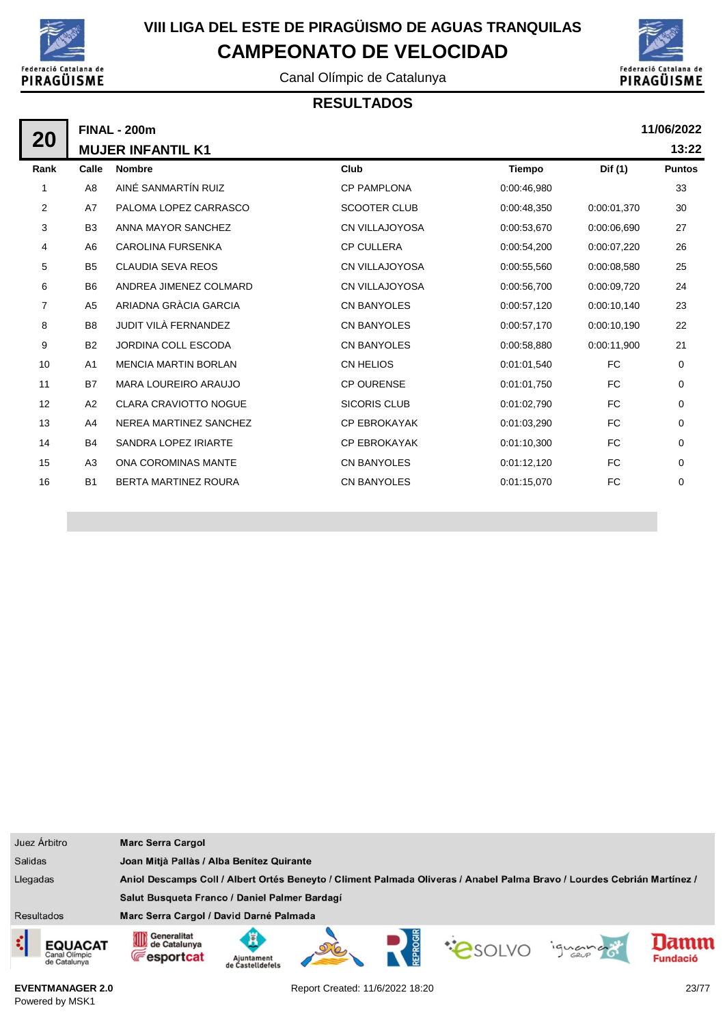

Canal Olímpic de Catalunya

### **RESULTADOS**



**13:22**

|                |                              |                                                 |               |             | 11/06/2022    |
|----------------|------------------------------|-------------------------------------------------|---------------|-------------|---------------|
|                |                              |                                                 |               |             | 13:22         |
| Calle          | <b>Nombre</b>                | Club                                            | <b>Tiempo</b> | Dif (1)     | <b>Puntos</b> |
| A8             | AINÉ SANMARTÍN RUIZ          | <b>CP PAMPLONA</b>                              | 0:00:46,980   |             | 33            |
| A7             | PALOMA LOPEZ CARRASCO        | <b>SCOOTER CLUB</b>                             | 0:00:48,350   | 0:00:01,370 | 30            |
| B <sub>3</sub> | ANNA MAYOR SANCHEZ           | CN VILLAJOYOSA                                  | 0:00:53,670   | 0:00:06.690 | 27            |
| A6             | <b>CAROLINA FURSENKA</b>     | <b>CP CULLERA</b>                               | 0:00:54,200   | 0:00:07,220 | 26            |
| B <sub>5</sub> | <b>CLAUDIA SEVA REOS</b>     | <b>CN VILLAJOYOSA</b>                           | 0:00:55,560   | 0:00:08,580 | 25            |
| B <sub>6</sub> | ANDREA JIMENEZ COLMARD       | <b>CN VILLAJOYOSA</b>                           | 0:00:56,700   | 0:00:09,720 | 24            |
| A <sub>5</sub> | ARIADNA GRÀCIA GARCIA        | <b>CN BANYOLES</b>                              | 0:00:57,120   | 0:00:10,140 | 23            |
| B <sub>8</sub> | JUDIT VILÀ FERNANDEZ         | <b>CN BANYOLES</b>                              | 0:00:57,170   | 0:00:10.190 | 22            |
| B <sub>2</sub> | <b>JORDINA COLL ESCODA</b>   | <b>CN BANYOLES</b>                              | 0:00:58,880   | 0:00:11,900 | 21            |
| A1             | <b>MENCIA MARTIN BORLAN</b>  | <b>CN HELIOS</b>                                | 0:01:01.540   | FC          | 0             |
| <b>B7</b>      | <b>MARA LOUREIRO ARAUJO</b>  | <b>CP OURENSE</b>                               | 0:01:01.750   | FC.         | 0             |
| A <sub>2</sub> | <b>CLARA CRAVIOTTO NOGUE</b> | <b>SICORIS CLUB</b>                             | 0:01:02,790   | FC.         | 0             |
| A4             | NEREA MARTINEZ SANCHEZ       | <b>CP EBROKAYAK</b>                             | 0:01:03,290   | FC.         | $\Omega$      |
| <b>B4</b>      | SANDRA LOPEZ IRIARTE         | <b>CP EBROKAYAK</b>                             | 0:01:10,300   | <b>FC</b>   | 0             |
| A <sub>3</sub> | <b>ONA COROMINAS MANTE</b>   | <b>CN BANYOLES</b>                              | 0:01:12,120   | FC.         | 0             |
| <b>B1</b>      | <b>BERTA MARTINEZ ROURA</b>  | <b>CN BANYOLES</b>                              | 0:01:15,070   | <b>FC</b>   | 0             |
|                |                              | <b>FINAL - 200m</b><br><b>MUJER INFANTIL K1</b> |               |             |               |

| Juez Árbitro                                         | <b>Marc Serra Cargol</b>                                                                                                       |  |  |  |  |
|------------------------------------------------------|--------------------------------------------------------------------------------------------------------------------------------|--|--|--|--|
| <b>Salidas</b>                                       | Joan Mitjà Pallàs / Alba Benítez Quirante                                                                                      |  |  |  |  |
| Llegadas                                             | Aniol Descamps Coll / Albert Ortés Beneyto / Climent Palmada Oliveras / Anabel Palma Bravo / Lourdes Cebrián Martínez /        |  |  |  |  |
|                                                      | Salut Busqueta Franco / Daniel Palmer Bardagí                                                                                  |  |  |  |  |
| <b>Resultados</b>                                    | Marc Serra Cargol / David Darné Palmada                                                                                        |  |  |  |  |
| ¢<br><b>EQUACAT</b><br>Canal Olimpic<br>de Catalunya | Generalitat<br>OD<br>lamn<br>de Catalunya<br>iguando<br><b>Fesportcat</b><br><b>Fundació</b><br>Aiuntament<br>de Castelldefels |  |  |  |  |

**EVENTMANAGER 2.0** Powered by MSK1

Report Created: 11/6/2022 18:20 23/77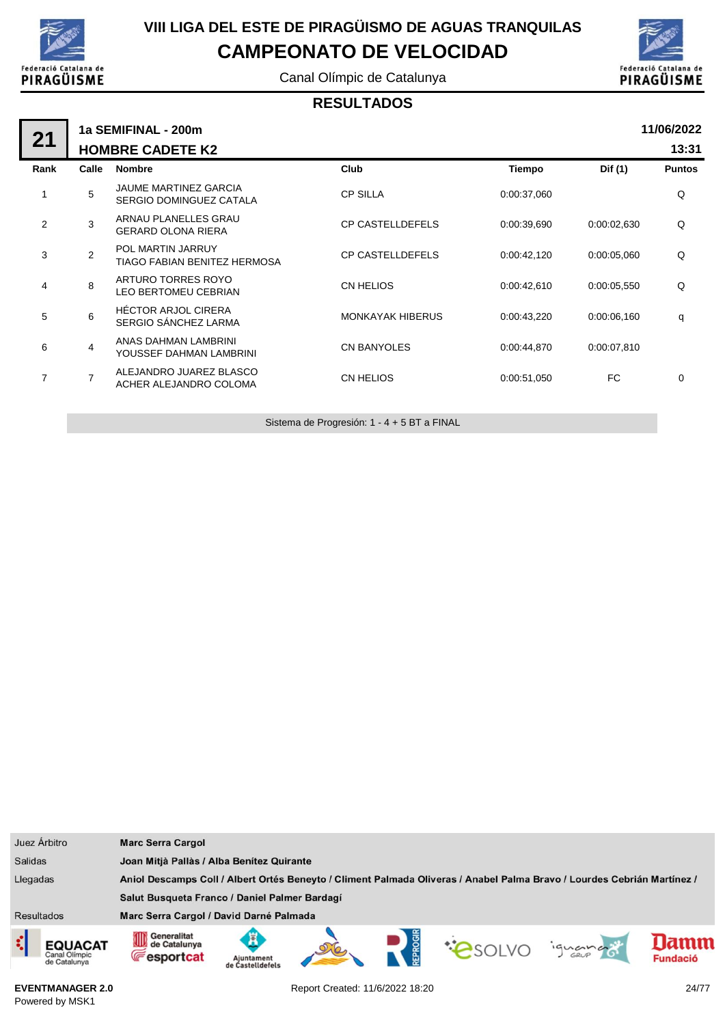

Canal Olímpic de Catalunya



#### **RESULTADOS**

|                | 11/06/2022<br>1a SEMIFINAL - 200m |                                                         |                         |             |             |               |  |  |  |
|----------------|-----------------------------------|---------------------------------------------------------|-------------------------|-------------|-------------|---------------|--|--|--|
| 21             |                                   | <b>HOMBRE CADETE K2</b>                                 |                         |             |             | 13:31         |  |  |  |
| Rank           | Calle                             | <b>Nombre</b>                                           | Club                    | Tiempo      | Dif (1)     | <b>Puntos</b> |  |  |  |
| 1              | 5                                 | <b>JAUME MARTINEZ GARCIA</b><br>SERGIO DOMINGUEZ CATALA | <b>CP SILLA</b>         | 0:00:37,060 |             | Q             |  |  |  |
| $\overline{2}$ | 3                                 | ARNAU PLANELLES GRAU<br><b>GERARD OLONA RIERA</b>       | <b>CP CASTELLDEFELS</b> | 0:00:39,690 | 0:00:02,630 | Q             |  |  |  |
| 3              | 2                                 | POL MARTIN JARRUY<br>TIAGO FABIAN BENITEZ HERMOSA       | <b>CP CASTELLDEFELS</b> | 0:00:42,120 | 0:00:05.060 | Q             |  |  |  |
| 4              | 8                                 | ARTURO TORRES ROYO<br><b>LEO BERTOMEU CEBRIAN</b>       | CN HELIOS               | 0:00:42,610 | 0:00:05,550 | Q             |  |  |  |
| 5              | 6                                 | <b>HÉCTOR ARJOL CIRERA</b><br>SERGIO SÁNCHEZ LARMA      | <b>MONKAYAK HIBERUS</b> | 0:00:43,220 | 0:00:06,160 | q             |  |  |  |
| 6              | 4                                 | ANAS DAHMAN LAMBRINI<br>YOUSSEF DAHMAN LAMBRINI         | <b>CN BANYOLES</b>      | 0:00:44,870 | 0:00:07,810 |               |  |  |  |
| 7              | 7                                 | ALEJANDRO JUAREZ BLASCO<br>ACHER ALEJANDRO COLOMA       | <b>CN HELIOS</b>        | 0:00:51,050 | FC          | 0             |  |  |  |
|                |                                   |                                                         |                         |             |             |               |  |  |  |

Sistema de Progresión: 1 - 4 + 5 BT a FINAL

| Juez Árbitro                                    | <b>Marc Serra Cargol</b>                                                                                                |                                           |  |        |  |         |                 |
|-------------------------------------------------|-------------------------------------------------------------------------------------------------------------------------|-------------------------------------------|--|--------|--|---------|-----------------|
| <b>Salidas</b>                                  |                                                                                                                         | Joan Mitjà Pallàs / Alba Benitez Quirante |  |        |  |         |                 |
| Llegadas                                        | Aniol Descamps Coll / Albert Ortés Beneyto / Climent Palmada Oliveras / Anabel Palma Bravo / Lourdes Cebrián Martínez / |                                           |  |        |  |         |                 |
|                                                 | Salut Busqueta Franco / Daniel Palmer Bardagí                                                                           |                                           |  |        |  |         |                 |
| <b>Resultados</b>                               | Marc Serra Cargol / David Darné Palmada                                                                                 |                                           |  |        |  |         |                 |
| <b>EQUACAT</b><br>Canal Olimpic<br>de Catalunya | Generalitat<br>∭<br>de Catalunya<br><b>Fesportcat</b>                                                                   | Aiuntament<br>de Castelldefels            |  | EPROGI |  | iquando | <b>Fundació</b> |

**EVENTMANAGER 2.0** Powered by MSK1

Report Created: 11/6/2022 18:20 24/77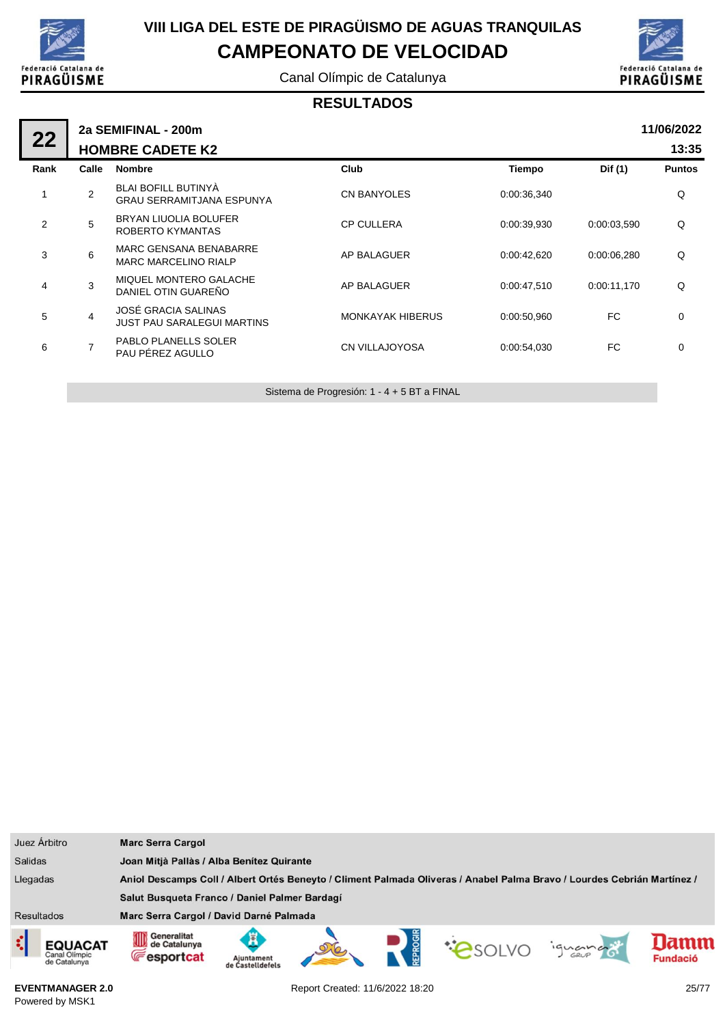

Canal Olímpic de Catalunya



#### **RESULTADOS**

| 22   |                | 2a SEMIFINAL - 200m                                            |                         |             |             | 11/06/2022    |
|------|----------------|----------------------------------------------------------------|-------------------------|-------------|-------------|---------------|
|      |                | <b>HOMBRE CADETE K2</b>                                        |                         |             |             | 13:35         |
| Rank | Calle          | <b>Nombre</b>                                                  | Club                    | Tiempo      | Dif (1)     | <b>Puntos</b> |
| 1    | 2              | <b>BLAI BOFILL BUTINYÀ</b><br><b>GRAU SERRAMITJANA ESPUNYA</b> | <b>CN BANYOLES</b>      | 0:00:36,340 |             | Q             |
| 2    | 5              | <b>BRYAN LIUOLIA BOLUFER</b><br>ROBERTO KYMANTAS               | <b>CP CULLERA</b>       | 0:00:39,930 | 0:00:03.590 | Q             |
| 3    | 6              | <b>MARC GENSANA BENABARRE</b><br><b>MARC MARCELINO RIALP</b>   | AP BALAGUER             | 0:00:42,620 | 0:00:06,280 | Q             |
| 4    | 3              | MIQUEL MONTERO GALACHE<br>DANIEL OTIN GUAREÑO                  | AP BALAGUER             | 0:00:47,510 | 0:00:11,170 | Q             |
| 5    | 4              | JOSÉ GRACIA SALINAS<br><b>JUST PAU SARALEGUI MARTINS</b>       | <b>MONKAYAK HIBERUS</b> | 0:00:50.960 | FC.         | $\mathbf 0$   |
| 6    | $\overline{7}$ | <b>PABLO PLANELLS SOLER</b><br>PAU PÉREZ AGULLO                | <b>CN VILLAJOYOSA</b>   | 0:00:54,030 | FC.         | 0             |
|      |                |                                                                |                         |             |             |               |

Sistema de Progresión: 1 - 4 + 5 BT a FINAL

| Juez Árbitro                             | <b>Marc Serra Cargol</b>                                                                                                |                                           |  |  |               |         |                         |
|------------------------------------------|-------------------------------------------------------------------------------------------------------------------------|-------------------------------------------|--|--|---------------|---------|-------------------------|
| <b>Salidas</b>                           |                                                                                                                         | Joan Mitjà Pallàs / Alba Benítez Quirante |  |  |               |         |                         |
| Llegadas                                 | Aniol Descamps Coll / Albert Ortés Beneyto / Climent Palmada Oliveras / Anabel Palma Bravo / Lourdes Cebrián Martínez / |                                           |  |  |               |         |                         |
|                                          | Salut Busqueta Franco / Daniel Palmer Bardagí                                                                           |                                           |  |  |               |         |                         |
| <b>Resultados</b>                        | Marc Serra Cargol / David Darné Palmada                                                                                 |                                           |  |  |               |         |                         |
| EQUACAT<br>Canal Olimpic<br>de Catalunya | Generalitat<br>OID<br>de Catalunya<br><b>Fesportcat</b>                                                                 | Ajuntament<br>de Castelldefels            |  |  | <b>PSOLVO</b> | iguando | lamm<br><b>Fundació</b> |

**EVENTMANAGER 2.0** Powered by MSK1

Report Created: 11/6/2022 18:20 25/77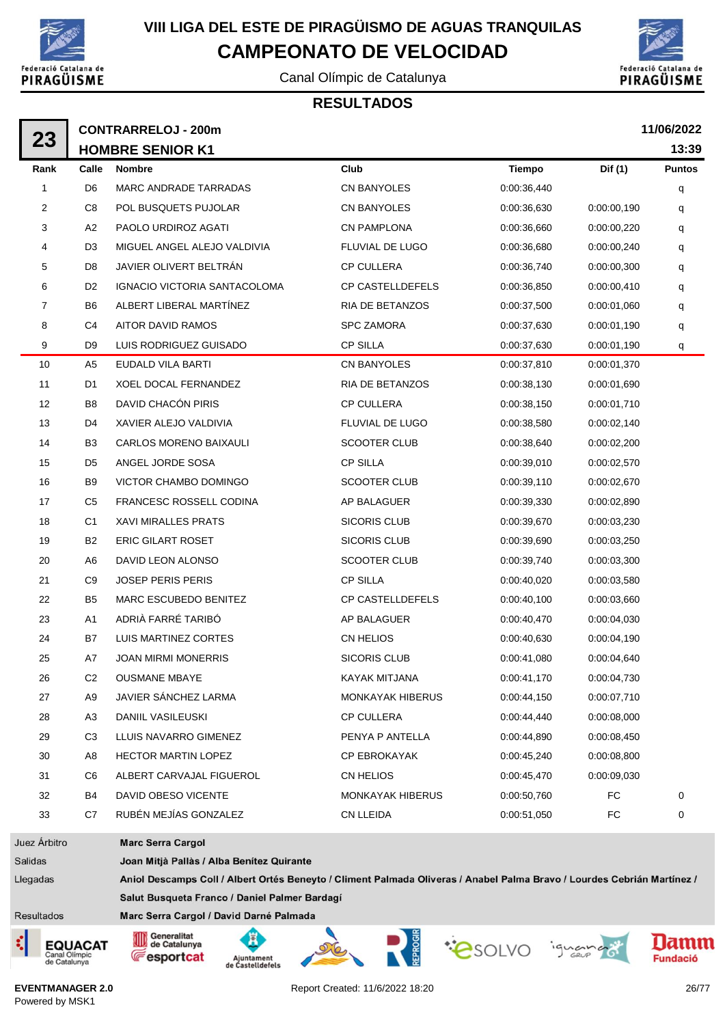

Canal Olímpic de Catalunya





|                | 11/06/2022<br><b>CONTRARRELOJ - 200m</b> |                                                                                                                         |                         |               |             |               |  |  |
|----------------|------------------------------------------|-------------------------------------------------------------------------------------------------------------------------|-------------------------|---------------|-------------|---------------|--|--|
| 23             |                                          | <b>HOMBRE SENIOR K1</b>                                                                                                 |                         |               |             | 13:39         |  |  |
| Rank           | Calle                                    | <b>Nombre</b>                                                                                                           | Club                    | <b>Tiempo</b> | Dif (1)     | <b>Puntos</b> |  |  |
| 1              | D6                                       | MARC ANDRADE TARRADAS                                                                                                   | <b>CN BANYOLES</b>      | 0:00:36,440   |             | q             |  |  |
| 2              | C <sub>8</sub>                           | POL BUSQUETS PUJOLAR                                                                                                    | CN BANYOLES             | 0:00:36,630   | 0:00:00,190 | q             |  |  |
| 3              | A2                                       | PAOLO URDIROZ AGATI                                                                                                     | <b>CN PAMPLONA</b>      | 0:00:36,660   | 0:00:00,220 | q             |  |  |
| 4              | D3                                       | MIGUEL ANGEL ALEJO VALDIVIA                                                                                             | FLUVIAL DE LUGO         | 0:00:36,680   | 0:00:00,240 | q             |  |  |
| 5              | D8                                       | JAVIER OLIVERT BELTRÁN                                                                                                  | <b>CP CULLERA</b>       | 0:00:36,740   | 0:00:00,300 | q             |  |  |
| 6              | D <sub>2</sub>                           | IGNACIO VICTORIA SANTACOLOMA                                                                                            | CP CASTELLDEFELS        | 0:00:36,850   | 0:00:00,410 | q             |  |  |
| 7              | B6                                       | ALBERT LIBERAL MARTÍNEZ                                                                                                 | <b>RIA DE BETANZOS</b>  | 0:00:37,500   | 0:00:01,060 | q             |  |  |
| 8              | C4                                       | AITOR DAVID RAMOS                                                                                                       | <b>SPC ZAMORA</b>       | 0:00:37,630   | 0:00:01,190 | q             |  |  |
| 9              | D9                                       | LUIS RODRIGUEZ GUISADO                                                                                                  | <b>CP SILLA</b>         | 0:00:37,630   | 0:00:01,190 | q             |  |  |
| 10             | A5                                       | EUDALD VILA BARTI                                                                                                       | CN BANYOLES             | 0:00:37,810   | 0:00:01,370 |               |  |  |
| 11             | D1                                       | <b>XOEL DOCAL FERNANDEZ</b>                                                                                             | RIA DE BETANZOS         | 0:00:38,130   | 0:00:01,690 |               |  |  |
| 12             | B8                                       | DAVID CHACÓN PIRIS                                                                                                      | <b>CP CULLERA</b>       | 0:00:38,150   | 0:00:01,710 |               |  |  |
| 13             | D4                                       | XAVIER ALEJO VALDIVIA                                                                                                   | FLUVIAL DE LUGO         | 0:00:38,580   | 0:00:02,140 |               |  |  |
| 14             | B3                                       | CARLOS MORENO BAIXAULI                                                                                                  | <b>SCOOTER CLUB</b>     | 0:00:38,640   | 0:00:02,200 |               |  |  |
| 15             | D5                                       | ANGEL JORDE SOSA                                                                                                        | <b>CP SILLA</b>         | 0:00:39,010   | 0:00:02,570 |               |  |  |
| 16             | B9                                       | VICTOR CHAMBO DOMINGO                                                                                                   | <b>SCOOTER CLUB</b>     | 0:00:39,110   | 0:00:02,670 |               |  |  |
| 17             | C <sub>5</sub>                           | FRANCESC ROSSELL CODINA                                                                                                 | AP BALAGUER             | 0:00:39,330   | 0:00:02,890 |               |  |  |
| 18             | C1                                       | <b>XAVI MIRALLES PRATS</b>                                                                                              | <b>SICORIS CLUB</b>     | 0:00:39,670   | 0:00:03,230 |               |  |  |
| 19             | B2                                       | <b>ERIC GILART ROSET</b>                                                                                                | <b>SICORIS CLUB</b>     | 0:00:39,690   | 0:00:03,250 |               |  |  |
| 20             | A6                                       | DAVID LEON ALONSO                                                                                                       | <b>SCOOTER CLUB</b>     | 0:00:39,740   | 0:00:03,300 |               |  |  |
| 21             | C <sub>9</sub>                           | <b>JOSEP PERIS PERIS</b>                                                                                                | <b>CP SILLA</b>         | 0:00:40,020   | 0:00:03,580 |               |  |  |
| 22             | B5                                       | MARC ESCUBEDO BENITEZ                                                                                                   | <b>CP CASTELLDEFELS</b> | 0:00:40,100   | 0:00:03,660 |               |  |  |
| 23             | A1                                       | ADRIÀ FARRÉ TARIBÓ                                                                                                      | AP BALAGUER             | 0:00:40,470   | 0:00:04,030 |               |  |  |
| 24             | B7                                       | LUIS MARTINEZ CORTES                                                                                                    | CN HELIOS               | 0:00:40,630   | 0:00:04,190 |               |  |  |
| 25             | Α7                                       | <b>JOAN MIRMI MONERRIS</b>                                                                                              | <b>SICORIS CLUB</b>     | 0:00:41,080   | 0:00:04,640 |               |  |  |
| 26             | C <sub>2</sub>                           | <b>OUSMANE MBAYE</b>                                                                                                    | <b>KAYAK MITJANA</b>    | 0:00:41,170   | 0:00:04,730 |               |  |  |
| 27             | A9                                       | JAVIER SÁNCHEZ LARMA                                                                                                    | MONKAYAK HIBERUS        | 0:00:44,150   | 0:00:07,710 |               |  |  |
| 28             | A <sub>3</sub>                           | DANIIL VASILEUSKI                                                                                                       | <b>CP CULLERA</b>       | 0:00:44,440   | 0:00:08,000 |               |  |  |
| 29             | C <sub>3</sub>                           | LLUIS NAVARRO GIMENEZ                                                                                                   | PENYA P ANTELLA         | 0:00:44,890   | 0:00:08,450 |               |  |  |
| 30             | A8                                       | <b>HECTOR MARTIN LOPEZ</b>                                                                                              | CP EBROKAYAK            | 0:00:45,240   | 0:00:08,800 |               |  |  |
| 31             | C6                                       | ALBERT CARVAJAL FIGUEROL                                                                                                | CN HELIOS               | 0:00:45,470   | 0:00:09.030 |               |  |  |
| 32             | B4                                       | DAVID OBESO VICENTE                                                                                                     | MONKAYAK HIBERUS        | 0:00:50,760   | FC          | 0             |  |  |
| 33             | C7                                       | RUBÉN MEJÍAS GONZALEZ                                                                                                   | <b>CN LLEIDA</b>        | 0:00:51,050   | FC          | 0             |  |  |
| Juez Árbitro   |                                          | <b>Marc Serra Cargol</b>                                                                                                |                         |               |             |               |  |  |
| Salidas        |                                          | Joan Mitjà Pallàs / Alba Benítez Quirante                                                                               |                         |               |             |               |  |  |
| <b>Legadas</b> |                                          | Aniol Descamps Coll / Albert Ortés Beneyto / Climent Palmada Oliveras / Anabel Palma Bravo / Lourdes Cebrián Martínez / |                         |               |             |               |  |  |
|                |                                          | Salut Busqueta Franco / Daniel Palmer Bardagí                                                                           |                         |               |             |               |  |  |

- Resultados
- ¢ **EQUACAT** Canal Olimpic<br>de Catalunya



Ā











**EVENTMANAGER 2.0** Powered by MSK1

Report Created: 11/6/2022 18:20 26/77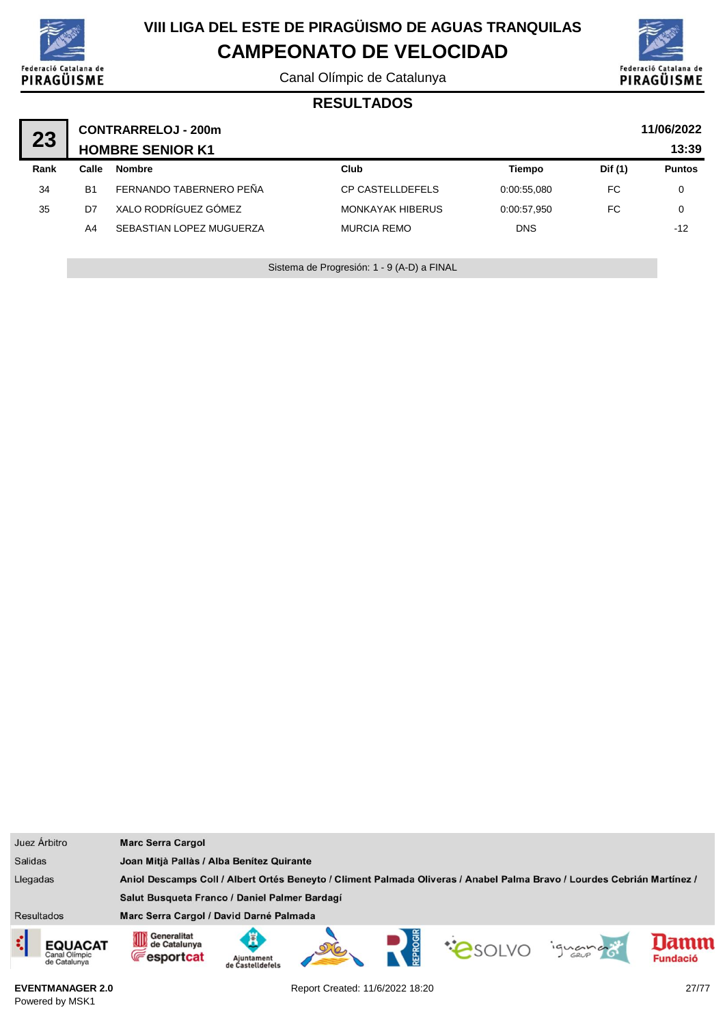

Canal Olímpic de Catalunya



#### **RESULTADOS**

| 23   | 11/06/2022<br><b>CONTRARRELOJ - 200m</b><br><b>HOMBRE SENIOR K1</b> |                          |                         |             |         |               |  |  |
|------|---------------------------------------------------------------------|--------------------------|-------------------------|-------------|---------|---------------|--|--|
| Rank | Calle                                                               | <b>Nombre</b>            | Club                    | Tiempo      | Dif (1) | <b>Puntos</b> |  |  |
| 34   | <b>B1</b>                                                           | FERNANDO TABERNERO PEÑA  | <b>CP CASTELLDEFELS</b> | 0:00:55.080 | FC      | 0             |  |  |
| 35   | D <sub>7</sub>                                                      | XALO RODRÍGUEZ GÓMEZ     | <b>MONKAYAK HIBERUS</b> | 0:00:57.950 | FC      | 0             |  |  |
|      | A4                                                                  | SEBASTIAN LOPEZ MUGUERZA | <b>MURCIA REMO</b>      | <b>DNS</b>  |         | $-12$         |  |  |
|      |                                                                     |                          |                         |             |         |               |  |  |

Sistema de Progresión: 1 - 9 (A-D) a FINAL

| Juez Árbitro                                                                                                                        | <b>Marc Serra Cargol</b>                                                                                                                 |  |  |  |  |  |
|-------------------------------------------------------------------------------------------------------------------------------------|------------------------------------------------------------------------------------------------------------------------------------------|--|--|--|--|--|
| <b>Salidas</b>                                                                                                                      | Joan Mitjà Pallàs / Alba Benítez Quirante                                                                                                |  |  |  |  |  |
| Llegadas<br>Aniol Descamps Coll / Albert Ortés Beneyto / Climent Palmada Oliveras / Anabel Palma Bravo / Lourdes Cebrián Martínez / |                                                                                                                                          |  |  |  |  |  |
|                                                                                                                                     | Salut Busqueta Franco / Daniel Palmer Bardagí                                                                                            |  |  |  |  |  |
| <b>Resultados</b>                                                                                                                   | Marc Serra Cargol / David Darné Palmada                                                                                                  |  |  |  |  |  |
| ¢<br><b>EQUACAT</b><br>Canal Olimpic<br>de Catalunya                                                                                | Generalitat<br>Generalitat<br>Le Catalunya<br>lamn<br>iguando<br><b>E</b> esportcat<br><b>Fundació</b><br>Aiuntament<br>de Castelldefels |  |  |  |  |  |

**EVENTMANAGER 2.0** Powered by MSK1

Report Created: 11/6/2022 18:20 27/77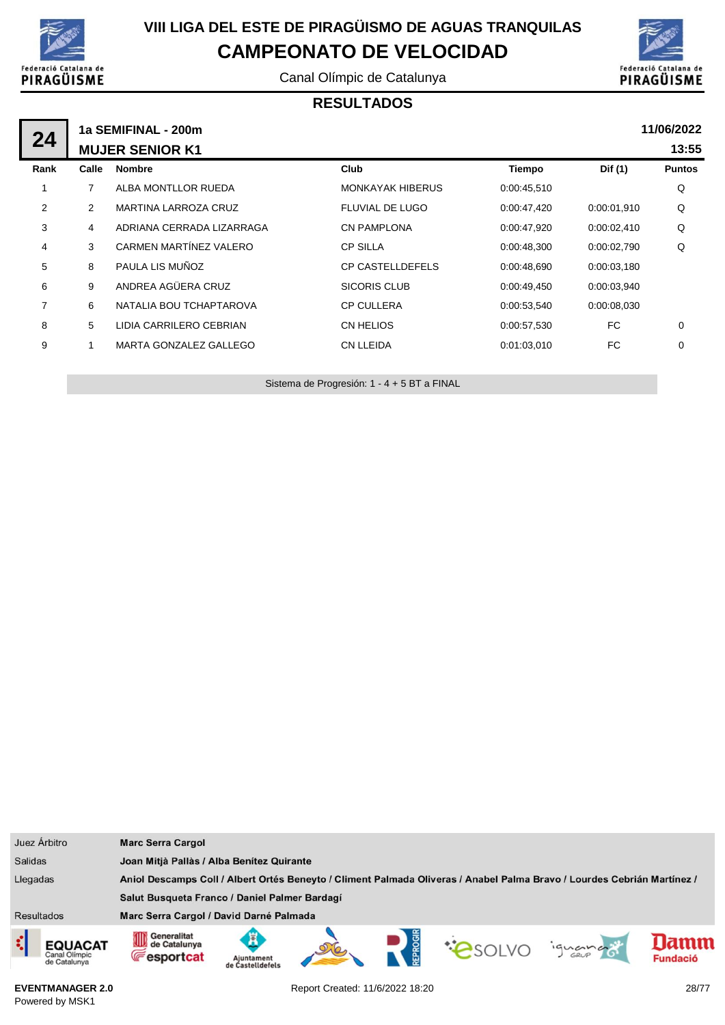

Canal Olímpic de Catalunya



#### **RESULTADOS**

|                |       | 11/06/2022<br>1a SEMIFINAL - 200m |                         |             |             |               |  |  |  |  |
|----------------|-------|-----------------------------------|-------------------------|-------------|-------------|---------------|--|--|--|--|
| 24             |       | <b>MUJER SENIOR K1</b>            |                         |             |             | 13:55         |  |  |  |  |
| Rank           | Calle | <b>Nombre</b>                     | Club                    | Tiempo      | Dif (1)     | <b>Puntos</b> |  |  |  |  |
| 1              | 7     | ALBA MONTLLOR RUEDA               | <b>MONKAYAK HIBERUS</b> | 0:00:45,510 |             | Q             |  |  |  |  |
| 2              | 2     | <b>MARTINA LARROZA CRUZ</b>       | FLUVIAL DE LUGO         | 0:00:47,420 | 0:00:01.910 | Q             |  |  |  |  |
| 3              | 4     | ADRIANA CERRADA LIZARRAGA         | <b>CN PAMPLONA</b>      | 0:00:47,920 | 0:00:02,410 | Q             |  |  |  |  |
| 4              | 3     | CARMEN MARTÍNEZ VALERO            | <b>CP SILLA</b>         | 0:00:48.300 | 0:00:02.790 | Q             |  |  |  |  |
| 5              | 8     | PAULA LIS MUÑOZ                   | <b>CP CASTELLDEFELS</b> | 0.00:48,690 | 0:00:03,180 |               |  |  |  |  |
| 6              | 9     | ANDREA AGÜERA CRUZ                | <b>SICORIS CLUB</b>     | 0:00:49,450 | 0:00:03,940 |               |  |  |  |  |
| $\overline{7}$ | 6     | NATALIA BOU TCHAPTAROVA           | <b>CP CULLERA</b>       | 0:00:53,540 | 0:00:08.030 |               |  |  |  |  |
| 8              | 5     | LIDIA CARRILERO CEBRIAN           | CN HELIOS               | 0:00:57,530 | FC          | 0             |  |  |  |  |
| 9              |       | MARTA GONZALEZ GALLEGO            | <b>CN LLEIDA</b>        | 0:01:03.010 | FC.         | 0             |  |  |  |  |
|                |       |                                   |                         |             |             |               |  |  |  |  |

Sistema de Progresión: 1 - 4 + 5 BT a FINAL

| Juez Árbitro                                         | <b>Marc Serra Cargol</b>                                                                                                |                                     |  |  |                |         |                        |
|------------------------------------------------------|-------------------------------------------------------------------------------------------------------------------------|-------------------------------------|--|--|----------------|---------|------------------------|
| <b>Salidas</b>                                       | Joan Mitjà Pallàs / Alba Benítez Quirante                                                                               |                                     |  |  |                |         |                        |
| Llegadas                                             | Aniol Descamps Coll / Albert Ortés Beneyto / Climent Palmada Oliveras / Anabel Palma Bravo / Lourdes Cebrián Martínez / |                                     |  |  |                |         |                        |
|                                                      | Salut Busqueta Franco / Daniel Palmer Bardagí                                                                           |                                     |  |  |                |         |                        |
| <b>Resultados</b>                                    | Marc Serra Cargol / David Darné Palmada                                                                                 |                                     |  |  |                |         |                        |
| ¢<br><b>EQUACAT</b><br>Canal Olimpic<br>de Catalunya | Generalitat<br>∭<br>de Catalunya<br><b>Fesportcat</b>                                                                   | Ã<br>Aiuntament<br>de Castelldefels |  |  | <b>COSOLVO</b> | iguando | amn<br><b>Fundació</b> |

**EVENTMANAGER 2.0** Powered by MSK1

Report Created: 11/6/2022 18:20 28/77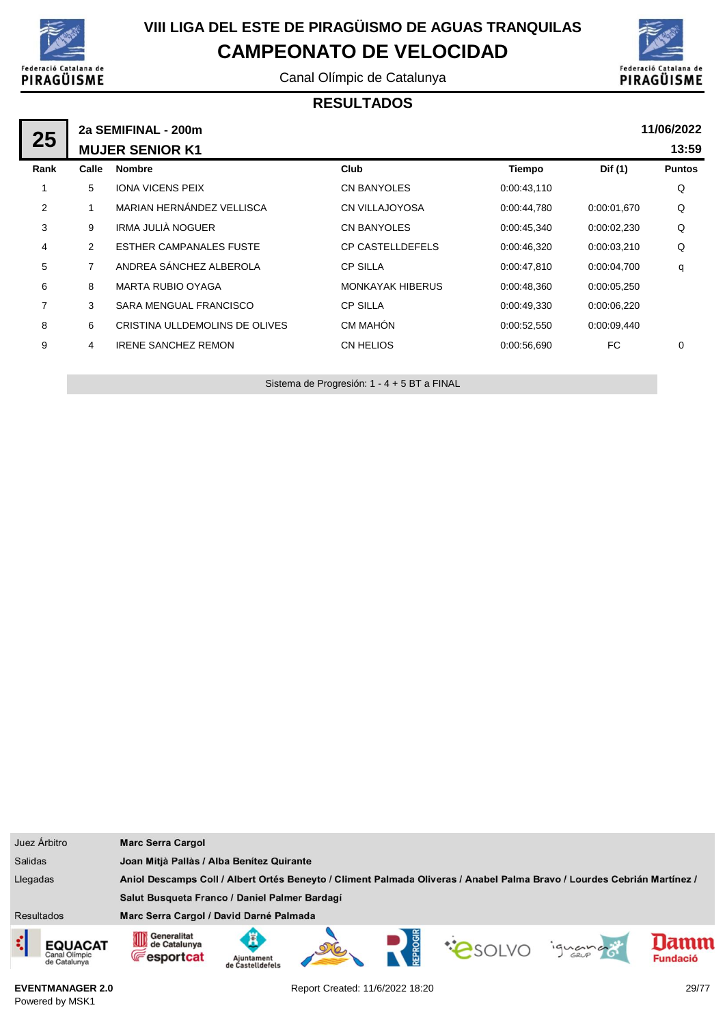

Canal Olímpic de Catalunya



#### **RESULTADOS**

| 25             |       | 2a SEMIFINAL - 200m            |                         |             |             | 11/06/2022    |
|----------------|-------|--------------------------------|-------------------------|-------------|-------------|---------------|
|                |       | <b>MUJER SENIOR K1</b>         |                         |             |             | 13:59         |
| Rank           | Calle | <b>Nombre</b>                  | Club                    | Tiempo      | Dif (1)     | <b>Puntos</b> |
|                | 5     | <b>IONA VICENS PEIX</b>        | <b>CN BANYOLES</b>      | 0:00:43,110 |             | Q             |
| $\overline{2}$ |       | MARIAN HERNÁNDEZ VELLISCA      | <b>CN VILLAJOYOSA</b>   | 0.00:44,780 | 0:00:01.670 | Q             |
| 3              | 9     | IRMA JULIÀ NOGUER              | <b>CN BANYOLES</b>      | 0:00:45,340 | 0:00:02,230 | Q             |
| 4              | 2     | <b>ESTHER CAMPANALES FUSTE</b> | <b>CP CASTELLDEFELS</b> | 0:00:46,320 | 0:00:03,210 | Q             |
| 5              | 7     | ANDREA SÁNCHEZ ALBEROLA        | <b>CP SILLA</b>         | 0.00:47,810 | 0:00:04,700 | q             |
| 6              | 8     | <b>MARTA RUBIO OYAGA</b>       | <b>MONKAYAK HIBERUS</b> | 0.00:48,360 | 0:00:05,250 |               |
| $\overline{7}$ | 3     | SARA MENGUAL FRANCISCO         | <b>CP SILLA</b>         | 0.00:49,330 | 0:00:06,220 |               |
| 8              | 6     | CRISTINA ULLDEMOLINS DE OLIVES | CM MAHÓN                | 0:00:52,550 | 0:00:09,440 |               |
| 9              | 4     | <b>IRENE SANCHEZ REMON</b>     | CN HELIOS               | 0:00:56,690 | FC          | 0             |
|                |       |                                |                         |             |             |               |

Sistema de Progresión: 1 - 4 + 5 BT a FINAL

| Juez Árbitro                                         | <b>Marc Serra Cargol</b>                                                                                                |                                           |  |  |                |         |                         |
|------------------------------------------------------|-------------------------------------------------------------------------------------------------------------------------|-------------------------------------------|--|--|----------------|---------|-------------------------|
| <b>Salidas</b>                                       |                                                                                                                         | Joan Mitjà Pallàs / Alba Benítez Quirante |  |  |                |         |                         |
| Llegadas                                             | Aniol Descamps Coll / Albert Ortés Beneyto / Climent Palmada Oliveras / Anabel Palma Bravo / Lourdes Cebrián Martínez / |                                           |  |  |                |         |                         |
|                                                      | Salut Busqueta Franco / Daniel Palmer Bardagí                                                                           |                                           |  |  |                |         |                         |
| <b>Resultados</b>                                    | Marc Serra Cargol / David Darné Palmada                                                                                 |                                           |  |  |                |         |                         |
| ¢<br><b>EQUACAT</b><br>Canal Olimpic<br>de Catalunya | Generalitat<br>⅏<br>de Catalunya<br><b>Fesportcat</b>                                                                   | Aiuntament<br>de Castelldefels            |  |  | <b>COSOLVO</b> | iquando | lamm<br><b>Fundació</b> |

**EVENTMANAGER 2.0** Powered by MSK1

Report Created: 11/6/2022 18:20 29/77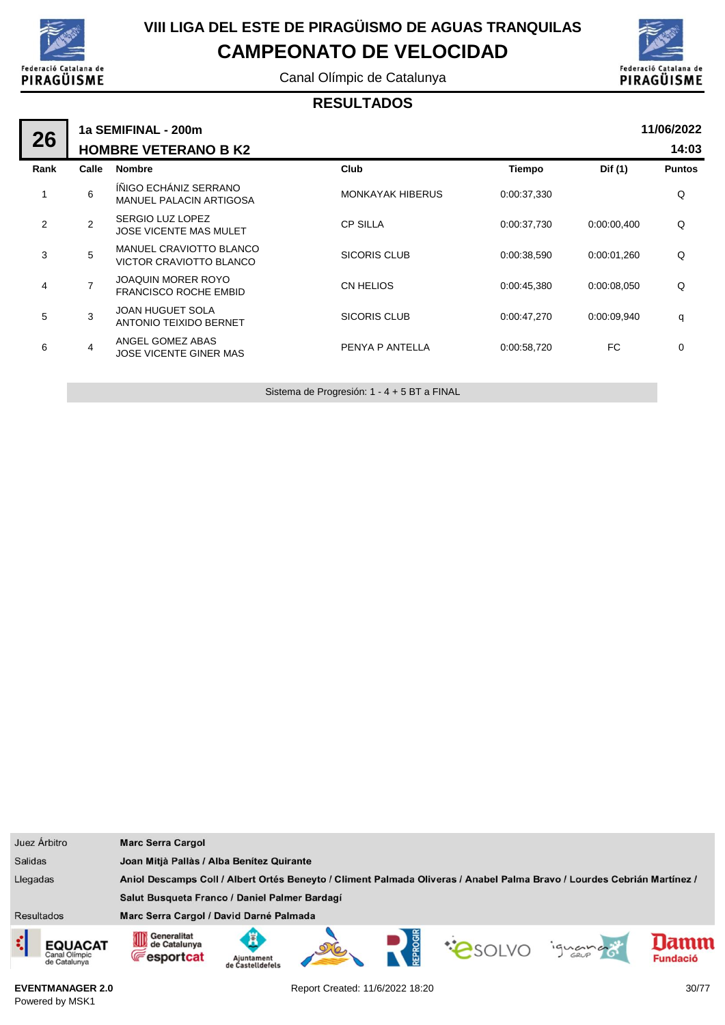

Canal Olímpic de Catalunya



#### **RESULTADOS**

| 26             | 1a SEMIFINAL - 200m |                                                           |                         |             |             |               |  |  |  |
|----------------|---------------------|-----------------------------------------------------------|-------------------------|-------------|-------------|---------------|--|--|--|
|                |                     | <b>HOMBRE VETERANO B K2</b>                               |                         |             |             | 14:03         |  |  |  |
| Rank           | Calle               | <b>Nombre</b>                                             | Club                    | Tiempo      | Dif (1)     | <b>Puntos</b> |  |  |  |
| 1              | 6                   | ÍÑIGO ECHÁNIZ SERRANO<br><b>MANUEL PALACIN ARTIGOSA</b>   | <b>MONKAYAK HIBERUS</b> | 0:00:37,330 |             | Q             |  |  |  |
| $\overline{2}$ | $\overline{2}$      | SERGIO LUZ LOPEZ<br><b>JOSE VICENTE MAS MULET</b>         | <b>CP SILLA</b>         | 0:00:37,730 | 0:00:00,400 | Q             |  |  |  |
| 3              | 5                   | MANUEL CRAVIOTTO BLANCO<br>VICTOR CRAVIOTTO BLANCO        | SICORIS CLUB            | 0:00:38,590 | 0:00:01.260 | Q             |  |  |  |
| 4              | $\overline{7}$      | <b>JOAQUIN MORER ROYO</b><br><b>FRANCISCO ROCHE EMBID</b> | <b>CN HELIOS</b>        | 0:00:45,380 | 0:00:08.050 | Q             |  |  |  |
| 5              | 3                   | <b>JOAN HUGUET SOLA</b><br><b>ANTONIO TEIXIDO BERNET</b>  | <b>SICORIS CLUB</b>     | 0:00:47,270 | 0:00:09,940 | q             |  |  |  |
| 6              | $\overline{4}$      | ANGEL GOMEZ ABAS<br><b>JOSE VICENTE GINER MAS</b>         | PENYA P ANTELLA         | 0:00:58,720 | FC.         | 0             |  |  |  |
|                |                     |                                                           |                         |             |             |               |  |  |  |

Sistema de Progresión: 1 - 4 + 5 BT a FINAL

|                                                                                                                                     | Juez Árbitro                                    | <b>Marc Serra Cargol</b>                         |                                |  |  |                |         |                         |
|-------------------------------------------------------------------------------------------------------------------------------------|-------------------------------------------------|--------------------------------------------------|--------------------------------|--|--|----------------|---------|-------------------------|
| <b>Salidas</b>                                                                                                                      |                                                 | Joan Mitjà Pallàs / Alba Benítez Quirante        |                                |  |  |                |         |                         |
| Llegadas<br>Aniol Descamps Coll / Albert Ortés Beneyto / Climent Palmada Oliveras / Anabel Palma Bravo / Lourdes Cebrián Martínez / |                                                 |                                                  |                                |  |  |                |         |                         |
|                                                                                                                                     |                                                 | Salut Busqueta Franco / Daniel Palmer Bardagí    |                                |  |  |                |         |                         |
| Resultados                                                                                                                          |                                                 | Marc Serra Cargol / David Darné Palmada          |                                |  |  |                |         |                         |
| ़                                                                                                                                   | <b>EQUACAT</b><br>Canal Olimpic<br>de Catalunya | Generalitat<br>de Catalunya<br><b>Fesportcat</b> | Aiuntament<br>de Castelldefels |  |  | <b>COSOLVO</b> | iguando | lamm<br><b>Fundació</b> |

**EVENTMANAGER 2.0** Powered by MSK1

Report Created: 11/6/2022 18:20 30/77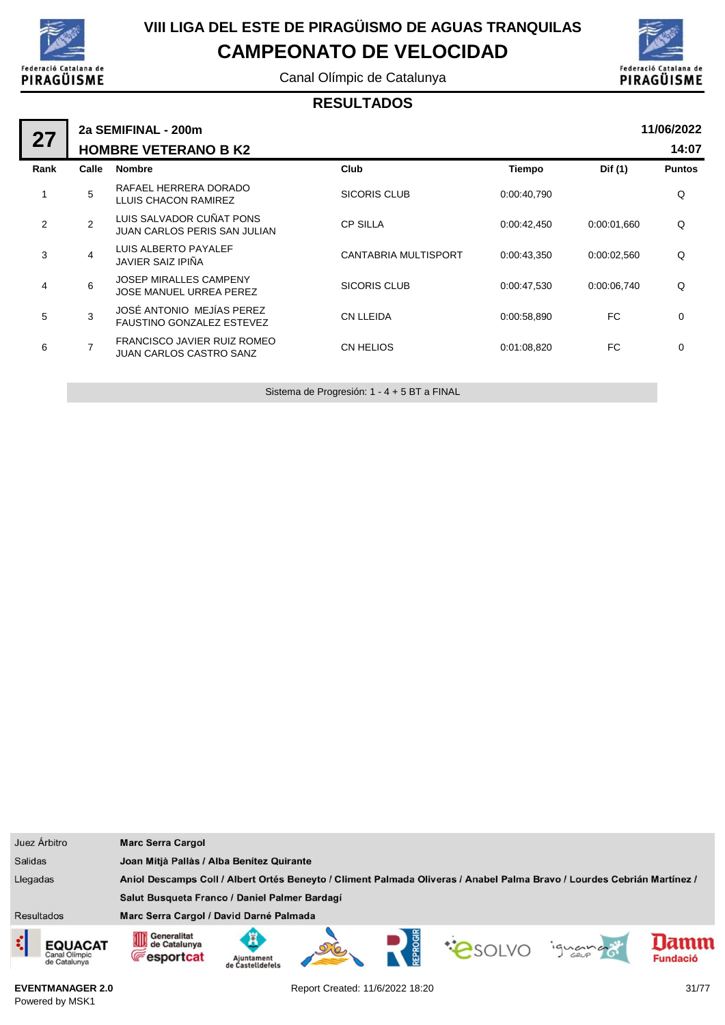

Canal Olímpic de Catalunya



#### **RESULTADOS**

| 27   | 2a SEMIFINAL - 200m |                                                                 |                      |               |             |               |  |  |  |
|------|---------------------|-----------------------------------------------------------------|----------------------|---------------|-------------|---------------|--|--|--|
|      |                     | <b>HOMBRE VETERANO B K2</b>                                     |                      |               |             | 14:07         |  |  |  |
| Rank | Calle               | <b>Nombre</b>                                                   | Club                 | <b>Tiempo</b> | Dif (1)     | <b>Puntos</b> |  |  |  |
|      | 5                   | RAFAEL HERRERA DORADO<br>LLUIS CHACON RAMIREZ                   | SICORIS CLUB         | 0:00:40,790   |             | Q             |  |  |  |
| 2    | $\overline{2}$      | LUIS SALVADOR CUÑAT PONS<br><b>JUAN CARLOS PERIS SAN JULIAN</b> | <b>CP SILLA</b>      | 0:00:42,450   | 0:00:01,660 | Q             |  |  |  |
| 3    | $\overline{4}$      | LUIS ALBERTO PAYALEF<br>JAVIER SAIZ IPIÑA                       | CANTABRIA MULTISPORT | 0:00:43,350   | 0:00:02,560 | Q             |  |  |  |
| 4    | 6                   | <b>JOSEP MIRALLES CAMPENY</b><br>JOSE MANUEL URREA PEREZ        | SICORIS CLUB         | 0:00:47,530   | 0.00.06,740 | Q             |  |  |  |
| 5    | 3                   | JOSÉ ANTONIO MEJÍAS PEREZ<br><b>FAUSTINO GONZALEZ ESTEVEZ</b>   | <b>CN LLEIDA</b>     | 0:00:58,890   | FC.         | $\mathbf 0$   |  |  |  |
| 6    | $\overline{7}$      | FRANCISCO JAVIER RUIZ ROMEO<br><b>JUAN CARLOS CASTRO SANZ</b>   | CN HELIOS            | 0:01:08,820   | FC.         | 0             |  |  |  |
|      |                     |                                                                 |                      |               |             |               |  |  |  |

Sistema de Progresión: 1 - 4 + 5 BT a FINAL

| Juez Árbitro                             | <b>Marc Serra Cargol</b>                                                                                                |                                |  |  |               |         |                         |
|------------------------------------------|-------------------------------------------------------------------------------------------------------------------------|--------------------------------|--|--|---------------|---------|-------------------------|
| <b>Salidas</b>                           | Joan Mitjà Pallàs / Alba Benítez Quirante                                                                               |                                |  |  |               |         |                         |
| Llegadas                                 | Aniol Descamps Coll / Albert Ortés Beneyto / Climent Palmada Oliveras / Anabel Palma Bravo / Lourdes Cebrián Martínez / |                                |  |  |               |         |                         |
|                                          | Salut Busqueta Franco / Daniel Palmer Bardagí                                                                           |                                |  |  |               |         |                         |
| <b>Resultados</b>                        | Marc Serra Cargol / David Darné Palmada                                                                                 |                                |  |  |               |         |                         |
| EQUACAT<br>Canal Olimpic<br>de Catalunya | Generalitat<br>0D<br>de Catalunya<br><b>Fesportcat</b>                                                                  | Aiuntament<br>de Castelldefels |  |  | <b>PSOLVO</b> | iguando | lamm<br><b>Fundació</b> |

**EVENTMANAGER 2.0** Powered by MSK1

Report Created: 11/6/2022 18:20 31/77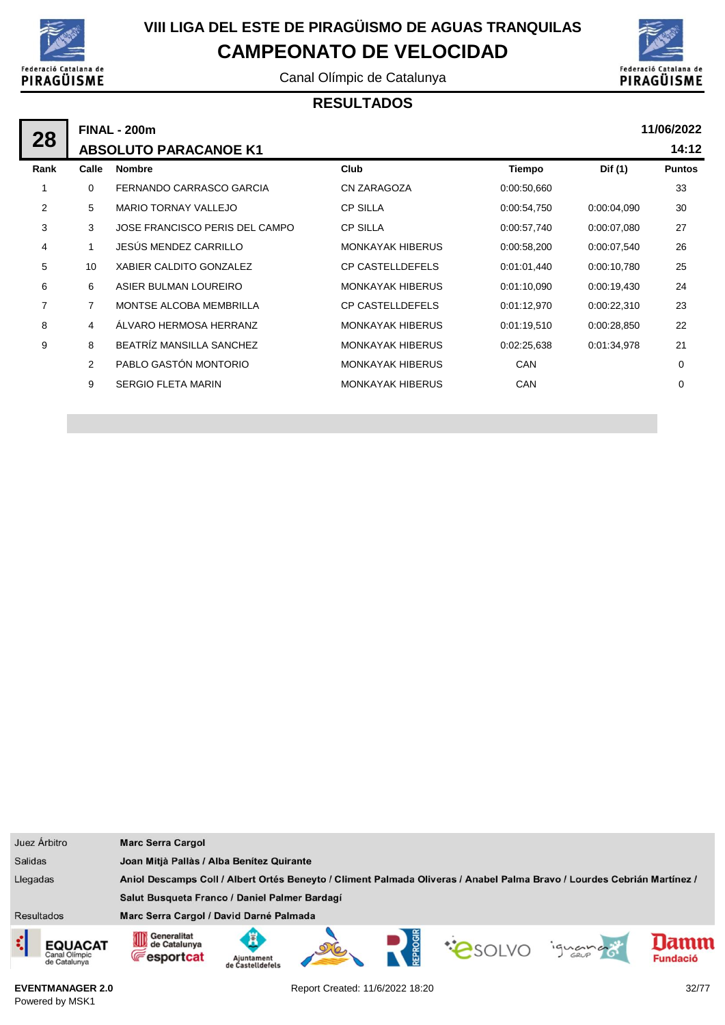

Canal Olímpic de Catalunya



### **RESULTADOS**

| 28             |                | <b>FINAL - 200m</b>            |                         |             |             |               |  |  |  |  |
|----------------|----------------|--------------------------------|-------------------------|-------------|-------------|---------------|--|--|--|--|
|                |                | <b>ABSOLUTO PARACANOE K1</b>   |                         |             |             | 14:12         |  |  |  |  |
| Rank           | Calle          | <b>Nombre</b>                  | Club                    | Tiempo      | Dif (1)     | <b>Puntos</b> |  |  |  |  |
|                | $\Omega$       | FERNANDO CARRASCO GARCIA       | CN ZARAGOZA             | 0:00:50,660 |             | 33            |  |  |  |  |
| 2              | 5              | <b>MARIO TORNAY VALLEJO</b>    | <b>CP SILLA</b>         | 0:00:54,750 | 0:00:04.090 | 30            |  |  |  |  |
| 3              | 3              | JOSE FRANCISCO PERIS DEL CAMPO | <b>CP SILLA</b>         | 0:00:57,740 | 0:00:07.080 | 27            |  |  |  |  |
| 4              | 1              | JESÚS MENDEZ CARRILLO          | <b>MONKAYAK HIBERUS</b> | 0:00:58,200 | 0:00:07,540 | 26            |  |  |  |  |
| 5              | 10             | XABIER CALDITO GONZALEZ        | <b>CP CASTELLDEFELS</b> | 0:01:01.440 | 0:00:10,780 | 25            |  |  |  |  |
| 6              | 6              | ASIER BULMAN LOUREIRO          | <b>MONKAYAK HIBERUS</b> | 0:01:10,090 | 0:00:19,430 | 24            |  |  |  |  |
| $\overline{7}$ | $\overline{7}$ | MONTSE ALCOBA MEMBRILLA        | <b>CP CASTELLDEFELS</b> | 0:01:12,970 | 0:00:22,310 | 23            |  |  |  |  |
| 8              | 4              | ÁLVARO HERMOSA HERRANZ         | <b>MONKAYAK HIBERUS</b> | 0:01:19,510 | 0:00:28,850 | 22            |  |  |  |  |
| 9              | 8              | BEATRÍZ MANSILLA SANCHEZ       | <b>MONKAYAK HIBERUS</b> | 0:02:25,638 | 0:01:34,978 | 21            |  |  |  |  |
|                | 2              | PABLO GASTÓN MONTORIO          | <b>MONKAYAK HIBERUS</b> | <b>CAN</b>  |             | 0             |  |  |  |  |
|                | 9              | <b>SERGIO FLETA MARIN</b>      | <b>MONKAYAK HIBERUS</b> | <b>CAN</b>  |             | 0             |  |  |  |  |
|                |                |                                |                         |             |             |               |  |  |  |  |

|                   | Juez Árbitro                                    | <b>Marc Serra Cargol</b>                                                                                                |                                |  |  |               |         |                         |
|-------------------|-------------------------------------------------|-------------------------------------------------------------------------------------------------------------------------|--------------------------------|--|--|---------------|---------|-------------------------|
| <b>Salidas</b>    |                                                 | Joan Mitjà Pallàs / Alba Benítez Quirante                                                                               |                                |  |  |               |         |                         |
| Llegadas          |                                                 | Aniol Descamps Coll / Albert Ortés Beneyto / Climent Palmada Oliveras / Anabel Palma Bravo / Lourdes Cebrián Martínez / |                                |  |  |               |         |                         |
|                   |                                                 | Salut Busqueta Franco / Daniel Palmer Bardagí                                                                           |                                |  |  |               |         |                         |
| <b>Resultados</b> |                                                 | Marc Serra Cargol / David Darné Palmada                                                                                 |                                |  |  |               |         |                         |
| ¢                 | <b>EQUACAT</b><br>Canal Olimpic<br>de Catalunya | Generalitat<br>OID<br>de Catalunya<br><b>Fesportcat</b>                                                                 | Aiuntament<br>de Castelldefels |  |  | <b>PSOLVO</b> | iguando | lamm<br><b>Fundació</b> |

**EVENTMANAGER 2.0** Powered by MSK1

Report Created: 11/6/2022 18:20 32/77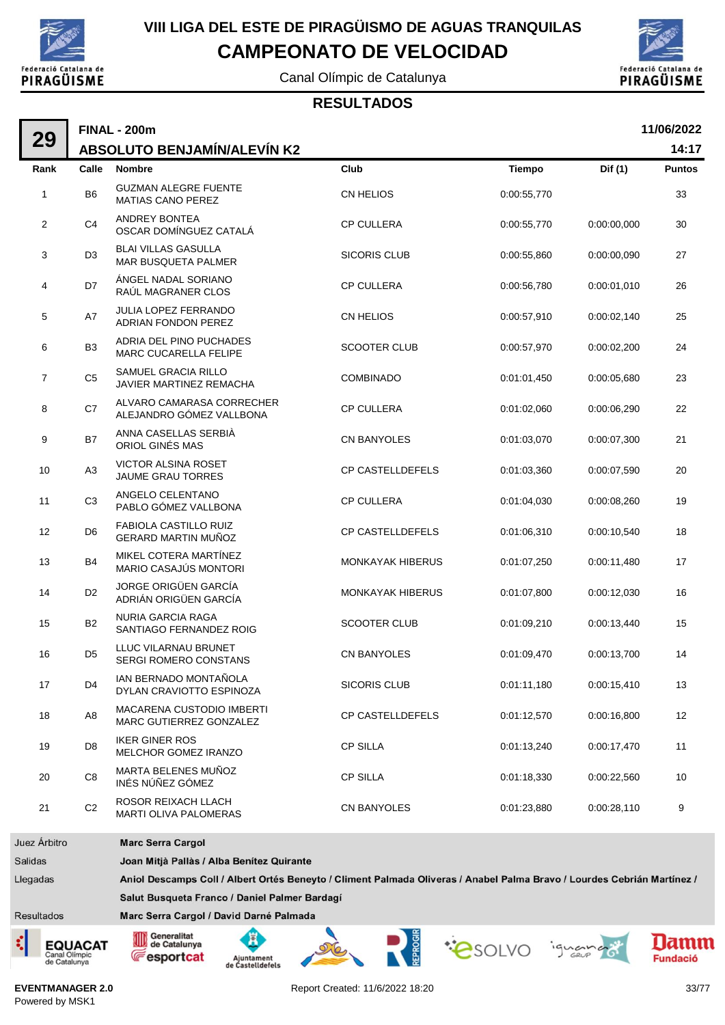

Canal Olímpic de Catalunya



#### **RESULTADOS**

|                | <b>FINAL - 200m</b> |                                                             |                         |             |             |               |
|----------------|---------------------|-------------------------------------------------------------|-------------------------|-------------|-------------|---------------|
| 29             |                     | <b>ABSOLUTO BENJAMÍN/ALEVÍN K2</b>                          |                         |             |             | 14:17         |
| Rank           | Calle               | <b>Nombre</b>                                               | Club                    | Tiempo      | Dif (1)     | <b>Puntos</b> |
| 1              | B <sub>6</sub>      | <b>GUZMAN ALEGRE FUENTE</b><br><b>MATIAS CANO PEREZ</b>     | CN HELIOS               | 0:00:55,770 |             | 33            |
| $\overline{2}$ | C <sub>4</sub>      | <b>ANDREY BONTEA</b><br>OSCAR DOMÍNGUEZ CATALÁ              | <b>CP CULLERA</b>       | 0:00:55,770 | 0:00:00,000 | 30            |
| 3              | D <sub>3</sub>      | <b>BLAI VILLAS GASULLA</b><br><b>MAR BUSQUETA PALMER</b>    | <b>SICORIS CLUB</b>     | 0:00:55,860 | 0:00:00,090 | 27            |
| 4              | D7                  | ÁNGEL NADAL SORIANO<br>RAÚL MAGRANER CLOS                   | <b>CP CULLERA</b>       | 0:00:56,780 | 0:00:01,010 | 26            |
| 5              | A7                  | <b>JULIA LOPEZ FERRANDO</b><br>ADRIAN FONDON PEREZ          | CN HELIOS               | 0:00:57,910 | 0:00:02,140 | 25            |
| 6              | B <sub>3</sub>      | ADRIA DEL PINO PUCHADES<br>MARC CUCARELLA FELIPE            | <b>SCOOTER CLUB</b>     | 0:00:57,970 | 0:00:02,200 | 24            |
| $\overline{7}$ | C <sub>5</sub>      | SAMUEL GRACIA RILLO<br>JAVIER MARTINEZ REMACHA              | <b>COMBINADO</b>        | 0:01:01,450 | 0:00:05,680 | 23            |
| 8              | C7                  | ALVARO CAMARASA CORRECHER<br>ALEJANDRO GÓMEZ VALLBONA       | <b>CP CULLERA</b>       | 0:01:02,060 | 0:00:06,290 | 22            |
| 9              | B7                  | ANNA CASELLAS SERBIÀ<br>ORIOL GINÉS MAS                     | CN BANYOLES             | 0:01:03,070 | 0:00:07,300 | 21            |
| 10             | A <sub>3</sub>      | <b>VICTOR ALSINA ROSET</b><br><b>JAUME GRAU TORRES</b>      | <b>CP CASTELLDEFELS</b> | 0:01:03,360 | 0:00:07,590 | 20            |
| 11             | C <sub>3</sub>      | ANGELO CELENTANO<br>PABLO GÓMEZ VALLBONA                    | <b>CP CULLERA</b>       | 0:01:04,030 | 0:00:08,260 | 19            |
| 12             | D <sub>6</sub>      | FABIOLA CASTILLO RUIZ<br><b>GERARD MARTIN MUÑOZ</b>         | <b>CP CASTELLDEFELS</b> | 0:01:06,310 | 0:00:10,540 | 18            |
| 13             | <b>B4</b>           | MIKEL COTERA MARTÍNEZ<br>MARIO CASAJÚS MONTORI              | <b>MONKAYAK HIBERUS</b> | 0:01:07,250 | 0:00:11,480 | 17            |
| 14             | D <sub>2</sub>      | <b>JORGE ORIGÜEN GARCÍA</b><br>ADRIÁN ORIGÜEN GARCÍA        | <b>MONKAYAK HIBERUS</b> | 0:01:07,800 | 0:00:12,030 | 16            |
| 15             | B <sub>2</sub>      | <b>NURIA GARCIA RAGA</b><br>SANTIAGO FERNANDEZ ROIG         | <b>SCOOTER CLUB</b>     | 0:01:09,210 | 0:00:13,440 | 15            |
| 16             | D <sub>5</sub>      | LLUC VILARNAU BRUNET<br>SERGI ROMERO CONSTANS               | <b>CN BANYOLES</b>      | 0:01:09,470 | 0:00:13,700 | 14            |
| 17             | D <sub>4</sub>      | IAN BERNADO MONTAÑOLA<br>DYLAN CRAVIOTTO ESPINOZA           | <b>SICORIS CLUB</b>     | 0:01:11,180 | 0:00:15,410 | 13            |
| 18             | A8                  | <b>MACARENA CUSTODIO IMBERTI</b><br>MARC GUTIERREZ GONZALEZ | CP CASTELLDEFELS        | 0:01:12,570 | 0:00:16,800 | 12            |
| 19             | D <sub>8</sub>      | <b>IKER GINER ROS</b><br>MELCHOR GOMEZ IRANZO               | <b>CP SILLA</b>         | 0:01:13,240 | 0:00:17,470 | 11            |
| 20             | C8                  | MARTA BELENES MUÑOZ<br>INÉS NÚÑEZ GÓMEZ                     | <b>CP SILLA</b>         | 0:01:18,330 | 0:00:22,560 | 10            |
| 21             | C <sub>2</sub>      | ROSOR REIXACH LLACH<br>MARTI OLIVA PALOMERAS                | CN BANYOLES             | 0:01:23,880 | 0:00:28,110 | 9             |
| Juez Árbitro   |                     | <b>Marc Serra Cargol</b>                                    |                         |             |             |               |
| achile?        |                     | Joan Mitià Pallàs / Alba Benítez Quirante                   |                         |             |             |               |

Llegadas Aniol Descamps Coll / Albert Ortés Beneyto / Climent Palmada Oliveras / Anabel Palma Bravo / Lourdes Cebrián Martínez / Salut Busqueta Franco / Daniel Palmer Bardagí Marc Serra Cargol / David Darné Palmada Resultados

**EQUACAT** Canal Olímpio<br>de Catalunya













**EVENTMANAGER 2.0** Powered by MSK1

Report Created: 11/6/2022 18:20 33/77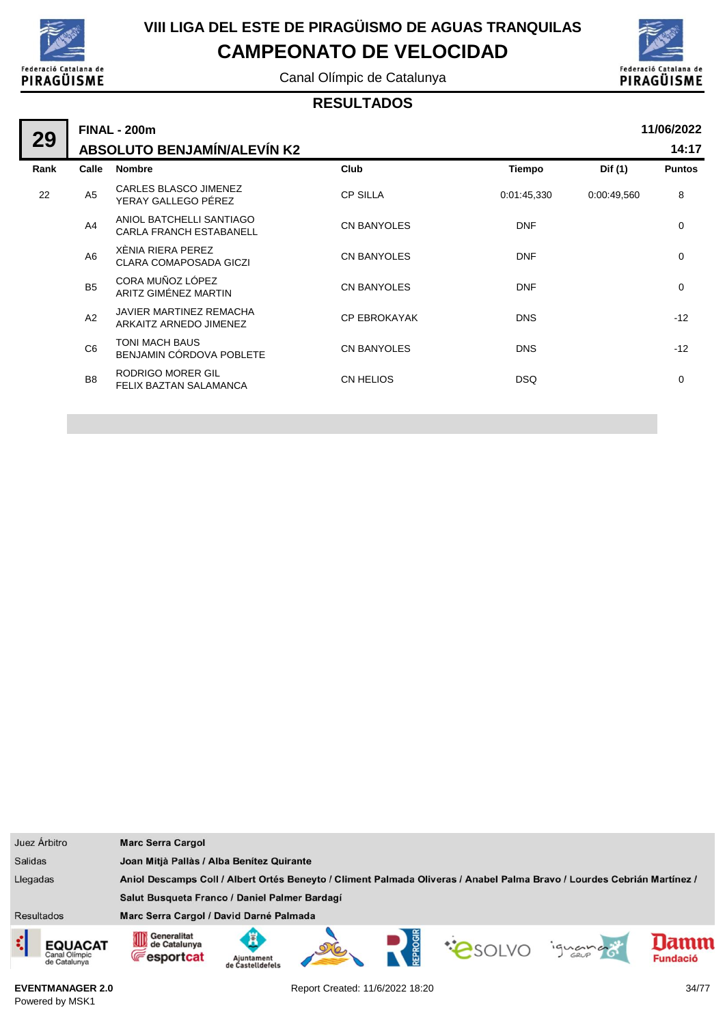

Canal Olímpic de Catalunya



#### **RESULTADOS**

| 29   | <b>FINAL - 200m</b>                |                                                            |                     |               |             |               |
|------|------------------------------------|------------------------------------------------------------|---------------------|---------------|-------------|---------------|
|      | <b>ABSOLUTO BENJAMÍN/ALEVÍN K2</b> |                                                            |                     |               |             |               |
| Rank | Calle                              | <b>Nombre</b>                                              | Club                | <b>Tiempo</b> | Dif (1)     | <b>Puntos</b> |
| 22   | A <sub>5</sub>                     | CARLES BLASCO JIMENEZ<br>YERAY GALLEGO PÉREZ               | <b>CP SILLA</b>     | 0:01:45,330   | 0.00.49,560 | 8             |
|      | A4                                 | ANIOL BATCHELLI SANTIAGO<br><b>CARLA FRANCH ESTABANELL</b> | <b>CN BANYOLES</b>  | <b>DNF</b>    |             | $\mathbf 0$   |
|      | A <sub>6</sub>                     | XÈNIA RIERA PEREZ<br><b>CLARA COMAPOSADA GICZI</b>         | <b>CN BANYOLES</b>  | <b>DNF</b>    |             | $\mathbf 0$   |
|      | <b>B5</b>                          | CORA MUÑOZ LÓPEZ<br>ARITZ GIMÉNEZ MARTIN                   | <b>CN BANYOLES</b>  | <b>DNF</b>    |             | $\mathbf 0$   |
|      | A2                                 | JAVIER MARTINEZ REMACHA<br>ARKAITZ ARNEDO JIMENEZ          | <b>CP EBROKAYAK</b> | <b>DNS</b>    |             | $-12$         |
|      | C <sub>6</sub>                     | TONI MACH BAUS<br>BENJAMIN CÓRDOVA POBLETE                 | <b>CN BANYOLES</b>  | <b>DNS</b>    |             | $-12$         |
|      | B <sub>8</sub>                     | <b>RODRIGO MORER GIL</b><br>FELIX BAZTAN SALAMANCA         | <b>CN HELIOS</b>    | <b>DSQ</b>    |             | $\mathbf 0$   |
|      |                                    |                                                            |                     |               |             |               |

| Juez Árbitro                                  | <b>Marc Serra Cargol</b>                                                                                                        |  |  |  |  |  |
|-----------------------------------------------|---------------------------------------------------------------------------------------------------------------------------------|--|--|--|--|--|
| <b>Salidas</b>                                | Joan Mitjà Pallàs / Alba Benítez Quirante                                                                                       |  |  |  |  |  |
| Llegadas                                      | Aniol Descamps Coll / Albert Ortés Beneyto / Climent Palmada Oliveras / Anabel Palma Bravo / Lourdes Cebrián Martínez /         |  |  |  |  |  |
|                                               | Salut Busqueta Franco / Daniel Palmer Bardagí                                                                                   |  |  |  |  |  |
| <b>Resultados</b>                             | Marc Serra Cargol / David Darné Palmada                                                                                         |  |  |  |  |  |
| ¢<br>EQUACAT<br>Canal Olimpic<br>de Catalunya | Generalitat<br>0D<br>de Catalunya<br>PSOLVO<br>iguana<br><b>Fesportcat</b><br><b>Fundació</b><br>Ajuntament<br>de Castelldefels |  |  |  |  |  |

**EVENTMANAGER 2.0** Powered by MSK1

Report Created: 11/6/2022 18:20 34/77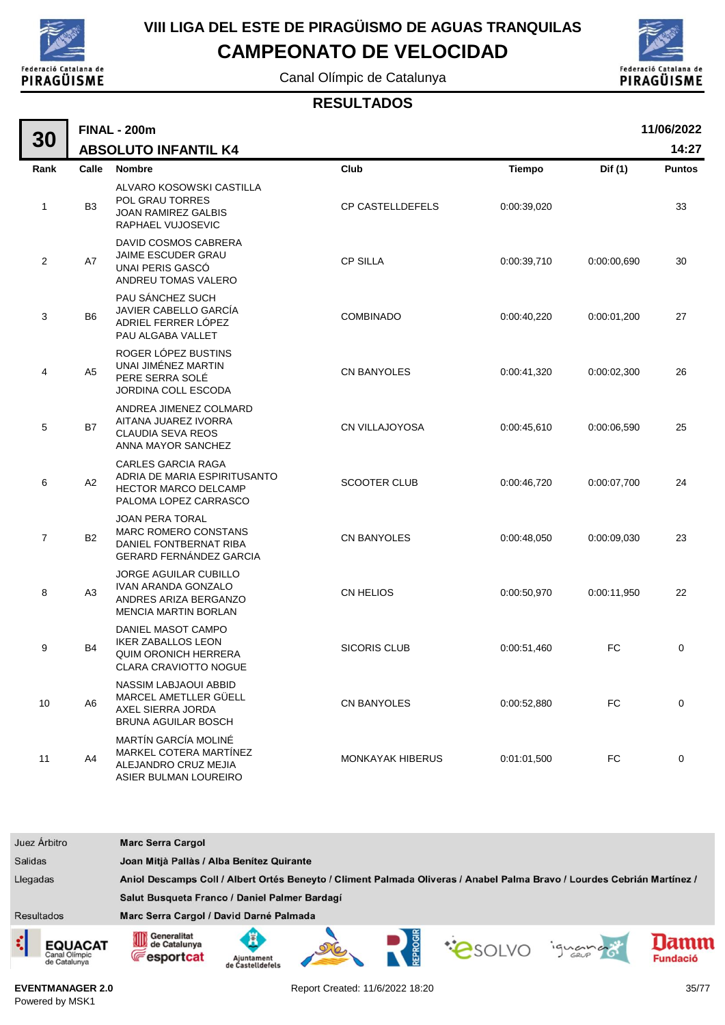

# **VIII LIGA DEL ESTE DE PIRAGÜISMO DE AGUAS TRANQUILAS**

**CAMPEONATO DE VELOCIDAD**

Canal Olímpic de Catalunya



#### **RESULTADOS**

| 30             | 11/06/2022<br><b>FINAL - 200m</b>                                                                                |                                                                                                                   |                         |             |             |               |  |
|----------------|------------------------------------------------------------------------------------------------------------------|-------------------------------------------------------------------------------------------------------------------|-------------------------|-------------|-------------|---------------|--|
|                | 14:27<br><b>ABSOLUTO INFANTIL K4</b>                                                                             |                                                                                                                   |                         |             |             |               |  |
| Rank           | Calle                                                                                                            | <b>Nombre</b>                                                                                                     | Club                    | Tiempo      | Dif (1)     | <b>Puntos</b> |  |
| 1              | ALVARO KOSOWSKI CASTILLA<br>POL GRAU TORRES<br>B <sub>3</sub><br><b>JOAN RAMIREZ GALBIS</b><br>RAPHAEL VUJOSEVIC |                                                                                                                   | <b>CP CASTELLDEFELS</b> | 0:00:39,020 |             | 33            |  |
| $\overline{2}$ | A7                                                                                                               | DAVID COSMOS CABRERA<br>JAIME ESCUDER GRAU<br>UNAI PERIS GASCÓ<br>ANDREU TOMAS VALERO                             | <b>CP SILLA</b>         | 0:00:39,710 | 0:00:00,690 | 30            |  |
| 3              | B <sub>6</sub>                                                                                                   | PAU SÁNCHEZ SUCH<br>JAVIER CABELLO GARCÍA<br>ADRIEL FERRER LÓPEZ<br>PAU ALGABA VALLET                             | <b>COMBINADO</b>        | 0:00:40,220 | 0:00:01,200 | 27            |  |
| 4              | A <sub>5</sub>                                                                                                   | ROGER LÓPEZ BUSTINS<br>UNAI JIMÉNEZ MARTIN<br>PERE SERRA SOLÉ<br>JORDINA COLL ESCODA                              | <b>CN BANYOLES</b>      | 0:00:41,320 | 0:00:02,300 | 26            |  |
| 5              | <b>B7</b>                                                                                                        | ANDREA JIMENEZ COLMARD<br>AITANA JUAREZ IVORRA<br><b>CLAUDIA SEVA REOS</b><br>ANNA MAYOR SANCHEZ                  | <b>CN VILLAJOYOSA</b>   | 0:00:45,610 | 0:00:06.590 | 25            |  |
| 6              | A2                                                                                                               | <b>CARLES GARCIA RAGA</b><br>ADRIA DE MARIA ESPIRITUSANTO<br><b>HECTOR MARCO DELCAMP</b><br>PALOMA LOPEZ CARRASCO | <b>SCOOTER CLUB</b>     | 0:00:46,720 | 0:00:07,700 | 24            |  |
| $\overline{7}$ | B <sub>2</sub>                                                                                                   | <b>JOAN PERA TORAL</b><br><b>MARC ROMERO CONSTANS</b><br>DANIEL FONTBERNAT RIBA<br><b>GERARD FERNÁNDEZ GARCIA</b> | CN BANYOLES             | 0:00:48,050 | 0:00:09,030 | 23            |  |
| 8              | A3                                                                                                               | <b>JORGE AGUILAR CUBILLO</b><br>IVAN ARANDA GONZALO<br>ANDRES ARIZA BERGANZO<br><b>MENCIA MARTIN BORLAN</b>       | <b>CN HELIOS</b>        | 0:00:50,970 | 0:00:11,950 | 22            |  |
| 9              | <b>B4</b>                                                                                                        | DANIEL MASOT CAMPO<br><b>IKER ZABALLOS LEON</b><br>QUIM ORONICH HERRERA<br>CLARA CRAVIOTTO NOGUE                  | <b>SICORIS CLUB</b>     | 0:00:51,460 | <b>FC</b>   | 0             |  |
| 10             | A <sub>6</sub>                                                                                                   | NASSIM LABJAOUI ABBID<br>MARCEL AMETLLER GÜELL<br>AXEL SIERRA JORDA<br><b>BRUNA AGUILAR BOSCH</b>                 | CN BANYOLES             | 0:00:52,880 | <b>FC</b>   | $\mathbf 0$   |  |
| 11             | A4                                                                                                               | MARTÍN GARCÍA MOLINÉ<br>MARKEL COTERA MARTÍNEZ<br>ALEJANDRO CRUZ MEJIA<br>ASIER BULMAN LOUREIRO                   | <b>MONKAYAK HIBERUS</b> | 0:01:01,500 | FC          | 0             |  |



**EVENTMANAGER 2.0** Powered by MSK1

Report Created: 11/6/2022 18:20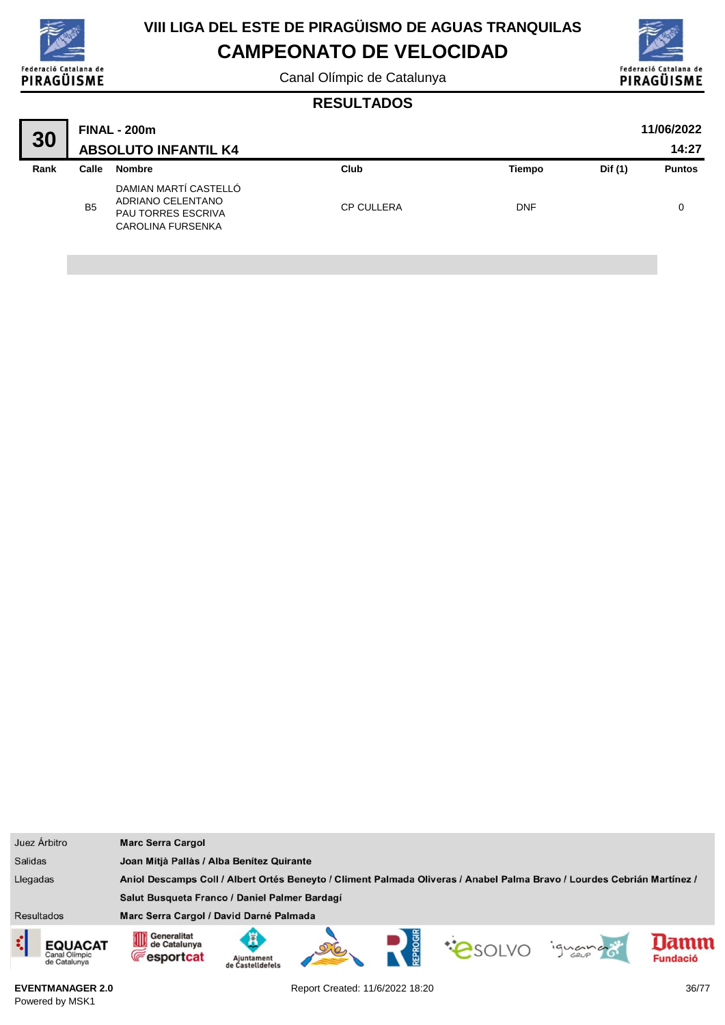

# **VIII LIGA DEL ESTE DE PIRAGÜISMO DE AGUAS TRANQUILAS**

## **CAMPEONATO DE VELOCIDAD**

Canal Olímpic de Catalunya



#### **RESULTADOS**

| 30   | <b>FINAL - 200m</b><br><b>ABSOLUTO INFANTIL K4</b> |                                                                                              |                   |               |         | 11/06/2022<br>14:27 |
|------|----------------------------------------------------|----------------------------------------------------------------------------------------------|-------------------|---------------|---------|---------------------|
| Rank | Calle                                              | Nombre                                                                                       | Club              | <b>Tiempo</b> | Dif (1) | <b>Puntos</b>       |
|      | B <sub>5</sub>                                     | DAMIAN MARTÍ CASTELLÓ<br>ADRIANO CELENTANO<br><b>PAU TORRES ESCRIVA</b><br>CAROLINA FURSENKA | <b>CP CULLERA</b> | <b>DNF</b>    |         |                     |

| Juez Árbitro                             | <b>Marc Serra Cargol</b>                                                                                                |                                           |  |  |  |         |                         |
|------------------------------------------|-------------------------------------------------------------------------------------------------------------------------|-------------------------------------------|--|--|--|---------|-------------------------|
| <b>Salidas</b>                           |                                                                                                                         | Joan Mitjà Pallàs / Alba Benítez Quirante |  |  |  |         |                         |
| Llegadas                                 | Aniol Descamps Coll / Albert Ortés Beneyto / Climent Palmada Oliveras / Anabel Palma Bravo / Lourdes Cebrián Martínez / |                                           |  |  |  |         |                         |
|                                          | Salut Busqueta Franco / Daniel Palmer Bardagí                                                                           |                                           |  |  |  |         |                         |
| <b>Resultados</b>                        | Marc Serra Cargol / David Darné Palmada                                                                                 |                                           |  |  |  |         |                         |
| EQUACAT<br>Canal Olímpic<br>de Catalunya | Generalitat<br>0D<br>de Catalunya<br><b>Fesportcat</b>                                                                  | Ajuntament<br>de Castelldefels            |  |  |  | ignance | lamm<br><b>Fundació</b> |

**EVENTMANAGER 2.0** Powered by MSK1

Report Created: 11/6/2022 18:20 36/77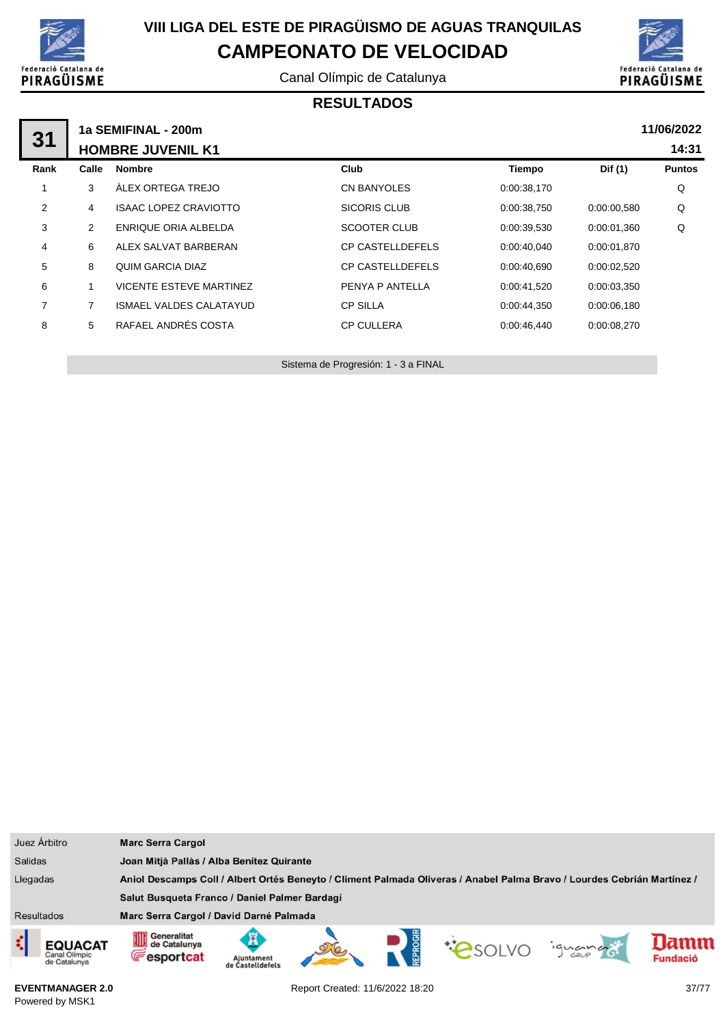

Canal Olímpic de Catalunya



#### **RESULTADOS**

|                |       | 1a SEMIFINAL - 200m            |                         |             |             | 11/06/2022    |
|----------------|-------|--------------------------------|-------------------------|-------------|-------------|---------------|
| 31             |       | <b>HOMBRE JUVENIL K1</b>       |                         |             |             | 14:31         |
| Rank           | Calle | <b>Nombre</b>                  | <b>Club</b>             | Tiempo      | Dif (1)     | <b>Puntos</b> |
|                | 3     | ÀLEX ORTEGA TREJO              | <b>CN BANYOLES</b>      | 0:00:38,170 |             | Q             |
| 2              | 4     | <b>ISAAC LOPEZ CRAVIOTTO</b>   | <b>SICORIS CLUB</b>     | 0:00:38,750 | 0:00:00,580 | Q             |
| 3              | 2     | ENRIQUE ORIA ALBELDA           | <b>SCOOTER CLUB</b>     | 0:00:39,530 | 0:00:01,360 | Q             |
| 4              | 6     | ALEX SALVAT BARBERAN           | <b>CP CASTELLDEFELS</b> | 0:00:40,040 | 0:00:01.870 |               |
| 5              | 8     | QUIM GARCIA DIAZ               | <b>CP CASTELLDEFELS</b> | 0:00:40,690 | 0:00:02,520 |               |
| 6              |       | <b>VICENTE ESTEVE MARTINEZ</b> | PENYA P ANTELLA         | 0:00:41,520 | 0:00:03.350 |               |
| $\overline{7}$ | 7     | <b>ISMAEL VALDES CALATAYUD</b> | <b>CP SILLA</b>         | 0:00:44,350 | 0:00:06,180 |               |
| 8              | 5     | RAFAEL ANDRÉS COSTA            | <b>CP CULLERA</b>       | 0:00:46,440 | 0:00:08,270 |               |
|                |       |                                |                         |             |             |               |

Sistema de Progresión: 1 - 3 a FINAL

| Juez Árbitro                                                                                                                        | <b>Marc Serra Cargol</b>                                                                                                      |  |  |  |  |  |
|-------------------------------------------------------------------------------------------------------------------------------------|-------------------------------------------------------------------------------------------------------------------------------|--|--|--|--|--|
| <b>Salidas</b>                                                                                                                      | Joan Mitjà Pallàs / Alba Benítez Quirante                                                                                     |  |  |  |  |  |
| Llegadas<br>Aniol Descamps Coll / Albert Ortés Beneyto / Climent Palmada Oliveras / Anabel Palma Bravo / Lourdes Cebrián Martínez / |                                                                                                                               |  |  |  |  |  |
|                                                                                                                                     | Salut Busqueta Franco / Daniel Palmer Bardagí                                                                                 |  |  |  |  |  |
| <b>Resultados</b>                                                                                                                   | Marc Serra Cargol / David Darné Palmada                                                                                       |  |  |  |  |  |
| EQUACAT<br>Canal Olimpic<br>de Catalunya                                                                                            | Generalitat<br>₩<br>lamm<br>de Catalunya<br>iguando<br><b>Fesportcat</b><br><b>Fundació</b><br>Aiuntament<br>de Castelldefels |  |  |  |  |  |

**EVENTMANAGER 2.0** Powered by MSK1

Report Created: 11/6/2022 18:20 37/77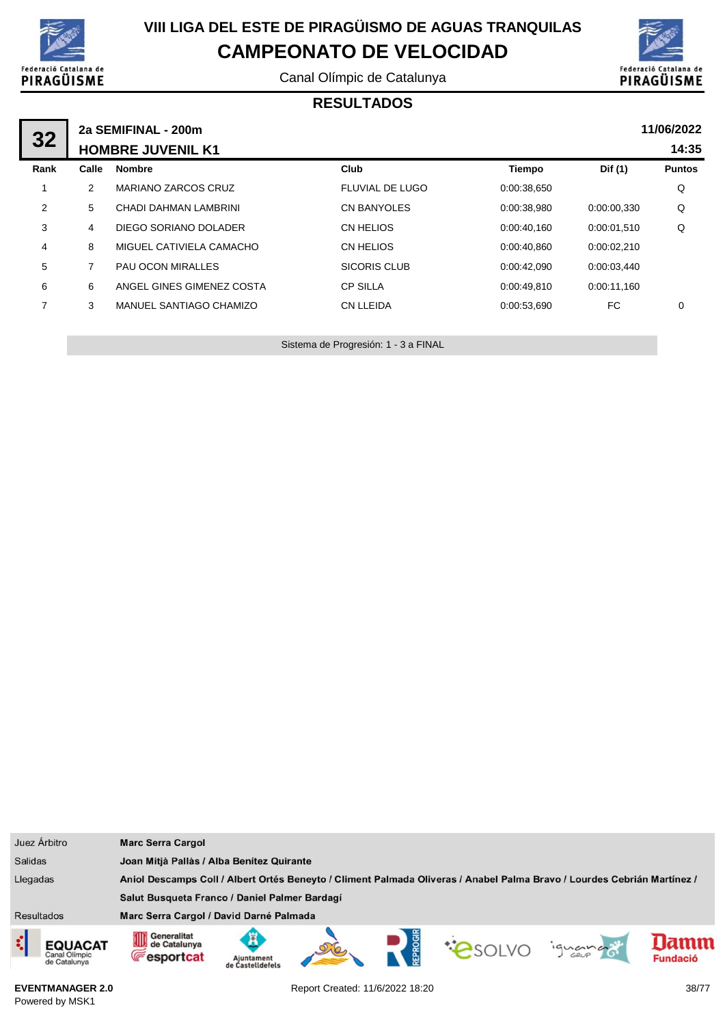

Canal Olímpic de Catalunya



#### **RESULTADOS**

| 32             | 2a SEMIFINAL - 200m |                            |                        |             |             |               |
|----------------|---------------------|----------------------------|------------------------|-------------|-------------|---------------|
|                |                     | <b>HOMBRE JUVENIL K1</b>   |                        |             |             | 14:35         |
| Rank           | Calle               | <b>Nombre</b>              | Club                   | Tiempo      | Dif (1)     | <b>Puntos</b> |
|                | $\overline{2}$      | <b>MARIANO ZARCOS CRUZ</b> | <b>FLUVIAL DE LUGO</b> | 0:00:38,650 |             | Q             |
| $\overline{2}$ | 5                   | CHADI DAHMAN LAMBRINI      | <b>CN BANYOLES</b>     | 0:00:38.980 | 0:00:00.330 | Q             |
| 3              | 4                   | DIEGO SORIANO DOLADER      | CN HELIOS              | 0:00:40,160 | 0:00:01.510 | Q             |
| 4              | 8                   | MIGUEL CATIVIELA CAMACHO   | CN HELIOS              | 0:00:40,860 | 0:00:02.210 |               |
| 5              |                     | PAU OCON MIRALLES          | <b>SICORIS CLUB</b>    | 0:00:42.090 | 0:00:03,440 |               |
| 6              | 6                   | ANGEL GINES GIMENEZ COSTA  | <b>CP SILLA</b>        | 0:00:49.810 | 0:00:11.160 |               |
| 7              | 3                   | MANUEL SANTIAGO CHAMIZO    | <b>CN LLEIDA</b>       | 0:00:53,690 | FC          | $\mathbf 0$   |
|                |                     |                            |                        |             |             |               |

Sistema de Progresión: 1 - 3 a FINAL

| Juez Árbitro                                                                                                                        | <b>Marc Serra Cargol</b>                                                                                                                         |  |  |  |  |  |
|-------------------------------------------------------------------------------------------------------------------------------------|--------------------------------------------------------------------------------------------------------------------------------------------------|--|--|--|--|--|
| <b>Salidas</b>                                                                                                                      | Joan Mitjà Pallàs / Alba Benítez Quirante                                                                                                        |  |  |  |  |  |
| Llegadas<br>Aniol Descamps Coll / Albert Ortés Beneyto / Climent Palmada Oliveras / Anabel Palma Bravo / Lourdes Cebrián Martínez / |                                                                                                                                                  |  |  |  |  |  |
|                                                                                                                                     | Salut Busqueta Franco / Daniel Palmer Bardagí                                                                                                    |  |  |  |  |  |
| <b>Resultados</b>                                                                                                                   | Marc Serra Cargol / David Darné Palmada                                                                                                          |  |  |  |  |  |
| ¢<br><b>EQUACAT</b><br>Canal Olimpic<br>de Catalunya                                                                                | Generalitat<br>OID<br>lamm<br>de Catalunya<br><b>PSOLVO</b><br>iguando<br><b>Fesportcat</b><br><b>Fundació</b><br>Ajuntament<br>de Castelldefels |  |  |  |  |  |

**EVENTMANAGER 2.0** Powered by MSK1

Report Created: 11/6/2022 18:20 38/77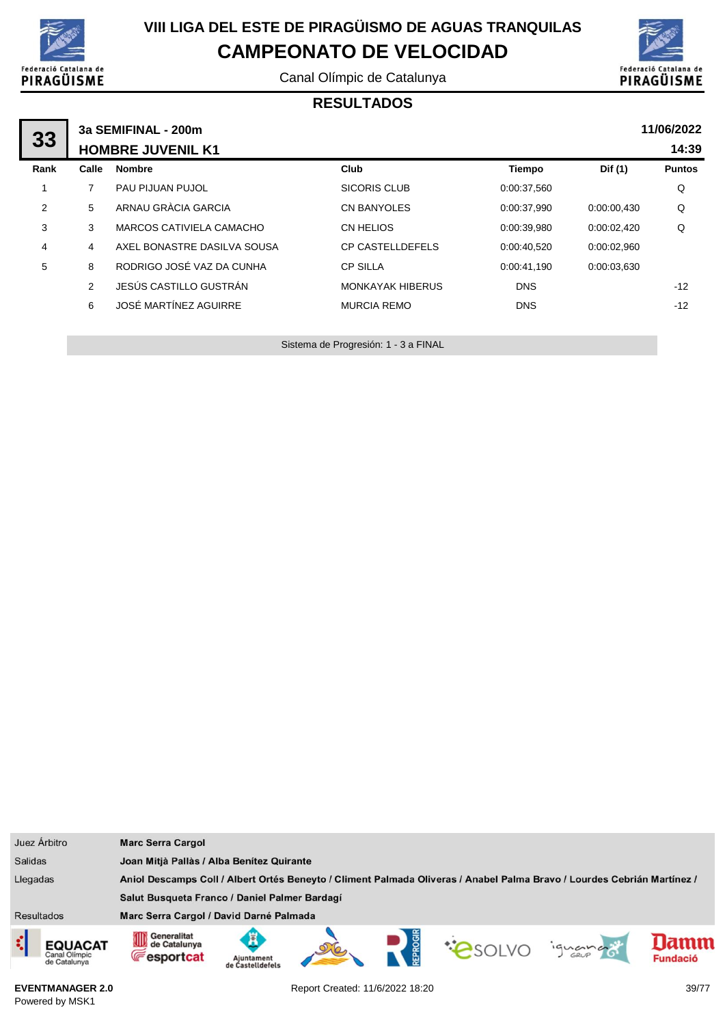

Canal Olímpic de Catalunya



#### **RESULTADOS**

| 33             | 3a SEMIFINAL - 200m |                             | 11/06/2022              |             |             |               |
|----------------|---------------------|-----------------------------|-------------------------|-------------|-------------|---------------|
|                |                     | <b>HOMBRE JUVENIL K1</b>    |                         |             |             | 14:39         |
| Rank           | Calle               | <b>Nombre</b>               | Club                    | Tiempo      | Dif (1)     | <b>Puntos</b> |
|                |                     | PAU PIJUAN PUJOL            | <b>SICORIS CLUB</b>     | 0:00:37,560 |             | Q             |
| $\overline{2}$ | 5                   | ARNAU GRÀCIA GARCIA         | <b>CN BANYOLES</b>      | 0:00:37.990 | 0:00:00,430 | Q             |
| 3              | 3                   | MARCOS CATIVIELA CAMACHO    | <b>CN HELIOS</b>        | 0:00:39,980 | 0:00:02,420 | Q             |
| 4              | 4                   | AXEL BONASTRE DASILVA SOUSA | <b>CP CASTELLDEFELS</b> | 0:00:40.520 | 0:00:02.960 |               |
| 5              | 8                   | RODRIGO JOSÉ VAZ DA CUNHA   | <b>CP SILLA</b>         | 0:00:41.190 | 0:00:03,630 |               |
|                | 2                   | JESÚS CASTILLO GUSTRÁN      | <b>MONKAYAK HIBERUS</b> | <b>DNS</b>  |             | $-12$         |
|                | 6                   | JOSÉ MARTÍNEZ AGUIRRE       | <b>MURCIA REMO</b>      | <b>DNS</b>  |             | $-12$         |
|                |                     |                             |                         |             |             |               |

Sistema de Progresión: 1 - 3 a FINAL

| Juez Árbitro                                         | <b>Marc Serra Cargol</b>                                                                                                                          |  |  |  |  |  |
|------------------------------------------------------|---------------------------------------------------------------------------------------------------------------------------------------------------|--|--|--|--|--|
| <b>Salidas</b>                                       | Joan Mitjà Pallàs / Alba Benítez Quirante                                                                                                         |  |  |  |  |  |
| Llegadas                                             | Aniol Descamps Coll / Albert Ortés Beneyto / Climent Palmada Oliveras / Anabel Palma Bravo / Lourdes Cebrián Martínez /                           |  |  |  |  |  |
|                                                      | Salut Busqueta Franco / Daniel Palmer Bardagí                                                                                                     |  |  |  |  |  |
| <b>Resultados</b>                                    | Marc Serra Cargol / David Darné Palmada                                                                                                           |  |  |  |  |  |
| ¢<br><b>EQUACAT</b><br>Canal Olimpic<br>de Catalunya | Generalitat<br>OID<br>lamm<br>de Catalunya<br><b>COSOLVO</b><br>iguando<br><b>Fesportcat</b><br><b>Fundació</b><br>Ajuntament<br>de Castelldefels |  |  |  |  |  |

**EVENTMANAGER 2.0** Powered by MSK1

Report Created: 11/6/2022 18:20 39/77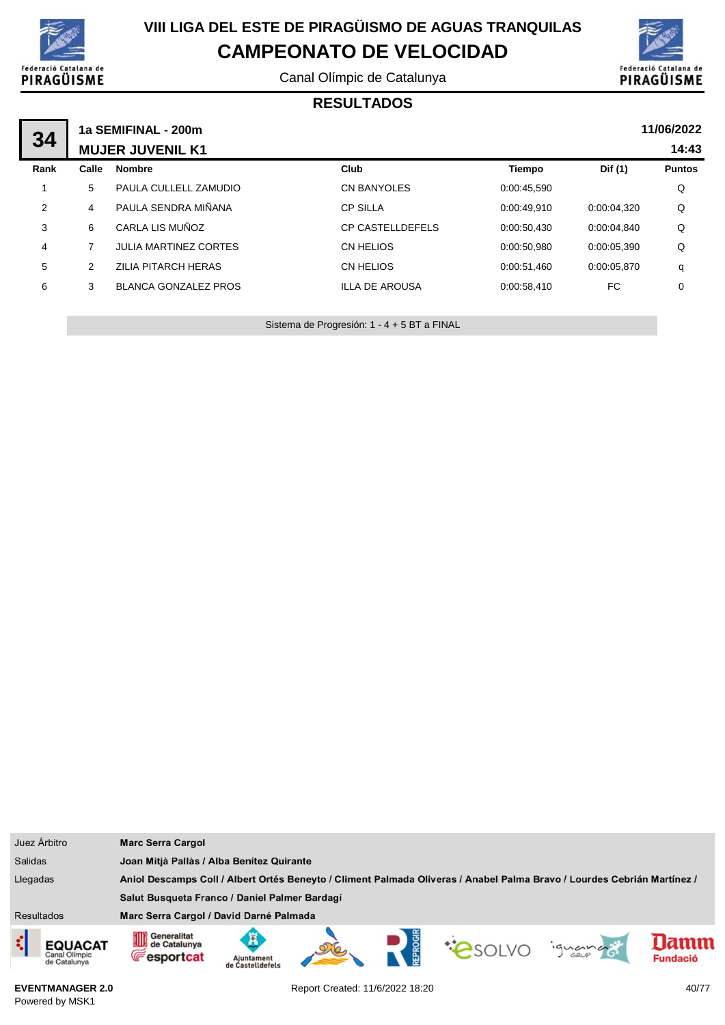

Canal Olímpic de Catalunya



#### **RESULTADOS**

| 34   |                | 1a SEMIFINAL - 200m<br><b>MUJER JUVENIL K1</b> |                         |               |             | 11/06/2022<br>14:43 |
|------|----------------|------------------------------------------------|-------------------------|---------------|-------------|---------------------|
| Rank | Calle          | <b>Nombre</b>                                  | Club                    | <b>Tiempo</b> | Dif (1)     | <b>Puntos</b>       |
| 1    | 5              | PAULA CULLELL ZAMUDIO                          | <b>CN BANYOLES</b>      | 0:00:45,590   |             | Q                   |
| 2    | 4              | PAULA SENDRA MIÑANA                            | <b>CP SILLA</b>         | 0:00:49,910   | 0:00:04,320 | Q                   |
| 3    | 6              | CARLA LIS MUÑOZ                                | <b>CP CASTELLDEFELS</b> | 0:00:50.430   | 0:00:04.840 | Q                   |
| 4    | $\overline{ }$ | <b>JULIA MARTINEZ CORTES</b>                   | CN HELIOS               | 0:00:50.980   | 0:00:05.390 | Q                   |
| 5    | 2              | ZILIA PITARCH HERAS                            | CN HELIOS               | 0:00:51.460   | 0:00:05.870 | q                   |
| 6    | 3              | <b>BLANCA GONZALEZ PROS</b>                    | <b>ILLA DE AROUSA</b>   | 0:00:58.410   | FC.         | 0                   |
|      |                |                                                |                         |               |             |                     |

Sistema de Progresión: 1 - 4 + 5 BT a FINAL

| Juez Árbitro                                                                                                                        | <b>Marc Serra Cargol</b>                                                                                                                            |  |  |  |  |  |
|-------------------------------------------------------------------------------------------------------------------------------------|-----------------------------------------------------------------------------------------------------------------------------------------------------|--|--|--|--|--|
| <b>Salidas</b>                                                                                                                      | Joan Mitjà Pallàs / Alba Benítez Quirante                                                                                                           |  |  |  |  |  |
| Llegadas<br>Aniol Descamps Coll / Albert Ortés Beneyto / Climent Palmada Oliveras / Anabel Palma Bravo / Lourdes Cebrián Martínez / |                                                                                                                                                     |  |  |  |  |  |
|                                                                                                                                     | Salut Busqueta Franco / Daniel Palmer Bardagí                                                                                                       |  |  |  |  |  |
| <b>Resultados</b>                                                                                                                   | Marc Serra Cargol / David Darné Palmada                                                                                                             |  |  |  |  |  |
| ¢<br><b>EQUACAT</b><br>Canal Olimpic<br>de Catalunya                                                                                | Generalitat<br>∭<br>ж<br>amn<br>de Catalunya<br><b>COSOLVO</b><br>iquance<br><b>Fesportcat</b><br><b>Fundació</b><br>Aiuntament<br>de Castelldefels |  |  |  |  |  |

**EVENTMANAGER 2.0** Powered by MSK1

Report Created: 11/6/2022 18:20 40/77

ı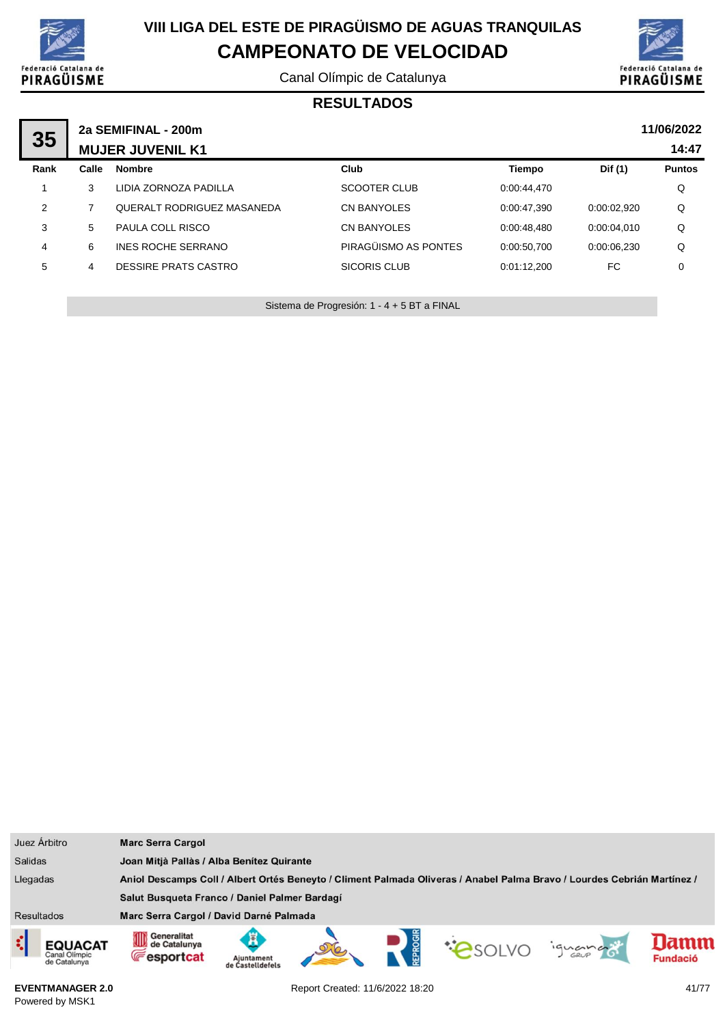

Canal Olímpic de Catalunya



#### **RESULTADOS**

|      | 2a SEMIFINAL - 200m     |                                   |                      |             |             |               |  |
|------|-------------------------|-----------------------------------|----------------------|-------------|-------------|---------------|--|
| 35   | <b>MUJER JUVENIL K1</b> |                                   | 14:47                |             |             |               |  |
| Rank | Calle                   | <b>Nombre</b>                     | Club                 | Tiempo      | Dif (1)     | <b>Puntos</b> |  |
|      | 3                       | LIDIA ZORNOZA PADILLA             | SCOOTER CLUB         | 0:00:44.470 |             | Q             |  |
| 2    |                         | <b>QUERALT RODRIGUEZ MASANEDA</b> | <b>CN BANYOLES</b>   | 0:00:47.390 | 0:00:02.920 | Q             |  |
| 3    | 5                       | PAULA COLL RISCO                  | <b>CN BANYOLES</b>   | 0.00.48.480 | 0.00.04.010 | Q             |  |
| 4    | 6                       | INES ROCHE SERRANO                | PIRAGÜISMO AS PONTES | 0:00:50,700 | 0:00:06.230 | Q             |  |
| 5    | 4                       | DESSIRE PRATS CASTRO              | SICORIS CLUB         | 0:01:12.200 | FC          | 0             |  |
|      |                         |                                   |                      |             |             |               |  |

Sistema de Progresión: 1 - 4 + 5 BT a FINAL

| Juez Árbitro                                                                                                                        | <b>Marc Serra Cargol</b>                                                                                                                       |  |  |  |  |  |
|-------------------------------------------------------------------------------------------------------------------------------------|------------------------------------------------------------------------------------------------------------------------------------------------|--|--|--|--|--|
| <b>Salidas</b>                                                                                                                      | Joan Mitjà Pallàs / Alba Benítez Quirante                                                                                                      |  |  |  |  |  |
| Llegadas<br>Aniol Descamps Coll / Albert Ortés Beneyto / Climent Palmada Oliveras / Anabel Palma Bravo / Lourdes Cebrián Martínez / |                                                                                                                                                |  |  |  |  |  |
|                                                                                                                                     | Salut Busqueta Franco / Daniel Palmer Bardagí                                                                                                  |  |  |  |  |  |
| <b>Resultados</b>                                                                                                                   | Marc Serra Cargol / David Darné Palmada                                                                                                        |  |  |  |  |  |
| <b>EQUACAT</b><br>Canal Olimpic<br>de Catalunya                                                                                     | Generalitat<br>Ã<br>lamn<br>de Catalunya<br><b>CONDO</b><br>ignance<br><b>E</b> esportcat<br><b>Fundació</b><br>Aiuntament<br>de Castelldefels |  |  |  |  |  |

**EVENTMANAGER 2.0** Powered by MSK1

Report Created: 11/6/2022 18:20 41/77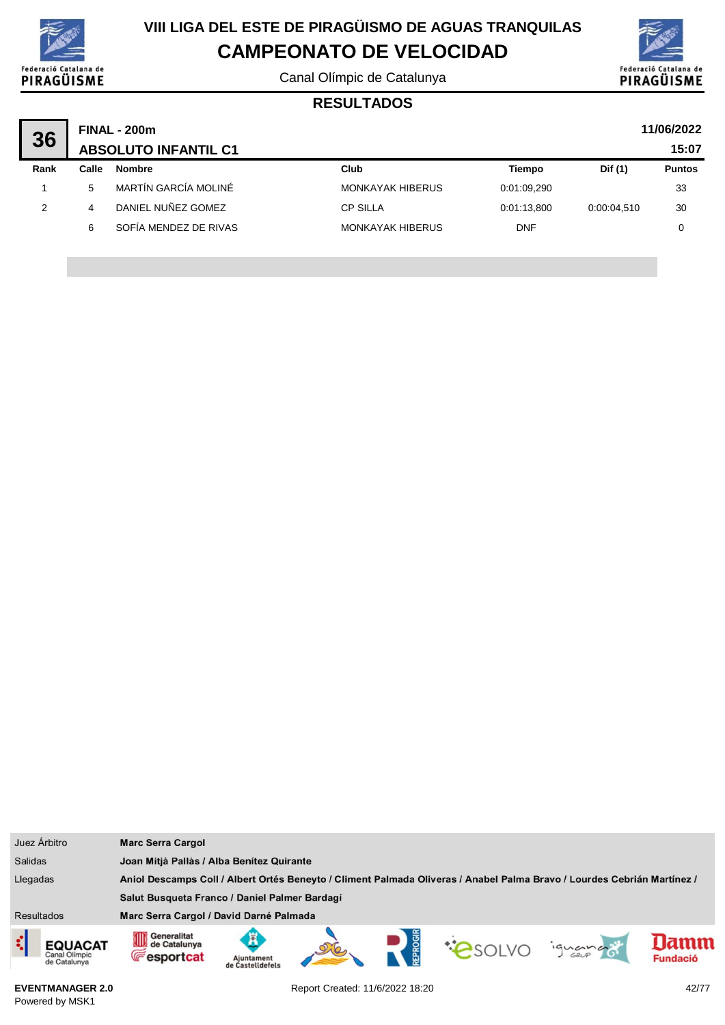

Canal Olímpic de Catalunya



#### **RESULTADOS**

| 36   |       | <b>FINAL - 200m</b>         |                         |             |             | 11/06/2022    |
|------|-------|-----------------------------|-------------------------|-------------|-------------|---------------|
|      |       | <b>ABSOLUTO INFANTIL C1</b> |                         |             |             | 15:07         |
| Rank | Calle | <b>Nombre</b>               | Club                    | Tiempo      | Dif (1)     | <b>Puntos</b> |
|      | 5.    | MARTÍN GARCÍA MOLINÉ        | <b>MONKAYAK HIBERUS</b> | 0:01:09.290 |             | 33            |
| 2    | 4     | DANIEL NUÑEZ GOMEZ          | <b>CP SILLA</b>         | 0:01:13.800 | 0:00:04.510 | 30            |
|      | 6     | SOFÍA MENDEZ DE RIVAS       | <b>MONKAYAK HIBERUS</b> | <b>DNF</b>  |             | 0             |

| Juez Árbitro                                                                                                                        | <b>Marc Serra Cargol</b>                               |                                |  |  |                |         |                         |
|-------------------------------------------------------------------------------------------------------------------------------------|--------------------------------------------------------|--------------------------------|--|--|----------------|---------|-------------------------|
| <b>Salidas</b>                                                                                                                      | Joan Mitjà Pallàs / Alba Benítez Quirante              |                                |  |  |                |         |                         |
| Llegadas<br>Aniol Descamps Coll / Albert Ortés Beneyto / Climent Palmada Oliveras / Anabel Palma Bravo / Lourdes Cebrián Martínez / |                                                        |                                |  |  |                |         |                         |
|                                                                                                                                     | Salut Busqueta Franco / Daniel Palmer Bardagí          |                                |  |  |                |         |                         |
| <b>Resultados</b>                                                                                                                   | Marc Serra Cargol / David Darné Palmada                |                                |  |  |                |         |                         |
| ़<br>EQUACAT<br>Canal Olimpic<br>de Catalunya                                                                                       | Generalitat<br>OD<br>de Catalunya<br><b>Fesportcat</b> | Ajuntament<br>de Castelldefels |  |  | <b>COSOLVO</b> | ignance | lamm<br><b>Fundació</b> |

**EVENTMANAGER 2.0** Powered by MSK1

Report Created: 11/6/2022 18:20 42/77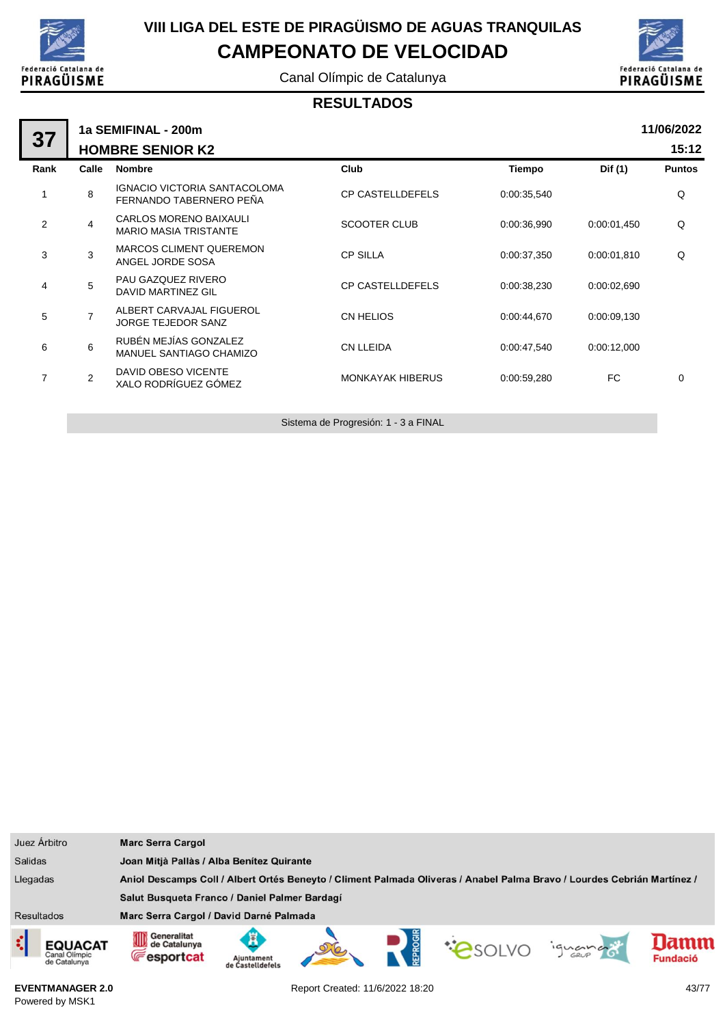

Canal Olímpic de Catalunya



#### **RESULTADOS**

| 37             | 1a SEMIFINAL - 200m |                                                         |                         |               |             |               |  |  |  |
|----------------|---------------------|---------------------------------------------------------|-------------------------|---------------|-------------|---------------|--|--|--|
|                |                     | <b>HOMBRE SENIOR K2</b>                                 |                         |               |             | 15:12         |  |  |  |
| Rank           | Calle               | <b>Nombre</b>                                           | Club                    | <b>Tiempo</b> | Dif (1)     | <b>Puntos</b> |  |  |  |
| 1              | 8                   | IGNACIO VICTORIA SANTACOLOMA<br>FERNANDO TABERNERO PEÑA | <b>CP CASTELLDEFELS</b> | 0:00:35,540   |             | Q             |  |  |  |
| $\overline{2}$ | 4                   | CARLOS MORENO BAIXAULI<br><b>MARIO MASIA TRISTANTE</b>  | <b>SCOOTER CLUB</b>     | 0:00:36,990   | 0:00:01,450 | Q             |  |  |  |
| 3              | 3                   | <b>MARCOS CLIMENT QUEREMON</b><br>ANGEL JORDE SOSA      | <b>CP SILLA</b>         | 0:00:37,350   | 0:00:01,810 | Q             |  |  |  |
| 4              | 5                   | PAU GAZQUEZ RIVERO<br>DAVID MARTINEZ GIL                | <b>CP CASTELLDEFELS</b> | 0:00:38,230   | 0:00:02,690 |               |  |  |  |
| 5              | $\overline{7}$      | ALBERT CARVAJAL FIGUEROL<br><b>JORGE TEJEDOR SANZ</b>   | CN HELIOS               | 0:00:44,670   | 0:00:09,130 |               |  |  |  |
| 6              | 6                   | RUBÉN MEJÍAS GONZALEZ<br>MANUEL SANTIAGO CHAMIZO        | <b>CN LLEIDA</b>        | 0:00:47,540   | 0:00:12,000 |               |  |  |  |
| $\overline{7}$ | $\overline{2}$      | DAVID OBESO VICENTE<br>XALO RODRÍGUEZ GÓMEZ             | <b>MONKAYAK HIBERUS</b> | 0:00:59,280   | FC.         | 0             |  |  |  |
|                |                     |                                                         |                         |               |             |               |  |  |  |

Sistema de Progresión: 1 - 3 a FINAL

| Juez Árbitro      |                                                 | <b>Marc Serra Cargol</b>                                        |                                                                                                                         |  |  |  |         |                 |  |
|-------------------|-------------------------------------------------|-----------------------------------------------------------------|-------------------------------------------------------------------------------------------------------------------------|--|--|--|---------|-----------------|--|
| <b>Salidas</b>    |                                                 |                                                                 | Joan Mitjà Pallàs / Alba Benítez Quirante                                                                               |  |  |  |         |                 |  |
| Llegadas          |                                                 |                                                                 | Aniol Descamps Coll / Albert Ortés Beneyto / Climent Palmada Oliveras / Anabel Palma Bravo / Lourdes Cebrián Martínez / |  |  |  |         |                 |  |
|                   |                                                 | Salut Busqueta Franco / Daniel Palmer Bardagí                   |                                                                                                                         |  |  |  |         |                 |  |
| <b>Resultados</b> |                                                 | Marc Serra Cargol / David Darné Palmada                         |                                                                                                                         |  |  |  |         |                 |  |
| ξ                 | <b>EQUACAT</b><br>Canal Olimpic<br>de Catalunya | Generalitat<br>de Cataluny<br>de Catalunya<br><b>Fesportcat</b> | Aiuntament<br>de Castelldefel:                                                                                          |  |  |  | iguando | <b>Fundació</b> |  |

**EVENTMANAGER 2.0** Powered by MSK1

Report Created: 11/6/2022 18:20 43/77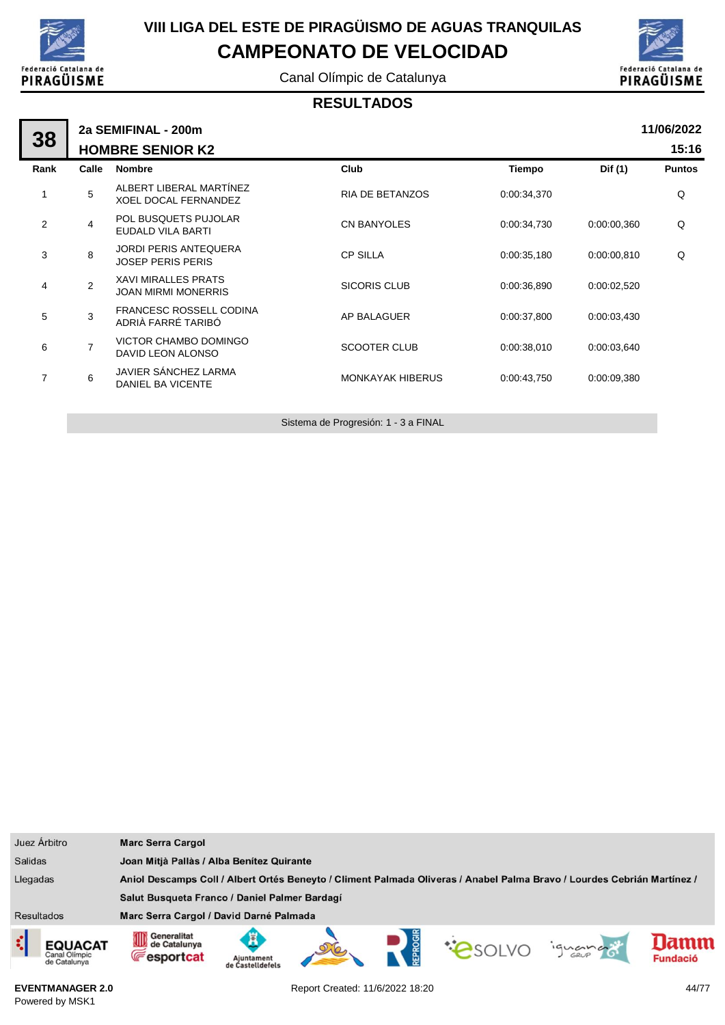

Canal Olímpic de Catalunya



#### **RESULTADOS**

|                | 2a SEMIFINAL - 200m |                                                          |                         |               |             |               |  |  |  |
|----------------|---------------------|----------------------------------------------------------|-------------------------|---------------|-------------|---------------|--|--|--|
| 38             |                     | <b>HOMBRE SENIOR K2</b>                                  |                         |               | 15:16       |               |  |  |  |
| Rank           | Calle               | <b>Nombre</b>                                            | Club                    | <b>Tiempo</b> | Dif (1)     | <b>Puntos</b> |  |  |  |
| 1              | 5                   | ALBERT LIBERAL MARTÍNEZ<br><b>XOEL DOCAL FERNANDEZ</b>   | <b>RIA DE BETANZOS</b>  | 0:00:34,370   |             | Q             |  |  |  |
| 2              | 4                   | POL BUSQUETS PUJOLAR<br>EUDALD VILA BARTI                | <b>CN BANYOLES</b>      | 0:00:34,730   | 0:00:00,360 | Q             |  |  |  |
| 3              | 8                   | <b>JORDI PERIS ANTEQUERA</b><br><b>JOSEP PERIS PERIS</b> | <b>CP SILLA</b>         | 0:00:35,180   | 0:00:00.810 | Q             |  |  |  |
| 4              | 2                   | <b>XAVI MIRALLES PRATS</b><br><b>JOAN MIRMI MONERRIS</b> | <b>SICORIS CLUB</b>     | 0:00:36,890   | 0:00:02,520 |               |  |  |  |
| 5              | 3                   | <b>FRANCESC ROSSELL CODINA</b><br>ADRIÀ FARRÉ TARIBÓ     | AP BALAGUER             | 0:00:37,800   | 0:00:03,430 |               |  |  |  |
| 6              | $\overline{7}$      | VICTOR CHAMBO DOMINGO<br>DAVID LEON ALONSO               | <b>SCOOTER CLUB</b>     | 0:00:38,010   | 0:00:03,640 |               |  |  |  |
| $\overline{7}$ | 6                   | JAVIER SÁNCHEZ LARMA<br><b>DANIEL BA VICENTE</b>         | <b>MONKAYAK HIBERUS</b> | 0:00:43.750   | 0:00:09.380 |               |  |  |  |
|                |                     |                                                          |                         |               |             |               |  |  |  |

Sistema de Progresión: 1 - 3 a FINAL

| Juez Árbitro                                    | <b>Marc Serra Cargol</b>                              |                                                                                                                         |  |  |  |         |                 |  |
|-------------------------------------------------|-------------------------------------------------------|-------------------------------------------------------------------------------------------------------------------------|--|--|--|---------|-----------------|--|
| <b>Salidas</b>                                  |                                                       | Joan Mitjà Pallàs / Alba Benitez Quirante                                                                               |  |  |  |         |                 |  |
| Llegadas                                        |                                                       | Aniol Descamps Coll / Albert Ortés Beneyto / Climent Palmada Oliveras / Anabel Palma Bravo / Lourdes Cebrián Martínez / |  |  |  |         |                 |  |
|                                                 | Salut Busqueta Franco / Daniel Palmer Bardagí         |                                                                                                                         |  |  |  |         |                 |  |
| <b>Resultados</b>                               | Marc Serra Cargol / David Darné Palmada               |                                                                                                                         |  |  |  |         |                 |  |
| <b>EQUACAT</b><br>Canal Olimpic<br>de Catalunya | Generalitat<br>∭<br>de Catalunya<br><b>Fesportcat</b> | Aiuntament<br>astelldefels                                                                                              |  |  |  | ignance | <b>Fundació</b> |  |

**EVENTMANAGER 2.0** Powered by MSK1

Report Created: 11/6/2022 18:20 44/77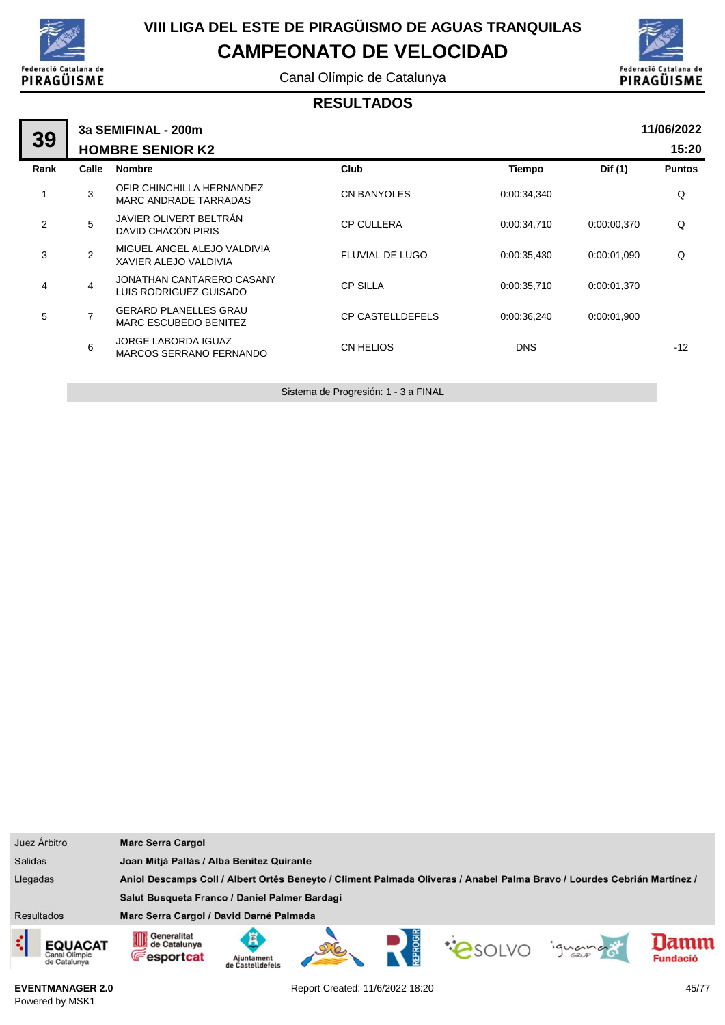

Canal Olímpic de Catalunya



#### **RESULTADOS**

| 39             | 3a SEMIFINAL - 200m |                                                       |                         |             |             |               |  |  |  |  |
|----------------|---------------------|-------------------------------------------------------|-------------------------|-------------|-------------|---------------|--|--|--|--|
|                |                     | <b>HOMBRE SENIOR K2</b>                               |                         |             |             | 15:20         |  |  |  |  |
| Rank           | Calle               | <b>Nombre</b>                                         | Club                    | Tiempo      | Dif (1)     | <b>Puntos</b> |  |  |  |  |
| 1              | 3                   | OFIR CHINCHILLA HERNANDEZ<br>MARC ANDRADE TARRADAS    | <b>CN BANYOLES</b>      | 0:00:34,340 |             | Q             |  |  |  |  |
| $\overline{2}$ | 5                   | JAVIER OLIVERT BELTRÁN<br>DAVID CHACÓN PIRIS          | <b>CP CULLERA</b>       | 0:00:34.710 | 0:00:00.370 | Q             |  |  |  |  |
| 3              | $\overline{2}$      | MIGUEL ANGEL ALEJO VALDIVIA<br>XAVIER ALEJO VALDIVIA  | <b>FLUVIAL DE LUGO</b>  | 0:00:35,430 | 0:00:01.090 | Q             |  |  |  |  |
| 4              | $\overline{4}$      | JONATHAN CANTARERO CASANY<br>LUIS RODRIGUEZ GUISADO   | <b>CP SILLA</b>         | 0:00:35,710 | 0:00:01,370 |               |  |  |  |  |
| 5              | $\overline{7}$      | <b>GERARD PLANELLES GRAU</b><br>MARC ESCUBEDO BENITEZ | <b>CP CASTELLDEFELS</b> | 0:00:36.240 | 0:00:01,900 |               |  |  |  |  |
|                | 6                   | <b>JORGE LABORDA IGUAZ</b><br>MARCOS SERRANO FERNANDO | <b>CN HELIOS</b>        | <b>DNS</b>  |             | $-12$         |  |  |  |  |
|                |                     |                                                       |                         |             |             |               |  |  |  |  |

Sistema de Progresión: 1 - 3 a FINAL

| Juez Árbitro                                  | <b>Marc Serra Cargol</b>                               |                                                                                                                         |  |  |                |         |                         |  |  |
|-----------------------------------------------|--------------------------------------------------------|-------------------------------------------------------------------------------------------------------------------------|--|--|----------------|---------|-------------------------|--|--|
| <b>Salidas</b>                                |                                                        | Joan Mitjà Pallàs / Alba Benítez Quirante                                                                               |  |  |                |         |                         |  |  |
| Llegadas                                      |                                                        | Aniol Descamps Coll / Albert Ortés Beneyto / Climent Palmada Oliveras / Anabel Palma Bravo / Lourdes Cebrián Martínez / |  |  |                |         |                         |  |  |
|                                               | Salut Busqueta Franco / Daniel Palmer Bardagí          |                                                                                                                         |  |  |                |         |                         |  |  |
| <b>Resultados</b>                             | Marc Serra Cargol / David Darné Palmada                |                                                                                                                         |  |  |                |         |                         |  |  |
| ़<br>EQUACAT<br>Canal Olimpic<br>de Catalunya | Generalitat<br>OD<br>de Catalunya<br><b>Fesportcat</b> | Ajuntament<br>de Castelldefels                                                                                          |  |  | <b>COSOLVO</b> | iguando | lamm<br><b>Fundació</b> |  |  |

**EVENTMANAGER 2.0** Powered by MSK1

Report Created: 11/6/2022 18:20 45/77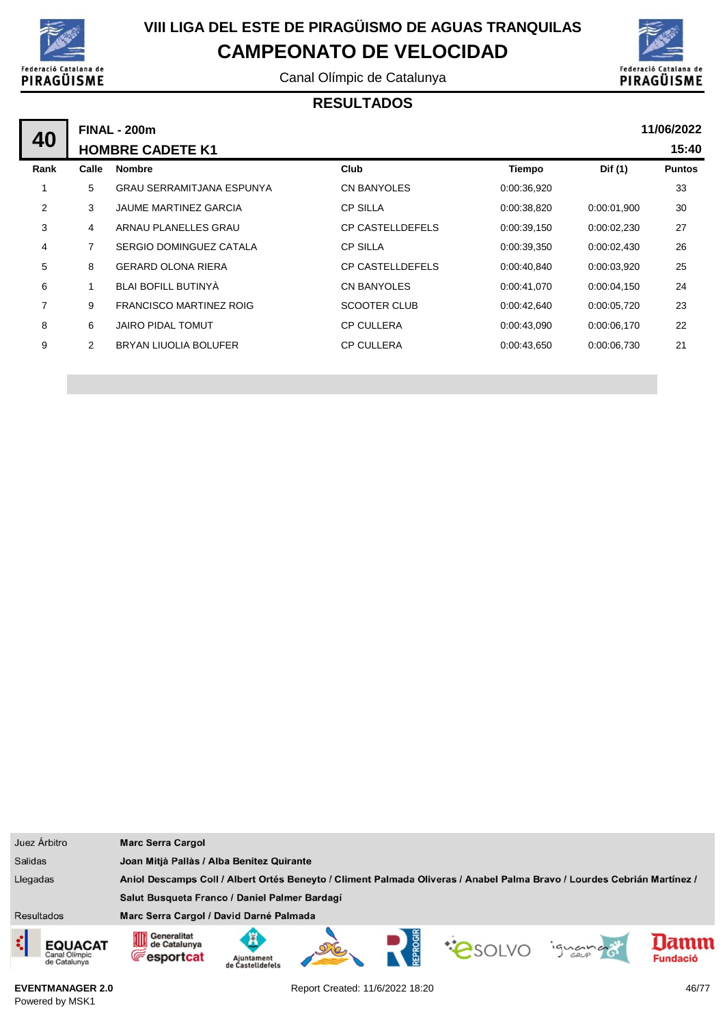

Canal Olímpic de Catalunya



#### **RESULTADOS**

|      | 11/06/2022<br><b>FINAL - 200m</b> |                                |                         |             |             |               |  |  |  |
|------|-----------------------------------|--------------------------------|-------------------------|-------------|-------------|---------------|--|--|--|
| 40   | <b>HOMBRE CADETE K1</b>           |                                |                         |             |             |               |  |  |  |
| Rank | Calle                             | <b>Nombre</b>                  | <b>Club</b>             | Tiempo      | Dif (1)     | <b>Puntos</b> |  |  |  |
|      | 5                                 | GRAU SERRAMITJANA ESPUNYA      | <b>CN BANYOLES</b>      | 0:00:36,920 |             | 33            |  |  |  |
| 2    | 3                                 | <b>JAUME MARTINEZ GARCIA</b>   | <b>CP SILLA</b>         | 0:00:38,820 | 0:00:01.900 | 30            |  |  |  |
| 3    | 4                                 | ARNAU PLANELLES GRAU           | <b>CP CASTELLDEFELS</b> | 0:00:39,150 | 0.00:02,230 | 27            |  |  |  |
| 4    | 7                                 | SERGIO DOMINGUEZ CATALA        | <b>CP SILLA</b>         | 0:00:39,350 | 0:00:02,430 | 26            |  |  |  |
| 5    | 8                                 | <b>GERARD OLONA RIERA</b>      | <b>CP CASTELLDEFELS</b> | 0:00:40,840 | 0:00:03.920 | 25            |  |  |  |
| 6    |                                   | BLAI BOFILL BUTINYA            | <b>CN BANYOLES</b>      | 0:00:41,070 | 0.00:04,150 | 24            |  |  |  |
| 7    | 9                                 | <b>FRANCISCO MARTINEZ ROIG</b> | <b>SCOOTER CLUB</b>     | 0:00:42,640 | 0:00:05,720 | 23            |  |  |  |
| 8    | 6                                 | <b>JAIRO PIDAL TOMUT</b>       | <b>CP CULLERA</b>       | 0:00:43,090 | 0.00.06,170 | 22            |  |  |  |
| 9    | $\overline{2}$                    | BRYAN LIUOLIA BOLUFER          | <b>CP CULLERA</b>       | 0:00:43,650 | 0:00:06,730 | 21            |  |  |  |
|      |                                   |                                |                         |             |             |               |  |  |  |

|                   | Juez Árbitro                                    | <b>Marc Serra Cargol</b>                               |                                                                                                                         |  |  |  |         |                         |  |
|-------------------|-------------------------------------------------|--------------------------------------------------------|-------------------------------------------------------------------------------------------------------------------------|--|--|--|---------|-------------------------|--|
| <b>Salidas</b>    |                                                 |                                                        | Joan Mitjà Pallàs / Alba Benítez Quirante                                                                               |  |  |  |         |                         |  |
| Llegadas          |                                                 |                                                        | Aniol Descamps Coll / Albert Ortés Beneyto / Climent Palmada Oliveras / Anabel Palma Bravo / Lourdes Cebrián Martínez / |  |  |  |         |                         |  |
|                   |                                                 | Salut Busqueta Franco / Daniel Palmer Bardagí          |                                                                                                                         |  |  |  |         |                         |  |
| <b>Resultados</b> |                                                 | Marc Serra Cargol / David Darné Palmada                |                                                                                                                         |  |  |  |         |                         |  |
| ़                 | <b>EQUACAT</b><br>Canal Olimpic<br>de Catalunya | Generalitat<br>OD<br>de Catalunya<br><b>Fesportcat</b> | Ajuntament<br>de Castelldefels                                                                                          |  |  |  | ignance | lamm<br><b>Fundació</b> |  |

**EVENTMANAGER 2.0** Powered by MSK1

Report Created: 11/6/2022 18:20 46/77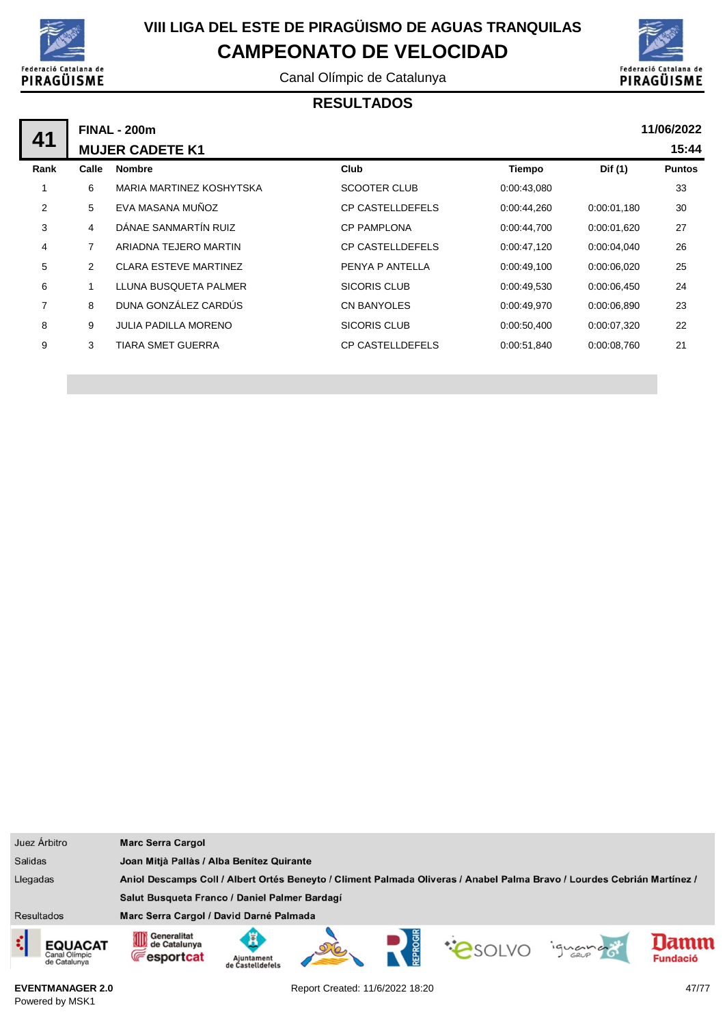

Canal Olímpic de Catalunya



### **RESULTADOS**

|      | 11/06/2022<br><b>FINAL - 200m</b> |                              |                         |               |             |               |  |  |  |
|------|-----------------------------------|------------------------------|-------------------------|---------------|-------------|---------------|--|--|--|
| 41   | <b>MUJER CADETE K1</b>            |                              |                         |               |             |               |  |  |  |
| Rank | Calle                             | <b>Nombre</b>                | Club                    | <b>Tiempo</b> | Dif (1)     | <b>Puntos</b> |  |  |  |
|      | 6                                 | MARIA MARTINEZ KOSHYTSKA     | SCOOTER CLUB            | 0:00:43,080   |             | 33            |  |  |  |
| 2    | 5                                 | EVA MASANA MUÑOZ             | <b>CP CASTELLDEFELS</b> | 0:00:44,260   | 0.00:01,180 | 30            |  |  |  |
| 3    | 4                                 | DÁNAE SANMARTÍN RUIZ         | <b>CP PAMPLONA</b>      | 0:00:44,700   | 0:00:01.620 | 27            |  |  |  |
| 4    | 7                                 | ARIADNA TEJERO MARTIN        | <b>CP CASTELLDEFELS</b> | 0:00:47,120   | 0:00:04,040 | 26            |  |  |  |
| 5    | $\overline{2}$                    | <b>CLARA ESTEVE MARTINEZ</b> | PENYA P ANTELLA         | 0:00:49,100   | 0:00:06.020 | 25            |  |  |  |
| 6    |                                   | LLUNA BUSQUETA PALMER        | SICORIS CLUB            | 0:00:49,530   | 0.00.06,450 | 24            |  |  |  |
| 7    | 8                                 | DUNA GONZÁLEZ CARDÚS         | <b>CN BANYOLES</b>      | 0:00:49,970   | 0:00:06.890 | 23            |  |  |  |
| 8    | 9                                 | <b>JULIA PADILLA MORENO</b>  | SICORIS CLUB            | 0:00:50,400   | 0:00:07,320 | 22            |  |  |  |
| 9    | 3                                 | TIARA SMET GUERRA            | <b>CP CASTELLDEFELS</b> | 0:00:51,840   | 0:00:08,760 | 21            |  |  |  |
|      |                                   |                              |                         |               |             |               |  |  |  |

|                   | Juez Árbitro                                    | <b>Marc Serra Cargol</b>                                           |                                                                                                                         |  |  |               |        |                         |  |  |
|-------------------|-------------------------------------------------|--------------------------------------------------------------------|-------------------------------------------------------------------------------------------------------------------------|--|--|---------------|--------|-------------------------|--|--|
| <b>Salidas</b>    |                                                 |                                                                    | Joan Mitjà Pallàs / Alba Benítez Quirante                                                                               |  |  |               |        |                         |  |  |
| Llegadas          |                                                 |                                                                    | Aniol Descamps Coll / Albert Ortés Beneyto / Climent Palmada Oliveras / Anabel Palma Bravo / Lourdes Cebrián Martínez / |  |  |               |        |                         |  |  |
|                   |                                                 | Salut Busqueta Franco / Daniel Palmer Bardagí                      |                                                                                                                         |  |  |               |        |                         |  |  |
| <b>Resultados</b> |                                                 | Marc Serra Cargol / David Darné Palmada                            |                                                                                                                         |  |  |               |        |                         |  |  |
| ़ै                | EQUACAT<br><b>Canal Olimpic</b><br>de Catalunya | Generalitat<br>Generalitat<br>Ul de Catalunya<br><b>Fesportcat</b> | Aiuntament<br>de Castelldefels                                                                                          |  |  | <b>PSOLVO</b> | iguana | lamm<br><b>Fundació</b> |  |  |

**EVENTMANAGER 2.0** Powered by MSK1

Report Created: 11/6/2022 18:20 47/77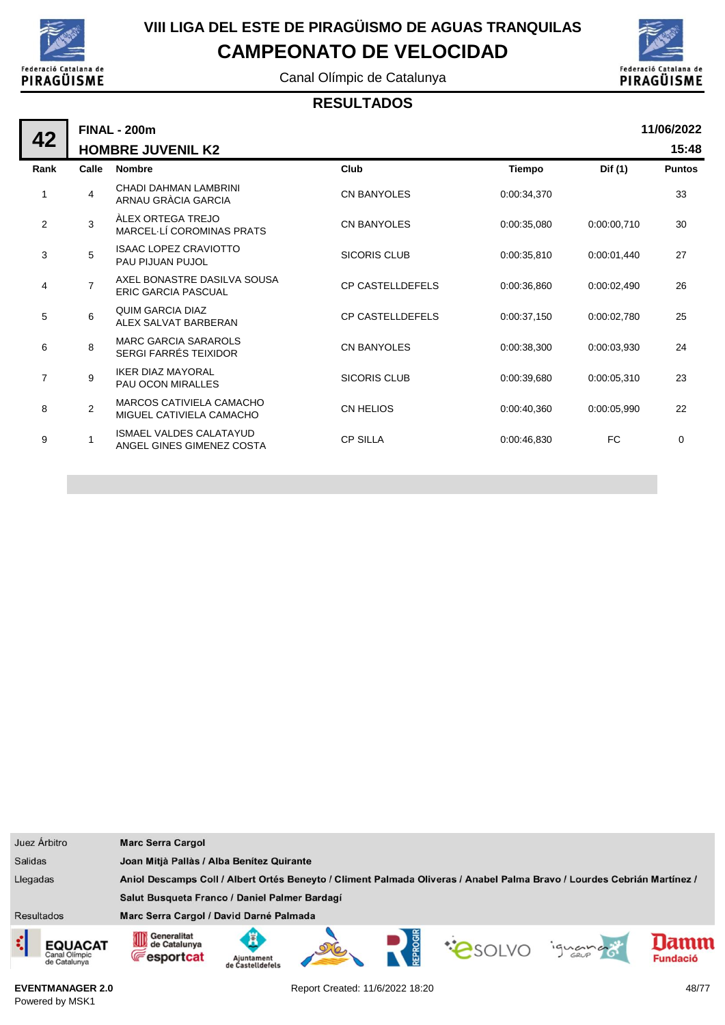

Canal Olímpic de Catalunya



#### **RESULTADOS**

| 42             |                | <b>FINAL - 200m</b><br><b>HOMBRE JUVENIL K2</b>             |                         |               |             | 11/06/2022<br>15:48 |
|----------------|----------------|-------------------------------------------------------------|-------------------------|---------------|-------------|---------------------|
| Rank           | Calle          | <b>Nombre</b>                                               | Club                    | <b>Tiempo</b> | Dif (1)     | <b>Puntos</b>       |
| 1              | 4              | CHADI DAHMAN LAMBRINI<br>ARNAU GRÀCIA GARCIA                | <b>CN BANYOLES</b>      | 0:00:34.370   |             | 33                  |
| $\overline{2}$ | 3              | <b>ALEX ORTEGA TREJO</b><br>MARCEL-LÍ COROMINAS PRATS       | <b>CN BANYOLES</b>      | 0:00:35,080   | 0:00:00,710 | 30                  |
| 3              | 5              | <b>ISAAC LOPEZ CRAVIOTTO</b><br>PAU PIJUAN PUJOL            | <b>SICORIS CLUB</b>     | 0:00:35,810   | 0:00:01,440 | 27                  |
| 4              | $\overline{7}$ | AXEL BONASTRE DASILVA SOUSA<br><b>ERIC GARCIA PASCUAL</b>   | <b>CP CASTELLDEFELS</b> | 0:00:36.860   | 0:00:02,490 | 26                  |
| 5              | 6              | QUIM GARCIA DIAZ<br>ALEX SALVAT BARBERAN                    | <b>CP CASTELLDEFELS</b> | 0:00:37,150   | 0:00:02.780 | 25                  |
| 6              | 8              | <b>MARC GARCIA SARAROLS</b><br><b>SERGI FARRÉS TEIXIDOR</b> | <b>CN BANYOLES</b>      | 0:00:38.300   | 0:00:03.930 | 24                  |
| $\overline{7}$ | 9              | <b>IKER DIAZ MAYORAL</b><br><b>PAU OCON MIRALLES</b>        | <b>SICORIS CLUB</b>     | 0:00:39.680   | 0:00:05.310 | 23                  |
| 8              | $\overline{2}$ | MARCOS CATIVIELA CAMACHO<br>MIGUEL CATIVIELA CAMACHO        | <b>CN HELIOS</b>        | 0:00:40,360   | 0:00:05.990 | 22                  |
| 9              |                | <b>ISMAEL VALDES CALATAYUD</b><br>ANGEL GINES GIMENEZ COSTA | <b>CP SILLA</b>         | 0:00:46,830   | FC          | 0                   |
|                |                |                                                             |                         |               |             |                     |

| Juez Árbitro                       |                | <b>Marc Serra Cargol</b>                                      |                                                                                                                         |  |  |                |         |                        |  |
|------------------------------------|----------------|---------------------------------------------------------------|-------------------------------------------------------------------------------------------------------------------------|--|--|----------------|---------|------------------------|--|
| <b>Salidas</b>                     |                |                                                               | Joan Mitjà Pallàs / Alba Benítez Quirante                                                                               |  |  |                |         |                        |  |
| Llegadas                           |                |                                                               | Aniol Descamps Coll / Albert Ortés Beneyto / Climent Palmada Oliveras / Anabel Palma Bravo / Lourdes Cebrián Martínez / |  |  |                |         |                        |  |
|                                    |                | Salut Busqueta Franco / Daniel Palmer Bardagí                 |                                                                                                                         |  |  |                |         |                        |  |
| <b>Resultados</b>                  |                | Marc Serra Cargol / David Darné Palmada                       |                                                                                                                         |  |  |                |         |                        |  |
| ¢<br>Canal Olimpic<br>de Catalunya | <b>EQUACAT</b> | Generalitat<br>ИD<br>de Catalunya<br>UIU<br><b>Fesportcat</b> | ж<br>Ajuntament<br>de Castelldefels                                                                                     |  |  | <b>COSOLVO</b> | iguando | amn<br><b>Fundació</b> |  |

**EVENTMANAGER 2.0** Powered by MSK1

Report Created: 11/6/2022 18:20 48/77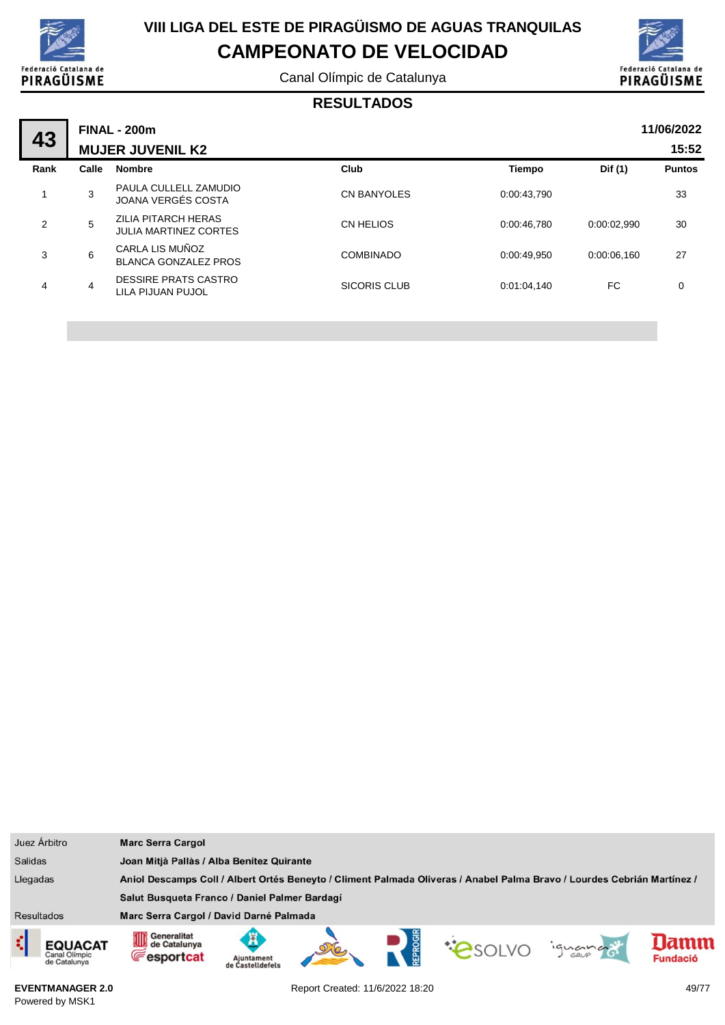

Canal Olímpic de Catalunya



### **RESULTADOS**

| 43   |       | <b>FINAL - 200m</b><br><b>MUJER JUVENIL K2</b>      |                    |               |             | 11/06/2022<br>15:52 |
|------|-------|-----------------------------------------------------|--------------------|---------------|-------------|---------------------|
| Rank | Calle | <b>Nombre</b>                                       | Club               | <b>Tiempo</b> | Dif (1)     | <b>Puntos</b>       |
| 1    | 3     | PAULA CULLELL ZAMUDIO<br>JOANA VERGÉS COSTA         | <b>CN BANYOLES</b> | 0:00:43.790   |             | 33                  |
| 2    | 5     | ZILIA PITARCH HERAS<br><b>JULIA MARTINEZ CORTES</b> | CN HELIOS          | 0:00:46.780   | 0:00:02.990 | 30                  |
| 3    | 6     | CARLA LIS MUÑOZ<br><b>BLANCA GONZALEZ PROS</b>      | <b>COMBINADO</b>   | 0:00:49.950   | 0:00:06.160 | 27                  |
| 4    | 4     | <b>DESSIRE PRATS CASTRO</b><br>LILA PIJUAN PUJOL    | SICORIS CLUB       | 0:01:04,140   | FC          | 0                   |

|                | Juez Árbitro                                    | <b>Marc Serra Cargol</b>                                                                                                |                                           |  |  |  |         |                        |
|----------------|-------------------------------------------------|-------------------------------------------------------------------------------------------------------------------------|-------------------------------------------|--|--|--|---------|------------------------|
| <b>Salidas</b> |                                                 |                                                                                                                         | Joan Mitjà Pallàs / Alba Benítez Quirante |  |  |  |         |                        |
| Llegadas       |                                                 | Aniol Descamps Coll / Albert Ortés Beneyto / Climent Palmada Oliveras / Anabel Palma Bravo / Lourdes Cebrián Martínez / |                                           |  |  |  |         |                        |
|                |                                                 | Salut Busqueta Franco / Daniel Palmer Bardagí                                                                           |                                           |  |  |  |         |                        |
| Resultados     |                                                 | Marc Serra Cargol / David Darné Palmada                                                                                 |                                           |  |  |  |         |                        |
| ¢              | <b>EQUACAT</b><br>Canal Olimpic<br>de Catalunya | <b>111</b> Generalitat<br>de Catalunya<br><b>Fesportcat</b>                                                             | Aiuntament<br>de Castelldefels            |  |  |  | iguando | amm<br><b>Fundació</b> |

**EVENTMANAGER 2.0** Powered by MSK1

Report Created: 11/6/2022 18:20 49/77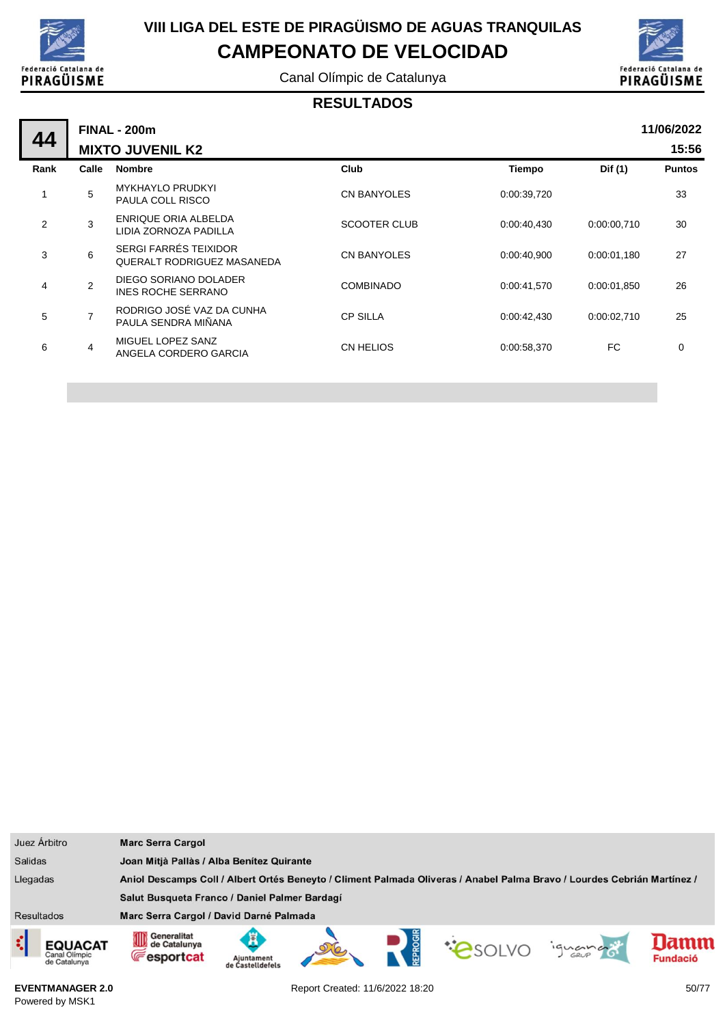

Canal Olímpic de Catalunya



#### **RESULTADOS**

|      |                | <b>FINAL - 200m</b>                                 |                     |               |             | 11/06/2022    |
|------|----------------|-----------------------------------------------------|---------------------|---------------|-------------|---------------|
| 44   |                | <b>MIXTO JUVENIL K2</b>                             |                     |               |             | 15:56         |
| Rank | Calle          | <b>Nombre</b>                                       | Club                | <b>Tiempo</b> | Dif (1)     | <b>Puntos</b> |
| 1    | 5              | <b>MYKHAYLO PRUDKYI</b><br><b>PAULA COLL RISCO</b>  | <b>CN BANYOLES</b>  | 0:00:39,720   |             | 33            |
| 2    | 3              | ENRIQUE ORIA ALBELDA<br>LIDIA ZORNOZA PADILLA       | <b>SCOOTER CLUB</b> | 0:00:40,430   | 0:00:00,710 | 30            |
| 3    | 6              | SERGI FARRÉS TEIXIDOR<br>QUERALT RODRIGUEZ MASANEDA | <b>CN BANYOLES</b>  | 0:00:40,900   | 0:00:01,180 | 27            |
| 4    | $\overline{2}$ | DIEGO SORIANO DOLADER<br>INES ROCHE SERRANO         | <b>COMBINADO</b>    | 0:00:41.570   | 0:00:01.850 | 26            |
| 5    |                | RODRIGO JOSÉ VAZ DA CUNHA<br>PAULA SENDRA MIÑANA    | <b>CP SILLA</b>     | 0:00:42,430   | 0:00:02,710 | 25            |
| 6    | $\overline{4}$ | MIGUEL LOPEZ SANZ<br>ANGELA CORDERO GARCIA          | <b>CN HELIOS</b>    | 0:00:58,370   | FC          | $\mathbf 0$   |
|      |                |                                                     |                     |               |             |               |

|                   | Juez Árbitro                                    | <b>Marc Serra Cargol</b>                                                                                                |                                           |  |  |                       |         |                        |
|-------------------|-------------------------------------------------|-------------------------------------------------------------------------------------------------------------------------|-------------------------------------------|--|--|-----------------------|---------|------------------------|
| <b>Salidas</b>    |                                                 |                                                                                                                         | Joan Mitjà Pallàs / Alba Benítez Quirante |  |  |                       |         |                        |
| Llegadas          |                                                 | Aniol Descamps Coll / Albert Ortés Beneyto / Climent Palmada Oliveras / Anabel Palma Bravo / Lourdes Cebrián Martínez / |                                           |  |  |                       |         |                        |
|                   |                                                 | Salut Busqueta Franco / Daniel Palmer Bardagí                                                                           |                                           |  |  |                       |         |                        |
| <b>Resultados</b> |                                                 | Marc Serra Cargol / David Darné Palmada                                                                                 |                                           |  |  |                       |         |                        |
| र                 | <b>EQUACAT</b><br>Canal Olimpic<br>de Catalunya | Generalitat<br>OID<br>de Catalunya<br><b>Fesportcat</b>                                                                 | Aiuntament<br>de Castelldefels            |  |  | <b><i>CASOLVO</i></b> | ignance | ımn<br><b>Fundació</b> |

**EVENTMANAGER 2.0** Powered by MSK1

Report Created: 11/6/2022 18:20 50/77

ı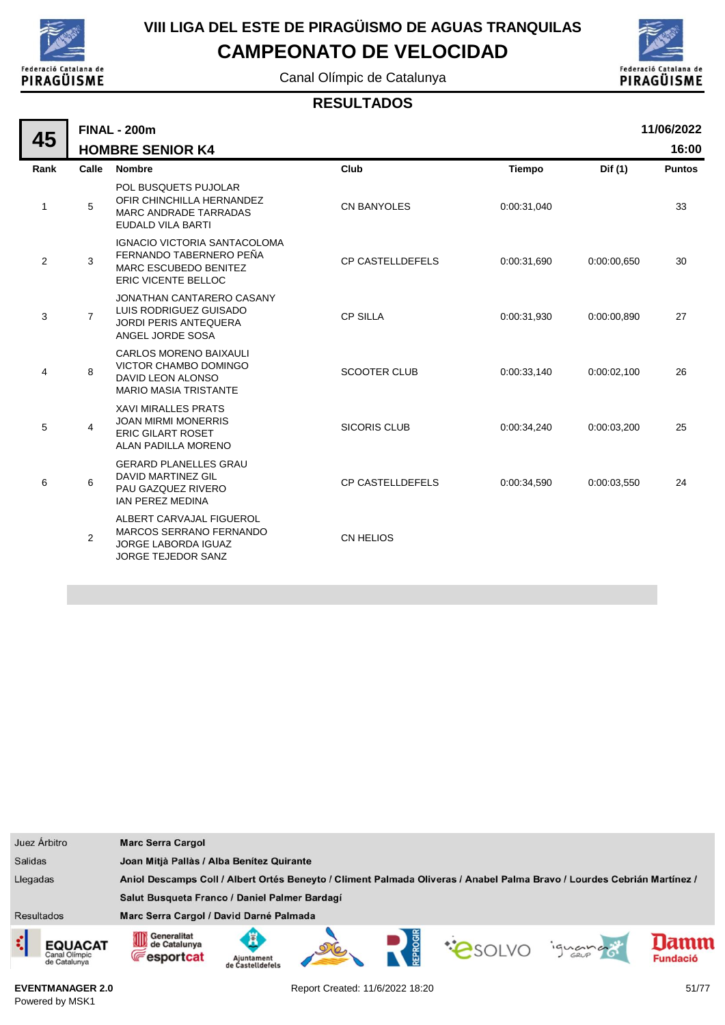

Canal Olímpic de Catalunya



#### **RESULTADOS**

|                | 11/06/2022<br><b>FINAL - 200m</b> |                                                                                                                       |                         |             |             |               |  |  |  |
|----------------|-----------------------------------|-----------------------------------------------------------------------------------------------------------------------|-------------------------|-------------|-------------|---------------|--|--|--|
| 45             |                                   | <b>HOMBRE SENIOR K4</b>                                                                                               |                         |             |             | 16:00         |  |  |  |
| Rank           | Calle                             | <b>Nombre</b>                                                                                                         | Club                    | Tiempo      | Dif (1)     | <b>Puntos</b> |  |  |  |
| 1              | 5                                 | POL BUSQUETS PUJOLAR<br>OFIR CHINCHILLA HERNANDEZ<br><b>MARC ANDRADE TARRADAS</b><br><b>EUDALD VILA BARTI</b>         | <b>CN BANYOLES</b>      | 0:00:31,040 |             | 33            |  |  |  |
| $\overline{c}$ | 3                                 | <b>IGNACIO VICTORIA SANTACOLOMA</b><br>FERNANDO TABERNERO PEÑA<br>MARC ESCUBEDO BENITEZ<br><b>ERIC VICENTE BELLOC</b> | <b>CP CASTELLDEFELS</b> | 0:00:31,690 | 0:00:00,650 | 30            |  |  |  |
| 3              | $\overline{7}$                    | JONATHAN CANTARERO CASANY<br>LUIS RODRIGUEZ GUISADO<br><b>JORDI PERIS ANTEQUERA</b><br>ANGEL JORDE SOSA               | <b>CP SILLA</b>         | 0:00:31,930 | 0:00:00,890 | 27            |  |  |  |
| 4              | 8                                 | <b>CARLOS MORENO BAIXAULI</b><br>VICTOR CHAMBO DOMINGO<br>DAVID LEON ALONSO<br><b>MARIO MASIA TRISTANTE</b>           | <b>SCOOTER CLUB</b>     | 0:00:33,140 | 0:00:02.100 | 26            |  |  |  |
| 5              | 4                                 | <b>XAVI MIRALLES PRATS</b><br><b>JOAN MIRMI MONERRIS</b><br><b>ERIC GILART ROSET</b><br><b>ALAN PADILLA MORENO</b>    | <b>SICORIS CLUB</b>     | 0:00:34,240 | 0:00:03,200 | 25            |  |  |  |
| 6              | 6                                 | <b>GERARD PLANELLES GRAU</b><br><b>DAVID MARTINEZ GIL</b><br>PAU GAZQUEZ RIVERO<br><b>IAN PEREZ MEDINA</b>            | <b>CP CASTELLDEFELS</b> | 0:00:34,590 | 0:00:03,550 | 24            |  |  |  |
|                | $\overline{2}$                    | ALBERT CARVAJAL FIGUEROL<br><b>MARCOS SERRANO FERNANDO</b><br><b>JORGE LABORDA IGUAZ</b><br><b>JORGE TEJEDOR SANZ</b> | CN HELIOS               |             |             |               |  |  |  |

| Juez Árbitro                                         | <b>Marc Serra Cargol</b>                                                                                                                                     |  |  |  |  |
|------------------------------------------------------|--------------------------------------------------------------------------------------------------------------------------------------------------------------|--|--|--|--|
| <b>Salidas</b>                                       | Joan Mitjà Pallàs / Alba Benítez Quirante                                                                                                                    |  |  |  |  |
| Llegadas                                             | Aniol Descamps Coll / Albert Ortés Beneyto / Climent Palmada Oliveras / Anabel Palma Bravo / Lourdes Cebrián Martínez /                                      |  |  |  |  |
|                                                      | Salut Busqueta Franco / Daniel Palmer Bardagí                                                                                                                |  |  |  |  |
| <b>Resultados</b>                                    | Marc Serra Cargol / David Darné Palmada                                                                                                                      |  |  |  |  |
| ζ<br><b>EQUACAT</b><br>Canal Olimpic<br>de Catalunya | Generalitat<br>EPROGI<br>⊪<br>Ã<br>mm<br><b>COSOLVO</b><br>de Catalunya<br>ignance<br><b>Fesportcat</b><br><b>Fundació</b><br>Ajuntament<br>de Castelldefels |  |  |  |  |

**EVENTMANAGER 2.0** Powered by MSK1

Report Created: 11/6/2022 18:20 51/77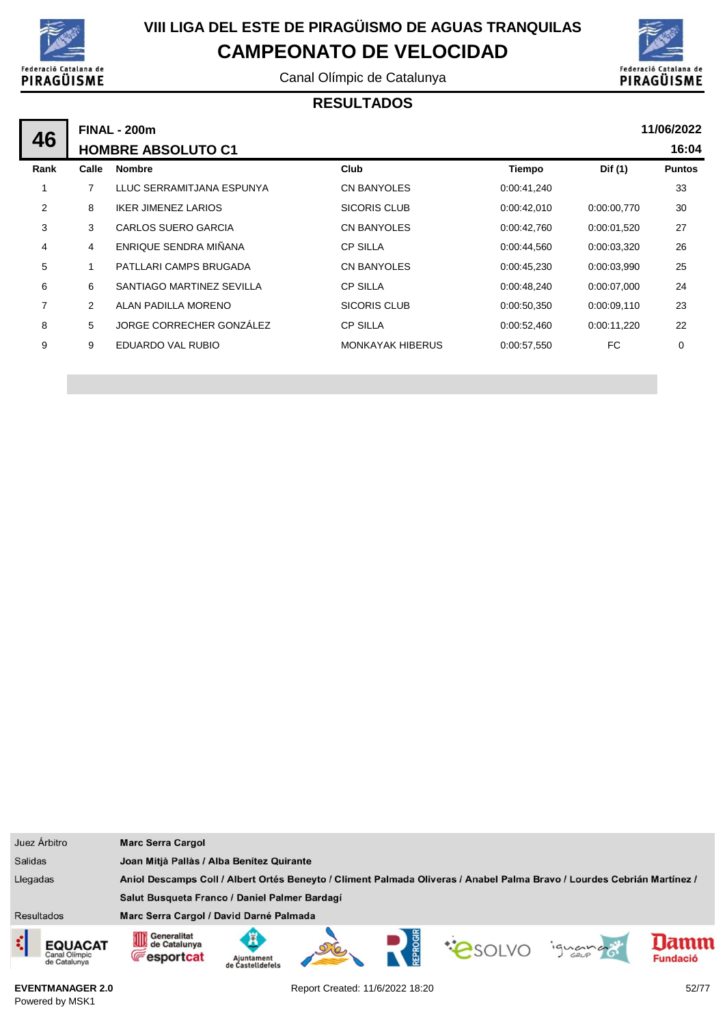

Canal Olímpic de Catalunya



#### **RESULTADOS**

|      | <b>FINAL - 200m</b> |                            |                         |               |             |               |  |  |
|------|---------------------|----------------------------|-------------------------|---------------|-------------|---------------|--|--|
| 46   |                     | <b>HOMBRE ABSOLUTO C1</b>  |                         |               |             | 16:04         |  |  |
| Rank | Calle               | <b>Nombre</b>              | Club                    | <b>Tiempo</b> | Dif (1)     | <b>Puntos</b> |  |  |
|      | 7                   | LLUC SERRAMITJANA ESPUNYA  | CN BANYOLES             | 0:00:41,240   |             | 33            |  |  |
| 2    | 8                   | <b>IKER JIMENEZ LARIOS</b> | SICORIS CLUB            | 0.00:42,010   | 0.00.00,770 | 30            |  |  |
| 3    | 3                   | <b>CARLOS SUERO GARCIA</b> | <b>CN BANYOLES</b>      | 0:00:42,760   | 0:00:01,520 | 27            |  |  |
| 4    | 4                   | ENRIQUE SENDRA MIÑANA      | <b>CP SILLA</b>         | 0:00:44,560   | 0:00:03,320 | 26            |  |  |
| 5    |                     | PATLLARI CAMPS BRUGADA     | CN BANYOLES             | 0:00:45,230   | 0:00:03,990 | 25            |  |  |
| 6    | 6                   | SANTIAGO MARTINEZ SEVILLA  | <b>CP SILLA</b>         | 0:00:48,240   | 0:00:07,000 | 24            |  |  |
| 7    | $\overline{2}$      | ALAN PADILLA MORENO        | SICORIS CLUB            | 0:00:50,350   | 0:00:09,110 | 23            |  |  |
| 8    | 5                   | JORGE CORRECHER GONZÁLEZ   | <b>CP SILLA</b>         | 0.00.52,460   | 0:00:11,220 | 22            |  |  |
| 9    | 9                   | EDUARDO VAL RUBIO          | <b>MONKAYAK HIBERUS</b> | 0:00:57,550   | FC          | 0             |  |  |
|      |                     |                            |                         |               |             |               |  |  |

| Juez Árbitro                                          | <b>Marc Serra Cargol</b>                                                                                                |                                           |  |  |  |         |                        |
|-------------------------------------------------------|-------------------------------------------------------------------------------------------------------------------------|-------------------------------------------|--|--|--|---------|------------------------|
| <b>Salidas</b>                                        |                                                                                                                         | Joan Mitjà Pallàs / Alba Benítez Quirante |  |  |  |         |                        |
| Llegadas                                              | Aniol Descamps Coll / Albert Ortés Beneyto / Climent Palmada Oliveras / Anabel Palma Bravo / Lourdes Cebrián Martínez / |                                           |  |  |  |         |                        |
|                                                       | Salut Busqueta Franco / Daniel Palmer Bardagí                                                                           |                                           |  |  |  |         |                        |
| <b>Resultados</b>                                     | Marc Serra Cargol / David Darné Palmada                                                                                 |                                           |  |  |  |         |                        |
| ₫,<br><b>EQUACAT</b><br>Canal Olimpic<br>de Catalunya | Generalitat<br>OID<br>de Catalunya<br><b>Fesportcat</b>                                                                 | Ajuntament<br>de Castelldefels            |  |  |  | iguando | amn<br><b>Fundació</b> |

**EVENTMANAGER 2.0** Powered by MSK1

Report Created: 11/6/2022 18:20 52/77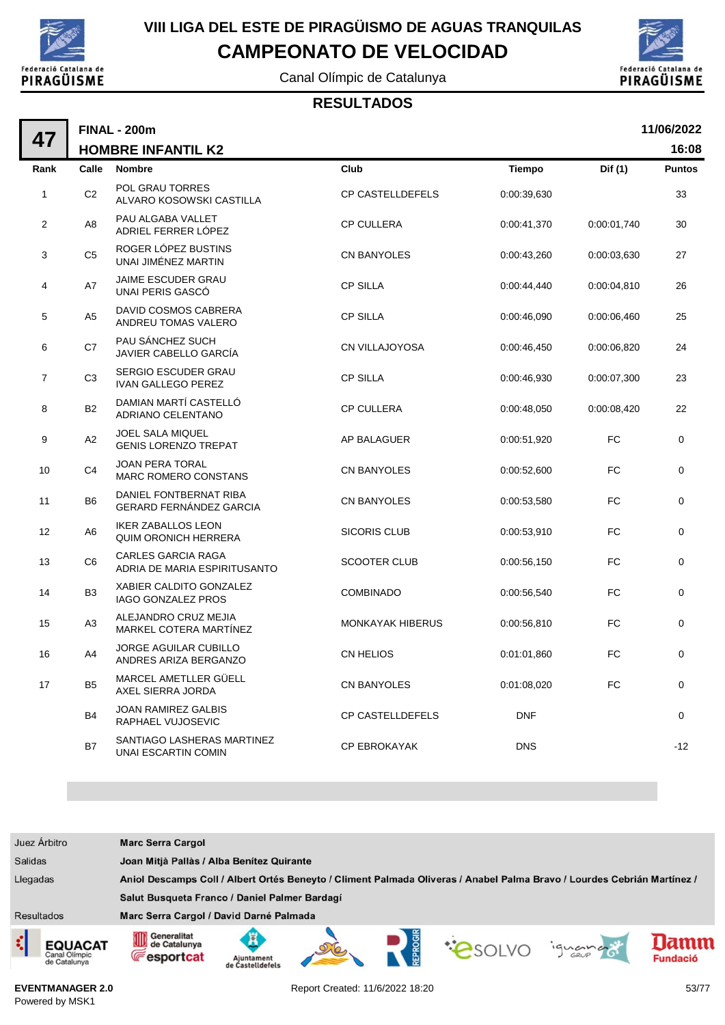

**FINAL - 200m**

## **VIII LIGA DEL ESTE DE PIRAGÜISMO DE AGUAS TRANQUILAS CAMPEONATO DE VELOCIDAD**

Canal Olímpic de Catalunya



#### **RESULTADOS**

|             | 11/06/2022<br><b>FINAL - 200m</b> |                                                           |                         |               |             |               |  |  |  |
|-------------|-----------------------------------|-----------------------------------------------------------|-------------------------|---------------|-------------|---------------|--|--|--|
| 47          |                                   | <b>HOMBRE INFANTIL K2</b>                                 |                         |               |             | 16:08         |  |  |  |
| Rank        | Calle                             | <b>Nombre</b>                                             | Club                    | <b>Tiempo</b> | Dif (1)     | <b>Puntos</b> |  |  |  |
| $\mathbf 1$ | C <sub>2</sub>                    | POL GRAU TORRES<br>ALVARO KOSOWSKI CASTILLA               | CP CASTELLDEFELS        | 0:00:39,630   |             | 33            |  |  |  |
| 2           | A <sub>8</sub>                    | PAU ALGABA VALLET<br>ADRIEL FERRER LÓPEZ                  | <b>CP CULLERA</b>       | 0:00:41,370   | 0:00:01,740 | 30            |  |  |  |
| 3           | C <sub>5</sub>                    | ROGER LOPEZ BUSTINS<br>UNAI JIMÉNEZ MARTIN                | <b>CN BANYOLES</b>      | 0:00:43,260   | 0:00:03,630 | 27            |  |  |  |
| 4           | A7                                | <b>JAIME ESCUDER GRAU</b><br>UNAI PERIS GASCÓ             | <b>CP SILLA</b>         | 0:00:44,440   | 0:00:04,810 | 26            |  |  |  |
| 5           | A5                                | DAVID COSMOS CABRERA<br>ANDREU TOMAS VALERO               | <b>CP SILLA</b>         | 0:00:46.090   | 0:00:06,460 | 25            |  |  |  |
| 6           | C7                                | PAU SÁNCHEZ SUCH<br>JAVIER CABELLO GARCÍA                 | CN VILLAJOYOSA          | 0:00:46,450   | 0:00:06,820 | 24            |  |  |  |
| 7           | C <sub>3</sub>                    | SERGIO ESCUDER GRAU<br><b>IVAN GALLEGO PEREZ</b>          | <b>CP SILLA</b>         | 0:00:46,930   | 0:00:07,300 | 23            |  |  |  |
| 8           | <b>B2</b>                         | DAMIAN MARTÍ CASTELLÓ<br><b>ADRIANO CELENTANO</b>         | <b>CP CULLERA</b>       | 0:00:48,050   | 0:00:08,420 | 22            |  |  |  |
| 9           | A <sub>2</sub>                    | <b>JOEL SALA MIQUEL</b><br><b>GENIS LORENZO TREPAT</b>    | AP BALAGUER             | 0:00:51,920   | <b>FC</b>   | 0             |  |  |  |
| 10          | C <sub>4</sub>                    | <b>JOAN PERA TORAL</b><br><b>MARC ROMERO CONSTANS</b>     | <b>CN BANYOLES</b>      | 0:00:52,600   | <b>FC</b>   | $\mathbf 0$   |  |  |  |
| 11          | B <sub>6</sub>                    | DANIEL FONTBERNAT RIBA<br><b>GERARD FERNÁNDEZ GARCIA</b>  | <b>CN BANYOLES</b>      | 0:00:53,580   | FC          | 0             |  |  |  |
| 12          | A6                                | <b>IKER ZABALLOS LEON</b><br><b>QUIM ORONICH HERRERA</b>  | <b>SICORIS CLUB</b>     | 0:00:53,910   | <b>FC</b>   | 0             |  |  |  |
| 13          | C <sub>6</sub>                    | <b>CARLES GARCIA RAGA</b><br>ADRIA DE MARIA ESPIRITUSANTO | <b>SCOOTER CLUB</b>     | 0:00:56,150   | <b>FC</b>   | 0             |  |  |  |
| 14          | B <sub>3</sub>                    | XABIER CALDITO GONZALEZ<br><b>IAGO GONZALEZ PROS</b>      | <b>COMBINADO</b>        | 0:00:56,540   | <b>FC</b>   | $\mathbf 0$   |  |  |  |
| 15          | A <sub>3</sub>                    | ALEJANDRO CRUZ MEJIA<br>MARKEL COTERA MARTINEZ            | <b>MONKAYAK HIBERUS</b> | 0:00:56,810   | <b>FC</b>   | 0             |  |  |  |
| 16          | A4                                | <b>JORGE AGUILAR CUBILLO</b><br>ANDRES ARIZA BERGANZO     | <b>CN HELIOS</b>        | 0:01:01,860   | <b>FC</b>   | $\mathbf 0$   |  |  |  |
| 17          | B <sub>5</sub>                    | MARCEL AMETLLER GÜELL<br>AXEL SIERRA JORDA                | <b>CN BANYOLES</b>      | 0:01:08,020   | FC          | 0             |  |  |  |
|             | <b>B4</b>                         | JOAN RAMIREZ GALBIS<br>RAPHAEL VUJOSEVIC                  | <b>CP CASTELLDEFELS</b> | <b>DNF</b>    |             | 0             |  |  |  |
|             | <b>B7</b>                         | SANTIAGO LASHERAS MARTINEZ<br>UNAI ESCARTIN COMIN         | <b>CP EBROKAYAK</b>     | <b>DNS</b>    |             | $-12$         |  |  |  |

| Juez Árbitro                                         | <b>Marc Serra Cargol</b>                                                                                                |                                           |  |  |        |         |                         |
|------------------------------------------------------|-------------------------------------------------------------------------------------------------------------------------|-------------------------------------------|--|--|--------|---------|-------------------------|
| <b>Salidas</b>                                       |                                                                                                                         | Joan Mitjà Pallàs / Alba Benítez Quirante |  |  |        |         |                         |
| Llegadas                                             | Aniol Descamps Coll / Albert Ortés Beneyto / Climent Palmada Oliveras / Anabel Palma Bravo / Lourdes Cebrián Martínez / |                                           |  |  |        |         |                         |
|                                                      | Salut Busqueta Franco / Daniel Palmer Bardagí                                                                           |                                           |  |  |        |         |                         |
| <b>Resultados</b>                                    | Marc Serra Cargol / David Darné Palmada                                                                                 |                                           |  |  |        |         |                         |
| ¢<br><b>EQUACAT</b><br>Canal Olimpic<br>de Catalunya | <b>11 Generalitat</b><br>de Catalunya<br><b>Fesportcat</b>                                                              | Ajuntament<br>de Castelldefels            |  |  | PSOLVO | iguando | lamm<br><b>Fundació</b> |

**EVENTMANAGER 2.0** Powered by MSK1

Report Created: 11/6/2022 18:20 53/77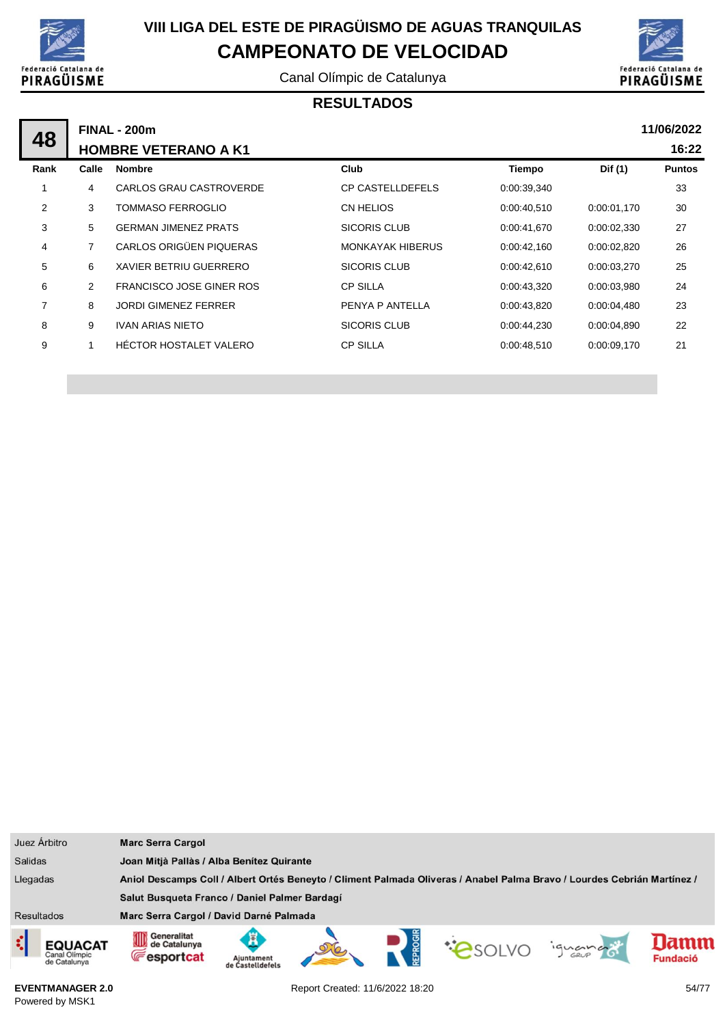

Canal Olímpic de Catalunya



### **RESULTADOS**

|      | <b>FINAL - 200m</b> |                                 |                         |             |             |               |  |  |
|------|---------------------|---------------------------------|-------------------------|-------------|-------------|---------------|--|--|
| 48   |                     | <b>HOMBRE VETERANO A K1</b>     |                         |             |             | 16:22         |  |  |
| Rank | Calle               | <b>Nombre</b>                   | Club                    | Tiempo      | Dif (1)     | <b>Puntos</b> |  |  |
| 1    | 4                   | CARLOS GRAU CASTROVERDE         | <b>CP CASTELLDEFELS</b> | 0:00:39,340 |             | 33            |  |  |
| 2    | 3                   | <b>TOMMASO FERROGLIO</b>        | CN HELIOS               | 0:00:40,510 | 0.00.01,170 | 30            |  |  |
| 3    | 5                   | <b>GERMAN JIMENEZ PRATS</b>     | SICORIS CLUB            | 0:00:41,670 | 0:00:02,330 | 27            |  |  |
| 4    | $\overline{7}$      | CARLOS ORIGÜEN PIQUERAS         | <b>MONKAYAK HIBERUS</b> | 0:00:42,160 | 0:00:02,820 | 26            |  |  |
| 5    | 6                   | XAVIER BETRIU GUERRERO          | SICORIS CLUB            | 0:00:42,610 | 0.00.03,270 | 25            |  |  |
| 6    | 2                   | <b>FRANCISCO JOSE GINER ROS</b> | <b>CP SILLA</b>         | 0:00:43,320 | 0:00:03.980 | 24            |  |  |
| 7    | 8                   | <b>JORDI GIMENEZ FERRER</b>     | PENYA P ANTELLA         | 0:00:43,820 | 0.00.04,480 | 23            |  |  |
| 8    | 9                   | <b>IVAN ARIAS NIETO</b>         | <b>SICORIS CLUB</b>     | 0:00:44,230 | 0.00.04,890 | 22            |  |  |
| 9    | 1                   | HÉCTOR HOSTALET VALERO          | <b>CP SILLA</b>         | 0:00:48,510 | 0:00:09,170 | 21            |  |  |
|      |                     |                                 |                         |             |             |               |  |  |

| Juez Árbitro                                         | <b>Marc Serra Cargol</b>                                                                                                |                                           |  |  |  |        |                         |
|------------------------------------------------------|-------------------------------------------------------------------------------------------------------------------------|-------------------------------------------|--|--|--|--------|-------------------------|
| <b>Salidas</b>                                       |                                                                                                                         | Joan Mitjà Pallàs / Alba Benitez Quirante |  |  |  |        |                         |
| Llegadas                                             | Aniol Descamps Coll / Albert Ortés Beneyto / Climent Palmada Oliveras / Anabel Palma Bravo / Lourdes Cebrián Martínez / |                                           |  |  |  |        |                         |
|                                                      | Salut Busqueta Franco / Daniel Palmer Bardagí                                                                           |                                           |  |  |  |        |                         |
| <b>Resultados</b>                                    | Marc Serra Cargol / David Darné Palmada                                                                                 |                                           |  |  |  |        |                         |
| ़<br><b>EQUACAT</b><br>Canal Olimpic<br>de Catalunya | Generalitat<br>OID<br>de Catalunya<br><b>Fesportcat</b>                                                                 | Ajuntament<br>de Castelldefels            |  |  |  | iguana | lamm<br><b>Fundació</b> |

**EVENTMANAGER 2.0** Powered by MSK1

Report Created: 11/6/2022 18:20 54/77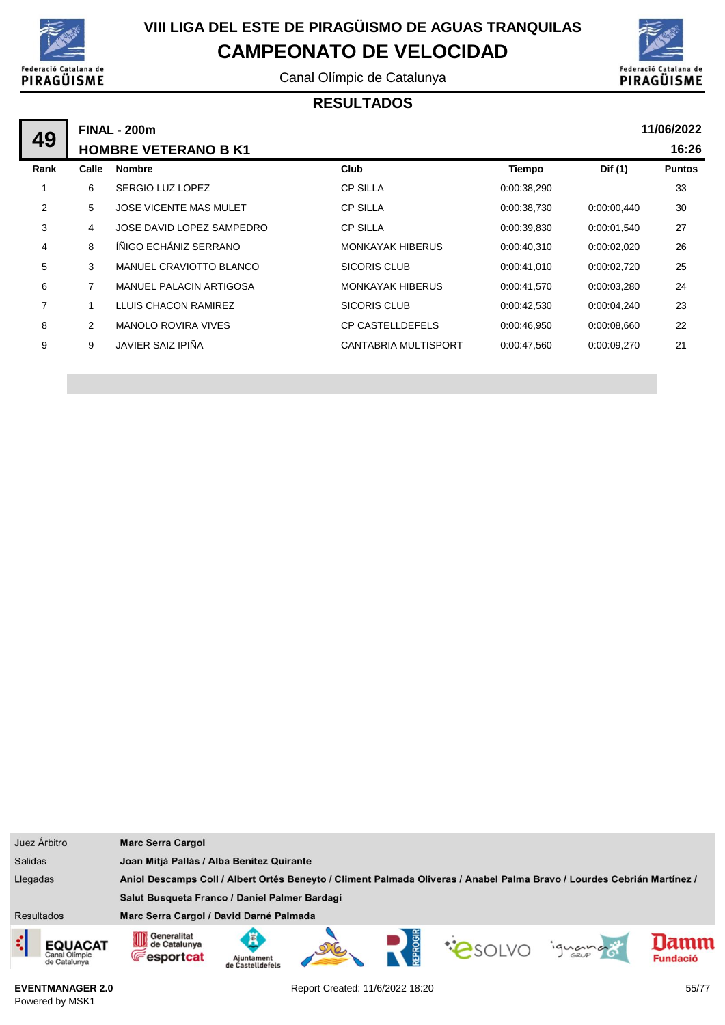

Canal Olímpic de Catalunya



#### **RESULTADOS**

|                |       | <b>FINAL - 200m</b>           |                         |             |             | 11/06/2022    |
|----------------|-------|-------------------------------|-------------------------|-------------|-------------|---------------|
| 49             |       | <b>HOMBRE VETERANO B K1</b>   |                         |             |             | 16:26         |
| Rank           | Calle | <b>Nombre</b>                 | Club                    | Tiempo      | Dif (1)     | <b>Puntos</b> |
|                | 6     | SERGIO LUZ LOPEZ              | <b>CP SILLA</b>         | 0:00:38,290 |             | 33            |
| 2              | 5     | <b>JOSE VICENTE MAS MULET</b> | <b>CP SILLA</b>         | 0:00:38,730 | 0:00:00,440 | 30            |
| 3              | 4     | JOSE DAVID LOPEZ SAMPEDRO     | <b>CP SILLA</b>         | 0:00:39,830 | 0:00:01,540 | 27            |
| 4              | 8     | ÍÑIGO ECHÁNIZ SERRANO         | <b>MONKAYAK HIBERUS</b> | 0:00:40,310 | 0:00:02,020 | 26            |
| 5              | 3     | MANUEL CRAVIOTTO BLANCO       | SICORIS CLUB            | 0:00:41,010 | 0.00:02,720 | 25            |
| 6              | 7     | MANUEL PALACIN ARTIGOSA       | <b>MONKAYAK HIBERUS</b> | 0:00:41,570 | 0.00.03,280 | 24            |
| $\overline{7}$ |       | LLUIS CHACON RAMIREZ          | <b>SICORIS CLUB</b>     | 0:00:42,530 | 0.00:04,240 | 23            |
| 8              | 2     | <b>MANOLO ROVIRA VIVES</b>    | <b>CP CASTELLDEFELS</b> | 0:00:46,950 | 0.00.08,660 | 22            |
| 9              | 9     | <b>JAVIER SAIZ IPIÑA</b>      | CANTABRIA MULTISPORT    | 0:00:47,560 | 0.00:09.270 | 21            |
|                |       |                               |                         |             |             |               |

| Juez Árbitro                                                                                                                        | <b>Marc Serra Cargol</b>                                                                                              |                        |  |  |  |
|-------------------------------------------------------------------------------------------------------------------------------------|-----------------------------------------------------------------------------------------------------------------------|------------------------|--|--|--|
| <b>Salidas</b>                                                                                                                      | Joan Mitjà Pallàs / Alba Benítez Quirante                                                                             |                        |  |  |  |
| Llegadas<br>Aniol Descamps Coll / Albert Ortés Beneyto / Climent Palmada Oliveras / Anabel Palma Bravo / Lourdes Cebrián Martínez / |                                                                                                                       |                        |  |  |  |
|                                                                                                                                     | Salut Busqueta Franco / Daniel Palmer Bardagí                                                                         |                        |  |  |  |
| <b>Resultados</b>                                                                                                                   | Marc Serra Cargol / David Darné Palmada                                                                               |                        |  |  |  |
| ¢<br>EQUACAT<br>Canal Olimpic<br>de Catalunya                                                                                       | Generalitat<br>OD<br>de Catalunya<br><b>COSOLVO</b><br>iguando<br><b>Fesportcat</b><br>Ajuntament<br>de Castelldefels | amn<br><b>Fundació</b> |  |  |  |

**EVENTMANAGER 2.0** Powered by MSK1

Report Created: 11/6/2022 18:20 55/77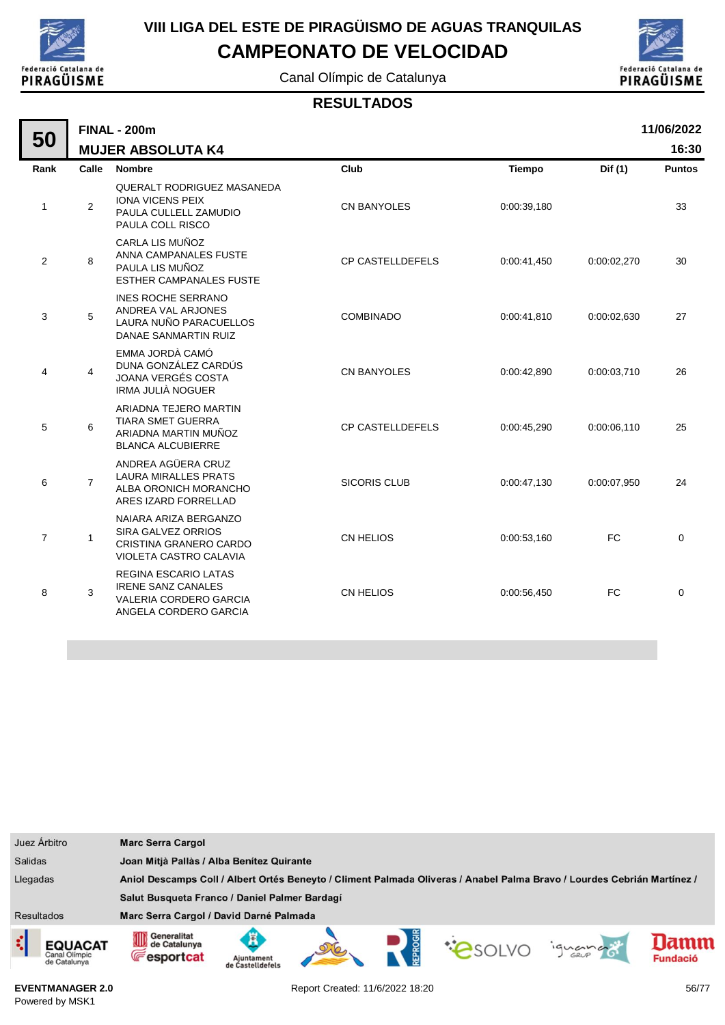

# **VIII LIGA DEL ESTE DE PIRAGÜISMO DE AGUAS TRANQUILAS**

**CAMPEONATO DE VELOCIDAD**

Canal Olímpic de Catalunya



#### **RESULTADOS**

|                | 11/06/2022<br><b>FINAL - 200m</b> |                                                                                                                    |                         |               |             |               |  |
|----------------|-----------------------------------|--------------------------------------------------------------------------------------------------------------------|-------------------------|---------------|-------------|---------------|--|
| 50             |                                   | <b>MUJER ABSOLUTA K4</b>                                                                                           |                         |               |             | 16:30         |  |
| Rank           | Calle                             | <b>Nombre</b>                                                                                                      | Club                    | <b>Tiempo</b> | Dif (1)     | <b>Puntos</b> |  |
| $\mathbf{1}$   | 2                                 | <b>QUERALT RODRIGUEZ MASANEDA</b><br><b>IONA VICENS PEIX</b><br>PAULA CULLELL ZAMUDIO<br>PAULA COLL RISCO          | <b>CN BANYOLES</b>      | 0:00:39,180   |             | 33            |  |
| 2              | 8                                 | CARLA LIS MUÑOZ<br>ANNA CAMPANALES FUSTE<br>PAULA LIS MUÑOZ<br><b>ESTHER CAMPANALES FUSTE</b>                      | <b>CP CASTELLDEFELS</b> | 0:00:41,450   | 0:00:02,270 | 30            |  |
| 3              | 5                                 | <b>INES ROCHE SERRANO</b><br>ANDREA VAL ARJONES<br>LAURA NUÑO PARACUELLOS<br>DANAE SANMARTIN RUIZ                  | <b>COMBINADO</b>        | 0:00:41,810   | 0:00:02,630 | 27            |  |
| 4              | $\overline{4}$                    | EMMA JORDÀ CAMÓ<br>DUNA GONZÁLEZ CARDÚS<br><b>JOANA VERGÉS COSTA</b><br>IRMA JULIÀ NOGUER                          | <b>CN BANYOLES</b>      | 0:00:42,890   | 0:00:03,710 | 26            |  |
| 5              | 6                                 | ARIADNA TEJERO MARTIN<br><b>TIARA SMET GUERRA</b><br>ARIADNA MARTIN MUÑOZ<br><b>BLANCA ALCUBIERRE</b>              | <b>CP CASTELLDEFELS</b> | 0:00:45.290   | 0:00:06,110 | 25            |  |
| 6              | $\overline{7}$                    | ANDREA AGÜERA CRUZ<br><b>LAURA MIRALLES PRATS</b><br>ALBA ORONICH MORANCHO<br>ARES IZARD FORRELLAD                 | <b>SICORIS CLUB</b>     | 0:00:47,130   | 0:00:07,950 | 24            |  |
| $\overline{7}$ | 1                                 | NAIARA ARIZA BERGANZO<br>SIRA GALVEZ ORRIOS<br>CRISTINA GRANERO CARDO<br>VIOLETA CASTRO CALAVIA                    | <b>CN HELIOS</b>        | 0:00:53,160   | <b>FC</b>   | $\mathbf 0$   |  |
| 8              | 3                                 | <b>REGINA ESCARIO LATAS</b><br><b>IRENE SANZ CANALES</b><br><b>VALERIA CORDERO GARCIA</b><br>ANGELA CORDERO GARCIA | <b>CN HELIOS</b>        | 0:00:56,450   | <b>FC</b>   | $\mathbf 0$   |  |



**EVENTMANAGER 2.0** Powered by MSK1

Report Created: 11/6/2022 18:20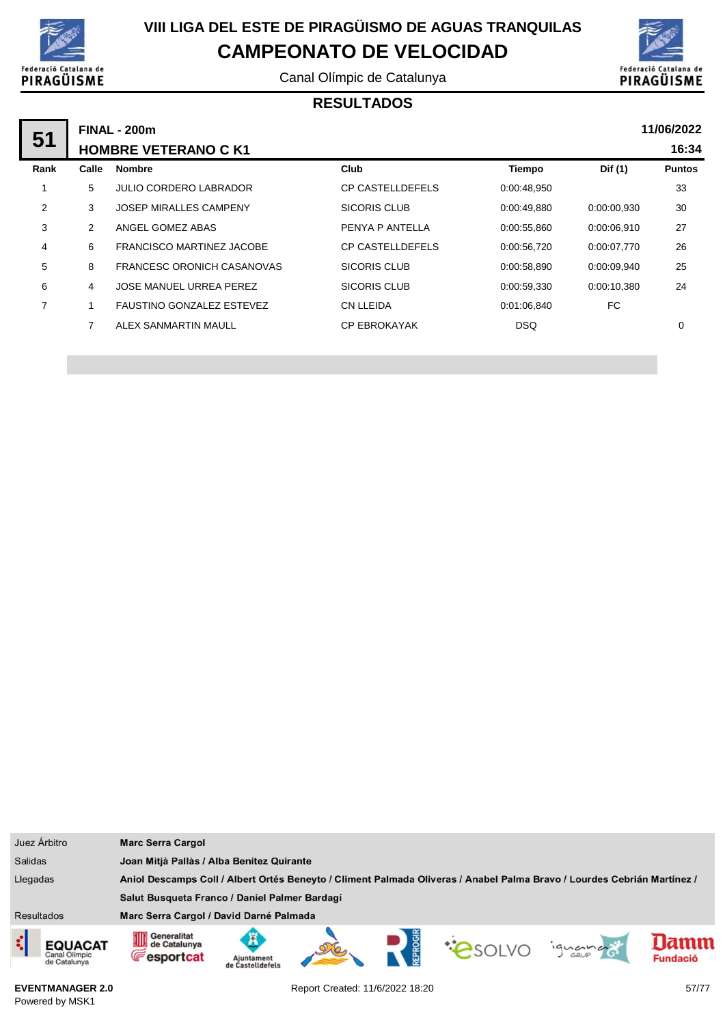

Canal Olímpic de Catalunya



### **RESULTADOS**

|       |                                   |                                                    |             |             | 11/06/2022    |
|-------|-----------------------------------|----------------------------------------------------|-------------|-------------|---------------|
|       |                                   |                                                    |             |             | 16:34         |
| Calle | <b>Nombre</b>                     | Club                                               | Tiempo      | Dif (1)     | <b>Puntos</b> |
| 5     | <b>JULIO CORDERO LABRADOR</b>     | <b>CP CASTELLDEFELS</b>                            | 0.00.48,950 |             | 33            |
| 3     | <b>JOSEP MIRALLES CAMPENY</b>     | SICORIS CLUB                                       | 0.00:49,880 | 0:00:00.930 | 30            |
| 2     | ANGEL GOMEZ ABAS                  | PENYA P ANTELLA                                    | 0:00:55,860 | 0:00:06.910 | 27            |
| 6     | FRANCISCO MARTINEZ JACOBE         | <b>CP CASTELLDEFELS</b>                            | 0:00:56,720 | 0:00:07.770 | 26            |
| 8     | <b>FRANCESC ORONICH CASANOVAS</b> | SICORIS CLUB                                       | 0:00:58,890 | 0:00:09.940 | 25            |
| 4     | <b>JOSE MANUEL URREA PEREZ</b>    | <b>SICORIS CLUB</b>                                | 0:00:59,330 | 0:00:10.380 | 24            |
|       | <b>FAUSTINO GONZALEZ ESTEVEZ</b>  | CN LLEIDA                                          | 0.01.06.840 | FC          |               |
| 7     | ALEX SANMARTIN MAULL              | <b>CP EBROKAYAK</b>                                | <b>DSQ</b>  |             | $\mathbf 0$   |
|       |                                   | <b>FINAL - 200m</b><br><b>HOMBRE VETERANO C K1</b> |             |             |               |

| Juez Árbitro                                                                                                                        | <b>Marc Serra Cargol</b>                         |                                           |  |  |  |         |                 |
|-------------------------------------------------------------------------------------------------------------------------------------|--------------------------------------------------|-------------------------------------------|--|--|--|---------|-----------------|
| <b>Salidas</b>                                                                                                                      |                                                  | Joan Mitjà Pallàs / Alba Benítez Quirante |  |  |  |         |                 |
| Llegadas<br>Aniol Descamps Coll / Albert Ortés Beneyto / Climent Palmada Oliveras / Anabel Palma Bravo / Lourdes Cebrián Martínez / |                                                  |                                           |  |  |  |         |                 |
|                                                                                                                                     | Salut Busqueta Franco / Daniel Palmer Bardagí    |                                           |  |  |  |         |                 |
| Resultados                                                                                                                          | Marc Serra Cargol / David Darné Palmada          |                                           |  |  |  |         |                 |
| ¢<br><b>EQUACAT</b><br>Canal Olímpic<br>de Catalunya                                                                                | Generalitat<br>de Catalunya<br><b>Fesportcat</b> | Ajuntament<br>de Castelldefels            |  |  |  | iguando | amm<br>Fundació |

**EVENTMANAGER 2.0** Powered by MSK1

Report Created: 11/6/2022 18:20 57/77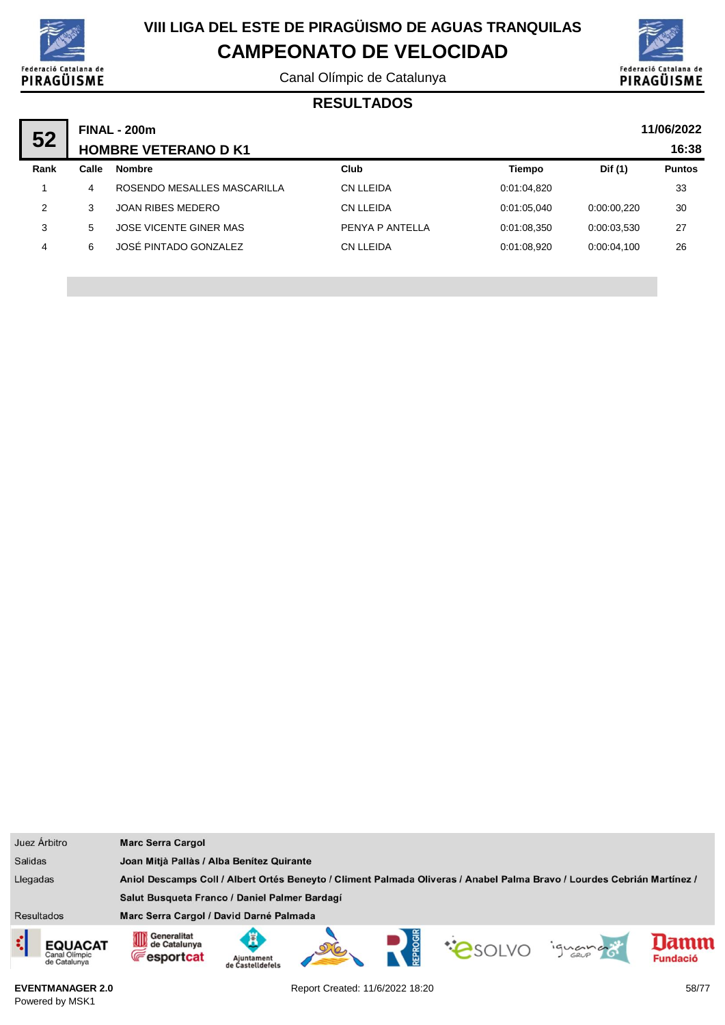

Canal Olímpic de Catalunya



#### **RESULTADOS**

| 52   |       | <b>FINAL - 200m</b>         | 11/06/2022      |               |             |               |
|------|-------|-----------------------------|-----------------|---------------|-------------|---------------|
|      |       | <b>HOMBRE VETERANO D K1</b> |                 |               |             | 16:38         |
| Rank | Calle | <b>Nombre</b>               | Club            | <b>Tiempo</b> | Dif (1)     | <b>Puntos</b> |
|      | 4     | ROSENDO MESALLES MASCARILLA | CN LLEIDA       | 0:01:04,820   |             | 33            |
| 2    | 3     | JOAN RIBES MEDERO           | CN LLEIDA       | 0.01.05.040   | 0:00:00.220 | 30            |
| 3    | 5     | JOSE VICENTE GINER MAS      | PENYA P ANTELLA | 0:01:08.350   | 0:00:03.530 | 27            |
| 4    | 6     | JOSÉ PINTADO GONZALEZ       | CN LLEIDA       | 0.01.08.920   | 0:00:04.100 | 26            |
|      |       |                             |                 |               |             |               |

|                   | Juez Árbitro                                                                                                                        | <b>Marc Serra Cargol</b>                                |                                |  |  |  |         |                        |
|-------------------|-------------------------------------------------------------------------------------------------------------------------------------|---------------------------------------------------------|--------------------------------|--|--|--|---------|------------------------|
| <b>Salidas</b>    |                                                                                                                                     | Joan Mitjà Pallàs / Alba Benitez Quirante               |                                |  |  |  |         |                        |
|                   | Llegadas<br>Aniol Descamps Coll / Albert Ortés Beneyto / Climent Palmada Oliveras / Anabel Palma Bravo / Lourdes Cebrián Martínez / |                                                         |                                |  |  |  |         |                        |
|                   |                                                                                                                                     | Salut Busqueta Franco / Daniel Palmer Bardagí           |                                |  |  |  |         |                        |
| <b>Resultados</b> |                                                                                                                                     | Marc Serra Cargol / David Darné Palmada                 |                                |  |  |  |         |                        |
|                   | <b>EQUACAT</b><br>Canal Olimpic<br>de Catalunya                                                                                     | Generalitat<br>0D<br>de Catalunya<br><b>E</b> esportcat | Aiuntament<br>de Castelldefel: |  |  |  | ignance | amm<br><b>Fundació</b> |

**EVENTMANAGER 2.0** Powered by MSK1

Report Created: 11/6/2022 18:20 58/77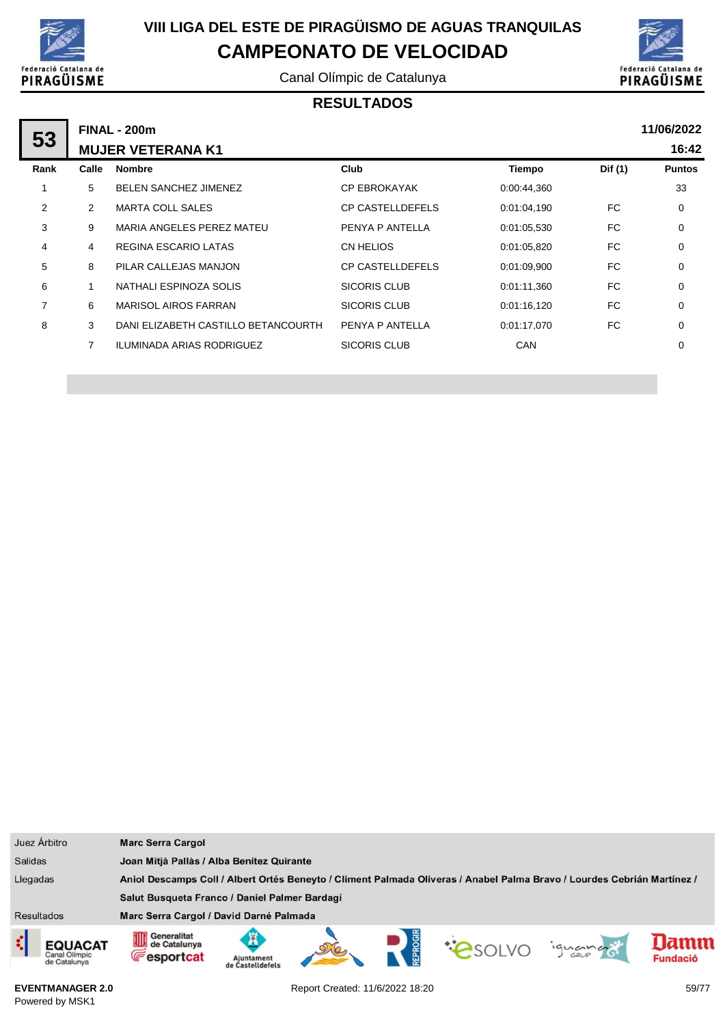

Canal Olímpic de Catalunya



#### **RESULTADOS**

|      |       | <b>FINAL - 200m</b>                 |                         |             |         | 11/06/2022    |
|------|-------|-------------------------------------|-------------------------|-------------|---------|---------------|
| 53   |       | <b>MUJER VETERANA K1</b>            |                         |             |         | 16:42         |
| Rank | Calle | <b>Nombre</b>                       | Club                    | Tiempo      | Dif (1) | <b>Puntos</b> |
|      | 5     | <b>BELEN SANCHEZ JIMENEZ</b>        | <b>CP EBROKAYAK</b>     | 0:00:44,360 |         | 33            |
| 2    | 2     | <b>MARTA COLL SALES</b>             | <b>CP CASTELLDEFELS</b> | 0:01:04,190 | FC.     | 0             |
| 3    | 9     | MARIA ANGELES PEREZ MATEU           | PENYA P ANTELLA         | 0:01:05.530 | FC.     | 0             |
| 4    | 4     | REGINA ESCARIO LATAS                | CN HELIOS               | 0:01:05,820 | FC.     | $\mathbf 0$   |
| 5    | 8     | PILAR CALLEJAS MANJON               | <b>CP CASTELLDEFELS</b> | 0:01:09,900 | FC.     | $\mathbf 0$   |
| 6    |       | NATHALI ESPINOZA SOLIS              | SICORIS CLUB            | 0:01:11,360 | FC.     | $\mathbf 0$   |
| 7    | 6     | <b>MARISOL AIROS FARRAN</b>         | SICORIS CLUB            | 0:01:16,120 | FC.     | $\mathbf 0$   |
| 8    | 3     | DANI ELIZABETH CASTILLO BETANCOURTH | PENYA P ANTELLA         | 0:01:17.070 | FC.     | $\mathbf 0$   |
|      | 7     | <b>ILUMINADA ARIAS RODRIGUEZ</b>    | <b>SICORIS CLUB</b>     | <b>CAN</b>  |         | 0             |
|      |       |                                     |                         |             |         |               |

|                   | Juez Árbitro                                                                                                                        | <b>Marc Serra Cargol</b>                                           |                                |  |  |              |        |                        |
|-------------------|-------------------------------------------------------------------------------------------------------------------------------------|--------------------------------------------------------------------|--------------------------------|--|--|--------------|--------|------------------------|
| <b>Salidas</b>    |                                                                                                                                     | Joan Mitjà Pallàs / Alba Benítez Quirante                          |                                |  |  |              |        |                        |
|                   | Aniol Descamps Coll / Albert Ortés Beneyto / Climent Palmada Oliveras / Anabel Palma Bravo / Lourdes Cebrián Martínez /<br>Llegadas |                                                                    |                                |  |  |              |        |                        |
|                   |                                                                                                                                     | Salut Busqueta Franco / Daniel Palmer Bardagí                      |                                |  |  |              |        |                        |
| <b>Resultados</b> |                                                                                                                                     | Marc Serra Cargol / David Darné Palmada                            |                                |  |  |              |        |                        |
|                   | <b>EQUACAT</b><br>Canal Olimpic<br>de Catalunya                                                                                     | Generalitat<br>Generalitat<br>Ul de Catalunya<br><b>Fesportcat</b> | Aiuntament<br>de Castelldefels |  |  | <b>CONDO</b> | iguana | amn<br><b>Fundació</b> |

**EVENTMANAGER 2.0** Powered by MSK1

Report Created: 11/6/2022 18:20 59/77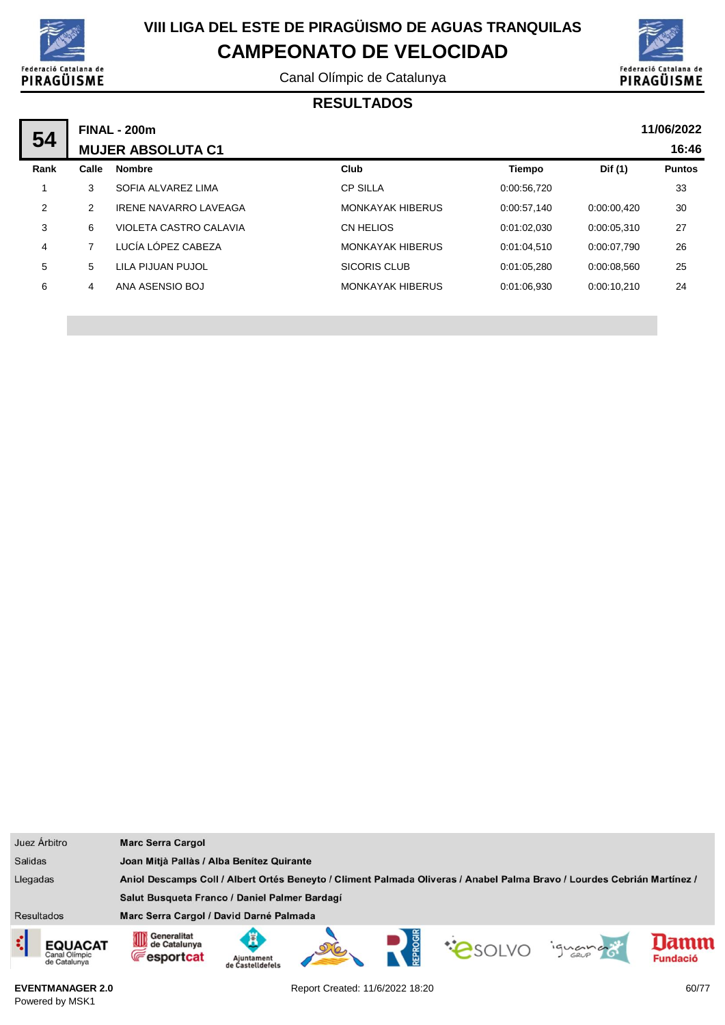

Canal Olímpic de Catalunya



#### **RESULTADOS**

| 54   |                          | <b>FINAL - 200m</b>          |                         |             |             | 11/06/2022    |
|------|--------------------------|------------------------------|-------------------------|-------------|-------------|---------------|
|      | <b>MUJER ABSOLUTA C1</b> |                              |                         | 16:46       |             |               |
| Rank | Calle                    | <b>Nombre</b>                | Club                    | Tiempo      | Dif (1)     | <b>Puntos</b> |
|      | 3                        | SOFIA ALVAREZ LIMA           | <b>CP SILLA</b>         | 0:00:56,720 |             | 33            |
| 2    | 2                        | <b>IRENE NAVARRO LAVEAGA</b> | <b>MONKAYAK HIBERUS</b> | 0:00:57.140 | 0:00:00.420 | 30            |
| 3    | 6                        | VIOLETA CASTRO CALAVIA       | CN HELIOS               | 0:01:02.030 | 0:00:05.310 | 27            |
| 4    |                          | LUCÍA LÓPEZ CABEZA           | <b>MONKAYAK HIBERUS</b> | 0:01:04.510 | 0:00:07.790 | 26            |
| 5    | 5                        | LILA PIJUAN PUJOL            | <b>SICORIS CLUB</b>     | 0:01:05.280 | 0:00:08.560 | 25            |
| 6    | 4                        | ANA ASENSIO BOJ              | <b>MONKAYAK HIBERUS</b> | 0:01:06.930 | 0:00:10.210 | 24            |

| Juez Árbitro                                         | <b>Marc Serra Cargol</b>                                                                                                |                                           |  |  |  |        |                        |
|------------------------------------------------------|-------------------------------------------------------------------------------------------------------------------------|-------------------------------------------|--|--|--|--------|------------------------|
| <b>Salidas</b>                                       |                                                                                                                         | Joan Mitjà Pallàs / Alba Benítez Quirante |  |  |  |        |                        |
| Llegadas                                             | Aniol Descamps Coll / Albert Ortés Beneyto / Climent Palmada Oliveras / Anabel Palma Bravo / Lourdes Cebrián Martínez / |                                           |  |  |  |        |                        |
|                                                      | Salut Busqueta Franco / Daniel Palmer Bardagí                                                                           |                                           |  |  |  |        |                        |
| <b>Resultados</b>                                    | Marc Serra Cargol / David Darné Palmada                                                                                 |                                           |  |  |  |        |                        |
| ¢<br><b>EQUACAT</b><br>Canal Olimpic<br>de Catalunya | Generalitat<br>de Catalunya<br><b>Fesportcat</b>                                                                        | Aiuntament<br>de Castelldefel:            |  |  |  | iguana | amm<br><b>Fundació</b> |

**EVENTMANAGER 2.0** Powered by MSK1

Report Created: 11/6/2022 18:20 60/77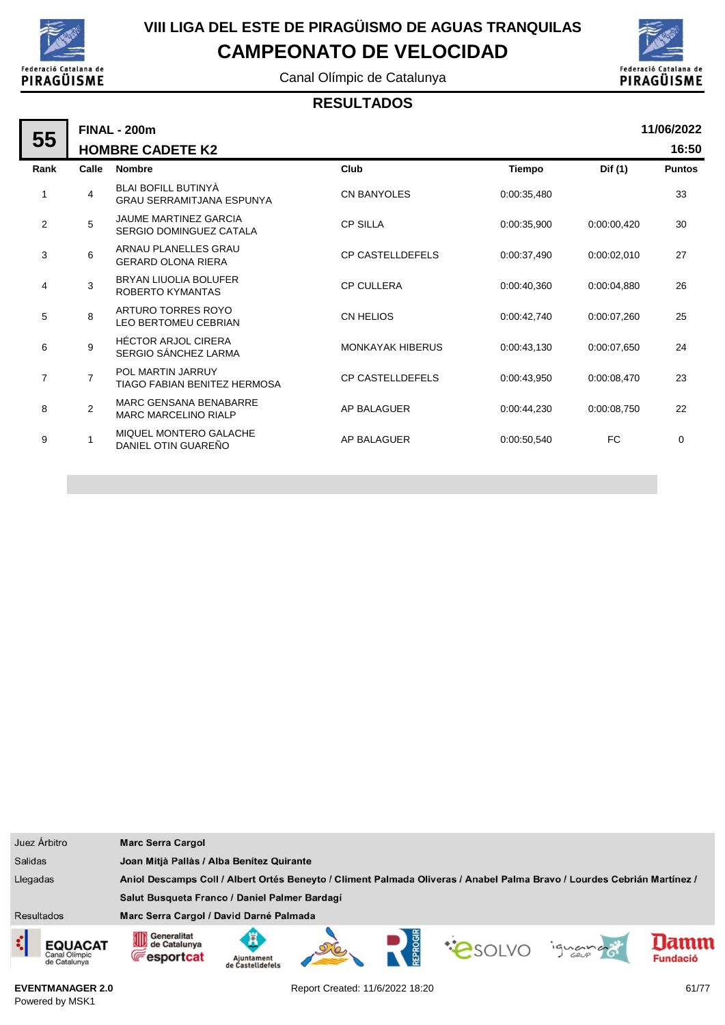

Canal Olímpic de Catalunya



#### **RESULTADOS**

| 55             |                | <b>FINAL - 200m</b>                                            |                         |             |             | 11/06/2022    |
|----------------|----------------|----------------------------------------------------------------|-------------------------|-------------|-------------|---------------|
|                |                | <b>HOMBRE CADETE K2</b>                                        |                         |             |             | 16:50         |
| Rank           | Calle          | <b>Nombre</b>                                                  | Club                    | Tiempo      | Dif (1)     | <b>Puntos</b> |
| 1              | $\overline{4}$ | <b>BLAI BOFILL BUTINYÀ</b><br><b>GRAU SERRAMITJANA ESPUNYA</b> | <b>CN BANYOLES</b>      | 0:00:35,480 |             | 33            |
| $\overline{2}$ | 5              | JAUME MARTINEZ GARCIA<br>SERGIO DOMINGUEZ CATALA               | <b>CP SILLA</b>         | 0:00:35,900 | 0:00:00.420 | 30            |
| 3              | 6              | ARNAU PLANELLES GRAU<br><b>GERARD OLONA RIERA</b>              | <b>CP CASTELLDEFELS</b> | 0:00:37,490 | 0:00:02,010 | 27            |
| 4              | 3              | <b>BRYAN LIUOLIA BOLUFER</b><br>ROBERTO KYMANTAS               | <b>CP CULLERA</b>       | 0:00:40,360 | 0:00:04,880 | 26            |
| 5              | 8              | ARTURO TORRES ROYO<br><b>LEO BERTOMEU CEBRIAN</b>              | <b>CN HELIOS</b>        | 0:00:42.740 | 0:00:07.260 | 25            |
| 6              | 9              | <b>HÉCTOR ARJOL CIRERA</b><br>SERGIO SÁNCHEZ LARMA             | <b>MONKAYAK HIBERUS</b> | 0:00:43,130 | 0:00:07.650 | 24            |
| $\overline{7}$ | $\overline{7}$ | POL MARTIN JARRUY<br>TIAGO FABIAN BENITEZ HERMOSA              | <b>CP CASTELLDEFELS</b> | 0:00:43.950 | 0:00:08,470 | 23            |
| 8              | $\overline{2}$ | <b>MARC GENSANA BENABARRE</b><br><b>MARC MARCELINO RIALP</b>   | <b>AP BALAGUER</b>      | 0:00:44.230 | 0:00:08,750 | 22            |
| 9              |                | MIQUEL MONTERO GALACHE<br>DANIEL OTIN GUAREÑO                  | AP BALAGUER             | 0:00:50.540 | <b>FC</b>   | 0             |

| Juez Árbitro                                    | <b>Marc Serra Cargol</b>                         |                                     |  |                                                                                                                         |         |                         |
|-------------------------------------------------|--------------------------------------------------|-------------------------------------|--|-------------------------------------------------------------------------------------------------------------------------|---------|-------------------------|
| <b>Salidas</b>                                  | Joan Mitjà Pallàs / Alba Benítez Quirante        |                                     |  |                                                                                                                         |         |                         |
| Llegadas                                        |                                                  |                                     |  | Aniol Descamps Coll / Albert Ortés Beneyto / Climent Palmada Oliveras / Anabel Palma Bravo / Lourdes Cebrián Martínez / |         |                         |
|                                                 | Salut Busqueta Franco / Daniel Palmer Bardagí    |                                     |  |                                                                                                                         |         |                         |
| <b>Resultados</b>                               | Marc Serra Cargol / David Darné Palmada          |                                     |  |                                                                                                                         |         |                         |
| <b>EQUACAT</b><br>Canal Olimpic<br>de Catalunya | Generalitat<br>de Catalunya<br><b>Fesportcat</b> | Ã<br>Ajuntament<br>de Castelldefels |  | <b>CONDO</b>                                                                                                            | iguando | Jamn<br><b>Fundació</b> |

**EVENTMANAGER 2.0** Powered by MSK1

Report Created: 11/6/2022 18:20 61/77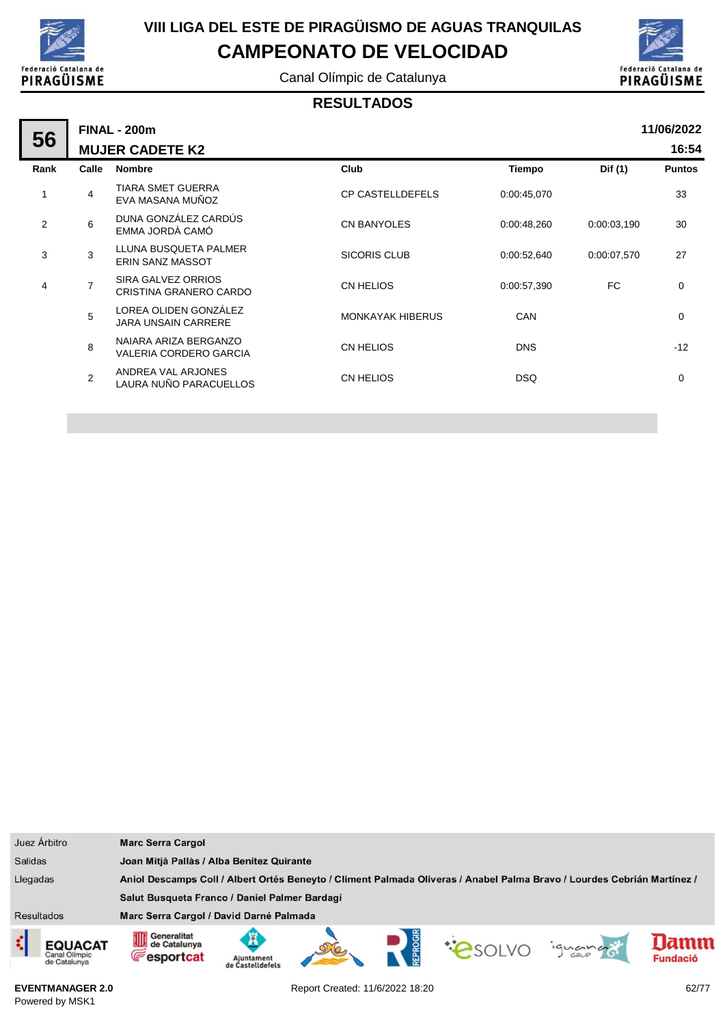

Canal Olímpic de Catalunya



#### **RESULTADOS**

|      | <b>FINAL - 200m</b> |                                                        |                         |               |             |               |  |  |  |
|------|---------------------|--------------------------------------------------------|-------------------------|---------------|-------------|---------------|--|--|--|
| 56   |                     | <b>MUJER CADETE K2</b>                                 |                         |               |             | 16:54         |  |  |  |
| Rank | Calle               | <b>Nombre</b>                                          | Club                    | <b>Tiempo</b> | Dif (1)     | <b>Puntos</b> |  |  |  |
| 1    | 4                   | <b>TIARA SMET GUERRA</b><br>EVA MASANA MUÑOZ           | <b>CP CASTELLDEFELS</b> | 0:00:45,070   |             | 33            |  |  |  |
| 2    | 6                   | DUNA GONZÁLEZ CARDÚS<br>EMMA JORDÀ CAMÓ                | <b>CN BANYOLES</b>      | 0:00:48,260   | 0:00:03,190 | 30            |  |  |  |
| 3    | 3                   | LLUNA BUSQUETA PALMER<br><b>ERIN SANZ MASSOT</b>       | <b>SICORIS CLUB</b>     | 0:00:52,640   | 0:00:07,570 | 27            |  |  |  |
| 4    | $\overline{7}$      | SIRA GALVEZ ORRIOS<br>CRISTINA GRANERO CARDO           | CN HELIOS               | 0:00:57,390   | FC          | 0             |  |  |  |
|      | 5                   | LOREA OLIDEN GONZÁLEZ<br><b>JARA UNSAIN CARRERE</b>    | <b>MONKAYAK HIBERUS</b> | <b>CAN</b>    |             | $\mathbf 0$   |  |  |  |
|      | 8                   | NAIARA ARIZA BERGANZO<br><b>VALERIA CORDERO GARCIA</b> | CN HELIOS               | <b>DNS</b>    |             | $-12$         |  |  |  |
|      | $\overline{2}$      | ANDREA VAL ARJONES<br>LAURA NUÑO PARACUELLOS           | CN HELIOS               | <b>DSQ</b>    |             | $\mathbf 0$   |  |  |  |
|      |                     |                                                        |                         |               |             |               |  |  |  |

| Juez Árbitro                                         | <b>Marc Serra Cargol</b>                                    |                                                                                                                         |  |  |               |         |                         |  |
|------------------------------------------------------|-------------------------------------------------------------|-------------------------------------------------------------------------------------------------------------------------|--|--|---------------|---------|-------------------------|--|
| <b>Salidas</b>                                       |                                                             | Joan Mitjà Pallàs / Alba Benítez Quirante                                                                               |  |  |               |         |                         |  |
| Llegadas                                             |                                                             | Aniol Descamps Coll / Albert Ortés Beneyto / Climent Palmada Oliveras / Anabel Palma Bravo / Lourdes Cebrián Martínez / |  |  |               |         |                         |  |
|                                                      | Salut Busqueta Franco / Daniel Palmer Bardagí               |                                                                                                                         |  |  |               |         |                         |  |
| Resultados                                           | Marc Serra Cargol / David Darné Palmada                     |                                                                                                                         |  |  |               |         |                         |  |
| ₫<br><b>EQUACAT</b><br>Canal Olímpic<br>de Catalunya | <b>111</b> Generalitat<br>de Catalunya<br><b>Fesportcat</b> | Ajuntament<br>de Castelldefels                                                                                          |  |  | <b>PSOLVO</b> | iguando | lamm<br><b>Fundació</b> |  |

Report Created: 11/6/2022 18:20 62/77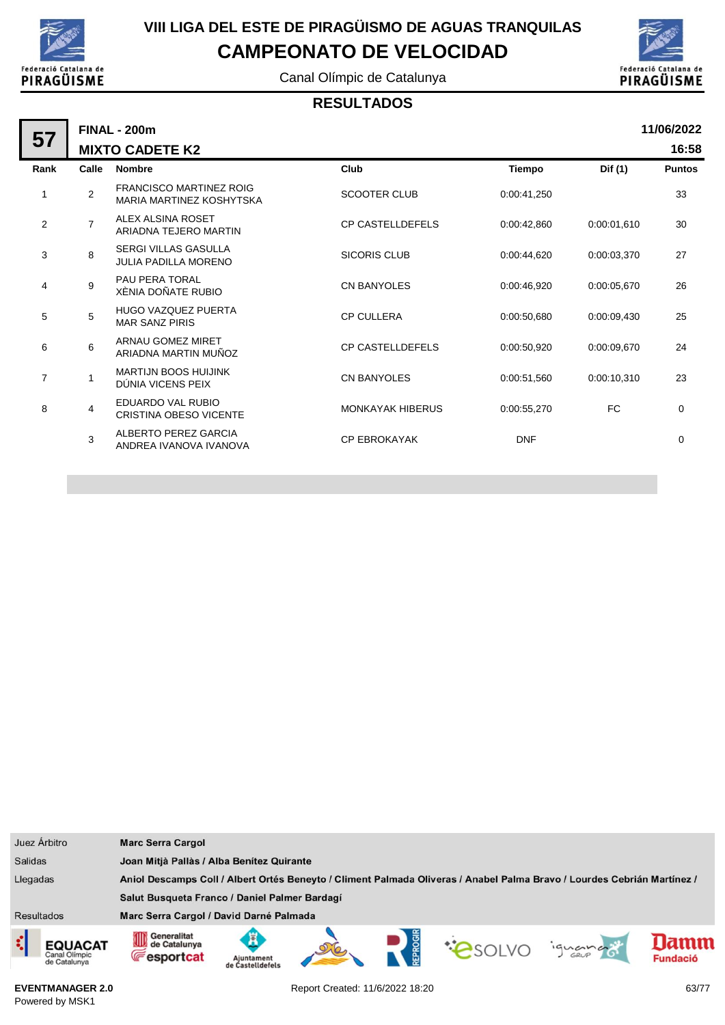

Canal Olímpic de Catalunya



#### **RESULTADOS**

| 57             |                | <b>FINAL - 200m</b>                                        |                         |               |             | 11/06/2022    |
|----------------|----------------|------------------------------------------------------------|-------------------------|---------------|-------------|---------------|
|                |                | <b>MIXTO CADETE K2</b>                                     |                         |               |             | 16:58         |
| Rank           | Calle          | <b>Nombre</b>                                              | Club                    | <b>Tiempo</b> | Dif (1)     | <b>Puntos</b> |
| 1              | $\overline{2}$ | <b>FRANCISCO MARTINEZ ROIG</b><br>MARIA MARTINEZ KOSHYTSKA | <b>SCOOTER CLUB</b>     | 0:00:41,250   |             | 33            |
| 2              | $\overline{7}$ | ALEX ALSINA ROSET<br>ARIADNA TEJERO MARTIN                 | <b>CP CASTELLDEFELS</b> | 0:00:42.860   | 0:00:01.610 | 30            |
| 3              | 8              | <b>SERGI VILLAS GASULLA</b><br><b>JULIA PADILLA MORENO</b> | <b>SICORIS CLUB</b>     | 0:00:44.620   | 0:00:03,370 | 27            |
| 4              | 9              | PAU PERA TORAL<br>XÈNIA DOÑATE RUBIO                       | <b>CN BANYOLES</b>      | 0:00:46.920   | 0:00:05.670 | 26            |
| 5              | 5              | <b>HUGO VAZQUEZ PUERTA</b><br><b>MAR SANZ PIRIS</b>        | <b>CP CULLERA</b>       | 0:00:50,680   | 0:00:09,430 | 25            |
| 6              | 6              | ARNAU GOMEZ MIRET<br>ARIADNA MARTIN MUÑOZ                  | <b>CP CASTELLDEFELS</b> | 0:00:50,920   | 0:00:09.670 | 24            |
| $\overline{7}$ | 1              | <b>MARTIJN BOOS HUIJINK</b><br>DUNIA VICENS PEIX           | CN BANYOLES             | 0:00:51,560   | 0:00:10.310 | 23            |
| 8              | 4              | EDUARDO VAL RUBIO<br><b>CRISTINA OBESO VICENTE</b>         | <b>MONKAYAK HIBERUS</b> | 0:00:55,270   | FC          | $\mathbf 0$   |
|                | 3              | ALBERTO PEREZ GARCIA<br>ANDREA IVANOVA IVANOVA             | <b>CP EBROKAYAK</b>     | <b>DNF</b>    |             | $\mathbf 0$   |

|                   | Juez Árbitro                                    | <b>Marc Serra Cargol</b>                                |                                                                                                                         |  |  |               |        |                         |  |
|-------------------|-------------------------------------------------|---------------------------------------------------------|-------------------------------------------------------------------------------------------------------------------------|--|--|---------------|--------|-------------------------|--|
| <b>Salidas</b>    |                                                 |                                                         | Joan Mitjà Pallàs / Alba Benítez Quirante                                                                               |  |  |               |        |                         |  |
| Llegadas          |                                                 |                                                         | Aniol Descamps Coll / Albert Ortés Beneyto / Climent Palmada Oliveras / Anabel Palma Bravo / Lourdes Cebrián Martínez / |  |  |               |        |                         |  |
|                   |                                                 | Salut Busqueta Franco / Daniel Palmer Bardagí           |                                                                                                                         |  |  |               |        |                         |  |
| <b>Resultados</b> |                                                 | Marc Serra Cargol / David Darné Palmada                 |                                                                                                                         |  |  |               |        |                         |  |
| ्                 | <b>EQUACAT</b><br>Canal Olimpic<br>de Catalunya | Generalitat<br>OD<br>de Catalunya<br><b>E</b> esportcat | Aiuntament<br>Castelldefel                                                                                              |  |  | <b>PSOLVO</b> | iguana | lamm<br><b>Fundació</b> |  |

**EVENTMANAGER 2.0** Powered by MSK1

Report Created: 11/6/2022 18:20 63/77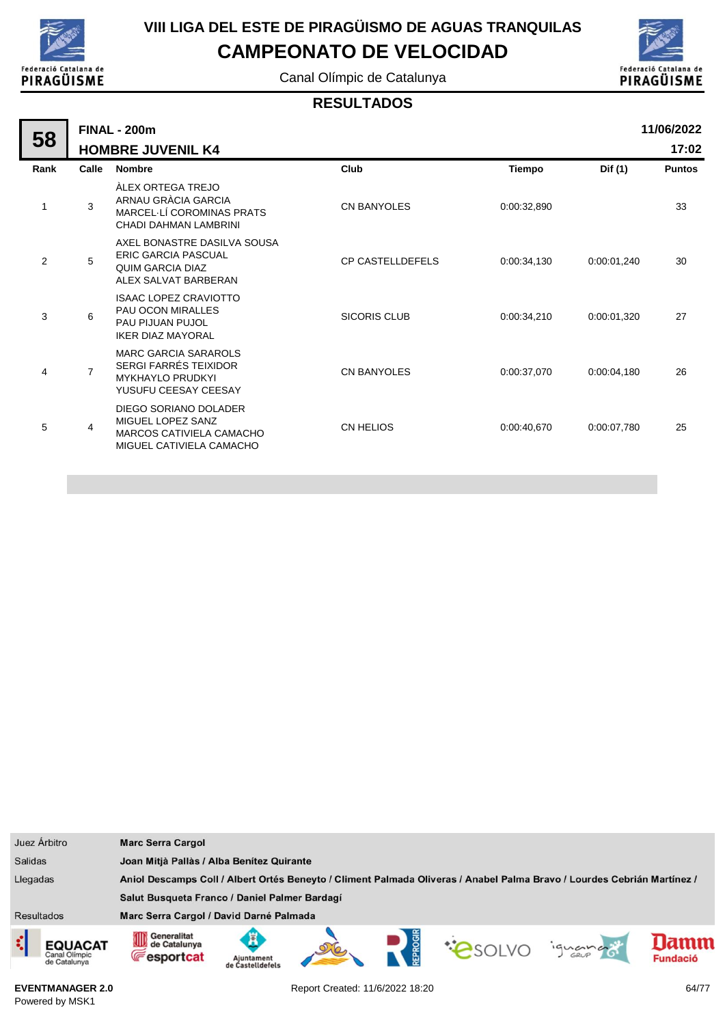

ä,

# **VIII LIGA DEL ESTE DE PIRAGÜISMO DE AGUAS TRANQUILAS**

**CAMPEONATO DE VELOCIDAD**

Canal Olímpic de Catalunya



#### **RESULTADOS**

|      |                | <b>FINAL - 200m</b>                                                                                            |                         |             |             | 11/06/2022    |
|------|----------------|----------------------------------------------------------------------------------------------------------------|-------------------------|-------------|-------------|---------------|
| 58   |                | <b>HOMBRE JUVENIL K4</b>                                                                                       |                         |             |             | 17:02         |
| Rank | Calle          | <b>Nombre</b>                                                                                                  | Club                    | Tiempo      | Dif (1)     | <b>Puntos</b> |
| 1    | 3              | ÀLEX ORTEGA TREJO<br>ARNAU GRÀCIA GARCIA<br>MARCEL LÍ COROMINAS PRATS<br>CHADI DAHMAN LAMBRINI                 | <b>CN BANYOLES</b>      | 0:00:32,890 |             | 33            |
| 2    | 5              | AXEL BONASTRE DASILVA SOUSA<br><b>ERIC GARCIA PASCUAL</b><br><b>QUIM GARCIA DIAZ</b><br>ALEX SALVAT BARBERAN   | <b>CP CASTELLDEFELS</b> | 0:00:34,130 | 0:00:01,240 | 30            |
| 3    | 6              | <b>ISAAC LOPEZ CRAVIOTTO</b><br><b>PAU OCON MIRALLES</b><br>PAU PIJUAN PUJOL<br><b>IKER DIAZ MAYORAL</b>       | <b>SICORIS CLUB</b>     | 0:00:34,210 | 0:00:01,320 | 27            |
| 4    | $\overline{7}$ | <b>MARC GARCIA SARAROLS</b><br><b>SERGI FARRÉS TEIXIDOR</b><br><b>MYKHAYLO PRUDKYI</b><br>YUSUFU CEESAY CEESAY | <b>CN BANYOLES</b>      | 0:00:37,070 | 0:00:04,180 | 26            |
| 5    | 4              | DIEGO SORIANO DOLADER<br>MIGUEL LOPEZ SANZ<br>MARCOS CATIVIELA CAMACHO<br>MIGUEL CATIVIELA CAMACHO             | <b>CN HELIOS</b>        | 0:00:40,670 | 0:00:07,780 | 25            |
|      |                |                                                                                                                |                         |             |             |               |

| Juez Árbitro      |                                                 | <b>Marc Serra Cargol</b>                                                                                                |                                           |  |  |              |         |                         |
|-------------------|-------------------------------------------------|-------------------------------------------------------------------------------------------------------------------------|-------------------------------------------|--|--|--------------|---------|-------------------------|
| <b>Salidas</b>    |                                                 |                                                                                                                         | Joan Mitjà Pallàs / Alba Benítez Quirante |  |  |              |         |                         |
| Llegadas          |                                                 | Aniol Descamps Coll / Albert Ortés Beneyto / Climent Palmada Oliveras / Anabel Palma Bravo / Lourdes Cebrián Martínez / |                                           |  |  |              |         |                         |
|                   |                                                 | Salut Busqueta Franco / Daniel Palmer Bardagí                                                                           |                                           |  |  |              |         |                         |
| <b>Resultados</b> |                                                 | Marc Serra Cargol / David Darné Palmada                                                                                 |                                           |  |  |              |         |                         |
| ¢                 | <b>EQUACAT</b><br>Canal Olimpic<br>de Catalunya | Generalitat<br>Allii<br>de Catalunya<br>UШ<br><b>Fesportcat</b>                                                         | Ajuntament<br>de Castelldefels            |  |  | <b>CONDO</b> | iguando | lamn<br><b>Fundació</b> |

**EVENTMANAGER 2.0** Powered by MSK1

Report Created: 11/6/2022 18:20 64/77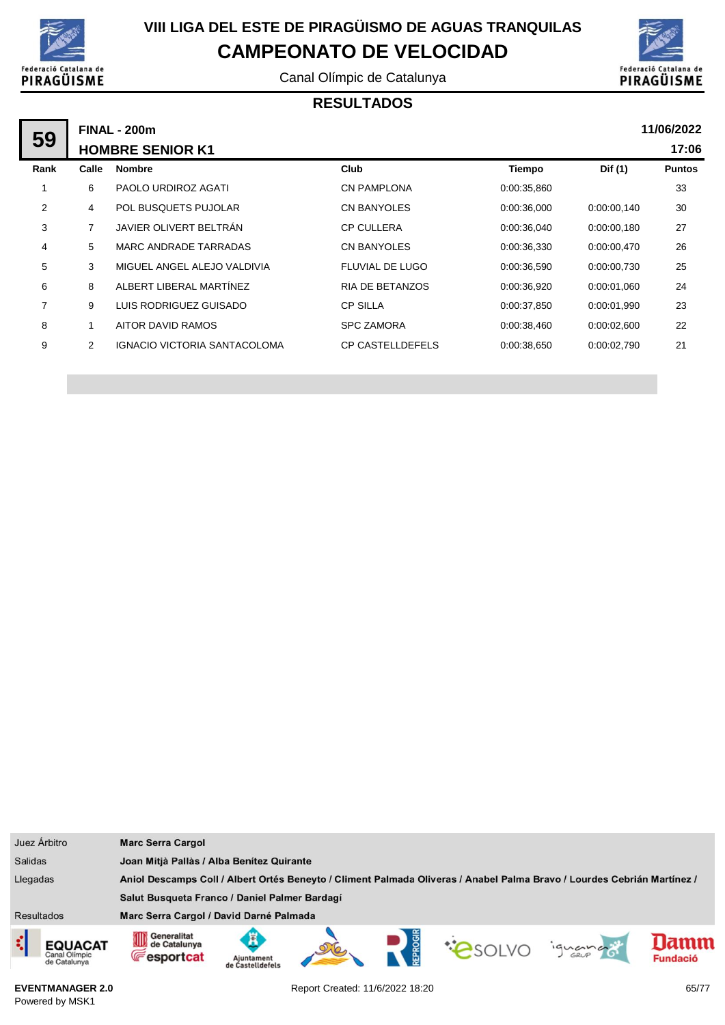

Canal Olímpic de Catalunya



#### **RESULTADOS**

|                |                | <b>FINAL - 200m</b>                 |                         |             |             | 11/06/2022    |
|----------------|----------------|-------------------------------------|-------------------------|-------------|-------------|---------------|
| 59             |                | <b>HOMBRE SENIOR K1</b>             |                         |             |             | 17:06         |
| Rank           | Calle          | <b>Nombre</b>                       | Club                    | Tiempo      | Dif (1)     | <b>Puntos</b> |
|                | 6              | PAOLO URDIROZ AGATI                 | <b>CN PAMPLONA</b>      | 0:00:35,860 |             | 33            |
| $\overline{2}$ | 4              | <b>POL BUSQUETS PUJOLAR</b>         | CN BANYOLES             | 0:00:36,000 | 0:00:00,140 | 30            |
| 3              | 7              | JAVIER OLIVERT BELTRÁN              | <b>CP CULLERA</b>       | 0:00:36,040 | 0:00:00,180 | 27            |
| 4              | 5              | MARC ANDRADE TARRADAS               | CN BANYOLES             | 0:00:36,330 | 0:00:00,470 | 26            |
| 5              | 3              | MIGUEL ANGEL ALEJO VALDIVIA         | FLUVIAL DE LUGO         | 0:00:36,590 | 0:00:00,730 | 25            |
| 6              | 8              | ALBERT LIBERAL MARTÍNEZ             | <b>RIA DE BETANZOS</b>  | 0:00:36,920 | 0:00:01.060 | 24            |
| $\overline{7}$ | 9              | LUIS RODRIGUEZ GUISADO              | <b>CP SILLA</b>         | 0:00:37,850 | 0:00:01.990 | 23            |
| 8              |                | AITOR DAVID RAMOS                   | <b>SPC ZAMORA</b>       | 0:00:38,460 | 0.00:02,600 | 22            |
| 9              | $\overline{2}$ | <b>IGNACIO VICTORIA SANTACOLOMA</b> | <b>CP CASTELLDEFELS</b> | 0:00:38,650 | 0:00:02,790 | 21            |
|                |                |                                     |                         |             |             |               |

| Juez Árbitro                                         | <b>Marc Serra Cargol</b>                                                                                                |                                           |  |  |  |         |                         |  |
|------------------------------------------------------|-------------------------------------------------------------------------------------------------------------------------|-------------------------------------------|--|--|--|---------|-------------------------|--|
| <b>Salidas</b>                                       |                                                                                                                         | Joan Mitjà Pallàs / Alba Benítez Quirante |  |  |  |         |                         |  |
| Llegadas                                             | Aniol Descamps Coll / Albert Ortés Beneyto / Climent Palmada Oliveras / Anabel Palma Bravo / Lourdes Cebrián Martínez / |                                           |  |  |  |         |                         |  |
|                                                      | Salut Busqueta Franco / Daniel Palmer Bardagí                                                                           |                                           |  |  |  |         |                         |  |
| Resultados                                           | Marc Serra Cargol / David Darné Palmada                                                                                 |                                           |  |  |  |         |                         |  |
| ़<br><b>EQUACAT</b><br>Canal Olimpic<br>de Catalunya | Generalitat<br>de Catalunya<br><b>Fesportcat</b>                                                                        | Ajuntament<br>de Castelldefels            |  |  |  | iguando | lamm<br><b>Fundació</b> |  |

**EVENTMANAGER 2.0** Powered by MSK1

Report Created: 11/6/2022 18:20 65/77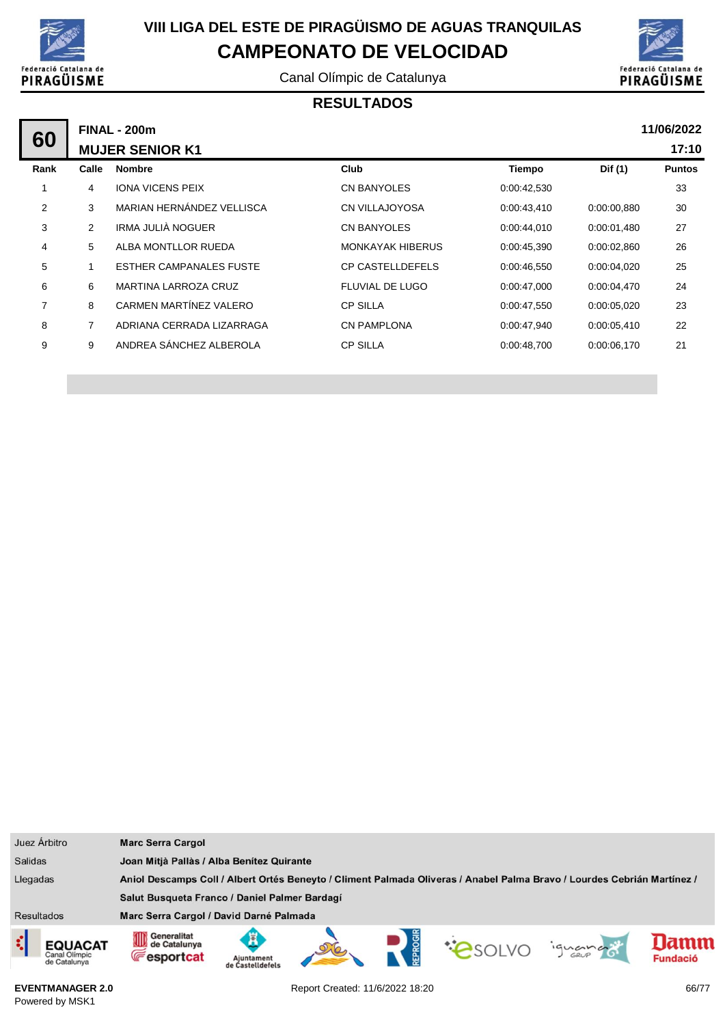

Canal Olímpic de Catalunya



#### **RESULTADOS**

|                |       | <b>FINAL - 200m</b>            |                         |             |             | 11/06/2022    |
|----------------|-------|--------------------------------|-------------------------|-------------|-------------|---------------|
| 60             |       | <b>MUJER SENIOR K1</b>         |                         |             |             | 17:10         |
| Rank           | Calle | <b>Nombre</b>                  | Club                    | Tiempo      | Dif (1)     | <b>Puntos</b> |
|                | 4     | <b>IONA VICENS PEIX</b>        | CN BANYOLES             | 0:00:42,530 |             | 33            |
| $\overline{2}$ | 3     | MARIAN HERNÁNDEZ VELLISCA      | <b>CN VILLAJOYOSA</b>   | 0:00:43,410 | 0:00:00,880 | 30            |
| 3              | 2     | IRMA JULIÀ NOGUER              | CN BANYOLES             | 0.00:44.010 | 0:00:01,480 | 27            |
| 4              | 5     | ALBA MONTLLOR RUEDA            | <b>MONKAYAK HIBERUS</b> | 0:00:45,390 | 0:00:02,860 | 26            |
| 5              |       | <b>ESTHER CAMPANALES FUSTE</b> | <b>CP CASTELLDEFELS</b> | 0:00:46,550 | 0:00:04,020 | 25            |
| 6              | 6     | MARTINA LARROZA CRUZ           | FLUVIAL DE LUGO         | 0:00:47,000 | 0:00:04,470 | 24            |
| 7              | 8     | CARMEN MARTÍNEZ VALERO         | <b>CP SILLA</b>         | 0:00:47,550 | 0:00:05,020 | 23            |
| 8              | 7     | ADRIANA CERRADA LIZARRAGA      | <b>CN PAMPLONA</b>      | 0:00:47,940 | 0:00:05,410 | 22            |
| 9              | 9     | ANDREA SÁNCHEZ ALBEROLA        | <b>CP SILLA</b>         | 0:00:48,700 | 0:00:06,170 | 21            |
|                |       |                                |                         |             |             |               |

| Juez Árbitro                                         | <b>Marc Serra Cargol</b>                                |                                                                                                                         |  |  |                 |         |                        |  |
|------------------------------------------------------|---------------------------------------------------------|-------------------------------------------------------------------------------------------------------------------------|--|--|-----------------|---------|------------------------|--|
| <b>Salidas</b>                                       |                                                         | Joan Mitjà Pallàs / Alba Benitez Quirante                                                                               |  |  |                 |         |                        |  |
| Llegadas                                             |                                                         | Aniol Descamps Coll / Albert Ortés Beneyto / Climent Palmada Oliveras / Anabel Palma Bravo / Lourdes Cebrián Martínez / |  |  |                 |         |                        |  |
|                                                      | Salut Busqueta Franco / Daniel Palmer Bardagí           |                                                                                                                         |  |  |                 |         |                        |  |
| Resultados                                           | Marc Serra Cargol / David Darné Palmada                 |                                                                                                                         |  |  |                 |         |                        |  |
| ़<br><b>EQUACAT</b><br>Canal Olímpic<br>de Catalunya | Generalitat<br>OID<br>de Catalunya<br><b>Fesportcat</b> | Ajuntament<br>de Castelldefels                                                                                          |  |  | <b>CONSOLVE</b> | iguando | amn<br><b>Fundació</b> |  |

**EVENTMANAGER 2.0** Powered by MSK1

Report Created: 11/6/2022 18:20 66/77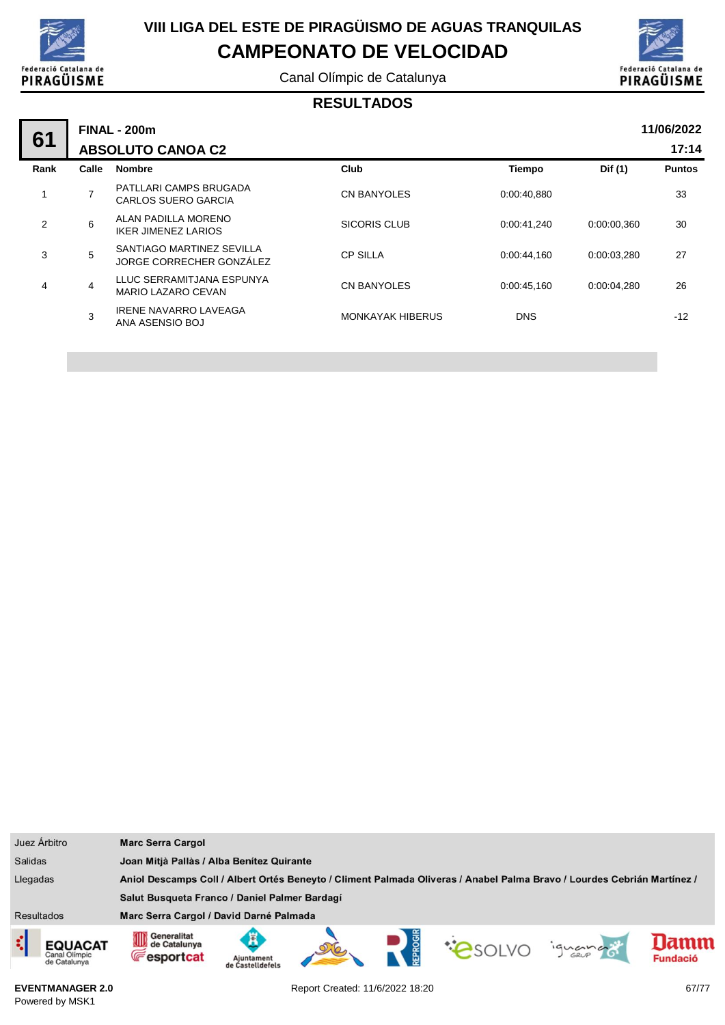

Canal Olímpic de Catalunya



#### **RESULTADOS**

| 61   |       | <b>FINAL - 200m</b>                                   |                         |             |             |               |  |  |  |  |  |
|------|-------|-------------------------------------------------------|-------------------------|-------------|-------------|---------------|--|--|--|--|--|
|      |       | <b>ABSOLUTO CANOA C2</b>                              |                         |             |             | 17:14         |  |  |  |  |  |
| Rank | Calle | <b>Nombre</b>                                         | Club                    | Tiempo      | Dif (1)     | <b>Puntos</b> |  |  |  |  |  |
|      | 7     | PATLLARI CAMPS BRUGADA<br><b>CARLOS SUERO GARCIA</b>  | <b>CN BANYOLES</b>      | 0:00:40.880 |             | 33            |  |  |  |  |  |
| 2    | 6     | ALAN PADILLA MORENO<br><b>IKER JIMENEZ LARIOS</b>     | <b>SICORIS CLUB</b>     | 0:00:41.240 | 0.00.00.360 | 30            |  |  |  |  |  |
| 3    | 5     | SANTIAGO MARTINEZ SEVILLA<br>JORGE CORRECHER GONZÁLEZ | <b>CP SILLA</b>         | 0:00:44.160 | 0:00:03,280 | 27            |  |  |  |  |  |
| 4    | 4     | LLUC SERRAMITJANA ESPUNYA<br>MARIO LAZARO CEVAN       | <b>CN BANYOLES</b>      | 0:00:45.160 | 0:00:04.280 | 26            |  |  |  |  |  |
|      | 3     | <b>IRENE NAVARRO LAVEAGA</b><br>ANA ASENSIO BOJ       | <b>MONKAYAK HIBERUS</b> | <b>DNS</b>  |             | $-12$         |  |  |  |  |  |
|      |       |                                                       |                         |             |             |               |  |  |  |  |  |

| Juez Árbitro      |                                          | <b>Marc Serra Cargol</b>                                                                                                |                                |  |  |  |         |                        |  |
|-------------------|------------------------------------------|-------------------------------------------------------------------------------------------------------------------------|--------------------------------|--|--|--|---------|------------------------|--|
| <b>Salidas</b>    |                                          | Joan Mitjà Pallàs / Alba Benítez Quirante                                                                               |                                |  |  |  |         |                        |  |
| Llegadas          |                                          | Aniol Descamps Coll / Albert Ortés Beneyto / Climent Palmada Oliveras / Anabel Palma Bravo / Lourdes Cebrián Martínez / |                                |  |  |  |         |                        |  |
|                   |                                          | Salut Busqueta Franco / Daniel Palmer Bardagí                                                                           |                                |  |  |  |         |                        |  |
| <b>Resultados</b> |                                          | Marc Serra Cargol / David Darné Palmada                                                                                 |                                |  |  |  |         |                        |  |
| ¢                 | EQUACAT<br>Canal Olimpic<br>de Catalunya | Generalitat<br>OD<br>de Catalunya<br><b>E</b> esportcat                                                                 | Ajuntament<br>de Castelldefels |  |  |  | ignance | amn<br><b>Fundació</b> |  |

**EVENTMANAGER 2.0** Powered by MSK1

Report Created: 11/6/2022 18:20 67/77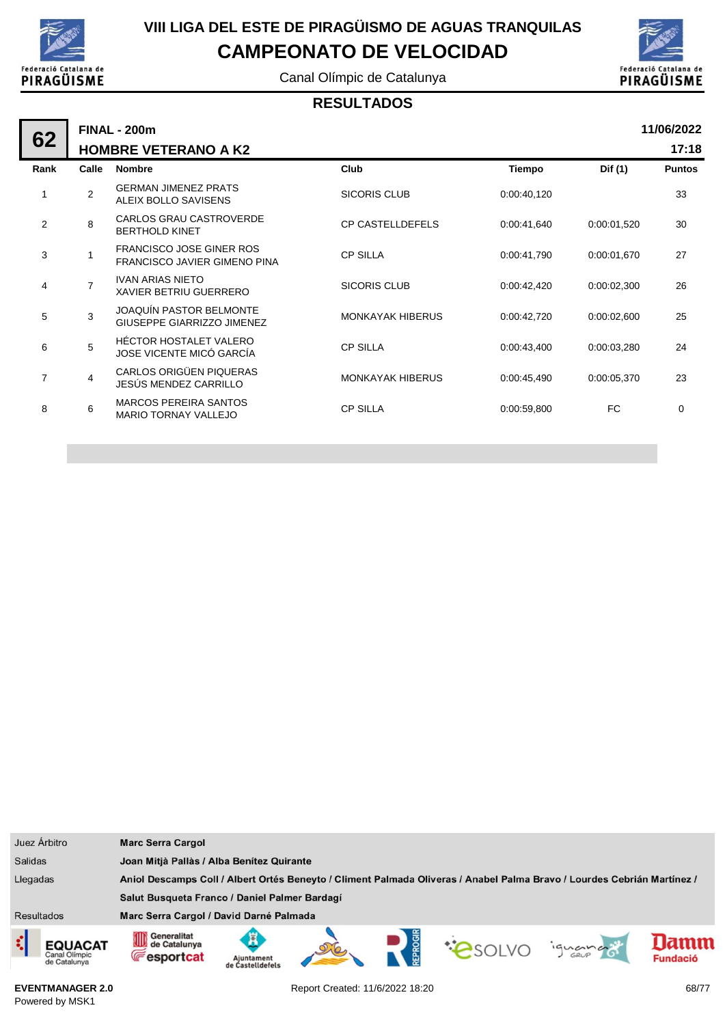

÷

## **VIII LIGA DEL ESTE DE PIRAGÜISMO DE AGUAS TRANQUILAS CAMPEONATO DE VELOCIDAD**

Canal Olímpic de Catalunya



#### **RESULTADOS**

|      | 11/06/2022<br><b>FINAL - 200m</b><br><b>HOMBRE VETERANO A K2</b> |                                                                 |                         |             |             |               |  |  |  |
|------|------------------------------------------------------------------|-----------------------------------------------------------------|-------------------------|-------------|-------------|---------------|--|--|--|
| 62   |                                                                  |                                                                 |                         |             |             |               |  |  |  |
| Rank | Calle                                                            | <b>Nombre</b>                                                   | Club                    | Tiempo      | Dif (1)     | <b>Puntos</b> |  |  |  |
| 1    | 2                                                                | <b>GERMAN JIMENEZ PRATS</b><br>ALEIX BOLLO SAVISENS             | <b>SICORIS CLUB</b>     | 0:00:40,120 |             | 33            |  |  |  |
| 2    | 8                                                                | CARLOS GRAU CASTROVERDE<br><b>BERTHOLD KINET</b>                | <b>CP CASTELLDEFELS</b> | 0:00:41,640 | 0:00:01.520 | 30            |  |  |  |
| 3    |                                                                  | <b>FRANCISCO JOSE GINER ROS</b><br>FRANCISCO JAVIER GIMENO PINA | <b>CP SILLA</b>         | 0:00:41,790 | 0:00:01.670 | 27            |  |  |  |
| 4    | $\overline{7}$                                                   | <b>IVAN ARIAS NIETO</b><br>XAVIER BETRIU GUERRERO               | SICORIS CLUB            | 0:00:42,420 | 0:00:02,300 | 26            |  |  |  |
| 5    | 3                                                                | <b>JOAQUÍN PASTOR BELMONTE</b><br>GIUSEPPE GIARRIZZO JIMENEZ    | <b>MONKAYAK HIBERUS</b> | 0:00:42,720 | 0:00:02,600 | 25            |  |  |  |
| 6    | 5                                                                | <b>HÉCTOR HOSTALET VALERO</b><br>JOSE VICENTE MICÓ GARCÍA       | <b>CP SILLA</b>         | 0:00:43,400 | 0:00:03,280 | 24            |  |  |  |
| 7    | $\overline{4}$                                                   | CARLOS ORIGÜEN PIQUERAS<br>JESÚS MENDEZ CARRILLO                | <b>MONKAYAK HIBERUS</b> | 0:00:45,490 | 0:00:05,370 | 23            |  |  |  |
| 8    | 6                                                                | <b>MARCOS PEREIRA SANTOS</b><br><b>MARIO TORNAY VALLEJO</b>     | <b>CP SILLA</b>         | 0:00:59,800 | FC.         | 0             |  |  |  |
|      |                                                                  |                                                                 |                         |             |             |               |  |  |  |

| Juez Árbitro                                         | <b>Marc Serra Cargol</b>                                                                                                |                                |  |  |  |        |                         |  |  |
|------------------------------------------------------|-------------------------------------------------------------------------------------------------------------------------|--------------------------------|--|--|--|--------|-------------------------|--|--|
| <b>Salidas</b>                                       | Joan Mitjà Pallàs / Alba Benítez Quirante                                                                               |                                |  |  |  |        |                         |  |  |
| Llegadas                                             | Aniol Descamps Coll / Albert Ortés Beneyto / Climent Palmada Oliveras / Anabel Palma Bravo / Lourdes Cebrián Martínez / |                                |  |  |  |        |                         |  |  |
|                                                      | Salut Busqueta Franco / Daniel Palmer Bardagí                                                                           |                                |  |  |  |        |                         |  |  |
| <b>Resultados</b>                                    | Marc Serra Cargol / David Darné Palmada                                                                                 |                                |  |  |  |        |                         |  |  |
| ¢<br><b>EQUACAT</b><br>Canal Olimpic<br>de Catalunya | Generalitat<br>OD<br>de Catalunya<br><b>Fesportcat</b>                                                                  | Ajuntament<br>de Castelldefels |  |  |  | iguana | lamm<br><b>Fundació</b> |  |  |

**EVENTMANAGER 2.0** Powered by MSK1

Report Created: 11/6/2022 18:20 68/77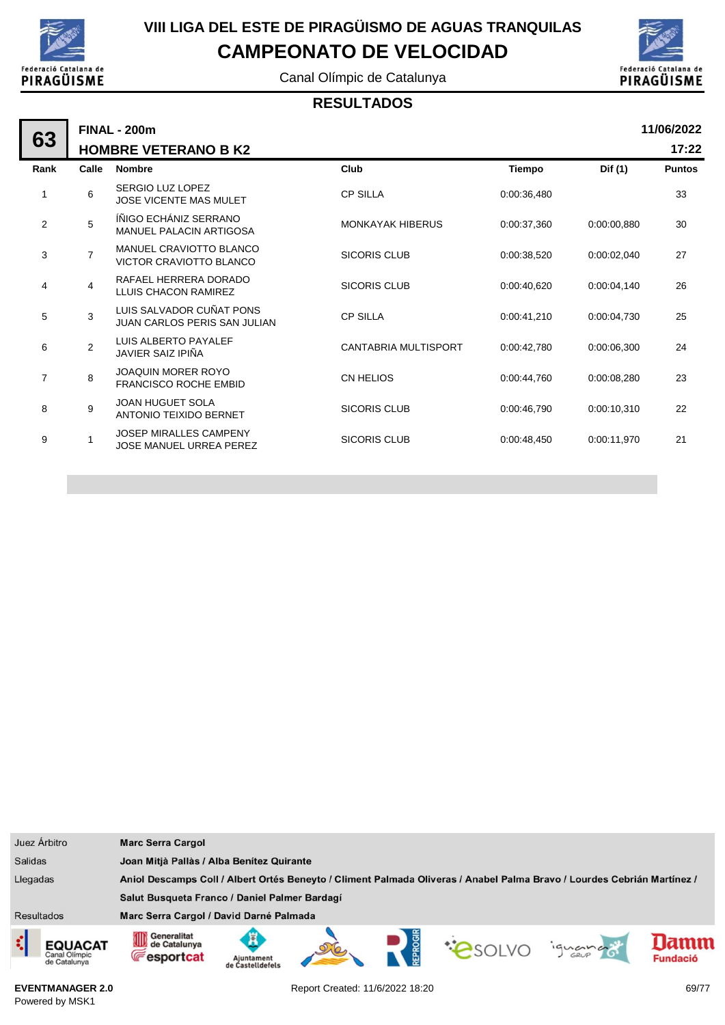

Canal Olímpic de Catalunya



#### **RESULTADOS**

|                |                                                                 |                                                    |             |             | 11/06/2022    |
|----------------|-----------------------------------------------------------------|----------------------------------------------------|-------------|-------------|---------------|
|                |                                                                 |                                                    |             |             | 17:22         |
| Calle          | <b>Nombre</b>                                                   | Club                                               | Tiempo      | Dif (1)     | <b>Puntos</b> |
| 6              | SERGIO LUZ LOPEZ<br><b>JOSE VICENTE MAS MULET</b>               | <b>CP SILLA</b>                                    | 0:00:36,480 |             | 33            |
| 5              | ÍÑIGO ECHÁNIZ SERRANO<br><b>MANUEL PALACIN ARTIGOSA</b>         | <b>MONKAYAK HIBERUS</b>                            | 0:00:37,360 | 0:00:00.880 | 30            |
| $\overline{7}$ | MANUEL CRAVIOTTO BLANCO<br>VICTOR CRAVIOTTO BLANCO              | <b>SICORIS CLUB</b>                                | 0:00:38,520 | 0:00:02.040 | 27            |
| 4              | RAFAEL HERRERA DORADO<br>LLUIS CHACON RAMIREZ                   | <b>SICORIS CLUB</b>                                | 0:00:40.620 | 0:00:04.140 | 26            |
| 3              | LUIS SALVADOR CUÑAT PONS<br><b>JUAN CARLOS PERIS SAN JULIAN</b> | <b>CP SILLA</b>                                    | 0:00:41,210 | 0:00:04.730 | 25            |
| $\overline{2}$ | LUIS ALBERTO PAYALEF<br>JAVIER SAIZ IPIÑA                       | CANTABRIA MULTISPORT                               | 0:00:42,780 | 0:00:06,300 | 24            |
| 8              | <b>JOAQUIN MORER ROYO</b><br><b>FRANCISCO ROCHE EMBID</b>       | <b>CN HELIOS</b>                                   | 0:00:44.760 | 0:00:08.280 | 23            |
| 9              | <b>JOAN HUGUET SOLA</b><br>ANTONIO TEIXIDO BERNET               | <b>SICORIS CLUB</b>                                | 0:00:46,790 | 0:00:10.310 | 22            |
| 1              | <b>JOSEP MIRALLES CAMPENY</b><br><b>JOSE MANUEL URREA PEREZ</b> | <b>SICORIS CLUB</b>                                | 0:00:48.450 | 0:00:11.970 | 21            |
|                |                                                                 | <b>FINAL - 200m</b><br><b>HOMBRE VETERANO B K2</b> |             |             |               |

| Juez Árbitro                                         | <b>Marc Serra Cargol</b>                                                                                                |                                               |  |  |  |         |                        |
|------------------------------------------------------|-------------------------------------------------------------------------------------------------------------------------|-----------------------------------------------|--|--|--|---------|------------------------|
| <b>Salidas</b>                                       | Joan Mitjà Pallàs / Alba Benítez Quirante                                                                               |                                               |  |  |  |         |                        |
| Llegadas                                             | Aniol Descamps Coll / Albert Ortés Beneyto / Climent Palmada Oliveras / Anabel Palma Bravo / Lourdes Cebrián Martínez / |                                               |  |  |  |         |                        |
|                                                      |                                                                                                                         | Salut Busqueta Franco / Daniel Palmer Bardagí |  |  |  |         |                        |
| <b>Resultados</b>                                    | Marc Serra Cargol / David Darné Palmada                                                                                 |                                               |  |  |  |         |                        |
| ¢<br><b>EQUACAT</b><br>Canal Olimpic<br>de Catalunya | Generalitat<br>OID<br>de Catalunya<br><b>Fesportcat</b>                                                                 | Aiuntament                                    |  |  |  | ignance | amm<br><b>Fundació</b> |

**EVENTMANAGER 2.0** Powered by MSK1

Report Created: 11/6/2022 18:20 69/77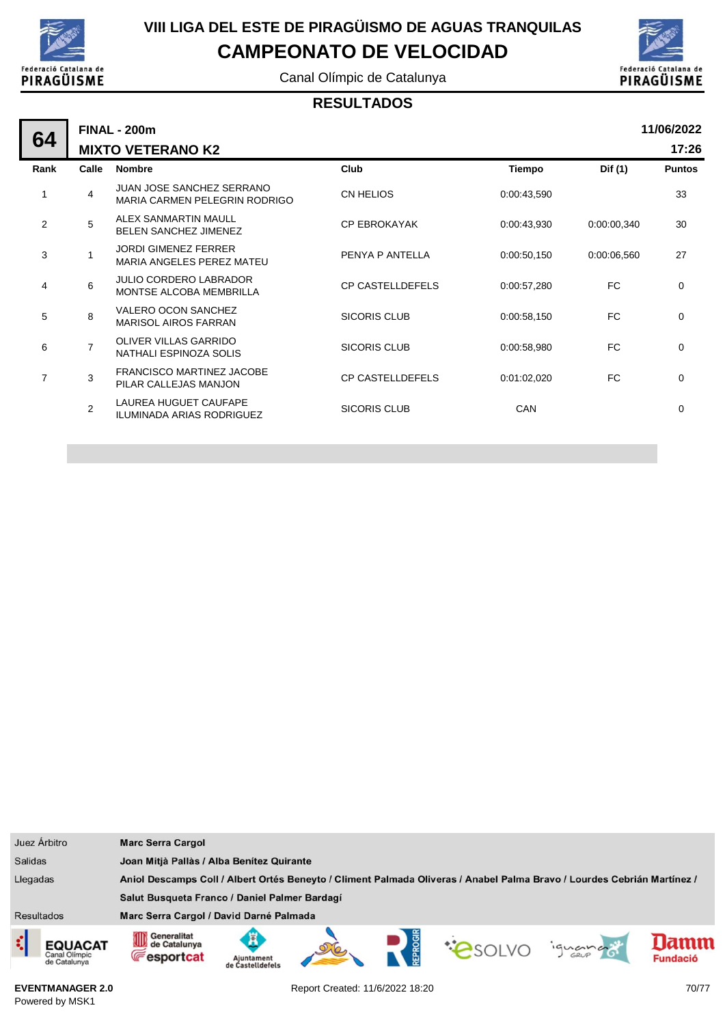

Canal Olímpic de Catalunya



#### **RESULTADOS**

| 64   |                          | <b>FINAL - 200m</b>                                         |                         |             |             | 11/06/2022    |  |  |
|------|--------------------------|-------------------------------------------------------------|-------------------------|-------------|-------------|---------------|--|--|
|      | <b>MIXTO VETERANO K2</b> |                                                             |                         |             |             |               |  |  |
| Rank | Calle                    | <b>Nombre</b>                                               | Club                    | Tiempo      | Dif (1)     | <b>Puntos</b> |  |  |
| 1    | 4                        | JUAN JOSE SANCHEZ SERRANO<br>MARIA CARMEN PELEGRIN RODRIGO  | CN HELIOS               | 0:00:43,590 |             | 33            |  |  |
| 2    | 5                        | <b>ALEX SANMARTIN MAULL</b><br><b>BELEN SANCHEZ JIMENEZ</b> | <b>CP EBROKAYAK</b>     | 0:00:43,930 | 0:00:00,340 | 30            |  |  |
| 3    | 1                        | <b>JORDI GIMENEZ FERRER</b><br>MARIA ANGELES PEREZ MATEU    | PENYA P ANTELLA         | 0:00:50,150 | 0:00:06.560 | 27            |  |  |
| 4    | 6                        | <b>JULIO CORDERO LABRADOR</b><br>MONTSE ALCOBA MEMBRILLA    | <b>CP CASTELLDEFELS</b> | 0:00:57,280 | FC          | 0             |  |  |
| 5    | 8                        | <b>VALERO OCON SANCHEZ</b><br><b>MARISOL AIROS FARRAN</b>   | <b>SICORIS CLUB</b>     | 0:00:58,150 | FC          | $\mathbf 0$   |  |  |
| 6    | $\overline{7}$           | OLIVER VILLAS GARRIDO<br>NATHALI ESPINOZA SOLIS             | <b>SICORIS CLUB</b>     | 0:00:58,980 | FC          | 0             |  |  |
| 7    | 3                        | <b>FRANCISCO MARTINEZ JACOBE</b><br>PILAR CALLEJAS MANJON   | <b>CP CASTELLDEFELS</b> | 0:01:02,020 | FC          | $\mathbf 0$   |  |  |
|      | $\overline{2}$           | LAUREA HUGUET CAUFAPE<br>ILUMINADA ARIAS RODRIGUEZ          | <b>SICORIS CLUB</b>     | <b>CAN</b>  |             | 0             |  |  |
|      |                          |                                                             |                         |             |             |               |  |  |

| Juez Árbitro                                         | <b>Marc Serra Cargol</b>                                                                                                |  |  |                |        |                 |
|------------------------------------------------------|-------------------------------------------------------------------------------------------------------------------------|--|--|----------------|--------|-----------------|
| <b>Salidas</b>                                       | Joan Mitjà Pallàs / Alba Benítez Quirante                                                                               |  |  |                |        |                 |
| Llegadas                                             | Aniol Descamps Coll / Albert Ortés Beneyto / Climent Palmada Oliveras / Anabel Palma Bravo / Lourdes Cebrián Martínez / |  |  |                |        |                 |
|                                                      | Salut Busqueta Franco / Daniel Palmer Bardagí                                                                           |  |  |                |        |                 |
| <b>Resultados</b>                                    | Marc Serra Cargol / David Darné Palmada                                                                                 |  |  |                |        |                 |
| ¢<br><b>EQUACAT</b><br>Canal Olimpic<br>de Catalunya | Generalitat<br>OD<br>de Catalunya<br><b>E</b> esportcat<br>Ajuntament<br>de Castelldefel:                               |  |  | <b>COSOLVO</b> | iguana | <b>Fundació</b> |

**EVENTMANAGER 2.0** Powered by MSK1

Report Created: 11/6/2022 18:20 70/77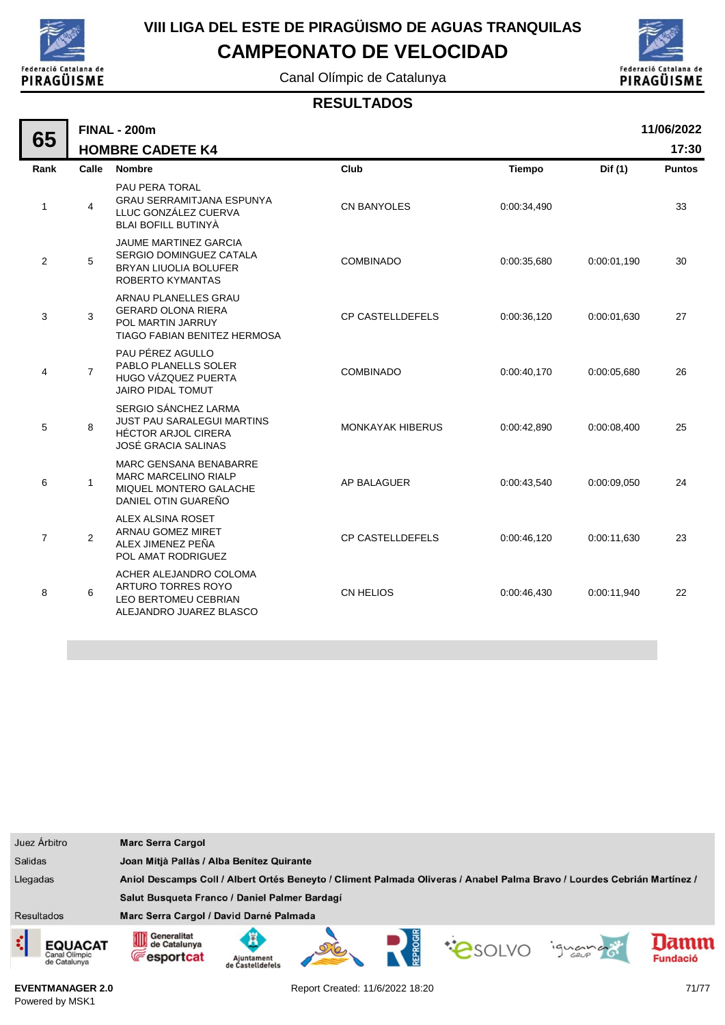

# **VIII LIGA DEL ESTE DE PIRAGÜISMO DE AGUAS TRANQUILAS**

**CAMPEONATO DE VELOCIDAD**

Canal Olímpic de Catalunya



**17:30**

#### **RESULTADOS**

|                |                                                                                                                    |                                                |             |             | 11/06/2022    |
|----------------|--------------------------------------------------------------------------------------------------------------------|------------------------------------------------|-------------|-------------|---------------|
|                |                                                                                                                    |                                                |             |             | 17:30         |
| Calle          | <b>Nombre</b>                                                                                                      | Club                                           | Tiempo      | Dif (1)     | <b>Puntos</b> |
| $\overline{4}$ | PAU PERA TORAL<br><b>GRAU SERRAMITJANA ESPUNYA</b><br>LLUC GONZÁLEZ CUERVA<br><b>BLAI BOFILL BUTINYA</b>           | CN BANYOLES                                    | 0:00:34,490 |             | 33            |
| 5              | <b>JAUME MARTINEZ GARCIA</b><br>SERGIO DOMINGUEZ CATALA<br><b>BRYAN LIUOLIA BOLUFER</b><br><b>ROBERTO KYMANTAS</b> | <b>COMBINADO</b>                               | 0:00:35,680 | 0:00:01,190 | 30            |
| 3              | ARNAU PLANELLES GRAU<br><b>GERARD OLONA RIERA</b><br>POL MARTIN JARRUY<br>TIAGO FABIAN BENITEZ HERMOSA             | <b>CP CASTELLDEFELS</b>                        | 0:00:36,120 | 0:00:01.630 | 27            |
| $\overline{7}$ | PAU PÉREZ AGULLO<br>PABLO PLANELLS SOLER<br>HUGO VÁZQUEZ PUERTA<br><b>JAIRO PIDAL TOMUT</b>                        | COMBINADO                                      | 0:00:40,170 | 0:00:05,680 | 26            |
| 8              | SERGIO SÁNCHEZ LARMA<br>JUST PAU SARALEGUI MARTINS<br><b>HÉCTOR ARJOL CIRERA</b><br>JOSÉ GRACIA SALINAS            | <b>MONKAYAK HIBERUS</b>                        | 0:00:42,890 | 0:00:08,400 | 25            |
| $\mathbf{1}$   | <b>MARC GENSANA BENABARRE</b><br><b>MARC MARCELINO RIALP</b><br>MIQUEL MONTERO GALACHE<br>DANIEL OTIN GUAREÑO      | AP BALAGUER                                    | 0:00:43,540 | 0:00:09.050 | 24            |
| 2              | ALEX ALSINA ROSET<br>ARNAU GOMEZ MIRET<br>ALEX JIMENEZ PEÑA<br>POL AMAT RODRIGUEZ                                  | <b>CP CASTELLDEFELS</b>                        | 0:00:46,120 | 0:00:11,630 | 23            |
| 6              | ACHER ALEJANDRO COLOMA<br>ARTURO TORRES ROYO<br>LEO BERTOMEU CEBRIAN<br>ALEJANDRO JUAREZ BLASCO                    | CN HELIOS                                      | 0:00:46,430 | 0:00:11,940 | 22            |
|                |                                                                                                                    | <b>FINAL - 200m</b><br><b>HOMBRE CADETE K4</b> |             |             |               |



Report Created: 11/6/2022 18:20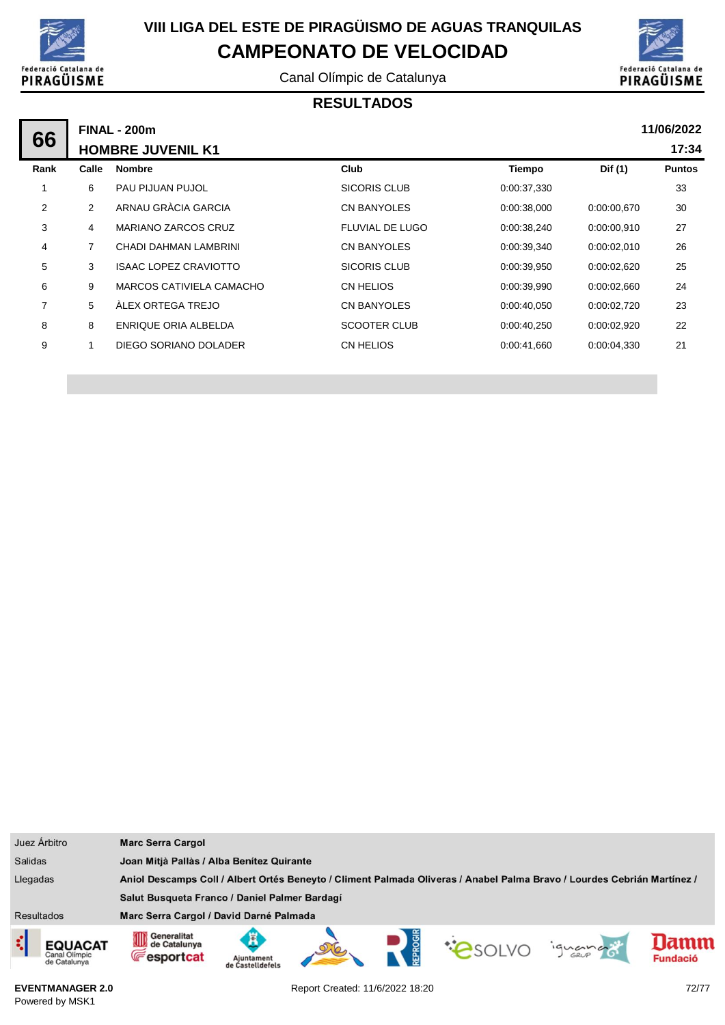

Canal Olímpic de Catalunya



#### **RESULTADOS**

|                | <b>FINAL - 200m</b>      |                              |                        |             |             |               |  |  |  |
|----------------|--------------------------|------------------------------|------------------------|-------------|-------------|---------------|--|--|--|
| 66             | <b>HOMBRE JUVENIL K1</b> |                              |                        |             |             |               |  |  |  |
| Rank           | Calle                    | <b>Nombre</b>                | Club                   | Tiempo      | Dif (1)     | <b>Puntos</b> |  |  |  |
|                | 6                        | PAU PIJUAN PUJOL             | SICORIS CLUB           | 0:00:37,330 |             | 33            |  |  |  |
| $\overline{2}$ | 2                        | ARNAU GRÀCIA GARCIA          | CN BANYOLES            | 0:00:38,000 | 0.00:00.670 | 30            |  |  |  |
| 3              | 4                        | <b>MARIANO ZARCOS CRUZ</b>   | <b>FLUVIAL DE LUGO</b> | 0:00:38,240 | 0:00:00.910 | 27            |  |  |  |
| 4              | 7                        | CHADI DAHMAN LAMBRINI        | <b>CN BANYOLES</b>     | 0:00:39,340 | 0.00:02,010 | 26            |  |  |  |
| 5              | 3                        | <b>ISAAC LOPEZ CRAVIOTTO</b> | SICORIS CLUB           | 0:00:39,950 | 0:00:02,620 | 25            |  |  |  |
| 6              | 9                        | MARCOS CATIVIELA CAMACHO     | CN HELIOS              | 0:00:39,990 | 0:00:02,660 | 24            |  |  |  |
| 7              | 5                        | ÀLEX ORTEGA TREJO            | CN BANYOLES            | 0:00:40,050 | 0:00:02,720 | 23            |  |  |  |
| 8              | 8                        | ENRIQUE ORIA ALBELDA         | SCOOTER CLUB           | 0:00:40,250 | 0:00:02,920 | 22            |  |  |  |
| 9              | 1                        | DIEGO SORIANO DOLADER        | CN HELIOS              | 0:00:41,660 | 0.00.04,330 | 21            |  |  |  |
|                |                          |                              |                        |             |             |               |  |  |  |

|                                                                                                                                     | Juez Árbitro                                    | <b>Marc Serra Cargol</b>                         |                                |  |  |  |         |                         |  |  |
|-------------------------------------------------------------------------------------------------------------------------------------|-------------------------------------------------|--------------------------------------------------|--------------------------------|--|--|--|---------|-------------------------|--|--|
| <b>Salidas</b>                                                                                                                      |                                                 | Joan Mitjà Pallàs / Alba Benítez Quirante        |                                |  |  |  |         |                         |  |  |
| Llegadas<br>Aniol Descamps Coll / Albert Ortés Beneyto / Climent Palmada Oliveras / Anabel Palma Bravo / Lourdes Cebrián Martínez / |                                                 |                                                  |                                |  |  |  |         |                         |  |  |
|                                                                                                                                     |                                                 | Salut Busqueta Franco / Daniel Palmer Bardagí    |                                |  |  |  |         |                         |  |  |
| <b>Resultados</b>                                                                                                                   |                                                 | Marc Serra Cargol / David Darné Palmada          |                                |  |  |  |         |                         |  |  |
| ¢                                                                                                                                   | <b>EQUACAT</b><br>Canal Olimpic<br>de Catalunya | Generalitat<br>de Catalunya<br><b>Fesportcat</b> | Ajuntament<br>de Castelldefels |  |  |  | ignance | lamm<br><b>Fundació</b> |  |  |

**EVENTMANAGER 2.0** Powered by MSK1

Report Created: 11/6/2022 18:20 72/77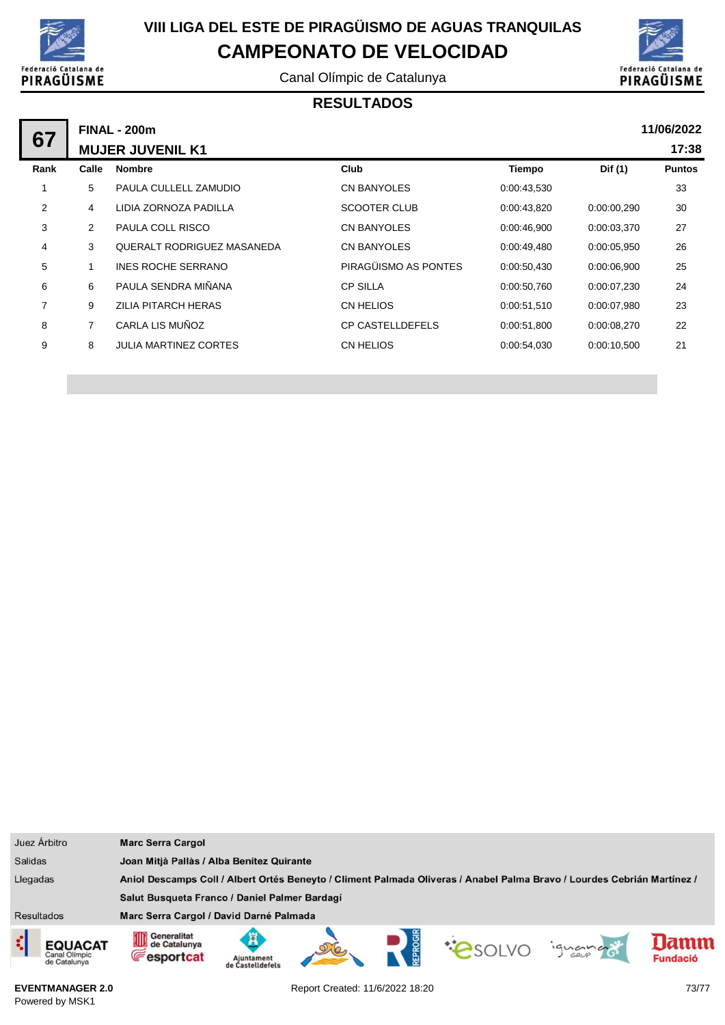

Canal Olímpic de Catalunya



## **RESULTADOS**

| 67             | <b>FINAL - 200m</b> |                                   |                         |             |             |               |  |  |
|----------------|---------------------|-----------------------------------|-------------------------|-------------|-------------|---------------|--|--|
|                |                     | <b>MUJER JUVENIL K1</b>           |                         |             |             | 17:38         |  |  |
| Rank           | Calle               | <b>Nombre</b>                     | Club                    | Tiempo      | Dif (1)     | <b>Puntos</b> |  |  |
| 1              | 5                   | PAULA CULLELL ZAMUDIO             | CN BANYOLES             | 0:00:43,530 |             | 33            |  |  |
| $\overline{2}$ | 4                   | LIDIA ZORNOZA PADILLA             | <b>SCOOTER CLUB</b>     | 0:00:43,820 | 0:00:00,290 | 30            |  |  |
| 3              | 2                   | <b>PAULA COLL RISCO</b>           | <b>CN BANYOLES</b>      | 0:00:46,900 | 0.00.03.370 | 27            |  |  |
| 4              | 3                   | <b>QUERALT RODRIGUEZ MASANEDA</b> | <b>CN BANYOLES</b>      | 0:00:49,480 | 0:00:05,950 | 26            |  |  |
| 5              |                     | <b>INES ROCHE SERRANO</b>         | PIRAGÜISMO AS PONTES    | 0:00:50,430 | 0:00:06.900 | 25            |  |  |
| 6              | 6                   | PAULA SENDRA MIÑANA               | <b>CP SILLA</b>         | 0:00:50,760 | 0:00:07,230 | 24            |  |  |
| $\overline{7}$ | 9                   | <b>ZILIA PITARCH HERAS</b>        | CN HELIOS               | 0:00:51,510 | 0:00:07.980 | 23            |  |  |
| 8              | 7                   | CARLA LIS MUÑOZ                   | <b>CP CASTELLDEFELS</b> | 0:00:51,800 | 0.00.08,270 | 22            |  |  |
| 9              | 8                   | <b>JULIA MARTINEZ CORTES</b>      | CN HELIOS               | 0:00:54,030 | 0:00:10.500 | 21            |  |  |
|                |                     |                                   |                         |             |             |               |  |  |

| Juez Árbitro                                                                                                                        | <b>Marc Serra Cargol</b>                               |                                           |  |  |  |         |                         |
|-------------------------------------------------------------------------------------------------------------------------------------|--------------------------------------------------------|-------------------------------------------|--|--|--|---------|-------------------------|
| <b>Salidas</b>                                                                                                                      |                                                        | Joan Mitjà Pallàs / Alba Benitez Quirante |  |  |  |         |                         |
| Llegadas<br>Aniol Descamps Coll / Albert Ortés Beneyto / Climent Palmada Oliveras / Anabel Palma Bravo / Lourdes Cebrián Martínez / |                                                        |                                           |  |  |  |         |                         |
|                                                                                                                                     | Salut Busqueta Franco / Daniel Palmer Bardagí          |                                           |  |  |  |         |                         |
| <b>Resultados</b>                                                                                                                   | Marc Serra Cargol / David Darné Palmada                |                                           |  |  |  |         |                         |
| ़<br><b>EQUACAT</b><br>Canal Olimpic<br>de Catalunya                                                                                | Generalitat<br>OD<br>de Catalunya<br><b>Fesportcat</b> | Ajuntament<br>de Castelldefels            |  |  |  | ignance | lamm<br><b>Fundació</b> |

**EVENTMANAGER 2.0** Powered by MSK1

Report Created: 11/6/2022 18:20 73/77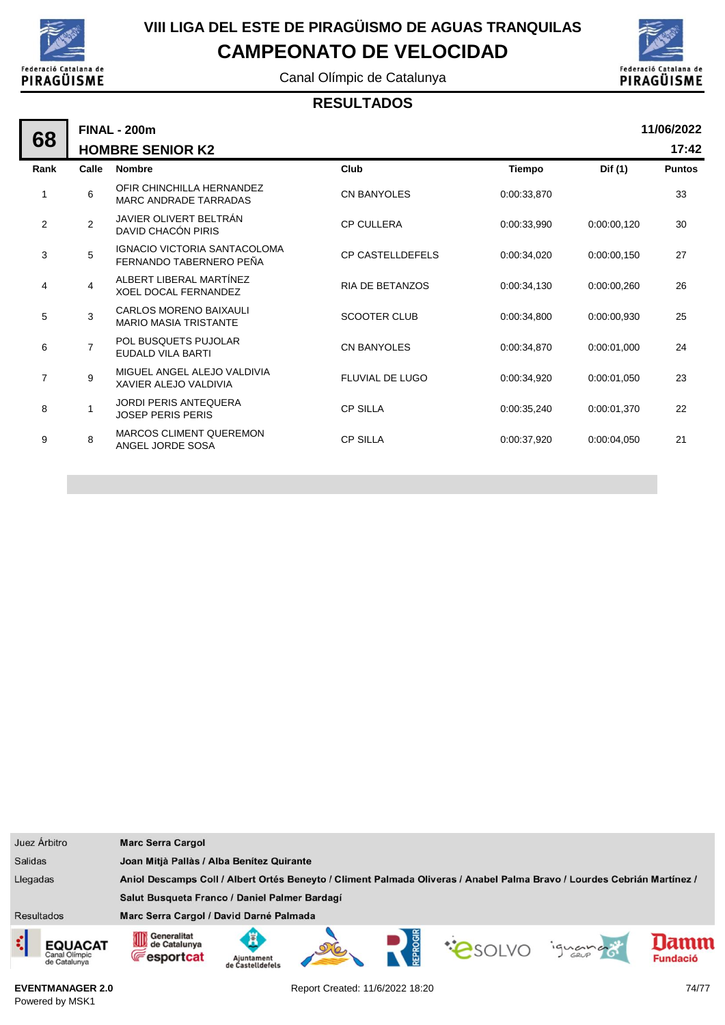

Canal Olímpic de Catalunya



### **RESULTADOS**

| 68             | 11/06/2022<br><b>FINAL - 200m</b> |                                                               |                         |               |             |               |  |  |  |
|----------------|-----------------------------------|---------------------------------------------------------------|-------------------------|---------------|-------------|---------------|--|--|--|
|                | <b>HOMBRE SENIOR K2</b>           |                                                               |                         |               |             |               |  |  |  |
| Rank           | Calle                             | <b>Nombre</b>                                                 | Club                    | <b>Tiempo</b> | Dif (1)     | <b>Puntos</b> |  |  |  |
| 1              | 6                                 | OFIR CHINCHILLA HERNANDEZ<br><b>MARC ANDRADE TARRADAS</b>     | <b>CN BANYOLES</b>      | 0:00:33,870   |             | 33            |  |  |  |
| $\overline{2}$ | $\overline{2}$                    | JAVIER OLIVERT BELTRÁN<br>DAVID CHACÓN PIRIS                  | <b>CP CULLERA</b>       | 0:00:33,990   | 0:00:00,120 | 30            |  |  |  |
| 3              | 5                                 | IGNACIO VICTORIA SANTACOLOMA<br>FERNANDO TABERNERO PEÑA       | <b>CP CASTELLDEFELS</b> | 0:00:34.020   | 0:00:00.150 | 27            |  |  |  |
| 4              | $\overline{4}$                    | ALBERT LIBERAL MARTÍNEZ<br><b>XOEL DOCAL FERNANDEZ</b>        | <b>RIA DE BETANZOS</b>  | 0:00:34.130   | 0:00:00.260 | 26            |  |  |  |
| 5              | 3                                 | <b>CARLOS MORENO BAIXAULI</b><br><b>MARIO MASIA TRISTANTE</b> | <b>SCOOTER CLUB</b>     | 0:00:34.800   | 0:00:00.930 | 25            |  |  |  |
| 6              | $\overline{7}$                    | POL BUSQUETS PUJOLAR<br>EUDALD VILA BARTI                     | <b>CN BANYOLES</b>      | 0:00:34.870   | 0:00:01.000 | 24            |  |  |  |
| $\overline{7}$ | 9                                 | MIGUEL ANGEL ALEJO VALDIVIA<br>XAVIER ALEJO VALDIVIA          | <b>FLUVIAL DE LUGO</b>  | 0:00:34.920   | 0:00:01.050 | 23            |  |  |  |
| 8              | $\mathbf{1}$                      | <b>JORDI PERIS ANTEQUERA</b><br><b>JOSEP PERIS PERIS</b>      | <b>CP SILLA</b>         | 0:00:35.240   | 0:00:01.370 | 22            |  |  |  |
| 9              | 8                                 | <b>MARCOS CLIMENT QUEREMON</b><br>ANGEL JORDE SOSA            | <b>CP SILLA</b>         | 0:00:37.920   | 0:00:04.050 | 21            |  |  |  |
|                |                                   |                                                               |                         |               |             |               |  |  |  |

| Juez Árbitro                                         | <b>Marc Serra Cargol</b>                                                                                                |                                           |  |  |  |         |                         |
|------------------------------------------------------|-------------------------------------------------------------------------------------------------------------------------|-------------------------------------------|--|--|--|---------|-------------------------|
| <b>Salidas</b>                                       |                                                                                                                         | Joan Mitjà Pallàs / Alba Benítez Quirante |  |  |  |         |                         |
| Llegadas                                             | Aniol Descamps Coll / Albert Ortés Beneyto / Climent Palmada Oliveras / Anabel Palma Bravo / Lourdes Cebrián Martínez / |                                           |  |  |  |         |                         |
|                                                      | Salut Busqueta Franco / Daniel Palmer Bardagí                                                                           |                                           |  |  |  |         |                         |
| <b>Resultados</b>                                    | Marc Serra Cargol / David Darné Palmada                                                                                 |                                           |  |  |  |         |                         |
| ¢<br><b>EQUACAT</b><br>Canal Olimpic<br>de Catalunya | Generalitat<br>ИШ<br>NШ<br>de Catalunya<br><b>Fesportcat</b>                                                            | Ajuntament<br>de Castelldefels            |  |  |  | iguando | lamn<br><b>Fundació</b> |

**EVENTMANAGER 2.0** Powered by MSK1

Report Created: 11/6/2022 18:20 74/77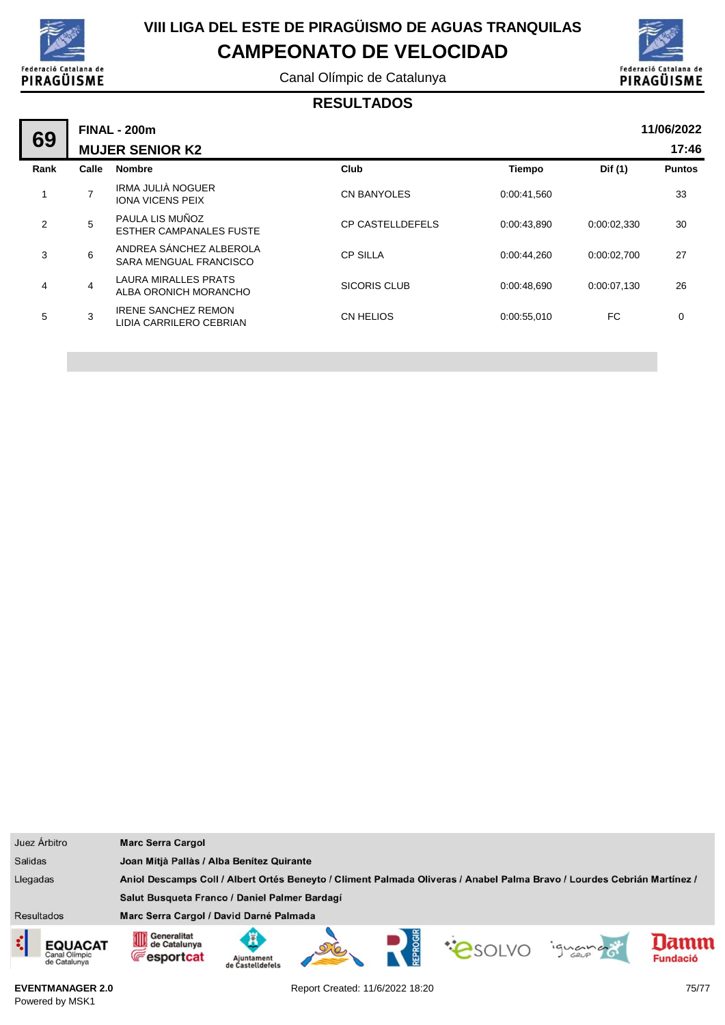

Canal Olímpic de Catalunya



### **RESULTADOS**

| 69   |       | <b>FINAL - 200m</b>                                   |                         |               |             | 11/06/2022    |
|------|-------|-------------------------------------------------------|-------------------------|---------------|-------------|---------------|
|      |       | <b>MUJER SENIOR K2</b>                                |                         |               |             | 17:46         |
| Rank | Calle | <b>Nombre</b>                                         | Club                    | <b>Tiempo</b> | Dif (1)     | <b>Puntos</b> |
|      |       | IRMA JULIÀ NOGUER<br><b>IONA VICENS PEIX</b>          | <b>CN BANYOLES</b>      | 0:00:41,560   |             | 33            |
| 2    | 5     | PAULA LIS MUÑOZ<br><b>ESTHER CAMPANALES FUSTE</b>     | <b>CP CASTELLDEFELS</b> | 0:00:43.890   | 0:00:02,330 | 30            |
| 3    | 6     | ANDREA SÁNCHEZ ALBEROLA<br>SARA MENGUAL FRANCISCO     | <b>CP SILLA</b>         | 0:00:44,260   | 0:00:02,700 | 27            |
| 4    | 4     | <b>LAURA MIRALLES PRATS</b><br>ALBA ORONICH MORANCHO  | <b>SICORIS CLUB</b>     | 0:00:48.690   | 0:00:07,130 | 26            |
| 5    | 3     | <b>IRENE SANCHEZ REMON</b><br>LIDIA CARRILERO CEBRIAN | <b>CN HELIOS</b>        | 0:00:55,010   | FC.         | $\mathbf 0$   |
|      |       |                                                       |                         |               |             |               |

|                   | Juez Árbitro                                    | <b>Marc Serra Cargol</b>                                                                                                |                                           |  |  |  |        |                        |
|-------------------|-------------------------------------------------|-------------------------------------------------------------------------------------------------------------------------|-------------------------------------------|--|--|--|--------|------------------------|
| <b>Salidas</b>    |                                                 |                                                                                                                         | Joan Mitjà Pallàs / Alba Benitez Quirante |  |  |  |        |                        |
| Llegadas          |                                                 | Aniol Descamps Coll / Albert Ortés Beneyto / Climent Palmada Oliveras / Anabel Palma Bravo / Lourdes Cebrián Martínez / |                                           |  |  |  |        |                        |
|                   |                                                 | Salut Busqueta Franco / Daniel Palmer Bardagí                                                                           |                                           |  |  |  |        |                        |
| <b>Resultados</b> |                                                 | Marc Serra Cargol / David Darné Palmada                                                                                 |                                           |  |  |  |        |                        |
| ¢                 | <b>EQUACAT</b><br>Canal Olimpic<br>de Catalunya | Generalitat<br>OID<br>de Catalunya<br><b>E</b> esportcat                                                                | Aiuntament<br>de Castelldefels            |  |  |  | iguana | amm<br><b>Fundació</b> |

**EVENTMANAGER 2.0** Powered by MSK1

Report Created: 11/6/2022 18:20 75/77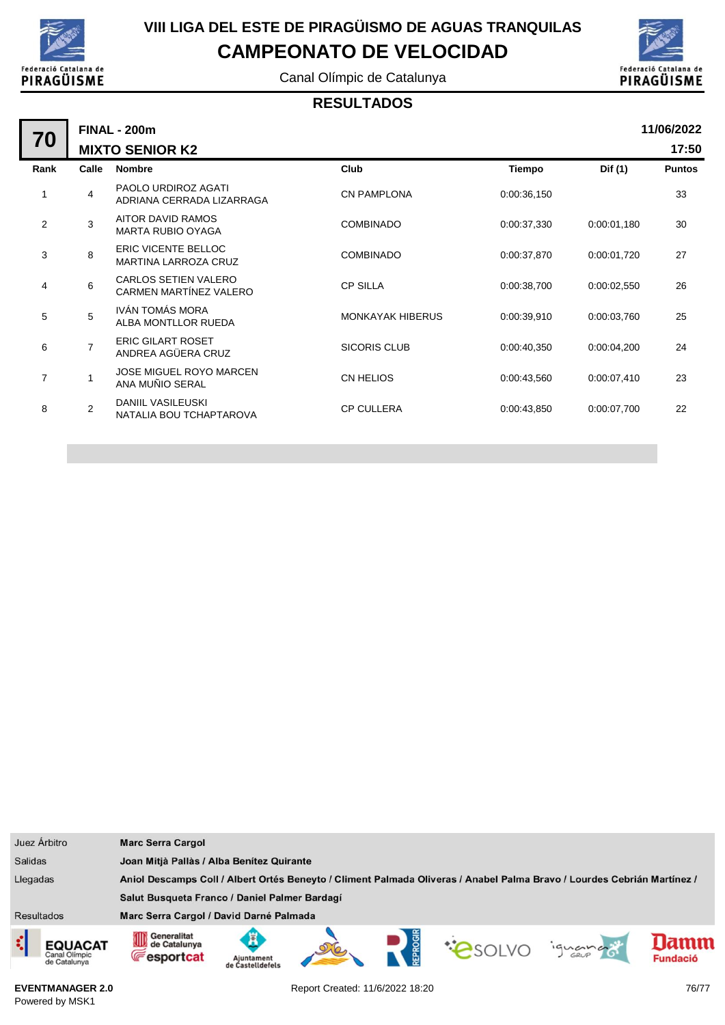

Canal Olímpic de Catalunya



### **RESULTADOS**

|                | <b>FINAL - 200m</b>    |                                                           |                         |             |             |               |  |  |  |
|----------------|------------------------|-----------------------------------------------------------|-------------------------|-------------|-------------|---------------|--|--|--|
| 70             | <b>MIXTO SENIOR K2</b> |                                                           |                         |             |             |               |  |  |  |
| Rank           | Calle                  | <b>Nombre</b>                                             | Club                    | Tiempo      | Dif (1)     | <b>Puntos</b> |  |  |  |
|                | $\overline{4}$         | PAOLO URDIROZ AGATI<br>ADRIANA CERRADA LIZARRAGA          | <b>CN PAMPLONA</b>      | 0:00:36,150 |             | 33            |  |  |  |
| $\overline{2}$ | 3                      | AITOR DAVID RAMOS<br><b>MARTA RUBIO OYAGA</b>             | <b>COMBINADO</b>        | 0:00:37,330 | 0:00:01,180 | 30            |  |  |  |
| 3              | 8                      | <b>ERIC VICENTE BELLOC</b><br><b>MARTINA LARROZA CRUZ</b> | <b>COMBINADO</b>        | 0:00:37,870 | 0:00:01,720 | 27            |  |  |  |
| 4              | 6                      | <b>CARLOS SETIEN VALERO</b><br>CARMEN MARTÍNEZ VALERO     | <b>CP SILLA</b>         | 0:00:38,700 | 0:00:02,550 | 26            |  |  |  |
| 5              | 5                      | IVÁN TOMÁS MORA<br>ALBA MONTLLOR RUEDA                    | <b>MONKAYAK HIBERUS</b> | 0:00:39,910 | 0:00:03,760 | 25            |  |  |  |
| 6              | $\overline{7}$         | <b>ERIC GILART ROSET</b><br>ANDREA AGÜERA CRUZ            | <b>SICORIS CLUB</b>     | 0:00:40,350 | 0:00:04,200 | 24            |  |  |  |
| 7              | 1                      | <b>JOSE MIGUEL ROYO MARCEN</b><br>ANA MUÑIO SERAL         | CN HELIOS               | 0:00:43,560 | 0:00:07,410 | 23            |  |  |  |
| 8              | $\overline{2}$         | DANIIL VASILEUSKI<br>NATALIA BOU TCHAPTAROVA              | <b>CP CULLERA</b>       | 0:00:43,850 | 0:00:07,700 | 22            |  |  |  |
|                |                        |                                                           |                         |             |             |               |  |  |  |



**EVENTMANAGER 2.0** Powered by MSK1

Report Created: 11/6/2022 18:20